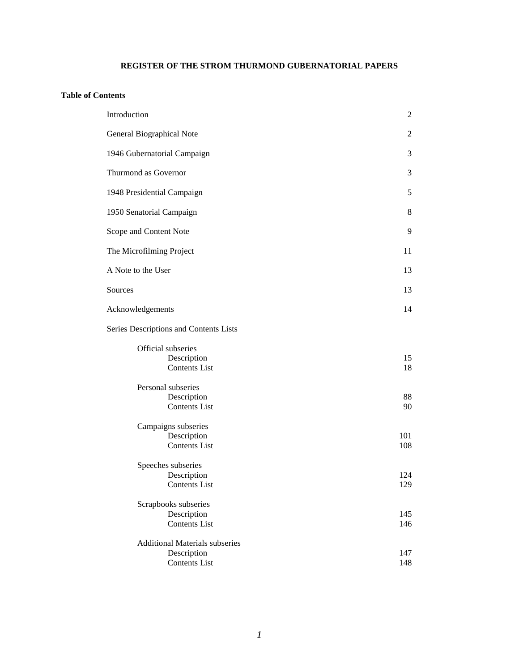# **REGISTER OF THE STROM THURMOND GUBERNATORIAL PAPERS**

#### **Table of Contents**

| Introduction |                                                                              | $\overline{2}$ |
|--------------|------------------------------------------------------------------------------|----------------|
|              | General Biographical Note                                                    | $\overline{c}$ |
|              | 1946 Gubernatorial Campaign                                                  | 3              |
|              | Thurmond as Governor                                                         | 3              |
|              | 1948 Presidential Campaign                                                   | 5              |
|              | 1950 Senatorial Campaign                                                     | 8              |
|              | Scope and Content Note                                                       | 9              |
|              | The Microfilming Project                                                     | 11             |
|              | A Note to the User                                                           | 13             |
| Sources      |                                                                              | 13             |
|              | Acknowledgements                                                             | 14             |
|              | Series Descriptions and Contents Lists                                       |                |
|              | Official subseries<br>Description<br><b>Contents List</b>                    | 15<br>18       |
|              | Personal subseries<br>Description<br><b>Contents List</b>                    | 88<br>90       |
|              | Campaigns subseries<br>Description<br><b>Contents List</b>                   | 101<br>108     |
|              | Speeches subseries<br>Description<br><b>Contents List</b>                    | 124<br>129     |
|              | Scrapbooks subseries<br>Description<br><b>Contents List</b>                  | 145<br>146     |
|              | <b>Additional Materials subseries</b><br>Description<br><b>Contents List</b> | 147<br>148     |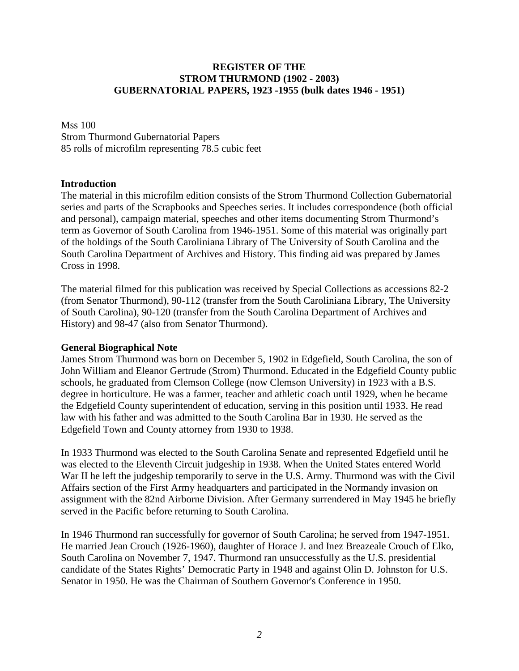# **REGISTER OF THE STROM THURMOND (1902 - 2003) GUBERNATORIAL PAPERS, 1923 -1955 (bulk dates 1946 - 1951)**

Mss 100 Strom Thurmond Gubernatorial Papers 85 rolls of microfilm representing 78.5 cubic feet

### **Introduction**

The material in this microfilm edition consists of the Strom Thurmond Collection Gubernatorial series and parts of the Scrapbooks and Speeches series. It includes correspondence (both official and personal), campaign material, speeches and other items documenting Strom Thurmond's term as Governor of South Carolina from 1946-1951. Some of this material was originally part of the holdings of the South Caroliniana Library of The University of South Carolina and the South Carolina Department of Archives and History. This finding aid was prepared by James Cross in 1998.

The material filmed for this publication was received by Special Collections as accessions 82-2 (from Senator Thurmond), 90-112 (transfer from the South Caroliniana Library, The University of South Carolina), 90-120 (transfer from the South Carolina Department of Archives and History) and 98-47 (also from Senator Thurmond).

#### **General Biographical Note**

James Strom Thurmond was born on December 5, 1902 in Edgefield, South Carolina, the son of John William and Eleanor Gertrude (Strom) Thurmond. Educated in the Edgefield County public schools, he graduated from Clemson College (now Clemson University) in 1923 with a B.S. degree in horticulture. He was a farmer, teacher and athletic coach until 1929, when he became the Edgefield County superintendent of education, serving in this position until 1933. He read law with his father and was admitted to the South Carolina Bar in 1930. He served as the Edgefield Town and County attorney from 1930 to 1938.

In 1933 Thurmond was elected to the South Carolina Senate and represented Edgefield until he was elected to the Eleventh Circuit judgeship in 1938. When the United States entered World War II he left the judgeship temporarily to serve in the U.S. Army. Thurmond was with the Civil Affairs section of the First Army headquarters and participated in the Normandy invasion on assignment with the 82nd Airborne Division. After Germany surrendered in May 1945 he briefly served in the Pacific before returning to South Carolina.

In 1946 Thurmond ran successfully for governor of South Carolina; he served from 1947-1951. He married Jean Crouch (1926-1960), daughter of Horace J. and Inez Breazeale Crouch of Elko, South Carolina on November 7, 1947. Thurmond ran unsuccessfully as the U.S. presidential candidate of the States Rights' Democratic Party in 1948 and against Olin D. Johnston for U.S. Senator in 1950. He was the Chairman of Southern Governor's Conference in 1950.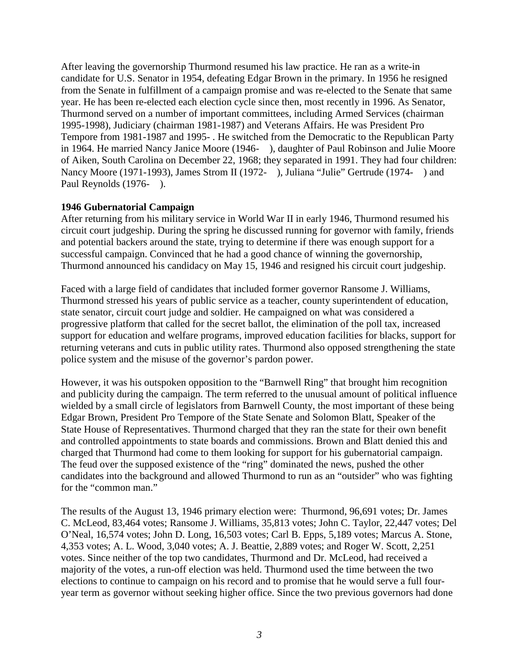After leaving the governorship Thurmond resumed his law practice. He ran as a write-in candidate for U.S. Senator in 1954, defeating Edgar Brown in the primary. In 1956 he resigned from the Senate in fulfillment of a campaign promise and was re-elected to the Senate that same year. He has been re-elected each election cycle since then, most recently in 1996. As Senator, Thurmond served on a number of important committees, including Armed Services (chairman 1995-1998), Judiciary (chairman 1981-1987) and Veterans Affairs. He was President Pro Tempore from 1981-1987 and 1995- . He switched from the Democratic to the Republican Party in 1964. He married Nancy Janice Moore (1946- ), daughter of Paul Robinson and Julie Moore of Aiken, South Carolina on December 22, 1968; they separated in 1991. They had four children: Nancy Moore (1971-1993), James Strom II (1972-), Juliana "Julie" Gertrude (1974-) and Paul Reynolds (1976-).

# **1946 Gubernatorial Campaign**

After returning from his military service in World War II in early 1946, Thurmond resumed his circuit court judgeship. During the spring he discussed running for governor with family, friends and potential backers around the state, trying to determine if there was enough support for a successful campaign. Convinced that he had a good chance of winning the governorship, Thurmond announced his candidacy on May 15, 1946 and resigned his circuit court judgeship.

Faced with a large field of candidates that included former governor Ransome J. Williams, Thurmond stressed his years of public service as a teacher, county superintendent of education, state senator, circuit court judge and soldier. He campaigned on what was considered a progressive platform that called for the secret ballot, the elimination of the poll tax, increased support for education and welfare programs, improved education facilities for blacks, support for returning veterans and cuts in public utility rates. Thurmond also opposed strengthening the state police system and the misuse of the governor's pardon power.

However, it was his outspoken opposition to the "Barnwell Ring" that brought him recognition and publicity during the campaign. The term referred to the unusual amount of political influence wielded by a small circle of legislators from Barnwell County, the most important of these being Edgar Brown, President Pro Tempore of the State Senate and Solomon Blatt, Speaker of the State House of Representatives. Thurmond charged that they ran the state for their own benefit and controlled appointments to state boards and commissions. Brown and Blatt denied this and charged that Thurmond had come to them looking for support for his gubernatorial campaign. The feud over the supposed existence of the "ring" dominated the news, pushed the other candidates into the background and allowed Thurmond to run as an "outsider" who was fighting for the "common man."

The results of the August 13, 1946 primary election were: Thurmond, 96,691 votes; Dr. James C. McLeod, 83,464 votes; Ransome J. Williams, 35,813 votes; John C. Taylor, 22,447 votes; Del O'Neal, 16,574 votes; John D. Long, 16,503 votes; Carl B. Epps, 5,189 votes; Marcus A. Stone, 4,353 votes; A. L. Wood, 3,040 votes; A. J. Beattie, 2,889 votes; and Roger W. Scott, 2,251 votes. Since neither of the top two candidates, Thurmond and Dr. McLeod, had received a majority of the votes, a run-off election was held. Thurmond used the time between the two elections to continue to campaign on his record and to promise that he would serve a full fouryear term as governor without seeking higher office. Since the two previous governors had done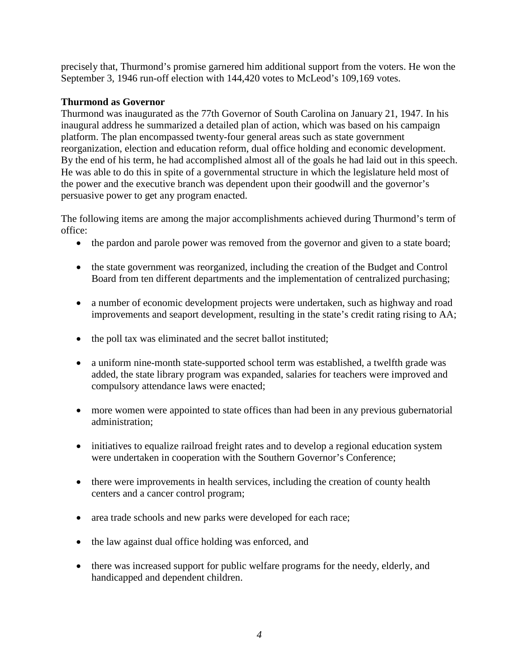precisely that, Thurmond's promise garnered him additional support from the voters. He won the September 3, 1946 run-off election with 144,420 votes to McLeod's 109,169 votes.

# **Thurmond as Governor**

Thurmond was inaugurated as the 77th Governor of South Carolina on January 21, 1947. In his inaugural address he summarized a detailed plan of action, which was based on his campaign platform. The plan encompassed twenty-four general areas such as state government reorganization, election and education reform, dual office holding and economic development. By the end of his term, he had accomplished almost all of the goals he had laid out in this speech. He was able to do this in spite of a governmental structure in which the legislature held most of the power and the executive branch was dependent upon their goodwill and the governor's persuasive power to get any program enacted.

The following items are among the major accomplishments achieved during Thurmond's term of office:

- the pardon and parole power was removed from the governor and given to a state board;
- the state government was reorganized, including the creation of the Budget and Control Board from ten different departments and the implementation of centralized purchasing;
- a number of economic development projects were undertaken, such as highway and road improvements and seaport development, resulting in the state's credit rating rising to AA;
- the poll tax was eliminated and the secret ballot instituted;
- a uniform nine-month state-supported school term was established, a twelfth grade was added, the state library program was expanded, salaries for teachers were improved and compulsory attendance laws were enacted;
- more women were appointed to state offices than had been in any previous gubernatorial administration;
- initiatives to equalize railroad freight rates and to develop a regional education system were undertaken in cooperation with the Southern Governor's Conference;
- there were improvements in health services, including the creation of county health centers and a cancer control program;
- area trade schools and new parks were developed for each race;
- the law against dual office holding was enforced, and
- there was increased support for public welfare programs for the needy, elderly, and handicapped and dependent children.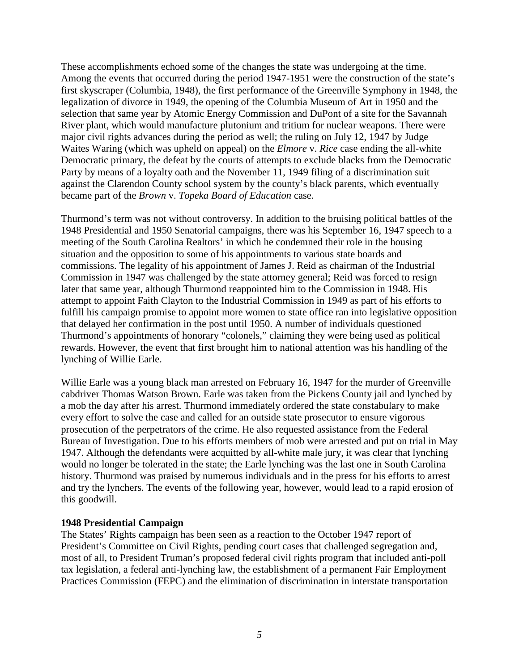These accomplishments echoed some of the changes the state was undergoing at the time. Among the events that occurred during the period 1947-1951 were the construction of the state's first skyscraper (Columbia, 1948), the first performance of the Greenville Symphony in 1948, the legalization of divorce in 1949, the opening of the Columbia Museum of Art in 1950 and the selection that same year by Atomic Energy Commission and DuPont of a site for the Savannah River plant, which would manufacture plutonium and tritium for nuclear weapons. There were major civil rights advances during the period as well; the ruling on July 12, 1947 by Judge Waites Waring (which was upheld on appeal) on the *Elmore* v. *Rice* case ending the all-white Democratic primary, the defeat by the courts of attempts to exclude blacks from the Democratic Party by means of a loyalty oath and the November 11, 1949 filing of a discrimination suit against the Clarendon County school system by the county's black parents, which eventually became part of the *Brown* v. *Topeka Board of Education* case.

Thurmond's term was not without controversy. In addition to the bruising political battles of the 1948 Presidential and 1950 Senatorial campaigns, there was his September 16, 1947 speech to a meeting of the South Carolina Realtors' in which he condemned their role in the housing situation and the opposition to some of his appointments to various state boards and commissions. The legality of his appointment of James J. Reid as chairman of the Industrial Commission in 1947 was challenged by the state attorney general; Reid was forced to resign later that same year, although Thurmond reappointed him to the Commission in 1948. His attempt to appoint Faith Clayton to the Industrial Commission in 1949 as part of his efforts to fulfill his campaign promise to appoint more women to state office ran into legislative opposition that delayed her confirmation in the post until 1950. A number of individuals questioned Thurmond's appointments of honorary "colonels," claiming they were being used as political rewards. However, the event that first brought him to national attention was his handling of the lynching of Willie Earle.

Willie Earle was a young black man arrested on February 16, 1947 for the murder of Greenville cabdriver Thomas Watson Brown. Earle was taken from the Pickens County jail and lynched by a mob the day after his arrest. Thurmond immediately ordered the state constabulary to make every effort to solve the case and called for an outside state prosecutor to ensure vigorous prosecution of the perpetrators of the crime. He also requested assistance from the Federal Bureau of Investigation. Due to his efforts members of mob were arrested and put on trial in May 1947. Although the defendants were acquitted by all-white male jury, it was clear that lynching would no longer be tolerated in the state; the Earle lynching was the last one in South Carolina history. Thurmond was praised by numerous individuals and in the press for his efforts to arrest and try the lynchers. The events of the following year, however, would lead to a rapid erosion of this goodwill.

### **1948 Presidential Campaign**

The States' Rights campaign has been seen as a reaction to the October 1947 report of President's Committee on Civil Rights, pending court cases that challenged segregation and, most of all, to President Truman's proposed federal civil rights program that included anti-poll tax legislation, a federal anti-lynching law, the establishment of a permanent Fair Employment Practices Commission (FEPC) and the elimination of discrimination in interstate transportation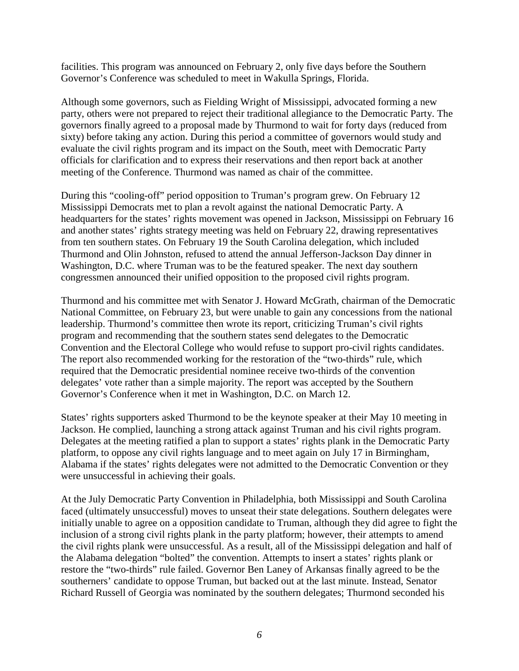facilities. This program was announced on February 2, only five days before the Southern Governor's Conference was scheduled to meet in Wakulla Springs, Florida.

Although some governors, such as Fielding Wright of Mississippi, advocated forming a new party, others were not prepared to reject their traditional allegiance to the Democratic Party. The governors finally agreed to a proposal made by Thurmond to wait for forty days (reduced from sixty) before taking any action. During this period a committee of governors would study and evaluate the civil rights program and its impact on the South, meet with Democratic Party officials for clarification and to express their reservations and then report back at another meeting of the Conference. Thurmond was named as chair of the committee.

During this "cooling-off" period opposition to Truman's program grew. On February 12 Mississippi Democrats met to plan a revolt against the national Democratic Party. A headquarters for the states' rights movement was opened in Jackson, Mississippi on February 16 and another states' rights strategy meeting was held on February 22, drawing representatives from ten southern states. On February 19 the South Carolina delegation, which included Thurmond and Olin Johnston, refused to attend the annual Jefferson-Jackson Day dinner in Washington, D.C. where Truman was to be the featured speaker. The next day southern congressmen announced their unified opposition to the proposed civil rights program.

Thurmond and his committee met with Senator J. Howard McGrath, chairman of the Democratic National Committee, on February 23, but were unable to gain any concessions from the national leadership. Thurmond's committee then wrote its report, criticizing Truman's civil rights program and recommending that the southern states send delegates to the Democratic Convention and the Electoral College who would refuse to support pro-civil rights candidates. The report also recommended working for the restoration of the "two-thirds" rule, which required that the Democratic presidential nominee receive two-thirds of the convention delegates' vote rather than a simple majority. The report was accepted by the Southern Governor's Conference when it met in Washington, D.C. on March 12.

States' rights supporters asked Thurmond to be the keynote speaker at their May 10 meeting in Jackson. He complied, launching a strong attack against Truman and his civil rights program. Delegates at the meeting ratified a plan to support a states' rights plank in the Democratic Party platform, to oppose any civil rights language and to meet again on July 17 in Birmingham, Alabama if the states' rights delegates were not admitted to the Democratic Convention or they were unsuccessful in achieving their goals.

At the July Democratic Party Convention in Philadelphia, both Mississippi and South Carolina faced (ultimately unsuccessful) moves to unseat their state delegations. Southern delegates were initially unable to agree on a opposition candidate to Truman, although they did agree to fight the inclusion of a strong civil rights plank in the party platform; however, their attempts to amend the civil rights plank were unsuccessful. As a result, all of the Mississippi delegation and half of the Alabama delegation "bolted" the convention. Attempts to insert a states' rights plank or restore the "two-thirds" rule failed. Governor Ben Laney of Arkansas finally agreed to be the southerners' candidate to oppose Truman, but backed out at the last minute. Instead, Senator Richard Russell of Georgia was nominated by the southern delegates; Thurmond seconded his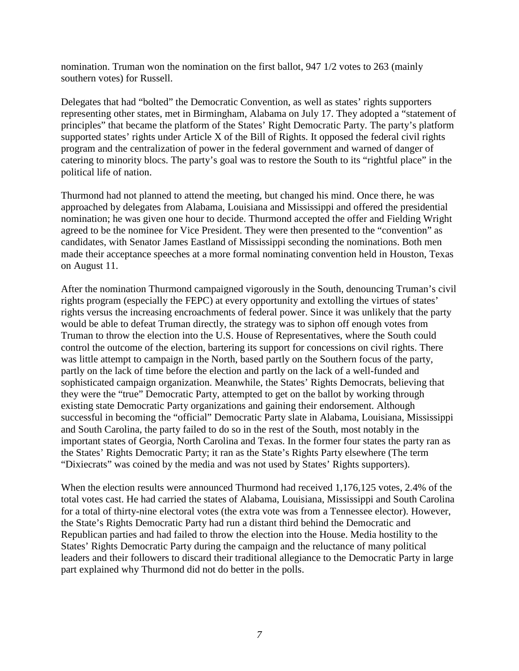nomination. Truman won the nomination on the first ballot, 947 1/2 votes to 263 (mainly southern votes) for Russell.

Delegates that had "bolted" the Democratic Convention, as well as states' rights supporters representing other states, met in Birmingham, Alabama on July 17. They adopted a "statement of principles" that became the platform of the States' Right Democratic Party. The party's platform supported states' rights under Article X of the Bill of Rights. It opposed the federal civil rights program and the centralization of power in the federal government and warned of danger of catering to minority blocs. The party's goal was to restore the South to its "rightful place" in the political life of nation.

Thurmond had not planned to attend the meeting, but changed his mind. Once there, he was approached by delegates from Alabama, Louisiana and Mississippi and offered the presidential nomination; he was given one hour to decide. Thurmond accepted the offer and Fielding Wright agreed to be the nominee for Vice President. They were then presented to the "convention" as candidates, with Senator James Eastland of Mississippi seconding the nominations. Both men made their acceptance speeches at a more formal nominating convention held in Houston, Texas on August 11.

After the nomination Thurmond campaigned vigorously in the South, denouncing Truman's civil rights program (especially the FEPC) at every opportunity and extolling the virtues of states' rights versus the increasing encroachments of federal power. Since it was unlikely that the party would be able to defeat Truman directly, the strategy was to siphon off enough votes from Truman to throw the election into the U.S. House of Representatives, where the South could control the outcome of the election, bartering its support for concessions on civil rights. There was little attempt to campaign in the North, based partly on the Southern focus of the party, partly on the lack of time before the election and partly on the lack of a well-funded and sophisticated campaign organization. Meanwhile, the States' Rights Democrats, believing that they were the "true" Democratic Party, attempted to get on the ballot by working through existing state Democratic Party organizations and gaining their endorsement. Although successful in becoming the "official" Democratic Party slate in Alabama, Louisiana, Mississippi and South Carolina, the party failed to do so in the rest of the South, most notably in the important states of Georgia, North Carolina and Texas. In the former four states the party ran as the States' Rights Democratic Party; it ran as the State's Rights Party elsewhere (The term "Dixiecrats" was coined by the media and was not used by States' Rights supporters).

When the election results were announced Thurmond had received 1,176,125 votes, 2.4% of the total votes cast. He had carried the states of Alabama, Louisiana, Mississippi and South Carolina for a total of thirty-nine electoral votes (the extra vote was from a Tennessee elector). However, the State's Rights Democratic Party had run a distant third behind the Democratic and Republican parties and had failed to throw the election into the House. Media hostility to the States' Rights Democratic Party during the campaign and the reluctance of many political leaders and their followers to discard their traditional allegiance to the Democratic Party in large part explained why Thurmond did not do better in the polls.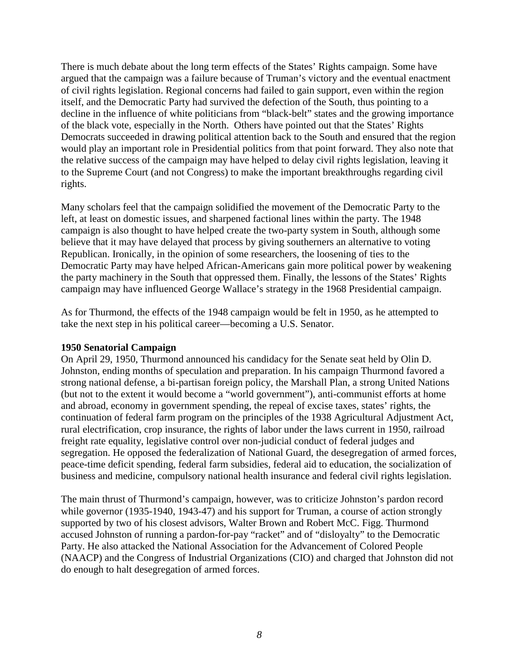There is much debate about the long term effects of the States' Rights campaign. Some have argued that the campaign was a failure because of Truman's victory and the eventual enactment of civil rights legislation. Regional concerns had failed to gain support, even within the region itself, and the Democratic Party had survived the defection of the South, thus pointing to a decline in the influence of white politicians from "black-belt" states and the growing importance of the black vote, especially in the North. Others have pointed out that the States' Rights Democrats succeeded in drawing political attention back to the South and ensured that the region would play an important role in Presidential politics from that point forward. They also note that the relative success of the campaign may have helped to delay civil rights legislation, leaving it to the Supreme Court (and not Congress) to make the important breakthroughs regarding civil rights.

Many scholars feel that the campaign solidified the movement of the Democratic Party to the left, at least on domestic issues, and sharpened factional lines within the party. The 1948 campaign is also thought to have helped create the two-party system in South, although some believe that it may have delayed that process by giving southerners an alternative to voting Republican. Ironically, in the opinion of some researchers, the loosening of ties to the Democratic Party may have helped African-Americans gain more political power by weakening the party machinery in the South that oppressed them. Finally, the lessons of the States' Rights campaign may have influenced George Wallace's strategy in the 1968 Presidential campaign.

As for Thurmond, the effects of the 1948 campaign would be felt in 1950, as he attempted to take the next step in his political career—becoming a U.S. Senator.

### **1950 Senatorial Campaign**

On April 29, 1950, Thurmond announced his candidacy for the Senate seat held by Olin D. Johnston, ending months of speculation and preparation. In his campaign Thurmond favored a strong national defense, a bi-partisan foreign policy, the Marshall Plan, a strong United Nations (but not to the extent it would become a "world government"), anti-communist efforts at home and abroad, economy in government spending, the repeal of excise taxes, states' rights, the continuation of federal farm program on the principles of the 1938 Agricultural Adjustment Act, rural electrification, crop insurance, the rights of labor under the laws current in 1950, railroad freight rate equality, legislative control over non-judicial conduct of federal judges and segregation. He opposed the federalization of National Guard, the desegregation of armed forces, peace-time deficit spending, federal farm subsidies, federal aid to education, the socialization of business and medicine, compulsory national health insurance and federal civil rights legislation.

The main thrust of Thurmond's campaign, however, was to criticize Johnston's pardon record while governor (1935-1940, 1943-47) and his support for Truman, a course of action strongly supported by two of his closest advisors, Walter Brown and Robert McC. Figg. Thurmond accused Johnston of running a pardon-for-pay "racket" and of "disloyalty" to the Democratic Party. He also attacked the National Association for the Advancement of Colored People (NAACP) and the Congress of Industrial Organizations (CIO) and charged that Johnston did not do enough to halt desegregation of armed forces.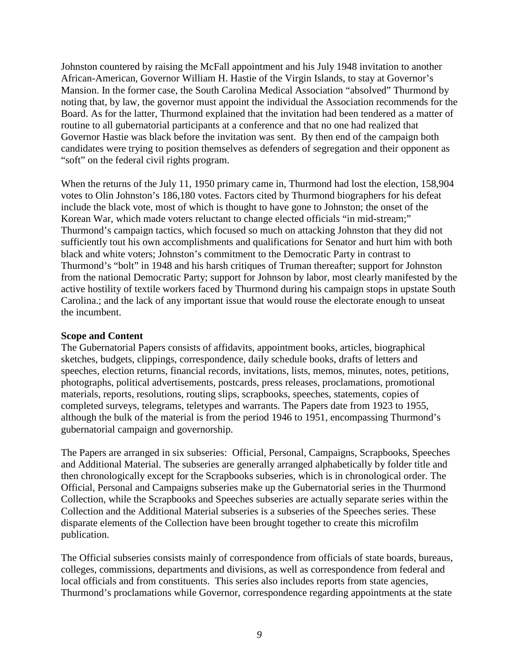Johnston countered by raising the McFall appointment and his July 1948 invitation to another African-American, Governor William H. Hastie of the Virgin Islands, to stay at Governor's Mansion. In the former case, the South Carolina Medical Association "absolved" Thurmond by noting that, by law, the governor must appoint the individual the Association recommends for the Board. As for the latter, Thurmond explained that the invitation had been tendered as a matter of routine to all gubernatorial participants at a conference and that no one had realized that Governor Hastie was black before the invitation was sent. By then end of the campaign both candidates were trying to position themselves as defenders of segregation and their opponent as "soft" on the federal civil rights program.

When the returns of the July 11, 1950 primary came in, Thurmond had lost the election, 158,904 votes to Olin Johnston's 186,180 votes. Factors cited by Thurmond biographers for his defeat include the black vote, most of which is thought to have gone to Johnston; the onset of the Korean War, which made voters reluctant to change elected officials "in mid-stream;" Thurmond's campaign tactics, which focused so much on attacking Johnston that they did not sufficiently tout his own accomplishments and qualifications for Senator and hurt him with both black and white voters; Johnston's commitment to the Democratic Party in contrast to Thurmond's "bolt" in 1948 and his harsh critiques of Truman thereafter; support for Johnston from the national Democratic Party; support for Johnson by labor, most clearly manifested by the active hostility of textile workers faced by Thurmond during his campaign stops in upstate South Carolina.; and the lack of any important issue that would rouse the electorate enough to unseat the incumbent.

### **Scope and Content**

The Gubernatorial Papers consists of affidavits, appointment books, articles, biographical sketches, budgets, clippings, correspondence, daily schedule books, drafts of letters and speeches, election returns, financial records, invitations, lists, memos, minutes, notes, petitions, photographs, political advertisements, postcards, press releases, proclamations, promotional materials, reports, resolutions, routing slips, scrapbooks, speeches, statements, copies of completed surveys, telegrams, teletypes and warrants. The Papers date from 1923 to 1955, although the bulk of the material is from the period 1946 to 1951, encompassing Thurmond's gubernatorial campaign and governorship.

The Papers are arranged in six subseries: Official, Personal, Campaigns, Scrapbooks, Speeches and Additional Material. The subseries are generally arranged alphabetically by folder title and then chronologically except for the Scrapbooks subseries, which is in chronological order. The Official, Personal and Campaigns subseries make up the Gubernatorial series in the Thurmond Collection, while the Scrapbooks and Speeches subseries are actually separate series within the Collection and the Additional Material subseries is a subseries of the Speeches series. These disparate elements of the Collection have been brought together to create this microfilm publication.

The Official subseries consists mainly of correspondence from officials of state boards, bureaus, colleges, commissions, departments and divisions, as well as correspondence from federal and local officials and from constituents. This series also includes reports from state agencies, Thurmond's proclamations while Governor, correspondence regarding appointments at the state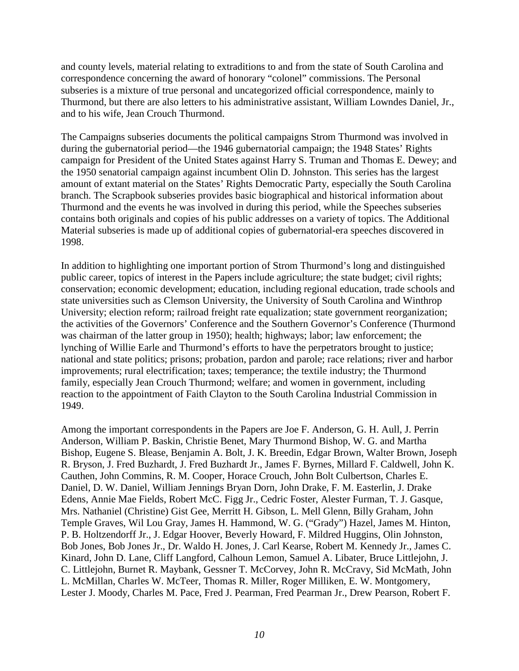and county levels, material relating to extraditions to and from the state of South Carolina and correspondence concerning the award of honorary "colonel" commissions. The Personal subseries is a mixture of true personal and uncategorized official correspondence, mainly to Thurmond, but there are also letters to his administrative assistant, William Lowndes Daniel, Jr., and to his wife, Jean Crouch Thurmond.

The Campaigns subseries documents the political campaigns Strom Thurmond was involved in during the gubernatorial period—the 1946 gubernatorial campaign; the 1948 States' Rights campaign for President of the United States against Harry S. Truman and Thomas E. Dewey; and the 1950 senatorial campaign against incumbent Olin D. Johnston. This series has the largest amount of extant material on the States' Rights Democratic Party, especially the South Carolina branch. The Scrapbook subseries provides basic biographical and historical information about Thurmond and the events he was involved in during this period, while the Speeches subseries contains both originals and copies of his public addresses on a variety of topics. The Additional Material subseries is made up of additional copies of gubernatorial-era speeches discovered in 1998.

In addition to highlighting one important portion of Strom Thurmond's long and distinguished public career, topics of interest in the Papers include agriculture; the state budget; civil rights; conservation; economic development; education, including regional education, trade schools and state universities such as Clemson University, the University of South Carolina and Winthrop University; election reform; railroad freight rate equalization; state government reorganization; the activities of the Governors' Conference and the Southern Governor's Conference (Thurmond was chairman of the latter group in 1950); health; highways; labor; law enforcement; the lynching of Willie Earle and Thurmond's efforts to have the perpetrators brought to justice; national and state politics; prisons; probation, pardon and parole; race relations; river and harbor improvements; rural electrification; taxes; temperance; the textile industry; the Thurmond family, especially Jean Crouch Thurmond; welfare; and women in government, including reaction to the appointment of Faith Clayton to the South Carolina Industrial Commission in 1949.

Among the important correspondents in the Papers are Joe F. Anderson, G. H. Aull, J. Perrin Anderson, William P. Baskin, Christie Benet, Mary Thurmond Bishop, W. G. and Martha Bishop, Eugene S. Blease, Benjamin A. Bolt, J. K. Breedin, Edgar Brown, Walter Brown, Joseph R. Bryson, J. Fred Buzhardt, J. Fred Buzhardt Jr., James F. Byrnes, Millard F. Caldwell, John K. Cauthen, John Commins, R. M. Cooper, Horace Crouch, John Bolt Culbertson, Charles E. Daniel, D. W. Daniel, William Jennings Bryan Dorn, John Drake, F. M. Easterlin, J. Drake Edens, Annie Mae Fields, Robert McC. Figg Jr., Cedric Foster, Alester Furman, T. J. Gasque, Mrs. Nathaniel (Christine) Gist Gee, Merritt H. Gibson, L. Mell Glenn, Billy Graham, John Temple Graves, Wil Lou Gray, James H. Hammond, W. G. ("Grady") Hazel, James M. Hinton, P. B. Holtzendorff Jr., J. Edgar Hoover, Beverly Howard, F. Mildred Huggins, Olin Johnston, Bob Jones, Bob Jones Jr., Dr. Waldo H. Jones, J. Carl Kearse, Robert M. Kennedy Jr., James C. Kinard, John D. Lane, Cliff Langford, Calhoun Lemon, Samuel A. Libater, Bruce Littlejohn, J. C. Littlejohn, Burnet R. Maybank, Gessner T. McCorvey, John R. McCravy, Sid McMath, John L. McMillan, Charles W. McTeer, Thomas R. Miller, Roger Milliken, E. W. Montgomery, Lester J. Moody, Charles M. Pace, Fred J. Pearman, Fred Pearman Jr., Drew Pearson, Robert F.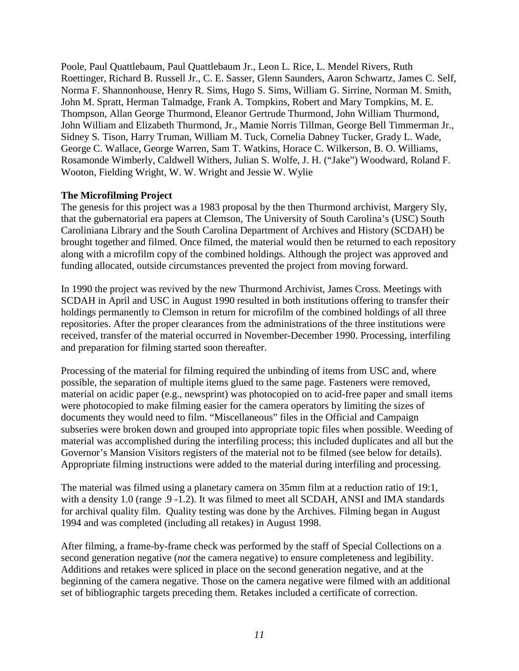Poole, Paul Quattlebaum, Paul Quattlebaum Jr., Leon L. Rice, L. Mendel Rivers, Ruth Roettinger, Richard B. Russell Jr., C. E. Sasser, Glenn Saunders, Aaron Schwartz, James C. Self, Norma F. Shannonhouse, Henry R. Sims, Hugo S. Sims, William G. Sirrine, Norman M. Smith, John M. Spratt, Herman Talmadge, Frank A. Tompkins, Robert and Mary Tompkins, M. E. Thompson, Allan George Thurmond, Eleanor Gertrude Thurmond, John William Thurmond, John William and Elizabeth Thurmond, Jr., Mamie Norris Tillman, George Bell Timmerman Jr., Sidney S. Tison, Harry Truman, William M. Tuck, Cornelia Dabney Tucker, Grady L. Wade, George C. Wallace, George Warren, Sam T. Watkins, Horace C. Wilkerson, B. O. Williams, Rosamonde Wimberly, Caldwell Withers, Julian S. Wolfe, J. H. ("Jake") Woodward, Roland F. Wooton, Fielding Wright, W. W. Wright and Jessie W. Wylie

# **The Microfilming Project**

The genesis for this project was a 1983 proposal by the then Thurmond archivist, Margery Sly, that the gubernatorial era papers at Clemson, The University of South Carolina's (USC) South Caroliniana Library and the South Carolina Department of Archives and History (SCDAH) be brought together and filmed. Once filmed, the material would then be returned to each repository along with a microfilm copy of the combined holdings. Although the project was approved and funding allocated, outside circumstances prevented the project from moving forward.

In 1990 the project was revived by the new Thurmond Archivist, James Cross. Meetings with SCDAH in April and USC in August 1990 resulted in both institutions offering to transfer their holdings permanently to Clemson in return for microfilm of the combined holdings of all three repositories. After the proper clearances from the administrations of the three institutions were received, transfer of the material occurred in November-December 1990. Processing, interfiling and preparation for filming started soon thereafter.

Processing of the material for filming required the unbinding of items from USC and, where possible, the separation of multiple items glued to the same page. Fasteners were removed, material on acidic paper (e.g., newsprint) was photocopied on to acid-free paper and small items were photocopied to make filming easier for the camera operators by limiting the sizes of documents they would need to film. "Miscellaneous" files in the Official and Campaign subseries were broken down and grouped into appropriate topic files when possible. Weeding of material was accomplished during the interfiling process; this included duplicates and all but the Governor's Mansion Visitors registers of the material not to be filmed (see below for details). Appropriate filming instructions were added to the material during interfiling and processing.

The material was filmed using a planetary camera on 35mm film at a reduction ratio of 19:1, with a density 1.0 (range .9 -1.2). It was filmed to meet all SCDAH, ANSI and IMA standards for archival quality film. Quality testing was done by the Archives. Filming began in August 1994 and was completed (including all retakes) in August 1998.

After filming, a frame-by-frame check was performed by the staff of Special Collections on a second generation negative (*not* the camera negative) to ensure completeness and legibility. Additions and retakes were spliced in place on the second generation negative, and at the beginning of the camera negative. Those on the camera negative were filmed with an additional set of bibliographic targets preceding them. Retakes included a certificate of correction.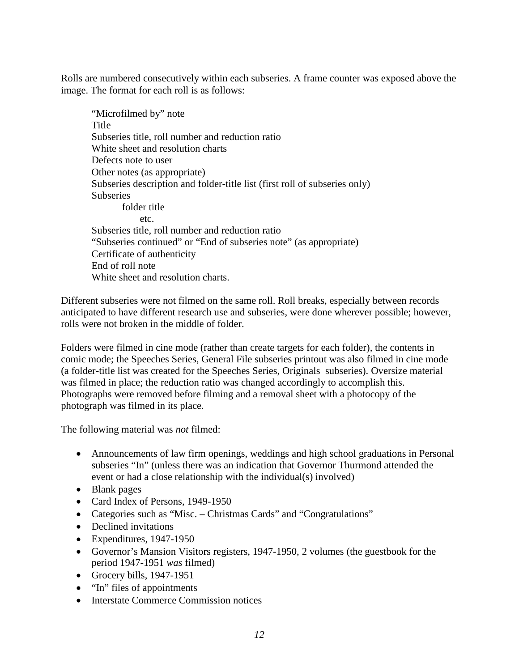Rolls are numbered consecutively within each subseries. A frame counter was exposed above the image. The format for each roll is as follows:

 "Microfilmed by" note **Title**  Subseries title, roll number and reduction ratio White sheet and resolution charts Defects note to user Other notes (as appropriate) Subseries description and folder-title list (first roll of subseries only) **Subseries**  folder title etc. Subseries title, roll number and reduction ratio "Subseries continued" or "End of subseries note" (as appropriate) Certificate of authenticity End of roll note White sheet and resolution charts.

Different subseries were not filmed on the same roll. Roll breaks, especially between records anticipated to have different research use and subseries, were done wherever possible; however, rolls were not broken in the middle of folder.

Folders were filmed in cine mode (rather than create targets for each folder), the contents in comic mode; the Speeches Series, General File subseries printout was also filmed in cine mode (a folder-title list was created for the Speeches Series, Originals subseries). Oversize material was filmed in place; the reduction ratio was changed accordingly to accomplish this. Photographs were removed before filming and a removal sheet with a photocopy of the photograph was filmed in its place.

The following material was *not* filmed:

- Announcements of law firm openings, weddings and high school graduations in Personal subseries "In" (unless there was an indication that Governor Thurmond attended the event or had a close relationship with the individual(s) involved)
- Blank pages
- Card Index of Persons, 1949-1950
- Categories such as "Misc. Christmas Cards" and "Congratulations"
- Declined invitations
- Expenditures, 1947-1950
- Governor's Mansion Visitors registers, 1947-1950, 2 volumes (the guestbook for the period 1947-1951 *was* filmed)
- Grocery bills, 1947-1951
- "In" files of appointments
- Interstate Commerce Commission notices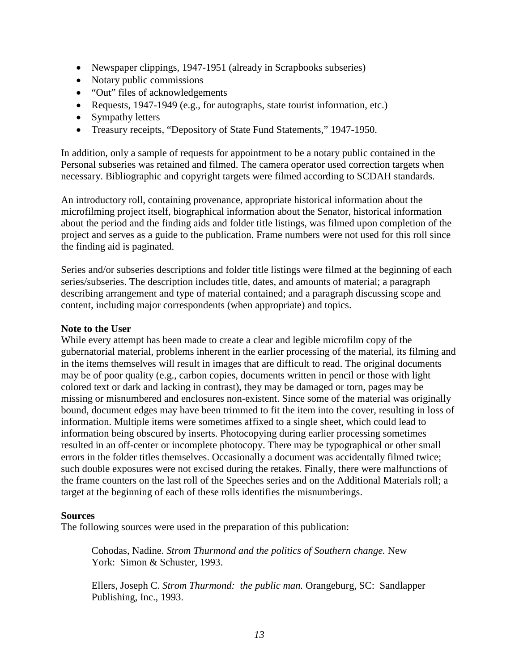- Newspaper clippings, 1947-1951 (already in Scrapbooks subseries)
- Notary public commissions
- "Out" files of acknowledgements
- Requests, 1947-1949 (e.g., for autographs, state tourist information, etc.)
- Sympathy letters
- Treasury receipts, "Depository of State Fund Statements," 1947-1950.

In addition, only a sample of requests for appointment to be a notary public contained in the Personal subseries was retained and filmed. The camera operator used correction targets when necessary. Bibliographic and copyright targets were filmed according to SCDAH standards.

An introductory roll, containing provenance, appropriate historical information about the microfilming project itself, biographical information about the Senator, historical information about the period and the finding aids and folder title listings, was filmed upon completion of the project and serves as a guide to the publication. Frame numbers were not used for this roll since the finding aid is paginated.

Series and/or subseries descriptions and folder title listings were filmed at the beginning of each series/subseries. The description includes title, dates, and amounts of material; a paragraph describing arrangement and type of material contained; and a paragraph discussing scope and content, including major correspondents (when appropriate) and topics.

### **Note to the User**

While every attempt has been made to create a clear and legible microfilm copy of the gubernatorial material, problems inherent in the earlier processing of the material, its filming and in the items themselves will result in images that are difficult to read. The original documents may be of poor quality (e.g., carbon copies, documents written in pencil or those with light colored text or dark and lacking in contrast), they may be damaged or torn, pages may be missing or misnumbered and enclosures non-existent. Since some of the material was originally bound, document edges may have been trimmed to fit the item into the cover, resulting in loss of information. Multiple items were sometimes affixed to a single sheet, which could lead to information being obscured by inserts. Photocopying during earlier processing sometimes resulted in an off-center or incomplete photocopy. There may be typographical or other small errors in the folder titles themselves. Occasionally a document was accidentally filmed twice; such double exposures were not excised during the retakes. Finally, there were malfunctions of the frame counters on the last roll of the Speeches series and on the Additional Materials roll; a target at the beginning of each of these rolls identifies the misnumberings.

### **Sources**

The following sources were used in the preparation of this publication:

Cohodas, Nadine. *Strom Thurmond and the politics of Southern change.* New York: Simon & Schuster, 1993.

Ellers, Joseph C. *Strom Thurmond: the public man.* Orangeburg, SC: Sandlapper Publishing, Inc., 1993.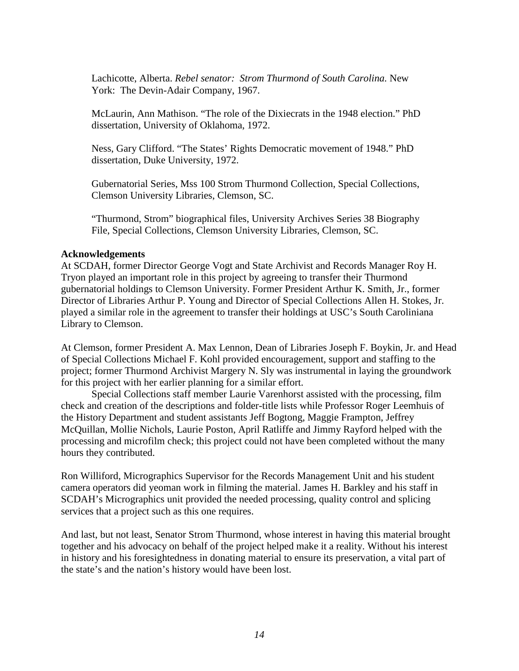Lachicotte, Alberta. *Rebel senator: Strom Thurmond of South Carolina.* New York: The Devin-Adair Company, 1967.

McLaurin, Ann Mathison. "The role of the Dixiecrats in the 1948 election." PhD dissertation, University of Oklahoma, 1972.

Ness, Gary Clifford. "The States' Rights Democratic movement of 1948." PhD dissertation, Duke University, 1972.

Gubernatorial Series, Mss 100 Strom Thurmond Collection, Special Collections, Clemson University Libraries, Clemson, SC.

"Thurmond, Strom" biographical files, University Archives Series 38 Biography File, Special Collections, Clemson University Libraries, Clemson, SC.

#### **Acknowledgements**

At SCDAH, former Director George Vogt and State Archivist and Records Manager Roy H. Tryon played an important role in this project by agreeing to transfer their Thurmond gubernatorial holdings to Clemson University. Former President Arthur K. Smith, Jr., former Director of Libraries Arthur P. Young and Director of Special Collections Allen H. Stokes, Jr. played a similar role in the agreement to transfer their holdings at USC's South Caroliniana Library to Clemson.

At Clemson, former President A. Max Lennon, Dean of Libraries Joseph F. Boykin, Jr. and Head of Special Collections Michael F. Kohl provided encouragement, support and staffing to the project; former Thurmond Archivist Margery N. Sly was instrumental in laying the groundwork for this project with her earlier planning for a similar effort.

 Special Collections staff member Laurie Varenhorst assisted with the processing, film check and creation of the descriptions and folder-title lists while Professor Roger Leemhuis of the History Department and student assistants Jeff Bogtong, Maggie Frampton, Jeffrey McQuillan, Mollie Nichols, Laurie Poston, April Ratliffe and Jimmy Rayford helped with the processing and microfilm check; this project could not have been completed without the many hours they contributed.

Ron Williford, Micrographics Supervisor for the Records Management Unit and his student camera operators did yeoman work in filming the material. James H. Barkley and his staff in SCDAH's Micrographics unit provided the needed processing, quality control and splicing services that a project such as this one requires.

And last, but not least, Senator Strom Thurmond, whose interest in having this material brought together and his advocacy on behalf of the project helped make it a reality. Without his interest in history and his foresightedness in donating material to ensure its preservation, a vital part of the state's and the nation's history would have been lost.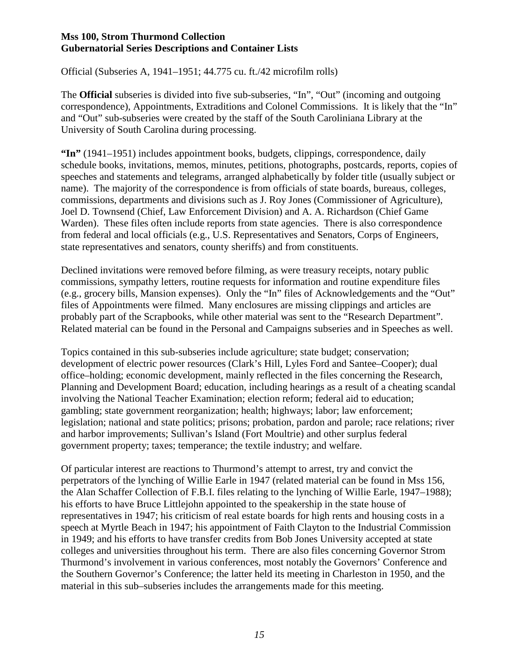Official (Subseries A, 1941–1951; 44.775 cu. ft./42 microfilm rolls)

The **Official** subseries is divided into five sub-subseries, "In", "Out" (incoming and outgoing correspondence), Appointments, Extraditions and Colonel Commissions. It is likely that the "In" and "Out" sub-subseries were created by the staff of the South Caroliniana Library at the University of South Carolina during processing.

**"In"** (1941–1951) includes appointment books, budgets, clippings, correspondence, daily schedule books, invitations, memos, minutes, petitions, photographs, postcards, reports, copies of speeches and statements and telegrams, arranged alphabetically by folder title (usually subject or name). The majority of the correspondence is from officials of state boards, bureaus, colleges, commissions, departments and divisions such as J. Roy Jones (Commissioner of Agriculture), Joel D. Townsend (Chief, Law Enforcement Division) and A. A. Richardson (Chief Game Warden). These files often include reports from state agencies. There is also correspondence from federal and local officials (e.g., U.S. Representatives and Senators, Corps of Engineers, state representatives and senators, county sheriffs) and from constituents.

Declined invitations were removed before filming, as were treasury receipts, notary public commissions, sympathy letters, routine requests for information and routine expenditure files (e.g., grocery bills, Mansion expenses). Only the "In" files of Acknowledgements and the "Out" files of Appointments were filmed. Many enclosures are missing clippings and articles are probably part of the Scrapbooks, while other material was sent to the "Research Department". Related material can be found in the Personal and Campaigns subseries and in Speeches as well.

Topics contained in this sub-subseries include agriculture; state budget; conservation; development of electric power resources (Clark's Hill, Lyles Ford and Santee–Cooper); dual office–holding; economic development, mainly reflected in the files concerning the Research, Planning and Development Board; education, including hearings as a result of a cheating scandal involving the National Teacher Examination; election reform; federal aid to education; gambling; state government reorganization; health; highways; labor; law enforcement; legislation; national and state politics; prisons; probation, pardon and parole; race relations; river and harbor improvements; Sullivan's Island (Fort Moultrie) and other surplus federal government property; taxes; temperance; the textile industry; and welfare.

Of particular interest are reactions to Thurmond's attempt to arrest, try and convict the perpetrators of the lynching of Willie Earle in 1947 (related material can be found in Mss 156, the Alan Schaffer Collection of F.B.I. files relating to the lynching of Willie Earle, 1947–1988); his efforts to have Bruce Littlejohn appointed to the speakership in the state house of representatives in 1947; his criticism of real estate boards for high rents and housing costs in a speech at Myrtle Beach in 1947; his appointment of Faith Clayton to the Industrial Commission in 1949; and his efforts to have transfer credits from Bob Jones University accepted at state colleges and universities throughout his term. There are also files concerning Governor Strom Thurmond's involvement in various conferences, most notably the Governors' Conference and the Southern Governor's Conference; the latter held its meeting in Charleston in 1950, and the material in this sub–subseries includes the arrangements made for this meeting.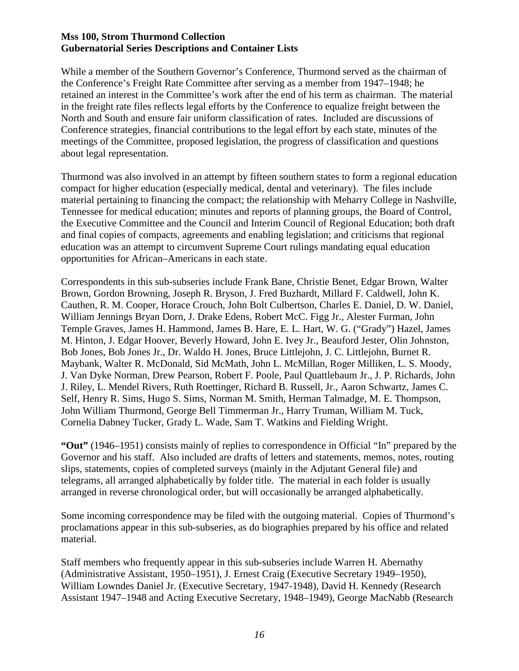While a member of the Southern Governor's Conference, Thurmond served as the chairman of the Conference's Freight Rate Committee after serving as a member from 1947–1948; he retained an interest in the Committee's work after the end of his term as chairman. The material in the freight rate files reflects legal efforts by the Conference to equalize freight between the North and South and ensure fair uniform classification of rates. Included are discussions of Conference strategies, financial contributions to the legal effort by each state, minutes of the meetings of the Committee, proposed legislation, the progress of classification and questions about legal representation.

Thurmond was also involved in an attempt by fifteen southern states to form a regional education compact for higher education (especially medical, dental and veterinary). The files include material pertaining to financing the compact; the relationship with Meharry College in Nashville, Tennessee for medical education; minutes and reports of planning groups, the Board of Control, the Executive Committee and the Council and Interim Council of Regional Education; both draft and final copies of compacts, agreements and enabling legislation; and criticisms that regional education was an attempt to circumvent Supreme Court rulings mandating equal education opportunities for African–Americans in each state.

Correspondents in this sub-subseries include Frank Bane, Christie Benet, Edgar Brown, Walter Brown, Gordon Browning, Joseph R. Bryson, J. Fred Buzhardt, Millard F. Caldwell, John K. Cauthen, R. M. Cooper, Horace Crouch, John Bolt Culbertson, Charles E. Daniel, D. W. Daniel, William Jennings Bryan Dorn, J. Drake Edens, Robert McC. Figg Jr., Alester Furman, John Temple Graves, James H. Hammond, James B. Hare, E. L. Hart, W. G. ("Grady") Hazel, James M. Hinton, J. Edgar Hoover, Beverly Howard, John E. Ivey Jr., Beauford Jester, Olin Johnston, Bob Jones, Bob Jones Jr., Dr. Waldo H. Jones, Bruce Littlejohn, J. C. Littlejohn, Burnet R. Maybank, Walter R. McDonald, Sid McMath, John L. McMillan, Roger Milliken, L. S. Moody, J. Van Dyke Norman, Drew Pearson, Robert F. Poole, Paul Quattlebaum Jr., J. P. Richards, John J. Riley, L. Mendel Rivers, Ruth Roettinger, Richard B. Russell, Jr., Aaron Schwartz, James C. Self, Henry R. Sims, Hugo S. Sims, Norman M. Smith, Herman Talmadge, M. E. Thompson, John William Thurmond, George Bell Timmerman Jr., Harry Truman, William M. Tuck, Cornelia Dabney Tucker, Grady L. Wade, Sam T. Watkins and Fielding Wright.

**"Out"** (1946–1951) consists mainly of replies to correspondence in Official "In" prepared by the Governor and his staff. Also included are drafts of letters and statements, memos, notes, routing slips, statements, copies of completed surveys (mainly in the Adjutant General file) and telegrams, all arranged alphabetically by folder title. The material in each folder is usually arranged in reverse chronological order, but will occasionally be arranged alphabetically.

Some incoming correspondence may be filed with the outgoing material. Copies of Thurmond's proclamations appear in this sub-subseries, as do biographies prepared by his office and related material.

Staff members who frequently appear in this sub-subseries include Warren H. Abernathy (Administrative Assistant, 1950–1951), J. Ernest Craig (Executive Secretary 1949–1950), William Lowndes Daniel Jr. (Executive Secretary, 1947-1948), David H. Kennedy (Research Assistant 1947–1948 and Acting Executive Secretary, 1948–1949), George MacNabb (Research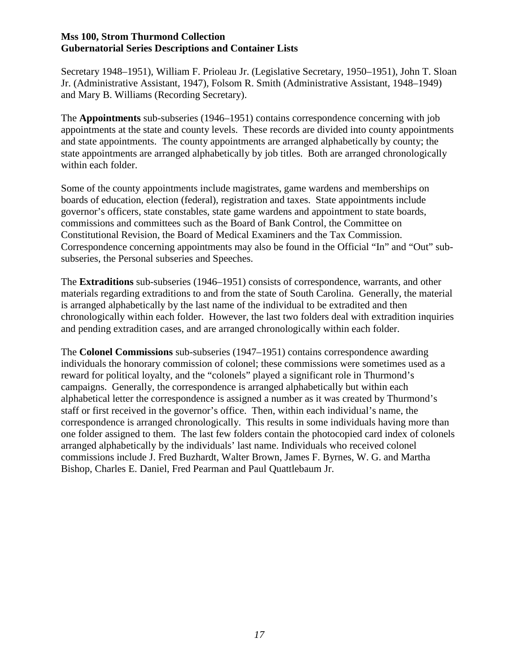Secretary 1948–1951), William F. Prioleau Jr. (Legislative Secretary, 1950–1951), John T. Sloan Jr. (Administrative Assistant, 1947), Folsom R. Smith (Administrative Assistant, 1948–1949) and Mary B. Williams (Recording Secretary).

The **Appointments** sub-subseries (1946–1951) contains correspondence concerning with job appointments at the state and county levels. These records are divided into county appointments and state appointments. The county appointments are arranged alphabetically by county; the state appointments are arranged alphabetically by job titles. Both are arranged chronologically within each folder.

Some of the county appointments include magistrates, game wardens and memberships on boards of education, election (federal), registration and taxes. State appointments include governor's officers, state constables, state game wardens and appointment to state boards, commissions and committees such as the Board of Bank Control, the Committee on Constitutional Revision, the Board of Medical Examiners and the Tax Commission. Correspondence concerning appointments may also be found in the Official "In" and "Out" subsubseries, the Personal subseries and Speeches.

The **Extraditions** sub-subseries (1946–1951) consists of correspondence, warrants, and other materials regarding extraditions to and from the state of South Carolina. Generally, the material is arranged alphabetically by the last name of the individual to be extradited and then chronologically within each folder. However, the last two folders deal with extradition inquiries and pending extradition cases, and are arranged chronologically within each folder.

The **Colonel Commissions** sub-subseries (1947–1951) contains correspondence awarding individuals the honorary commission of colonel; these commissions were sometimes used as a reward for political loyalty, and the "colonels" played a significant role in Thurmond's campaigns. Generally, the correspondence is arranged alphabetically but within each alphabetical letter the correspondence is assigned a number as it was created by Thurmond's staff or first received in the governor's office. Then, within each individual's name, the correspondence is arranged chronologically. This results in some individuals having more than one folder assigned to them. The last few folders contain the photocopied card index of colonels arranged alphabetically by the individuals' last name. Individuals who received colonel commissions include J. Fred Buzhardt, Walter Brown, James F. Byrnes, W. G. and Martha Bishop, Charles E. Daniel, Fred Pearman and Paul Quattlebaum Jr.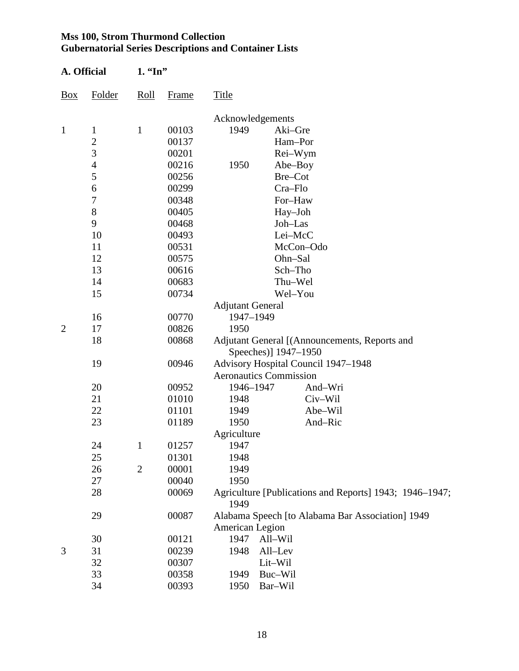| A. Official    |                | 1. "In"        |              |                                                                          |                                                  |  |  |  |
|----------------|----------------|----------------|--------------|--------------------------------------------------------------------------|--------------------------------------------------|--|--|--|
| <b>Box</b>     | Folder         | Roll           | <b>Frame</b> | <b>Title</b>                                                             |                                                  |  |  |  |
|                |                |                |              | Acknowledgements                                                         |                                                  |  |  |  |
| $\mathbf{1}$   | $\mathbf{1}$   | $\mathbf{1}$   | 00103        | 1949                                                                     | Aki-Gre                                          |  |  |  |
|                |                |                | 00137        |                                                                          | Ham-Por                                          |  |  |  |
|                | $\frac{2}{3}$  |                | 00201        |                                                                          | Rei-Wym                                          |  |  |  |
|                | $\overline{4}$ |                | 00216        | 1950                                                                     | Abe-Boy                                          |  |  |  |
|                | 5              |                | 00256        |                                                                          | Bre-Cot                                          |  |  |  |
|                | 6              |                | 00299        |                                                                          | Cra-Flo                                          |  |  |  |
|                | 7              |                | 00348        |                                                                          | For-Haw                                          |  |  |  |
|                | $8\,$          |                | 00405        |                                                                          | Hay-Joh                                          |  |  |  |
|                | 9              |                | 00468        |                                                                          | Joh-Las                                          |  |  |  |
|                | 10             |                | 00493        |                                                                          | Lei-McC                                          |  |  |  |
|                | 11             |                | 00531        |                                                                          | McCon-Odo                                        |  |  |  |
|                | 12             |                | 00575        |                                                                          | Ohn-Sal                                          |  |  |  |
|                | 13             |                | 00616        |                                                                          | Sch-Tho                                          |  |  |  |
|                | 14             |                | 00683        |                                                                          | Thu-Wel                                          |  |  |  |
|                | 15             |                | 00734        |                                                                          | Wel-You                                          |  |  |  |
|                |                |                |              | <b>Adjutant General</b>                                                  |                                                  |  |  |  |
|                | 16             |                | 00770        | 1947-1949                                                                |                                                  |  |  |  |
| $\overline{2}$ | 17             |                | 00826        | 1950                                                                     |                                                  |  |  |  |
|                | 18             |                | 00868        |                                                                          | Adjutant General [(Announcements, Reports and    |  |  |  |
|                |                |                |              |                                                                          | Speeches)] 1947-1950                             |  |  |  |
|                | 19             |                | 00946        |                                                                          | Advisory Hospital Council 1947-1948              |  |  |  |
|                |                |                |              |                                                                          | <b>Aeronautics Commission</b>                    |  |  |  |
|                | 20             |                | 00952        | 1946-1947                                                                | And-Wri                                          |  |  |  |
|                | 21             |                | 01010        | 1948                                                                     | Civ-Wil                                          |  |  |  |
|                | 22             |                | 01101        | 1949                                                                     | Abe-Wil                                          |  |  |  |
|                | 23             |                | 01189        | 1950                                                                     | And-Ric                                          |  |  |  |
|                |                |                |              | Agriculture                                                              |                                                  |  |  |  |
|                | 24             | $\mathbf{1}$   | 01257        | 1947                                                                     |                                                  |  |  |  |
|                | 25             |                | 01301        | 1948                                                                     |                                                  |  |  |  |
|                | 26             | $\overline{2}$ | 00001        | 1949                                                                     |                                                  |  |  |  |
|                | 27             |                | 00040        | 1950                                                                     |                                                  |  |  |  |
|                | 28             |                |              | 00069<br>Agriculture [Publications and Reports] 1943; 1946–1947;<br>1949 |                                                  |  |  |  |
|                | 29             |                | 00087        | American Legion                                                          | Alabama Speech [to Alabama Bar Association] 1949 |  |  |  |
|                | 30             |                | 00121        | 1947                                                                     | All-Wil                                          |  |  |  |
| 3              | 31             |                | 00239        | 1948                                                                     | All-Lev                                          |  |  |  |
|                | 32             |                | 00307        |                                                                          | Lit-Wil                                          |  |  |  |
|                | 33             |                | 00358        | 1949                                                                     | Buc-Wil                                          |  |  |  |
|                | 34             |                | 00393        | 1950                                                                     | Bar-Wil                                          |  |  |  |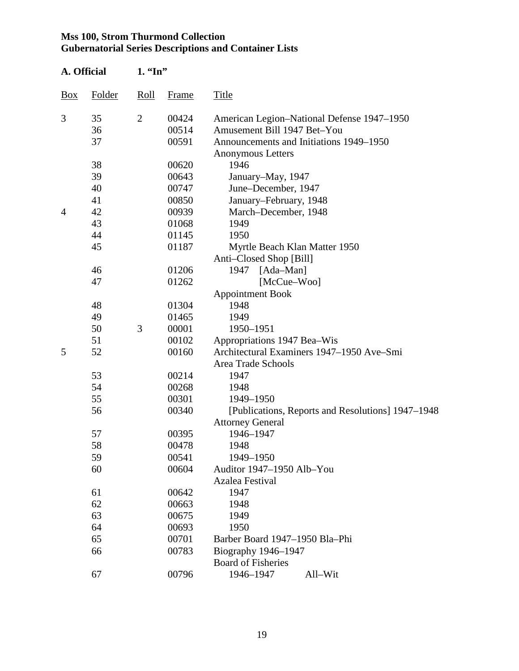| A. Official |        | $1.$ "In"      |       |                                                   |  |  |
|-------------|--------|----------------|-------|---------------------------------------------------|--|--|
| Box         | Folder | Roll           | Frame | Title                                             |  |  |
| 3           | 35     | $\overline{2}$ | 00424 | American Legion-National Defense 1947-1950        |  |  |
|             | 36     |                | 00514 | Amusement Bill 1947 Bet-You                       |  |  |
|             | 37     |                | 00591 | Announcements and Initiations 1949–1950           |  |  |
|             |        |                |       | <b>Anonymous Letters</b>                          |  |  |
|             | 38     |                | 00620 | 1946                                              |  |  |
|             | 39     |                | 00643 | January-May, 1947                                 |  |  |
|             | 40     |                | 00747 | June-December, 1947                               |  |  |
|             | 41     |                | 00850 | January-February, 1948                            |  |  |
| 4           | 42     |                | 00939 | March-December, 1948                              |  |  |
|             | 43     |                | 01068 | 1949                                              |  |  |
|             | 44     |                | 01145 | 1950                                              |  |  |
|             | 45     |                | 01187 | Myrtle Beach Klan Matter 1950                     |  |  |
|             |        |                |       | Anti-Closed Shop [Bill]                           |  |  |
|             | 46     |                | 01206 | $[Ada-Man]$<br>1947                               |  |  |
|             | 47     |                | 01262 | $[McCue-Woo]$                                     |  |  |
|             |        |                |       | <b>Appointment Book</b>                           |  |  |
|             | 48     |                | 01304 | 1948                                              |  |  |
|             | 49     |                | 01465 | 1949                                              |  |  |
|             | 50     | 3              | 00001 | 1950-1951                                         |  |  |
|             | 51     |                | 00102 | Appropriations 1947 Bea–Wis                       |  |  |
| 5           | 52     |                | 00160 | Architectural Examiners 1947-1950 Ave-Smi         |  |  |
|             |        |                |       | Area Trade Schools                                |  |  |
|             | 53     |                | 00214 | 1947                                              |  |  |
|             | 54     |                | 00268 | 1948                                              |  |  |
|             | 55     |                | 00301 | 1949-1950                                         |  |  |
|             | 56     |                | 00340 | [Publications, Reports and Resolutions] 1947–1948 |  |  |
|             |        |                |       | <b>Attorney General</b>                           |  |  |
|             | 57     |                | 00395 | 1946-1947                                         |  |  |
|             | 58     |                | 00478 | 1948                                              |  |  |
|             | 59     |                | 00541 | 1949-1950                                         |  |  |
|             | 60     |                | 00604 | Auditor 1947-1950 Alb-You                         |  |  |
|             |        |                |       | Azalea Festival                                   |  |  |
|             | 61     |                | 00642 | 1947                                              |  |  |
|             | 62     |                | 00663 | 1948                                              |  |  |
|             | 63     |                | 00675 | 1949                                              |  |  |
|             | 64     |                | 00693 | 1950                                              |  |  |
|             | 65     |                | 00701 | Barber Board 1947–1950 Bla-Phi                    |  |  |
|             | 66     |                | 00783 | Biography 1946-1947                               |  |  |
|             |        |                |       | <b>Board of Fisheries</b>                         |  |  |
|             | 67     |                | 00796 | 1946-1947<br>All-Wit                              |  |  |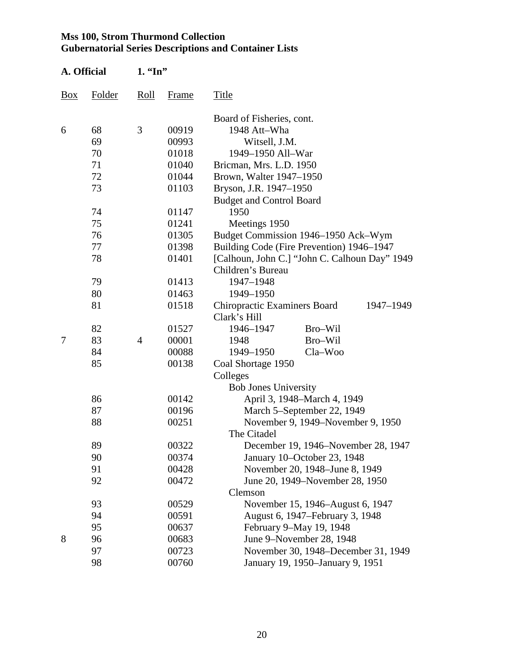| A. Official |        | $1.$ "In"      |       |                                                  |
|-------------|--------|----------------|-------|--------------------------------------------------|
| <b>Box</b>  | Folder | Roll           | Frame | Title                                            |
|             |        |                |       | Board of Fisheries, cont.                        |
| 6           | 68     | 3              | 00919 | 1948 Att-Wha                                     |
|             | 69     |                | 00993 | Witsell, J.M.                                    |
|             | 70     |                | 01018 | 1949-1950 All-War                                |
|             | 71     |                | 01040 | Bricman, Mrs. L.D. 1950                          |
|             | 72     |                | 01044 | Brown, Walter 1947-1950                          |
|             | 73     |                | 01103 | Bryson, J.R. 1947-1950                           |
|             |        |                |       | <b>Budget and Control Board</b>                  |
|             | 74     |                | 01147 | 1950                                             |
|             | 75     |                | 01241 | Meetings 1950                                    |
|             | 76     |                | 01305 | Budget Commission 1946-1950 Ack-Wym              |
|             | 77     |                | 01398 | Building Code (Fire Prevention) 1946–1947        |
|             | 78     |                | 01401 | [Calhoun, John C.] "John C. Calhoun Day" 1949    |
|             |        |                |       | Children's Bureau                                |
|             | 79     |                | 01413 | 1947-1948                                        |
|             | 80     |                | 01463 | 1949-1950                                        |
|             | 81     |                | 01518 | <b>Chiropractic Examiners Board</b><br>1947-1949 |
|             |        |                |       | Clark's Hill                                     |
|             | 82     |                | 01527 | 1946-1947<br>Bro-Wil                             |
| 7           | 83     | $\overline{4}$ | 00001 | Bro-Wil<br>1948                                  |
|             | 84     |                | 00088 | 1949-1950<br>Cla-Woo                             |
|             | 85     |                | 00138 | Coal Shortage 1950                               |
|             |        |                |       | Colleges                                         |
|             |        |                |       | <b>Bob Jones University</b>                      |
|             | 86     |                | 00142 | April 3, 1948–March 4, 1949                      |
|             | 87     |                | 00196 | March 5-September 22, 1949                       |
|             | 88     |                | 00251 | November 9, 1949–November 9, 1950                |
|             |        |                |       | The Citadel                                      |
|             | 89     |                | 00322 | December 19, 1946–November 28, 1947              |
|             | 90     |                | 00374 | January 10-October 23, 1948                      |
|             | 91     |                | 00428 | November 20, 1948–June 8, 1949                   |
|             | 92     |                | 00472 | June 20, 1949–November 28, 1950                  |
|             |        |                |       | Clemson                                          |
|             | 93     |                | 00529 | November 15, 1946–August 6, 1947                 |
|             | 94     |                | 00591 | August 6, 1947–February 3, 1948                  |
|             | 95     |                | 00637 | February 9-May 19, 1948                          |
| 8           | 96     |                | 00683 | June 9-November 28, 1948                         |
|             | 97     |                | 00723 | November 30, 1948–December 31, 1949              |
| 98<br>00760 |        |                |       | January 19, 1950–January 9, 1951                 |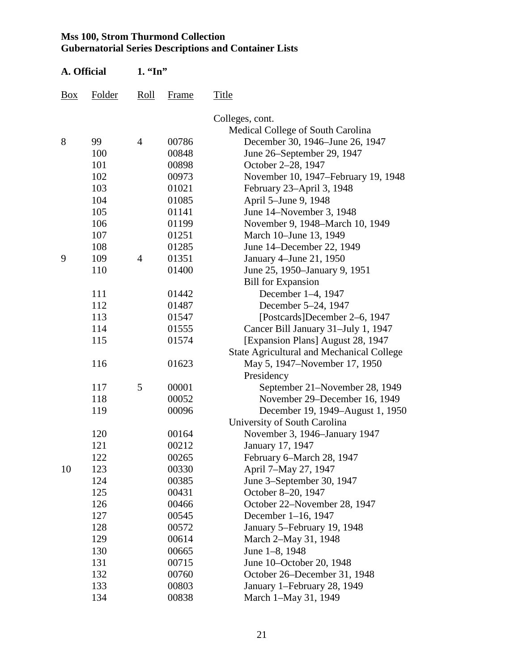| A. Official |        | $1.$ "In"      |       |                                                  |  |  |
|-------------|--------|----------------|-------|--------------------------------------------------|--|--|
| Box         | Folder | Roll           | Frame | Title                                            |  |  |
|             |        |                |       | Colleges, cont.                                  |  |  |
|             |        |                |       | Medical College of South Carolina                |  |  |
| 8           | 99     | $\overline{4}$ | 00786 | December 30, 1946–June 26, 1947                  |  |  |
|             | 100    |                | 00848 | June 26–September 29, 1947                       |  |  |
|             | 101    |                | 00898 | October 2–28, 1947                               |  |  |
|             | 102    |                | 00973 | November 10, 1947–February 19, 1948              |  |  |
|             | 103    |                | 01021 | February 23-April 3, 1948                        |  |  |
|             | 104    |                | 01085 | April 5-June 9, 1948                             |  |  |
|             | 105    |                | 01141 | June 14–November 3, 1948                         |  |  |
|             | 106    |                | 01199 | November 9, 1948–March 10, 1949                  |  |  |
|             | 107    |                | 01251 | March 10–June 13, 1949                           |  |  |
|             | 108    |                | 01285 | June 14–December 22, 1949                        |  |  |
| 9           | 109    | $\overline{4}$ | 01351 | January 4–June 21, 1950                          |  |  |
|             | 110    |                | 01400 | June 25, 1950–January 9, 1951                    |  |  |
|             |        |                |       | <b>Bill for Expansion</b>                        |  |  |
|             | 111    |                | 01442 | December 1-4, 1947                               |  |  |
|             | 112    |                | 01487 | December 5-24, 1947                              |  |  |
|             | 113    |                | 01547 | [Postcards]December 2–6, 1947                    |  |  |
|             | 114    |                | 01555 | Cancer Bill January 31-July 1, 1947              |  |  |
|             | 115    |                | 01574 | [Expansion Plans] August 28, 1947                |  |  |
|             |        |                |       | <b>State Agricultural and Mechanical College</b> |  |  |
|             | 116    |                | 01623 | May 5, 1947–November 17, 1950                    |  |  |
|             |        |                |       | Presidency                                       |  |  |
|             | 117    | 5              | 00001 | September 21–November 28, 1949                   |  |  |
|             | 118    |                | 00052 | November 29–December 16, 1949                    |  |  |
|             | 119    |                | 00096 | December 19, 1949–August 1, 1950                 |  |  |
|             |        |                |       | University of South Carolina                     |  |  |
|             | 120    |                | 00164 | November 3, 1946–January 1947                    |  |  |
|             | 121    |                | 00212 | January 17, 1947                                 |  |  |
|             | 122    |                | 00265 | February 6-March 28, 1947                        |  |  |
| 10          | 123    |                | 00330 | April 7-May 27, 1947                             |  |  |
|             | 124    |                | 00385 | June 3–September 30, 1947                        |  |  |
|             | 125    |                | 00431 | October 8-20, 1947                               |  |  |
|             | 126    |                | 00466 | October 22-November 28, 1947                     |  |  |
|             | 127    |                | 00545 | December 1-16, 1947                              |  |  |
|             | 128    |                | 00572 | January 5-February 19, 1948                      |  |  |
|             | 129    |                | 00614 | March 2–May 31, 1948                             |  |  |
|             | 130    |                | 00665 | June 1-8, 1948                                   |  |  |
|             | 131    |                | 00715 | June 10–October 20, 1948                         |  |  |
|             | 132    |                | 00760 | October 26–December 31, 1948                     |  |  |
|             | 133    |                | 00803 | January 1-February 28, 1949                      |  |  |
|             | 134    |                | 00838 | March 1-May 31, 1949                             |  |  |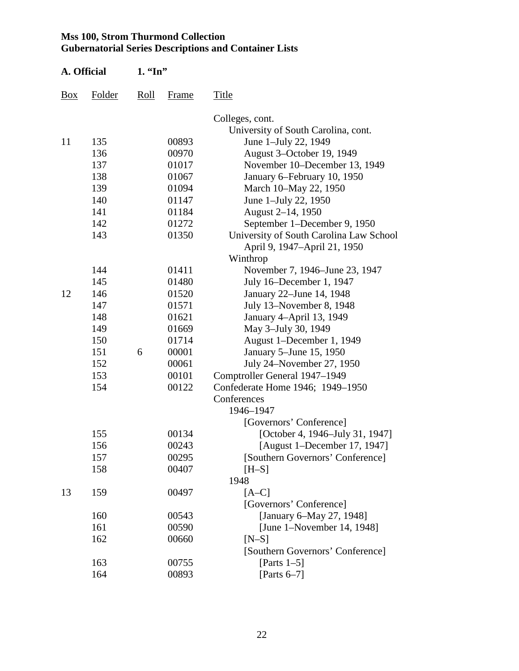| A. Official |        | $1.$ "In" |       |                                         |
|-------------|--------|-----------|-------|-----------------------------------------|
| <b>Box</b>  | Folder | Roll      | Frame | Title                                   |
|             |        |           |       | Colleges, cont.                         |
|             |        |           |       | University of South Carolina, cont.     |
| 11          | 135    |           | 00893 | June 1-July 22, 1949                    |
|             | 136    |           | 00970 | August 3-October 19, 1949               |
|             | 137    |           | 01017 | November 10-December 13, 1949           |
|             | 138    |           | 01067 | January 6–February 10, 1950             |
|             | 139    |           | 01094 | March 10–May 22, 1950                   |
|             | 140    |           | 01147 | June 1-July 22, 1950                    |
|             | 141    |           | 01184 | August 2-14, 1950                       |
|             | 142    |           | 01272 | September 1–December 9, 1950            |
|             | 143    |           | 01350 | University of South Carolina Law School |
|             |        |           |       | April 9, 1947-April 21, 1950            |
|             |        |           |       | Winthrop                                |
|             | 144    |           | 01411 | November 7, 1946–June 23, 1947          |
|             | 145    |           | 01480 | July 16–December 1, 1947                |
| 12          | 146    |           | 01520 | January 22–June 14, 1948                |
|             | 147    |           | 01571 | July 13-November 8, 1948                |
|             | 148    |           | 01621 | January 4-April 13, 1949                |
|             | 149    |           | 01669 | May 3-July 30, 1949                     |
|             | 150    |           | 01714 | August 1-December 1, 1949               |
|             | 151    | 6         | 00001 | January 5-June 15, 1950                 |
|             | 152    |           | 00061 | July 24–November 27, 1950               |
|             | 153    |           | 00101 | Comptroller General 1947–1949           |
|             | 154    |           | 00122 | Confederate Home 1946; 1949-1950        |
|             |        |           |       | Conferences                             |
|             |        |           |       | 1946-1947                               |
|             |        |           |       | [Governors' Conference]                 |
|             | 155    |           | 00134 | [October 4, 1946–July 31, 1947]         |
|             | 156    |           | 00243 | [August 1–December 17, 1947]            |
|             | 157    |           | 00295 | [Southern Governors' Conference]        |
|             | 158    |           | 00407 | $[H-S]$                                 |
|             |        |           |       | 1948                                    |
| 13          | 159    |           | 00497 | $[A-C]$                                 |
|             |        |           |       | [Governors' Conference]                 |
|             | 160    |           | 00543 | [January 6-May 27, 1948]                |
|             | 161    |           | 00590 | [June 1–November 14, 1948]              |
|             | 162    |           | 00660 | $[N-S]$                                 |
|             |        |           |       | [Southern Governors' Conference]        |
|             | 163    |           | 00755 | [Parts $1-5$ ]                          |
|             | 164    |           | 00893 | [Parts $6-7$ ]                          |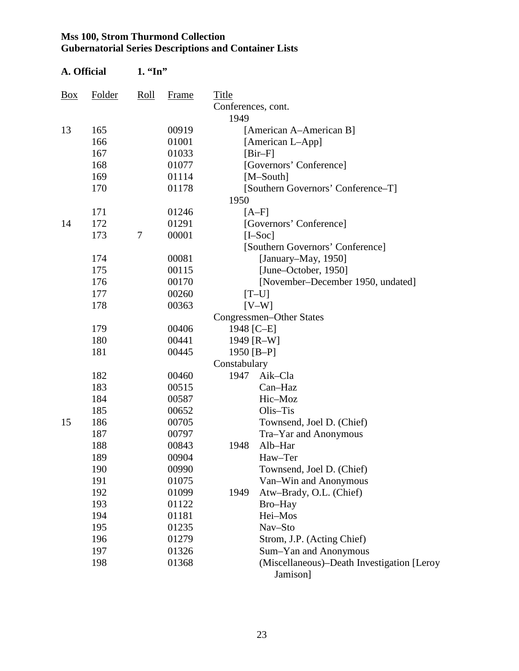| A. Official |        | $1.$ "In" |       |                    |                                                        |
|-------------|--------|-----------|-------|--------------------|--------------------------------------------------------|
| Box         | Folder | Roll      | Frame | Title              |                                                        |
|             |        |           |       | Conferences, cont. |                                                        |
|             |        |           |       | 1949               |                                                        |
| 13          | 165    |           | 00919 |                    | [American A–American B]                                |
|             | 166    |           | 01001 |                    | [American L-App]                                       |
|             | 167    |           | 01033 |                    | $[Bir-F]$                                              |
|             | 168    |           | 01077 |                    | [Governors' Conference]                                |
|             | 169    |           | 01114 |                    | $[M-South]$                                            |
|             | 170    |           | 01178 |                    | [Southern Governors' Conference-T]                     |
|             |        |           |       | 1950               |                                                        |
|             | 171    |           | 01246 |                    | $[A-F]$                                                |
| 14          | 172    |           | 01291 |                    | [Governors' Conference]                                |
|             | 173    | $\tau$    | 00001 |                    | $[I-Soc]$                                              |
|             |        |           |       |                    | [Southern Governors' Conference]                       |
|             | 174    |           | 00081 |                    | [January–May, 1950]                                    |
|             | 175    |           | 00115 |                    | [June–October, 1950]                                   |
|             | 176    |           | 00170 |                    | [November-December 1950, undated]                      |
|             | 177    |           | 00260 |                    | $[T-U]$                                                |
|             | 178    |           | 00363 |                    | $[V-W]$                                                |
|             |        |           |       |                    | Congressmen-Other States                               |
|             | 179    |           | 00406 | 1948 [C-E]         |                                                        |
|             | 180    |           | 00441 |                    | 1949 [R-W]                                             |
|             | 181    |           | 00445 | 1950 [B-P]         |                                                        |
|             |        |           |       | Constabulary       |                                                        |
|             | 182    |           | 00460 | 1947               | Aik-Cla                                                |
|             | 183    |           | 00515 |                    | Can-Haz                                                |
|             | 184    |           | 00587 |                    | Hic-Moz                                                |
|             | 185    |           | 00652 |                    | Olis-Tis                                               |
| 15          | 186    |           | 00705 |                    | Townsend, Joel D. (Chief)                              |
|             | 187    |           | 00797 |                    | Tra-Yar and Anonymous                                  |
|             | 188    |           | 00843 | 1948               | Alb-Har                                                |
|             | 189    |           | 00904 |                    | Haw-Ter                                                |
|             | 190    |           | 00990 |                    | Townsend, Joel D. (Chief)                              |
|             | 191    |           | 01075 |                    | Van-Win and Anonymous                                  |
|             | 192    |           | 01099 | 1949               | Atw-Brady, O.L. (Chief)                                |
|             | 193    |           | 01122 |                    | Bro-Hay                                                |
|             | 194    |           | 01181 |                    | Hei-Mos                                                |
|             | 195    |           | 01235 |                    | Nav-Sto                                                |
|             | 196    |           | 01279 |                    | Strom, J.P. (Acting Chief)                             |
|             | 197    |           | 01326 |                    | Sum-Yan and Anonymous                                  |
|             | 198    |           | 01368 |                    | (Miscellaneous)–Death Investigation [Leroy<br>Jamison] |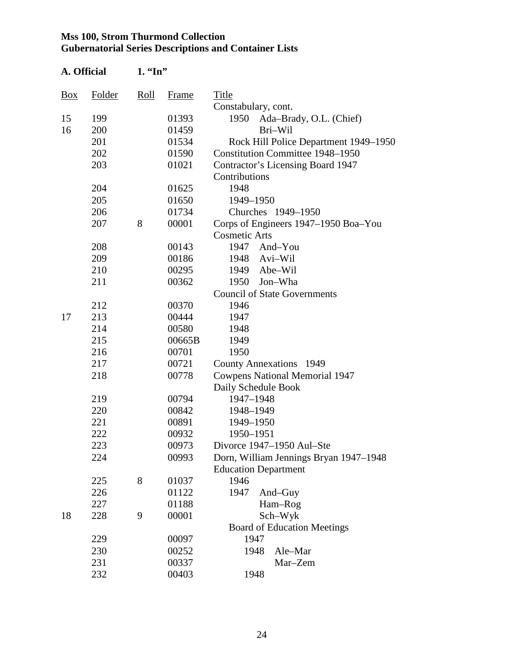| A. Official    |        | $1.$ "In" |        |                                         |
|----------------|--------|-----------|--------|-----------------------------------------|
| $\frac{Box}{}$ | Folder | Roll      | Frame  | Title                                   |
|                |        |           |        | Constabulary, cont.                     |
| 15             | 199    |           | 01393  | 1950<br>Ada-Brady, O.L. (Chief)         |
| 16             | 200    |           | 01459  | Bri-Wil                                 |
|                | 201    |           | 01534  | Rock Hill Police Department 1949–1950   |
|                | 202    |           | 01590  | <b>Constitution Committee 1948–1950</b> |
|                | 203    |           | 01021  | Contractor's Licensing Board 1947       |
|                |        |           |        | Contributions                           |
|                | 204    |           | 01625  | 1948                                    |
|                | 205    |           | 01650  | 1949-1950                               |
|                | 206    |           | 01734  | Churches 1949-1950                      |
|                | 207    | 8         | 00001  | Corps of Engineers 1947–1950 Boa–You    |
|                |        |           |        | <b>Cosmetic Arts</b>                    |
|                | 208    |           | 00143  | 1947<br>And-You                         |
|                | 209    |           | 00186  | Avi-Wil<br>1948                         |
|                | 210    |           | 00295  | 1949<br>Abe-Wil                         |
|                | 211    |           | 00362  | Jon-Wha<br>1950                         |
|                |        |           |        | <b>Council of State Governments</b>     |
|                | 212    |           | 00370  | 1946                                    |
| 17             | 213    |           | 00444  | 1947                                    |
|                | 214    |           | 00580  | 1948                                    |
|                | 215    |           | 00665B | 1949                                    |
|                | 216    |           | 00701  | 1950                                    |
|                | 217    |           | 00721  | <b>County Annexations</b> 1949          |
|                | 218    |           | 00778  | <b>Cowpens National Memorial 1947</b>   |
|                |        |           |        | Daily Schedule Book                     |
|                | 219    |           | 00794  | 1947-1948                               |
|                | 220    |           | 00842  | 1948-1949                               |
|                | 221    |           | 00891  | 1949-1950                               |
|                | 222    |           | 00932  | 1950-1951                               |
|                | 223    |           | 00973  | Divorce 1947-1950 Aul-Ste               |
|                | 224    |           | 00993  | Dorn, William Jennings Bryan 1947–1948  |
|                |        |           |        | <b>Education Department</b>             |
|                | 225    | 8         | 01037  | 1946                                    |
|                | 226    |           | 01122  | 1947<br>And-Guy                         |
|                | 227    |           | 01188  | Ham-Rog                                 |
| 18             | 228    | 9         | 00001  | Sch-Wyk                                 |
|                |        |           |        | <b>Board of Education Meetings</b>      |
|                | 229    |           | 00097  | 1947                                    |
|                | 230    |           | 00252  | Ale-Mar<br>1948                         |
|                | 231    |           | 00337  | Mar-Zem                                 |
|                | 232    |           | 00403  | 1948                                    |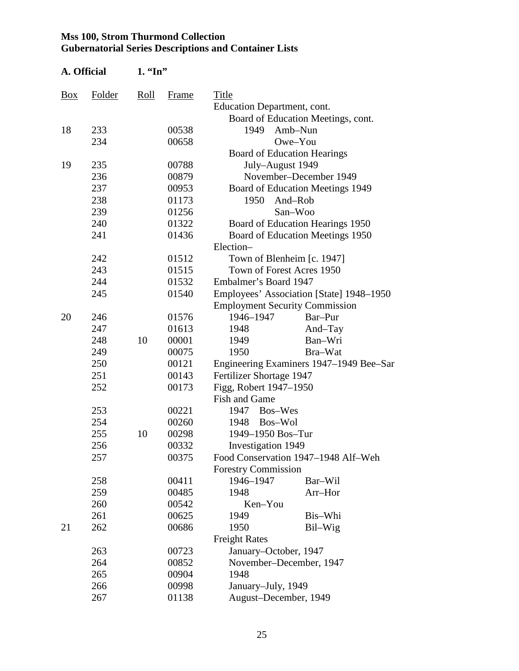| A. Official |        | $1.$ "In" |       |                                       |                                          |
|-------------|--------|-----------|-------|---------------------------------------|------------------------------------------|
| <b>Box</b>  | Folder | Roll      | Frame | Title                                 |                                          |
|             |        |           |       | <b>Education Department, cont.</b>    |                                          |
|             |        |           |       |                                       | Board of Education Meetings, cont.       |
| 18          | 233    |           | 00538 | 1949                                  | Amb-Nun                                  |
|             | 234    |           | 00658 |                                       | Owe-You                                  |
|             |        |           |       | <b>Board of Education Hearings</b>    |                                          |
| 19          | 235    |           | 00788 | July-August 1949                      |                                          |
|             | 236    |           | 00879 |                                       | November-December 1949                   |
|             | 237    |           | 00953 |                                       | Board of Education Meetings 1949         |
|             | 238    |           | 01173 | 1950                                  | And-Rob                                  |
|             | 239    |           | 01256 |                                       | San-Woo                                  |
|             | 240    |           | 01322 |                                       | Board of Education Hearings 1950         |
|             | 241    | 01436     |       |                                       | Board of Education Meetings 1950         |
|             |        |           |       | Election-                             |                                          |
|             | 242    |           | 01512 | Town of Blenheim [c. 1947]            |                                          |
|             | 243    |           | 01515 | Town of Forest Acres 1950             |                                          |
|             | 244    |           | 01532 | Embalmer's Board 1947                 |                                          |
|             | 245    |           | 01540 |                                       | Employees' Association [State] 1948–1950 |
|             |        |           |       | <b>Employment Security Commission</b> |                                          |
| 20          | 246    |           | 01576 | 1946-1947                             | Bar-Pur                                  |
|             | 247    |           | 01613 | 1948                                  | And-Tay                                  |
|             | 248    | 10        | 00001 | 1949                                  | Ban-Wri                                  |
|             | 249    |           | 00075 | 1950                                  | Bra-Wat                                  |
|             | 250    |           | 00121 |                                       | Engineering Examiners 1947–1949 Bee–Sar  |
|             | 251    |           | 00143 | Fertilizer Shortage 1947              |                                          |
|             | 252    |           | 00173 | Figg, Robert 1947-1950                |                                          |
|             |        |           |       | <b>Fish and Game</b>                  |                                          |
|             | 253    |           | 00221 | 1947<br>Bos-Wes                       |                                          |
|             | 254    |           | 00260 | Bos-Wol<br>1948                       |                                          |
|             | 255    | 10        | 00298 | 1949-1950 Bos-Tur                     |                                          |
|             | 256    |           | 00332 | Investigation 1949                    |                                          |
|             | 257    |           | 00375 |                                       | Food Conservation 1947–1948 Alf–Weh      |
|             |        |           |       | <b>Forestry Commission</b>            |                                          |
|             | 258    |           | 00411 | 1946-1947                             | Bar-Wil                                  |
|             | 259    |           | 00485 | 1948                                  | Arr-Hor                                  |
|             | 260    |           | 00542 | Ken-You                               |                                          |
|             | 261    |           | 00625 | 1949                                  | Bis-Whi                                  |
| 21          | 262    |           | 00686 | 1950                                  | Bil-Wig                                  |
|             |        |           |       | <b>Freight Rates</b>                  |                                          |
|             | 263    |           | 00723 | January–October, 1947                 |                                          |
|             | 264    |           | 00852 | November-December, 1947               |                                          |
|             | 265    |           | 00904 | 1948                                  |                                          |
|             | 266    |           | 00998 | January-July, 1949                    |                                          |
|             | 267    |           | 01138 | August-December, 1949                 |                                          |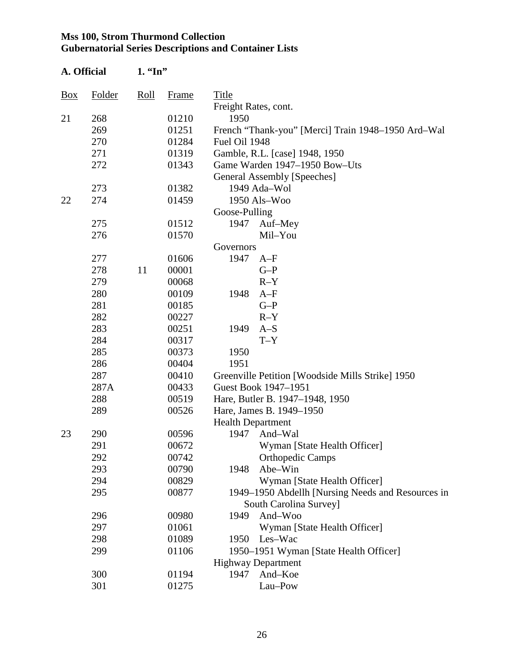| A. Official    |        | $1.$ "In" |       |                          |                                                    |
|----------------|--------|-----------|-------|--------------------------|----------------------------------------------------|
| $\frac{Box}{}$ | Folder | Roll      | Frame | Title                    |                                                    |
|                |        |           |       | Freight Rates, cont.     |                                                    |
| 21             | 268    |           | 01210 | 1950                     |                                                    |
|                | 269    |           | 01251 |                          | French "Thank-you" [Merci] Train 1948–1950 Ard–Wal |
|                | 270    |           | 01284 | Fuel Oil 1948            |                                                    |
|                | 271    |           | 01319 |                          | Gamble, R.L. [case] 1948, 1950                     |
|                | 272    |           | 01343 |                          | Game Warden 1947-1950 Bow-Uts                      |
|                |        |           |       |                          | General Assembly [Speeches]                        |
|                | 273    |           | 01382 |                          | 1949 Ada-Wol                                       |
| 22             | 274    |           | 01459 |                          | 1950 Als-Woo                                       |
|                |        |           |       | Goose-Pulling            |                                                    |
|                | 275    |           | 01512 | 1947                     | Auf–Mey                                            |
|                | 276    |           | 01570 |                          | Mil-You                                            |
|                |        |           |       | Governors                |                                                    |
|                | 277    |           | 01606 | 1947                     | $A-F$                                              |
|                | 278    | 11        | 00001 |                          | $G-P$                                              |
|                | 279    |           | 00068 |                          | $R-Y$                                              |
|                | 280    |           | 00109 | 1948                     | $A-F$                                              |
|                | 281    |           | 00185 |                          | $G-P$                                              |
|                | 282    |           | 00227 |                          | $R-Y$                                              |
|                | 283    |           | 00251 | 1949                     | $A-S$                                              |
|                | 284    |           | 00317 |                          | $T - Y$                                            |
|                | 285    |           | 00373 | 1950                     |                                                    |
|                | 286    |           | 00404 | 1951                     |                                                    |
|                | 287    |           | 00410 |                          | Greenville Petition [Woodside Mills Strike] 1950   |
|                | 287A   |           | 00433 |                          | Guest Book 1947-1951                               |
|                | 288    |           | 00519 |                          | Hare, Butler B. 1947–1948, 1950                    |
|                | 289    |           | 00526 |                          | Hare, James B. 1949-1950                           |
|                |        |           |       | <b>Health Department</b> |                                                    |
| 23             | 290    |           | 00596 | 1947                     | And-Wal                                            |
|                | 291    |           | 00672 |                          | Wyman [State Health Officer]                       |
|                | 292    |           | 00742 |                          | <b>Orthopedic Camps</b>                            |
|                | 293    |           | 00790 | 1948                     | Abe-Win                                            |
|                | 294    |           | 00829 |                          | Wyman [State Health Officer]                       |
|                | 295    |           | 00877 |                          | 1949–1950 Abdellh [Nursing Needs and Resources in  |
|                |        |           |       |                          | South Carolina Survey]                             |
|                | 296    |           | 00980 | 1949                     | And-Woo                                            |
|                | 297    |           | 01061 |                          | Wyman [State Health Officer]                       |
|                | 298    |           | 01089 | 1950                     | Les-Wac                                            |
|                | 299    |           | 01106 |                          | 1950–1951 Wyman [State Health Officer]             |
|                |        |           |       |                          | <b>Highway Department</b>                          |
|                | 300    |           | 01194 | 1947                     | And-Koe                                            |
|                | 301    |           | 01275 |                          | Lau-Pow                                            |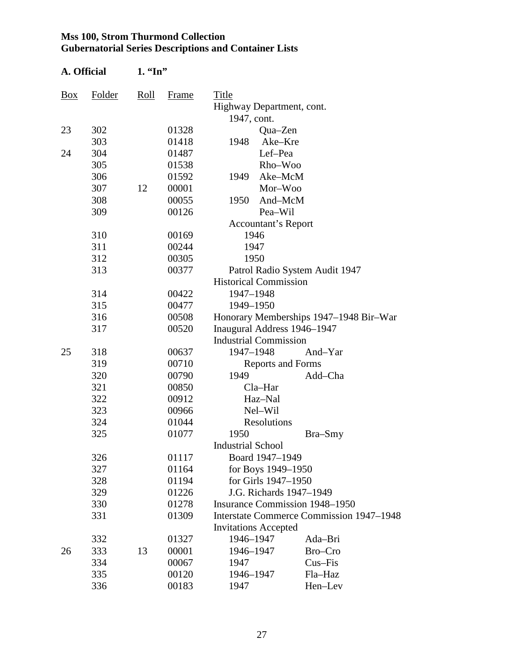| A. Official |                                                | $1.$ "In"                    |       |                                       |                                                 |  |  |
|-------------|------------------------------------------------|------------------------------|-------|---------------------------------------|-------------------------------------------------|--|--|
| Box         | Folder                                         | Roll                         | Frame | Title<br>Highway Department, cont.    |                                                 |  |  |
|             |                                                |                              |       | 1947, cont.                           |                                                 |  |  |
| 23          | 302                                            |                              | 01328 | Qua-Zen                               |                                                 |  |  |
|             | 303                                            |                              | 01418 | Ake-Kre<br>1948                       |                                                 |  |  |
| 24          | 304                                            |                              | 01487 | Lef-Pea                               |                                                 |  |  |
|             | 305                                            |                              | 01538 | Rho-Woo                               |                                                 |  |  |
|             | 306                                            |                              | 01592 | Ake-McM<br>1949                       |                                                 |  |  |
|             | 307                                            | 12                           | 00001 | Mor-Woo                               |                                                 |  |  |
|             | 308                                            |                              | 00055 | 1950<br>And-McM                       |                                                 |  |  |
|             | 309                                            |                              | 00126 | Pea-Wil                               |                                                 |  |  |
|             |                                                |                              |       | Accountant's Report                   |                                                 |  |  |
|             | 310                                            |                              | 00169 | 1946                                  |                                                 |  |  |
|             | 311                                            |                              | 00244 | 1947                                  |                                                 |  |  |
|             | 312                                            |                              | 00305 | 1950                                  |                                                 |  |  |
|             | 313<br>00377<br>Patrol Radio System Audit 1947 |                              |       |                                       |                                                 |  |  |
|             |                                                | <b>Historical Commission</b> |       |                                       |                                                 |  |  |
|             | 314                                            |                              | 00422 | 1947-1948                             |                                                 |  |  |
|             | 315                                            |                              | 00477 | 1949-1950                             |                                                 |  |  |
|             | 316                                            |                              | 00508 |                                       | Honorary Memberships 1947–1948 Bir-War          |  |  |
|             | 317                                            |                              | 00520 | Inaugural Address 1946-1947           |                                                 |  |  |
|             |                                                |                              |       | <b>Industrial Commission</b>          |                                                 |  |  |
| 25          | 318                                            |                              | 00637 | 1947-1948                             | And-Yar                                         |  |  |
|             | 319                                            |                              | 00710 | <b>Reports and Forms</b>              |                                                 |  |  |
|             | 320                                            |                              | 00790 | 1949                                  | Add-Cha                                         |  |  |
|             | 321                                            |                              | 00850 | $Cla-Har$                             |                                                 |  |  |
|             | 322                                            |                              | 00912 | Haz-Nal                               |                                                 |  |  |
|             | 323                                            |                              | 00966 | Nel-Wil                               |                                                 |  |  |
|             | 324                                            |                              | 01044 | <b>Resolutions</b>                    |                                                 |  |  |
|             | 325                                            |                              | 01077 | 1950                                  | Bra-Smy                                         |  |  |
|             |                                                |                              |       | <b>Industrial School</b>              |                                                 |  |  |
|             | 326                                            |                              | 01117 | Board 1947-1949                       |                                                 |  |  |
|             | 327                                            |                              | 01164 | for Boys 1949–1950                    |                                                 |  |  |
|             | 328                                            |                              | 01194 | for Girls 1947-1950                   |                                                 |  |  |
|             | 329                                            |                              | 01226 | J.G. Richards 1947-1949               |                                                 |  |  |
|             | 330                                            |                              | 01278 | <b>Insurance Commission 1948–1950</b> |                                                 |  |  |
|             | 331                                            |                              | 01309 |                                       | <b>Interstate Commerce Commission 1947–1948</b> |  |  |
|             |                                                |                              |       | <b>Invitations Accepted</b>           |                                                 |  |  |
|             | 332                                            |                              | 01327 | 1946-1947                             | Ada-Bri                                         |  |  |
| 26          | 333                                            | 13                           | 00001 | 1946-1947                             | Bro-Cro                                         |  |  |
|             | 334                                            |                              | 00067 | 1947                                  | Cus-Fis                                         |  |  |
|             | 335                                            |                              | 00120 | 1946-1947                             | Fla-Haz                                         |  |  |
|             | 336                                            |                              | 00183 | 1947                                  | Hen-Lev                                         |  |  |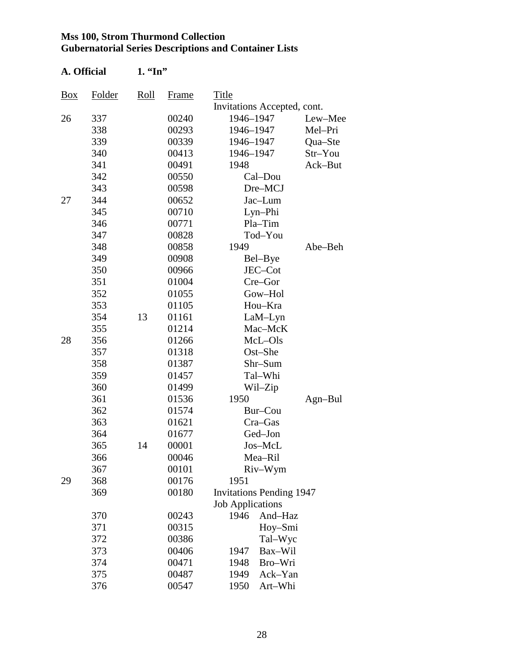**A. Official 1. "In"** 

| Title<br>Folder<br>Roll<br>Box<br>Frame |                                 |
|-----------------------------------------|---------------------------------|
|                                         | Invitations Accepted, cont.     |
| 26<br>337<br>00240<br>1946-1947         | Lew-Mee                         |
| 338<br>00293<br>1946-1947               | Mel-Pri                         |
| 339<br>00339<br>1946-1947               | Qua-Ste                         |
| 340<br>00413<br>1946-1947               | Str-You                         |
| 341<br>00491<br>1948                    | Ack-But                         |
| 342<br>00550                            | Cal-Dou                         |
| 343<br>00598                            | Dre-MCJ                         |
| 344<br>00652<br>27                      | Jac-Lum                         |
| 345<br>00710                            | Lyn-Phi                         |
| 346<br>00771                            | Pla-Tim                         |
| 347<br>00828                            | Tod-You                         |
| 348<br>1949<br>00858                    | Abe-Beh                         |
| 349<br>00908                            | Bel-Bye                         |
| 350<br>00966                            | JEC-Cot                         |
| 351<br>01004                            | Cre-Gor                         |
| 352<br>01055                            | Gow-Hol                         |
| 353<br>01105                            | Hou-Kra                         |
| 354<br>13<br>01161                      | $LaM-Lyn$                       |
| 01214<br>355                            | Mac-McK                         |
| 356<br>01266<br>28                      | McL-Ols                         |
| 01318<br>357                            | Ost-She                         |
| 358<br>01387                            | Shr-Sum                         |
| 359<br>01457                            | Tal-Whi                         |
| 360<br>01499                            | Wil-Zip                         |
| 361<br>01536<br>1950                    | $Agn-Bul$                       |
| 362<br>01574                            | Bur-Cou                         |
| 363<br>01621                            | Cra-Gas                         |
| 364<br>01677                            | Ged-Jon                         |
| 365<br>00001<br>14                      | Jos-McL                         |
| 00046<br>366                            | Mea–Ril                         |
| 00101<br>367                            | Riv-Wym                         |
| 29<br>368<br>00176<br>1951              |                                 |
| 369<br>00180                            | <b>Invitations Pending 1947</b> |
| <b>Job Applications</b>                 |                                 |
| 370<br>00243<br>1946                    | And-Haz                         |
| 371<br>00315                            | Hoy-Smi                         |
| 372<br>00386                            | Tal-Wyc                         |
| 373<br>00406<br>1947                    | Bax-Wil                         |
| 374<br>00471<br>1948                    | Bro-Wri                         |
| 375<br>00487<br>1949                    | Ack-Yan                         |
| 376<br>00547<br>1950                    | Art-Whi                         |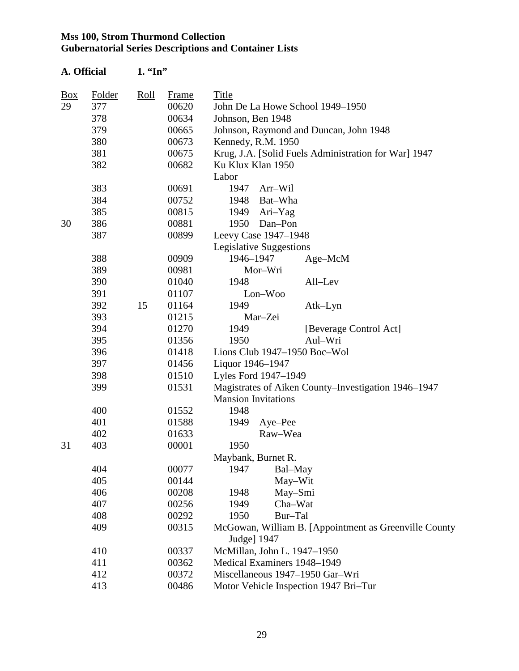**A. Official 1. "In"** 

| $\frac{Box}{}$ | Folder | Roll | <b>Frame</b> | Title                      |                             |                                                       |
|----------------|--------|------|--------------|----------------------------|-----------------------------|-------------------------------------------------------|
| 29             | 377    |      | 00620        |                            |                             | John De La Howe School 1949-1950                      |
|                | 378    |      | 00634        | Johnson, Ben 1948          |                             |                                                       |
|                | 379    |      | 00665        |                            |                             | Johnson, Raymond and Duncan, John 1948                |
|                | 380    |      | 00673        |                            | Kennedy, R.M. 1950          |                                                       |
|                | 381    |      | 00675        |                            |                             | Krug, J.A. [Solid Fuels Administration for War] 1947  |
|                | 382    |      | 00682        | Ku Klux Klan 1950          |                             |                                                       |
|                |        |      |              | Labor                      |                             |                                                       |
|                | 383    |      | 00691        | 1947                       | Arr-Wil                     |                                                       |
|                | 384    |      | 00752        |                            | 1948 Bat-Wha                |                                                       |
|                | 385    |      | 00815        | 1949                       | Ari-Yag                     |                                                       |
| 30             | 386    |      | 00881        | 1950                       | Dan-Pon                     |                                                       |
|                | 387    |      | 00899        |                            | Leevy Case 1947-1948        |                                                       |
|                |        |      |              |                            | Legislative Suggestions     |                                                       |
|                | 388    |      | 00909        | 1946-1947                  |                             | Age-McM                                               |
|                | 389    |      | 00981        |                            | Mor-Wri                     |                                                       |
|                | 390    |      | 01040        | 1948                       |                             | All-Lev                                               |
|                | 391    |      | 01107        |                            | Lon-Woo                     |                                                       |
|                | 392    | 15   | 01164        | 1949                       |                             | Atk-Lyn                                               |
|                | 393    |      | 01215        |                            | Mar-Zei                     |                                                       |
|                | 394    |      | 01270        | 1949                       |                             | [Beverage Control Act]                                |
|                | 395    |      | 01356        | 1950                       |                             | Aul-Wri                                               |
|                | 396    |      | 01418        |                            |                             | Lions Club $1947-1950$ Boc-Wol                        |
|                | 397    |      | 01456        | Liquor 1946-1947           |                             |                                                       |
|                | 398    |      | 01510        |                            | Lyles Ford 1947-1949        |                                                       |
|                | 399    |      | 01531        |                            |                             | Magistrates of Aiken County–Investigation 1946–1947   |
|                |        |      |              | <b>Mansion Invitations</b> |                             |                                                       |
|                | 400    |      | 01552        | 1948                       |                             |                                                       |
|                | 401    |      | 01588        | 1949                       | Aye-Pee                     |                                                       |
|                | 402    |      | 01633        |                            | Raw-Wea                     |                                                       |
| 31             | 403    |      | 00001        | 1950                       |                             |                                                       |
|                |        |      |              | Maybank, Burnet R          |                             |                                                       |
|                | 404    |      | 00077        | 1947                       | Bal-May                     |                                                       |
|                | 405    |      | 00144        |                            | May-Wit                     |                                                       |
|                | 406    |      | 00208        | 1948                       | May-Smi                     |                                                       |
|                | 407    |      | 00256        | 1949                       | Cha-Wat                     |                                                       |
|                | 408    |      | 00292        | 1950                       | Bur-Tal                     |                                                       |
|                | 409    |      | 00315        |                            |                             | McGowan, William B. [Appointment as Greenville County |
|                |        |      |              | Judge] 1947                |                             |                                                       |
|                | 410    |      | 00337        |                            | McMillan, John L. 1947-1950 |                                                       |
|                | 411    |      | 00362        |                            | Medical Examiners 1948-1949 |                                                       |
|                | 412    |      | 00372        |                            |                             | Miscellaneous 1947-1950 Gar-Wri                       |
|                | 413    |      | 00486        |                            |                             | Motor Vehicle Inspection 1947 Bri-Tur                 |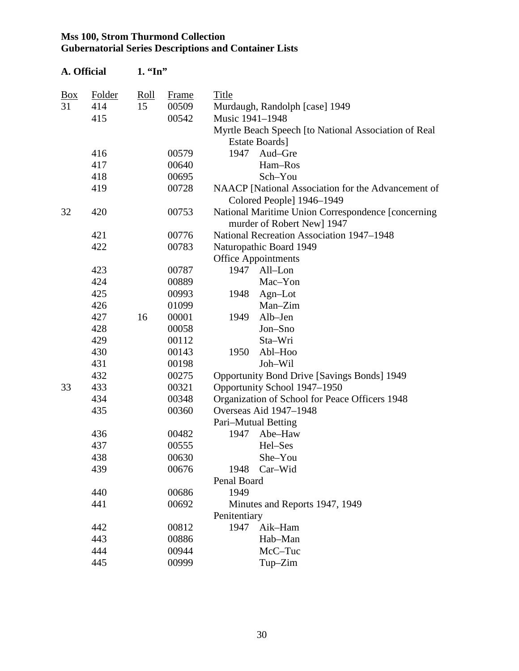| A. Official    |        | $1. \,$ "In" |              |                 |                                                      |
|----------------|--------|--------------|--------------|-----------------|------------------------------------------------------|
| $\frac{Box}{}$ | Folder | <u>Roll</u>  | <b>Frame</b> | Title           |                                                      |
| 31             | 414    | 15           | 00509        |                 | Murdaugh, Randolph [case] 1949                       |
|                | 415    |              | 00542        | Music 1941-1948 |                                                      |
|                |        |              |              |                 | Myrtle Beach Speech [to National Association of Real |
|                |        |              |              |                 | <b>Estate Boards</b> ]                               |
|                | 416    |              | 00579        | 1947            | Aud-Gre                                              |
|                | 417    |              | 00640        |                 | Ham-Ros                                              |
|                | 418    |              | 00695        |                 | Sch-You                                              |
|                | 419    |              | 00728        |                 | NAACP [National Association for the Advancement of   |
|                |        |              |              |                 | Colored People] 1946-1949                            |
| 32             | 420    |              | 00753        |                 | National Maritime Union Correspondence [concerning]  |
|                |        |              |              |                 | murder of Robert New] 1947                           |
|                | 421    |              | 00776        |                 | National Recreation Association 1947-1948            |
|                | 422    |              | 00783        |                 | Naturopathic Board 1949                              |
|                |        |              |              |                 | <b>Office Appointments</b>                           |
|                | 423    |              | 00787        | 1947            | All-Lon                                              |
|                | 424    |              | 00889        |                 | Mac-Yon                                              |
|                | 425    |              | 00993        | 1948            | $Agn-Lot$                                            |
|                | 426    |              | 01099        |                 | Man-Zim                                              |
|                | 427    | 16           | 00001        | 1949            | Alb-Jen                                              |
|                | 428    |              | 00058        |                 | Jon-Sno                                              |
|                | 429    |              | 00112        |                 | Sta-Wri                                              |
|                | 430    |              | 00143        | 1950            | Abl-Hoo                                              |
|                | 431    |              | 00198        |                 | Joh-Wil                                              |
|                | 432    |              | 00275        |                 | <b>Opportunity Bond Drive [Savings Bonds] 1949</b>   |
| 33             | 433    |              | 00321        |                 | Opportunity School 1947-1950                         |
|                | 434    |              | 00348        |                 | Organization of School for Peace Officers 1948       |
|                | 435    |              | 00360        |                 | Overseas Aid 1947-1948                               |
|                |        |              |              |                 | Pari–Mutual Betting                                  |
|                | 436    |              | 00482        | 1947            | Abe-Haw                                              |
|                | 437    |              | 00555        |                 | Hel–Ses                                              |
|                | 438    |              | 00630        |                 | She-You                                              |
|                | 439    |              | 00676        | 1948            | Car-Wid                                              |
|                |        |              |              | Penal Board     |                                                      |
|                | 440    |              | 00686        | 1949            |                                                      |
|                | 441    |              | 00692        |                 | Minutes and Reports 1947, 1949                       |
|                |        |              |              | Penitentiary    |                                                      |
|                | 442    |              | 00812        | 1947            | Aik-Ham                                              |
|                | 443    |              | 00886        |                 | Hab-Man                                              |
|                | 444    |              | 00944        |                 | McC-Tuc                                              |
|                | 445    |              | 00999        |                 | Tup-Zim                                              |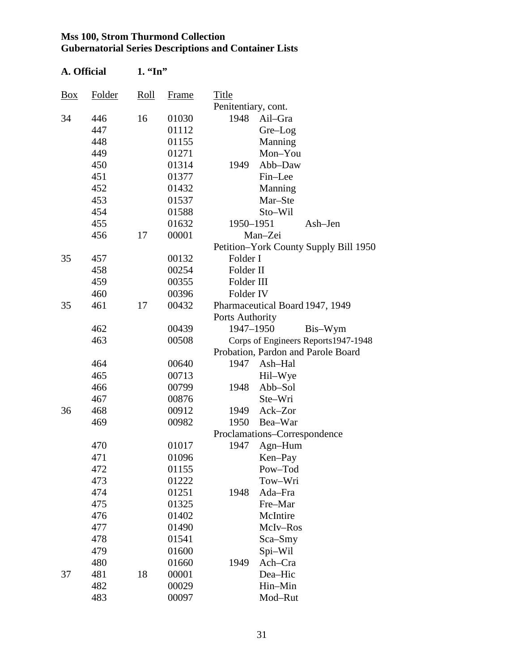| A. Official |        | $1.$ "In" |       |                                       |
|-------------|--------|-----------|-------|---------------------------------------|
| Box         | Folder | Roll      | Frame | Title                                 |
|             |        |           |       | Penitentiary, cont.                   |
| 34          | 446    | 16        | 01030 | 1948<br>Ail-Gra                       |
|             | 447    |           | 01112 | Gre-Log                               |
|             | 448    |           | 01155 | Manning                               |
|             | 449    |           | 01271 | Mon-You                               |
|             | 450    |           | 01314 | Abb-Daw<br>1949                       |
|             | 451    |           | 01377 | Fin-Lee                               |
|             | 452    |           | 01432 | Manning                               |
|             | 453    |           | 01537 | Mar-Ste                               |
|             | 454    |           | 01588 | Sto-Wil                               |
|             | 455    |           | 01632 | 1950-1951<br>Ash-Jen                  |
|             | 456    | 17        | 00001 | Man-Zei                               |
|             |        |           |       | Petition-York County Supply Bill 1950 |
| 35          | 457    |           | 00132 | Folder I                              |
|             | 458    |           | 00254 | Folder II                             |
|             | 459    |           | 00355 | Folder III                            |
|             | 460    |           | 00396 | Folder IV                             |
| 35          | 461    | 17        | 00432 | Pharmaceutical Board 1947, 1949       |
|             |        |           |       | Ports Authority                       |
|             | 462    |           | 00439 | 1947-1950<br>Bis-Wym                  |
|             | 463    |           | 00508 | Corps of Engineers Reports1947-1948   |
|             |        |           |       | Probation, Pardon and Parole Board    |
|             | 464    |           | 00640 | Ash-Hal<br>1947                       |
|             | 465    |           | 00713 | Hil-Wye                               |
|             | 466    |           | 00799 | Abb-Sol<br>1948                       |
|             | 467    |           | 00876 | Ste-Wri                               |
| 36          | 468    |           | 00912 | Ack-Zor<br>1949                       |
|             | 469    |           | 00982 | 1950<br>Bea–War                       |
|             |        |           |       | Proclamations-Correspondence          |
|             | 470    |           | 01017 | 1947 Agn-Hum                          |
|             | 471    |           | 01096 | Ken-Pay                               |
|             | 472    |           | 01155 | Pow-Tod                               |
|             | 473    |           | 01222 | Tow-Wri                               |
|             | 474    |           | 01251 | 1948<br>Ada-Fra                       |
|             | 475    |           | 01325 | Fre-Mar                               |
|             | 476    |           | 01402 | McIntire                              |
|             | 477    |           | 01490 | McIv-Ros                              |
|             | 478    |           | 01541 | Sca-Smy                               |
|             | 479    |           | 01600 | Spi-Wil                               |
|             | 480    |           | 01660 | 1949<br>Ach-Cra                       |
| 37          | 481    | 18        | 00001 | Dea-Hic                               |
|             | 482    |           | 00029 | Hin-Min                               |
|             | 483    |           | 00097 | Mod-Rut                               |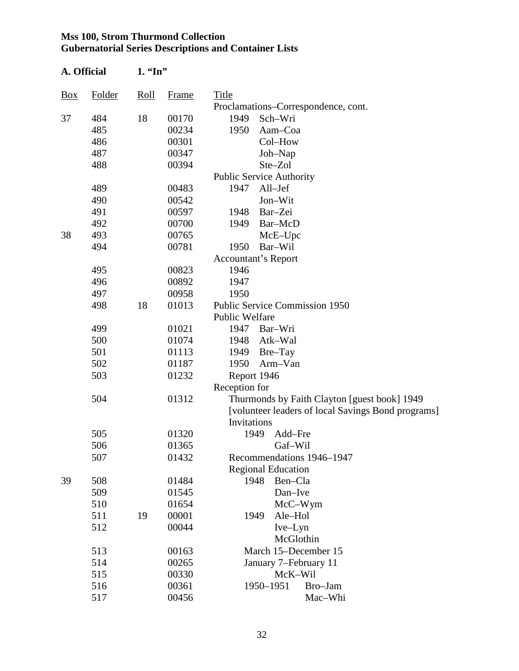| A. Official |               |      | $1. \,$ "In" |                                                    |  |  |  |  |
|-------------|---------------|------|--------------|----------------------------------------------------|--|--|--|--|
| <u>Box</u>  | <b>Folder</b> | Roll | Frame        | Title                                              |  |  |  |  |
|             |               |      |              | Proclamations–Correspondence, cont.                |  |  |  |  |
| 37          | 484           | 18   | 00170        | 1949<br>Sch-Wri                                    |  |  |  |  |
|             | 485           |      | 00234        | 1950<br>Aam-Coa                                    |  |  |  |  |
|             | 486           |      | 00301        | Col-How                                            |  |  |  |  |
|             | 487           |      | 00347        | Joh-Nap                                            |  |  |  |  |
|             | 488           |      | 00394        | Ste-Zol                                            |  |  |  |  |
|             |               |      |              | <b>Public Service Authority</b>                    |  |  |  |  |
|             | 489           |      | 00483        | 1947<br>All-Jef                                    |  |  |  |  |
|             | 490           |      | 00542        | Jon-Wit                                            |  |  |  |  |
|             | 491           |      | 00597        | 1948<br>Bar-Zei                                    |  |  |  |  |
|             | 492           |      | 00700        | 1949<br>Bar-McD                                    |  |  |  |  |
| 38          | 493           |      | 00765        | McE-Upc                                            |  |  |  |  |
|             | 494           |      | 00781        | 1950<br>Bar-Wil                                    |  |  |  |  |
|             |               |      |              | <b>Accountant's Report</b>                         |  |  |  |  |
|             | 495           |      | 00823        | 1946                                               |  |  |  |  |
|             | 496           |      | 00892        | 1947                                               |  |  |  |  |
|             | 497           |      | 00958        | 1950                                               |  |  |  |  |
|             | 498           | 18   | 01013        | <b>Public Service Commission 1950</b>              |  |  |  |  |
|             |               |      |              | <b>Public Welfare</b>                              |  |  |  |  |
|             | 499           |      | 01021        | 1947 Bar-Wri                                       |  |  |  |  |
|             | 500           |      | 01074        | 1948<br>Atk-Wal                                    |  |  |  |  |
|             | 501           |      | 01113        | 1949<br>Bre-Tay                                    |  |  |  |  |
|             | 502           |      | 01187        | 1950<br>Arm-Van                                    |  |  |  |  |
|             | 503           |      | 01232        | Report 1946                                        |  |  |  |  |
|             |               |      |              | Reception for                                      |  |  |  |  |
|             | 504           |      | 01312        | Thurmonds by Faith Clayton [guest book] 1949       |  |  |  |  |
|             |               |      |              | [volunteer leaders of local Savings Bond programs] |  |  |  |  |
|             |               |      |              | Invitations                                        |  |  |  |  |
|             | 505           |      | 01320        | Add-Fre<br>1949                                    |  |  |  |  |
|             | 506           |      | 01365        | Gaf-Wil                                            |  |  |  |  |
|             | 507           |      | 01432        | Recommendations 1946–1947                          |  |  |  |  |
|             |               |      |              | <b>Regional Education</b>                          |  |  |  |  |
| 39          | 508           |      | 01484        | 1948<br>Ben-Cla                                    |  |  |  |  |
|             | 509           |      | 01545        | Dan-Ive                                            |  |  |  |  |
|             | 510           |      | 01654        | McC-Wym                                            |  |  |  |  |
|             | 511           | 19   | 00001        | Ale-Hol<br>1949                                    |  |  |  |  |
|             | 512           |      | 00044        | Ive-Lyn                                            |  |  |  |  |
|             |               |      |              | McGlothin                                          |  |  |  |  |
|             | 513           |      | 00163        | March 15-December 15                               |  |  |  |  |
|             | 514           |      | 00265        | January 7-February 11                              |  |  |  |  |
|             | 515           |      | 00330        | McK-Wil                                            |  |  |  |  |
|             | 516           |      | 00361        | 1950-1951<br>Bro-Jam                               |  |  |  |  |
|             | 517           |      | 00456        | Mac-Whi                                            |  |  |  |  |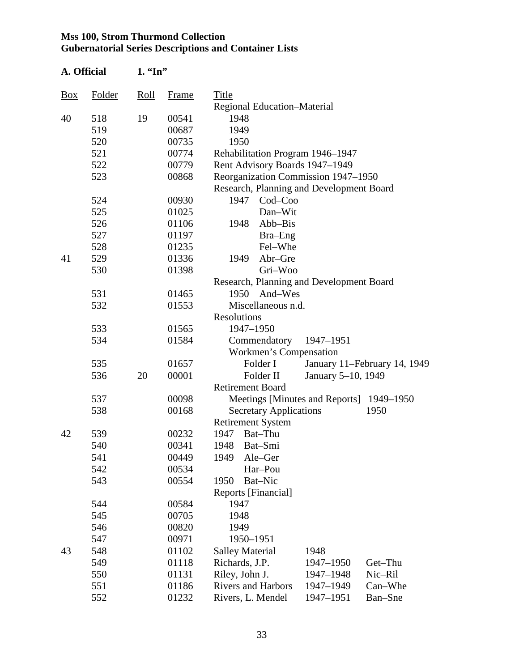| A. Official    |               | $1.$ "In"                         |       |                    |                                             |                                          |                              |
|----------------|---------------|-----------------------------------|-------|--------------------|---------------------------------------------|------------------------------------------|------------------------------|
| $\frac{Box}{}$ | <b>Folder</b> | $\frac{\text{Roll}}{\text{Roll}}$ | Frame | Title              |                                             |                                          |                              |
|                |               |                                   |       |                    | Regional Education-Material                 |                                          |                              |
| 40             | 518           | 19                                | 00541 | 1948               |                                             |                                          |                              |
|                | 519           |                                   | 00687 | 1949               |                                             |                                          |                              |
|                | 520           |                                   | 00735 | 1950               |                                             |                                          |                              |
|                | 521           |                                   | 00774 |                    | Rehabilitation Program 1946-1947            |                                          |                              |
|                | 522           |                                   | 00779 |                    | Rent Advisory Boards 1947-1949              |                                          |                              |
|                | 523           |                                   | 00868 |                    |                                             | Reorganization Commission 1947-1950      |                              |
|                |               |                                   |       |                    |                                             | Research, Planning and Development Board |                              |
|                | 524           |                                   | 00930 | 1947               | Cod-Coo                                     |                                          |                              |
|                | 525           |                                   | 01025 |                    | Dan-Wit                                     |                                          |                              |
|                | 526           |                                   | 01106 | 1948               | Abb-Bis                                     |                                          |                              |
|                | 527           |                                   | 01197 |                    | Bra-Eng                                     |                                          |                              |
|                | 528           |                                   | 01235 |                    | Fel-Whe                                     |                                          |                              |
| 41             | 529           |                                   | 01336 | 1949               | Abr-Gre                                     |                                          |                              |
|                | 530           |                                   | 01398 |                    | Gri-Woo                                     |                                          |                              |
|                |               |                                   |       |                    |                                             | Research, Planning and Development Board |                              |
|                | 531           |                                   | 01465 |                    | 1950<br>And-Wes                             |                                          |                              |
|                | 532           |                                   | 01553 |                    | Miscellaneous n.d.                          |                                          |                              |
|                |               |                                   |       | <b>Resolutions</b> |                                             |                                          |                              |
|                | 533           |                                   | 01565 |                    | 1947-1950                                   |                                          |                              |
|                | 534           |                                   | 01584 |                    | Commendatory                                | 1947-1951                                |                              |
|                |               |                                   |       |                    | Workmen's Compensation                      |                                          |                              |
|                | 535           |                                   | 01657 |                    | Folder I                                    |                                          | January 11-February 14, 1949 |
|                | 536           | 20                                | 00001 |                    | Folder II                                   | January 5-10, 1949                       |                              |
|                |               |                                   |       |                    | <b>Retirement Board</b>                     |                                          |                              |
|                | 537           |                                   | 00098 |                    |                                             | Meetings [Minutes and Reports]           | 1949–1950                    |
|                | 538           |                                   | 00168 |                    | <b>Secretary Applications</b>               |                                          | 1950                         |
|                |               |                                   |       |                    | <b>Retirement System</b>                    |                                          |                              |
| 42             | 539           |                                   | 00232 | 1947               | Bat-Thu                                     |                                          |                              |
|                | 540           |                                   | 00341 |                    | 1948 Bat-Smi                                |                                          |                              |
|                | 541           |                                   | 00449 | 1949               | Ale–Ger                                     |                                          |                              |
|                | 542           |                                   | 00534 |                    | Har-Pou                                     |                                          |                              |
|                | 543           |                                   | 00554 | 1950               | Bat-Nic                                     |                                          |                              |
|                |               |                                   |       |                    | Reports [Financial]                         |                                          |                              |
|                | 544           |                                   | 00584 | 1947               |                                             |                                          |                              |
|                | 545           |                                   | 00705 | 1948               |                                             |                                          |                              |
|                | 546           |                                   | 00820 | 1949               |                                             |                                          |                              |
|                | 547           |                                   | 00971 |                    | 1950-1951                                   |                                          |                              |
| 43             | 548           |                                   | 01102 |                    | <b>Salley Material</b>                      | 1948                                     |                              |
|                | 549           |                                   | 01118 |                    | Richards, J.P.                              | 1947-1950                                | Get-Thu                      |
|                | 550           |                                   | 01131 |                    | Riley, John J.<br><b>Rivers and Harbors</b> | 1947-1948                                | Nic-Ril<br>Can–Whe           |
|                | 551<br>552    |                                   | 01186 |                    |                                             | 1947-1949<br>1947-1951                   | Ban-Sne                      |
|                |               |                                   | 01232 |                    | Rivers, L. Mendel                           |                                          |                              |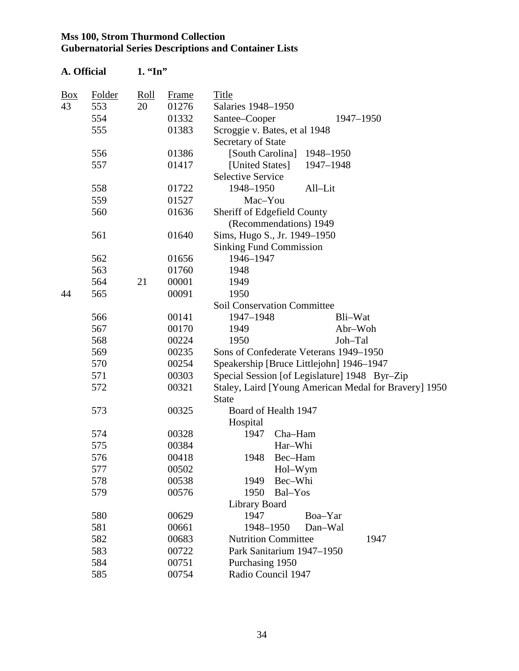| A. Official |        | $1.$ "In" |              |                                                       |
|-------------|--------|-----------|--------------|-------------------------------------------------------|
| <b>Box</b>  | Folder | Roll      | <b>Frame</b> | Title                                                 |
| 43          | 553    | 20        | 01276        | Salaries 1948-1950                                    |
|             | 554    |           | 01332        | Santee–Cooper<br>1947-1950                            |
|             | 555    |           | 01383        | Scroggie v. Bates, et al 1948                         |
|             |        |           |              | Secretary of State                                    |
|             | 556    |           | 01386        | [South Carolina]<br>1948-1950                         |
|             | 557    |           | 01417        | [United States]<br>1947-1948                          |
|             |        |           |              | <b>Selective Service</b>                              |
|             | 558    |           | 01722        | 1948-1950<br>All-Lit                                  |
|             | 559    |           | 01527        | Mac-You                                               |
|             | 560    |           | 01636        | Sheriff of Edgefield County                           |
|             |        |           |              | (Recommendations) 1949                                |
|             | 561    |           | 01640        | Sims, Hugo S., Jr. 1949-1950                          |
|             |        |           |              | <b>Sinking Fund Commission</b>                        |
|             | 562    |           | 01656        | 1946-1947                                             |
|             | 563    |           | 01760        | 1948                                                  |
|             | 564    | 21        | 00001        | 1949                                                  |
| 44          | 565    |           | 00091        | 1950                                                  |
|             |        |           |              | <b>Soil Conservation Committee</b>                    |
|             | 566    |           | 00141        | 1947-1948<br>Bli-Wat                                  |
|             | 567    |           | 00170        | 1949<br>Abr-Woh                                       |
|             | 568    |           | 00224        | 1950<br>Joh-Tal                                       |
|             | 569    |           | 00235        | Sons of Confederate Veterans 1949-1950                |
|             | 570    |           | 00254        | Speakership [Bruce Littlejohn] 1946-1947              |
|             | 571    |           | 00303        | Special Session [of Legislature] 1948 Byr-Zip         |
|             | 572    |           | 00321        | Staley, Laird [Young American Medal for Bravery] 1950 |
|             |        |           |              | <b>State</b>                                          |
|             | 573    |           | 00325        | Board of Health 1947                                  |
|             |        |           |              | Hospital                                              |
|             | 574    |           | 00328        | Cha-Ham<br>1947                                       |
|             | 575    |           | 00384        | Har-Whi                                               |
|             | 576    |           | 00418        | Bec-Ham<br>1948                                       |
|             | 577    |           | 00502        | Hol-Wym                                               |
|             | 578    |           | 00538        | Bec-Whi<br>1949                                       |
|             | 579    |           | 00576        | Bal-Yos<br>1950                                       |
|             |        |           |              | Library Board                                         |
|             | 580    |           | 00629        | 1947<br>Boa-Yar                                       |
|             | 581    |           | 00661        | 1948-1950<br>Dan-Wal                                  |
|             | 582    |           | 00683        | <b>Nutrition Committee</b><br>1947                    |
|             | 583    |           | 00722        | Park Sanitarium 1947-1950                             |
|             | 584    |           | 00751        | Purchasing 1950                                       |
|             | 585    |           | 00754        | Radio Council 1947                                    |
|             |        |           |              |                                                       |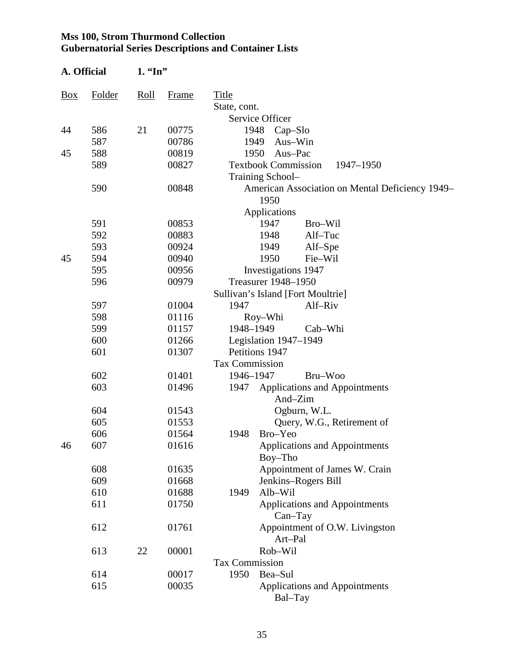| A. Official    |        | $1. \,$ "In" |       |                                                             |
|----------------|--------|--------------|-------|-------------------------------------------------------------|
| $\frac{Box}{}$ | Folder | Roll         | Frame | Title                                                       |
|                |        |              |       | State, cont.                                                |
|                |        |              |       | Service Officer                                             |
| 44             | 586    | 21           | 00775 | 1948<br>$Cap-Slo$                                           |
|                | 587    |              | 00786 | 1949<br>Aus-Win                                             |
| 45             | 588    |              | 00819 | Aus-Pac<br>1950                                             |
|                | 589    |              | 00827 | <b>Textbook Commission</b><br>1947-1950<br>Training School- |
|                | 590    |              | 00848 | American Association on Mental Deficiency 1949–<br>1950     |
|                |        |              |       | Applications                                                |
|                | 591    |              | 00853 | 1947<br>Bro-Wil                                             |
|                | 592    |              | 00883 | Alf-Tuc<br>1948                                             |
|                | 593    |              | 00924 | Alf-Spe<br>1949                                             |
| 45             | 594    |              | 00940 | 1950<br>Fie-Wil                                             |
|                | 595    |              | 00956 | Investigations 1947                                         |
|                | 596    |              | 00979 | Treasurer 1948-1950                                         |
|                |        |              |       | Sullivan's Island [Fort Moultrie]                           |
|                | 597    |              | 01004 | 1947<br>Alf-Riv                                             |
|                | 598    |              | 01116 | Roy-Whi                                                     |
|                | 599    |              | 01157 | 1948-1949<br>Cab–Whi                                        |
|                | 600    |              | 01266 | Legislation 1947-1949                                       |
|                | 601    |              | 01307 | Petitions 1947                                              |
|                |        |              |       | Tax Commission                                              |
|                | 602    |              | 01401 | Bru-Woo<br>1946-1947                                        |
|                | 603    |              | 01496 | <b>Applications and Appointments</b><br>1947                |
|                |        |              |       | And-Zim                                                     |
|                | 604    |              | 01543 | Ogburn, W.L.                                                |
|                | 605    |              | 01553 | Query, W.G., Retirement of                                  |
|                | 606    |              | 01564 | Bro-Yeo<br>1948                                             |
| 46             | 607    |              | 01616 | <b>Applications and Appointments</b><br>Boy-Tho             |
|                | 608    |              | 01635 | Appointment of James W. Crain                               |
|                | 609    |              | 01668 | Jenkins-Rogers Bill                                         |
|                | 610    |              | 01688 | 1949<br>Alb-Wil                                             |
|                | 611    |              | 01750 | <b>Applications and Appointments</b><br>$Can-Tay$           |
|                | 612    |              | 01761 | Appointment of O.W. Livingston<br>Art-Pal                   |
|                | 613    | 22           | 00001 | Rob-Wil                                                     |
|                |        |              |       | <b>Tax Commission</b>                                       |
|                | 614    |              | 00017 | 1950<br>Bea-Sul                                             |
|                | 615    |              | 00035 | <b>Applications and Appointments</b><br>Bal–Tay             |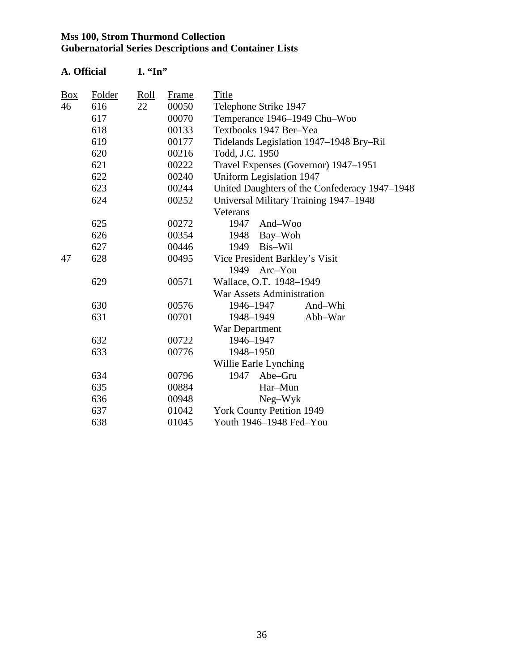| A. Official |        | $1.$ "In" |              |                                               |  |  |  |
|-------------|--------|-----------|--------------|-----------------------------------------------|--|--|--|
| <u>Box</u>  | Folder | Roll      | <b>Frame</b> | Title                                         |  |  |  |
| 46          | 616    | 22        | 00050        | Telephone Strike 1947                         |  |  |  |
|             | 617    |           | 00070        | Temperance 1946-1949 Chu-Woo                  |  |  |  |
|             | 618    |           | 00133        | Textbooks 1947 Ber-Yea                        |  |  |  |
|             | 619    |           | 00177        | Tidelands Legislation 1947–1948 Bry–Ril       |  |  |  |
|             | 620    |           | 00216        | Todd, J.C. 1950                               |  |  |  |
|             | 621    |           | 00222        | Travel Expenses (Governor) 1947-1951          |  |  |  |
|             | 622    |           | 00240        | <b>Uniform Legislation 1947</b>               |  |  |  |
|             | 623    |           | 00244        | United Daughters of the Confederacy 1947-1948 |  |  |  |
|             | 624    |           | 00252        | Universal Military Training 1947-1948         |  |  |  |
|             |        |           |              | Veterans                                      |  |  |  |
|             | 625    |           | 00272        | And-Woo<br>1947                               |  |  |  |
|             | 626    |           | 00354        | Bay-Woh<br>1948                               |  |  |  |
|             | 627    |           | 00446        | 1949<br>Bis-Wil                               |  |  |  |
| 47          | 628    |           | 00495        | Vice President Barkley's Visit                |  |  |  |
|             |        |           |              | 1949<br>Arc-You                               |  |  |  |
|             | 629    |           | 00571        | Wallace, O.T. 1948-1949                       |  |  |  |
|             |        |           |              | <b>War Assets Administration</b>              |  |  |  |
|             | 630    |           | 00576        | 1946-1947<br>And-Whi                          |  |  |  |
|             | 631    |           | 00701        | 1948-1949<br>Abb-War                          |  |  |  |
|             |        |           |              | War Department                                |  |  |  |
|             | 632    |           | 00722        | 1946-1947                                     |  |  |  |
|             | 633    |           | 00776        | 1948-1950                                     |  |  |  |
|             |        |           |              | Willie Earle Lynching                         |  |  |  |
|             | 634    |           | 00796        | 1947<br>Abe-Gru                               |  |  |  |
|             | 635    |           | 00884        | Har-Mun                                       |  |  |  |
|             | 636    |           | 00948        | $Neg-Wyk$                                     |  |  |  |
|             | 637    |           | 01042        | <b>York County Petition 1949</b>              |  |  |  |
|             | 638    |           | 01045        | Youth 1946-1948 Fed-You                       |  |  |  |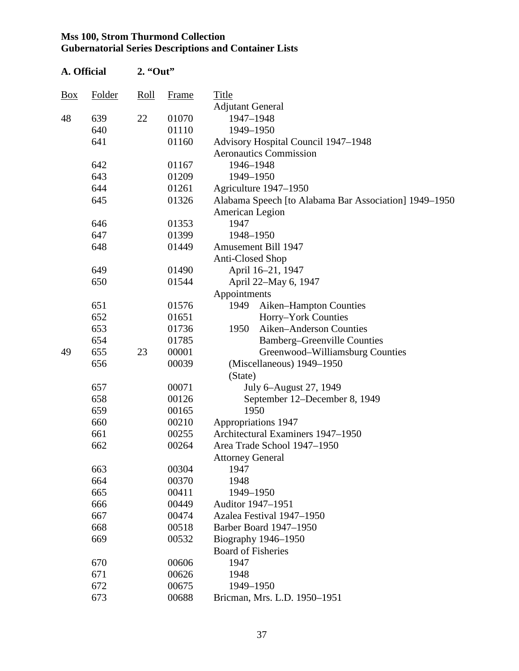| A. Official    |               | $2.$ "Out" |       |                                                       |
|----------------|---------------|------------|-------|-------------------------------------------------------|
| $\frac{Box}{}$ | <b>Folder</b> | Roll       | Frame | Title                                                 |
|                |               |            |       | <b>Adjutant General</b>                               |
| 48             | 639           | 22         | 01070 | 1947-1948                                             |
|                | 640           |            | 01110 | 1949-1950                                             |
|                | 641           |            | 01160 | Advisory Hospital Council 1947–1948                   |
|                |               |            |       | <b>Aeronautics Commission</b>                         |
|                | 642           |            | 01167 | 1946-1948                                             |
|                | 643           |            | 01209 | 1949-1950                                             |
|                | 644           |            | 01261 | Agriculture 1947-1950                                 |
|                | 645           |            | 01326 | Alabama Speech [to Alabama Bar Association] 1949–1950 |
|                |               |            |       | American Legion                                       |
|                | 646           |            | 01353 | 1947                                                  |
|                | 647           |            | 01399 | 1948-1950                                             |
|                | 648           |            | 01449 | <b>Amusement Bill 1947</b>                            |
|                |               |            |       | <b>Anti-Closed Shop</b>                               |
|                | 649           |            | 01490 | April 16-21, 1947                                     |
|                | 650           |            | 01544 | April 22-May 6, 1947                                  |
|                |               |            |       | Appointments                                          |
|                | 651           |            | 01576 | 1949<br>Aiken–Hampton Counties                        |
|                | 652           |            | 01651 | Horry-York Counties                                   |
|                | 653           |            | 01736 | 1950<br>Aiken-Anderson Counties                       |
|                | 654           |            | 01785 | <b>Bamberg-Greenville Counties</b>                    |
| 49             | 655           | 23         | 00001 | Greenwood-Williamsburg Counties                       |
|                | 656           |            | 00039 | (Miscellaneous) 1949–1950                             |
|                |               |            |       | (State)                                               |
|                | 657           |            | 00071 | July 6–August 27, 1949                                |
|                | 658           |            | 00126 | September 12–December 8, 1949                         |
|                | 659           |            | 00165 | 1950                                                  |
|                | 660           |            | 00210 | Appropriations 1947                                   |
|                | 661           |            | 00255 | Architectural Examiners 1947-1950                     |
|                | 662           |            | 00264 | Area Trade School 1947–1950                           |
|                |               |            |       | <b>Attorney General</b>                               |
|                | 663           |            | 00304 | 1947                                                  |
|                | 664           |            | 00370 | 1948                                                  |
|                | 665           |            | 00411 | 1949-1950                                             |
|                | 666           |            | 00449 | Auditor 1947-1951                                     |
|                | 667           |            | 00474 | Azalea Festival 1947-1950                             |
|                | 668           |            | 00518 | Barber Board 1947–1950                                |
|                | 669           |            | 00532 | Biography 1946-1950                                   |
|                |               |            |       | <b>Board of Fisheries</b>                             |
|                | 670           |            | 00606 | 1947                                                  |
|                | 671           |            | 00626 | 1948                                                  |
|                | 672           |            | 00675 | 1949-1950                                             |
|                | 673           |            | 00688 | Bricman, Mrs. L.D. 1950-1951                          |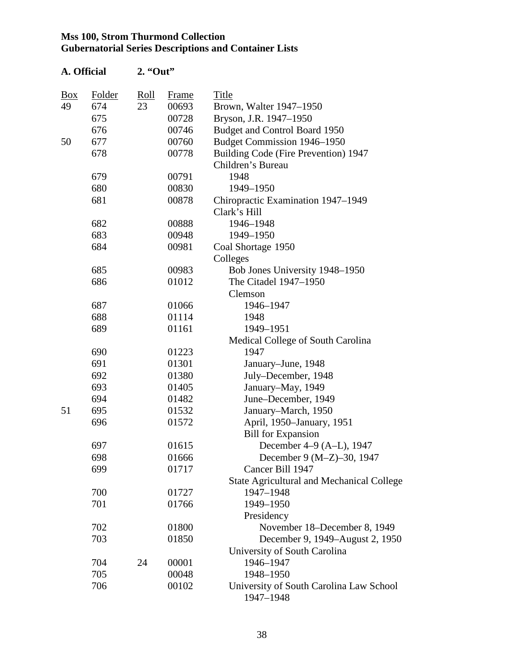| A. Official |        | $2.$ "Out" |              |                                                           |
|-------------|--------|------------|--------------|-----------------------------------------------------------|
| Box         | Folder | Roll       | <b>Frame</b> | Title                                                     |
| 49          | 674    | 23         | 00693        | Brown, Walter 1947–1950                                   |
|             | 675    |            | 00728        | Bryson, J.R. 1947-1950                                    |
|             | 676    |            | 00746        | Budget and Control Board 1950                             |
| 50          | 677    |            | 00760        | Budget Commission 1946-1950                               |
|             | 678    |            | 00778        | Building Code (Fire Prevention) 1947<br>Children's Bureau |
|             | 679    |            | 00791        | 1948                                                      |
|             | 680    |            | 00830        | 1949-1950                                                 |
|             | 681    |            | 00878        | Chiropractic Examination 1947-1949<br>Clark's Hill        |
|             | 682    |            | 00888        | 1946-1948                                                 |
|             | 683    |            | 00948        | 1949-1950                                                 |
|             | 684    |            | 00981        | Coal Shortage 1950                                        |
|             |        |            |              | Colleges                                                  |
|             | 685    |            | 00983        | Bob Jones University 1948-1950                            |
|             | 686    |            | 01012        | The Citadel 1947-1950                                     |
|             |        |            |              | Clemson                                                   |
|             | 687    |            | 01066        | 1946-1947                                                 |
|             | 688    |            | 01114        | 1948                                                      |
|             | 689    |            | 01161        | 1949-1951                                                 |
|             |        |            |              | Medical College of South Carolina                         |
|             | 690    |            | 01223        | 1947                                                      |
|             | 691    |            | 01301        | January-June, 1948                                        |
|             | 692    |            | 01380        | July-December, 1948                                       |
|             | 693    |            | 01405        | January-May, 1949                                         |
|             | 694    |            | 01482        | June-December, 1949                                       |
| 51          | 695    |            | 01532        | January-March, 1950                                       |
|             | 696    |            | 01572        | April, 1950–January, 1951                                 |
|             |        |            |              | <b>Bill for Expansion</b>                                 |
|             | 697    |            | 01615        | December 4–9 (A–L), 1947                                  |
|             | 698    |            | 01666        | December 9 (M-Z)-30, 1947                                 |
|             | 699    |            | 01717        | Cancer Bill 1947                                          |
|             |        |            |              | <b>State Agricultural and Mechanical College</b>          |
|             | 700    |            | 01727        | 1947-1948                                                 |
|             | 701    |            | 01766        | 1949-1950                                                 |
|             |        |            |              | Presidency                                                |
|             | 702    |            | 01800        | November 18–December 8, 1949                              |
|             | 703    |            | 01850        | December 9, 1949–August 2, 1950                           |
|             |        |            |              | University of South Carolina                              |
|             | 704    | 24         | 00001        | 1946-1947                                                 |
|             | 705    |            | 00048        | 1948-1950                                                 |
|             | 706    |            | 00102        | University of South Carolina Law School<br>1947-1948      |

38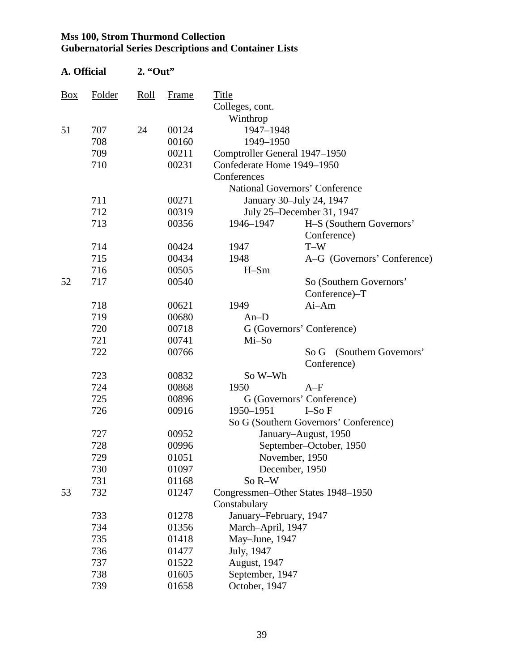| A. Official |        | $2.$ "Out" |       |                               |                                       |
|-------------|--------|------------|-------|-------------------------------|---------------------------------------|
| Box         | Folder | Roll       | Frame | Title                         |                                       |
|             |        |            |       | Colleges, cont.               |                                       |
|             |        |            |       | Winthrop                      |                                       |
| 51          | 707    | 24         | 00124 | 1947-1948                     |                                       |
|             | 708    |            | 00160 | 1949-1950                     |                                       |
|             | 709    |            | 00211 | Comptroller General 1947–1950 |                                       |
|             | 710    |            | 00231 | Confederate Home 1949-1950    |                                       |
|             |        |            |       | Conferences                   |                                       |
|             |        |            |       |                               | <b>National Governors' Conference</b> |
|             | 711    |            | 00271 |                               | January 30-July 24, 1947              |
|             | 712    |            | 00319 |                               | July 25–December 31, 1947             |
|             | 713    |            | 00356 | 1946-1947                     | H-S (Southern Governors'              |
|             |        |            |       |                               | Conference)                           |
|             | 714    |            | 00424 | 1947                          | $T-W$                                 |
|             | 715    |            | 00434 | 1948                          | A-G (Governors' Conference)           |
|             | 716    |            | 00505 | $H-Sm$                        |                                       |
| 52          | 717    |            | 00540 |                               | So (Southern Governors'               |
|             |        |            |       |                               | Conference)-T                         |
|             | 718    |            | 00621 | 1949                          | Ai-Am                                 |
|             | 719    |            | 00680 | $An-D$                        |                                       |
|             | 720    |            | 00718 |                               | G (Governors' Conference)             |
|             | 721    |            | 00741 | Mi-So                         |                                       |
|             | 722    |            | 00766 |                               | (Southern Governors'<br>So G          |
|             |        |            |       |                               | Conference)                           |
|             | 723    |            | 00832 | So W-Wh                       |                                       |
|             | 724    |            | 00868 | 1950                          | $A-F$                                 |
|             | 725    |            | 00896 |                               | G (Governors' Conference)             |
|             | 726    |            | 00916 | 1950-1951                     | $I-SoF$                               |
|             |        |            |       |                               | So G (Southern Governors' Conference) |
|             | 727    |            | 00952 |                               | January-August, 1950                  |
|             | 728    |            | 00996 |                               | September-October, 1950               |
|             | 729    |            | 01051 |                               | November, 1950                        |
|             | 730    |            | 01097 |                               | December, 1950                        |
|             | 731    |            | 01168 | So R-W                        |                                       |
| 53          | 732    |            | 01247 |                               | Congressmen-Other States 1948-1950    |
|             |        |            |       | Constabulary                  |                                       |
|             | 733    |            | 01278 | January-February, 1947        |                                       |
|             | 734    |            | 01356 | March-April, 1947             |                                       |
|             | 735    |            | 01418 | May-June, 1947                |                                       |
|             | 736    |            | 01477 | July, 1947                    |                                       |
|             | 737    |            | 01522 | August, 1947                  |                                       |
|             | 738    |            | 01605 | September, 1947               |                                       |
|             | 739    |            | 01658 | October, 1947                 |                                       |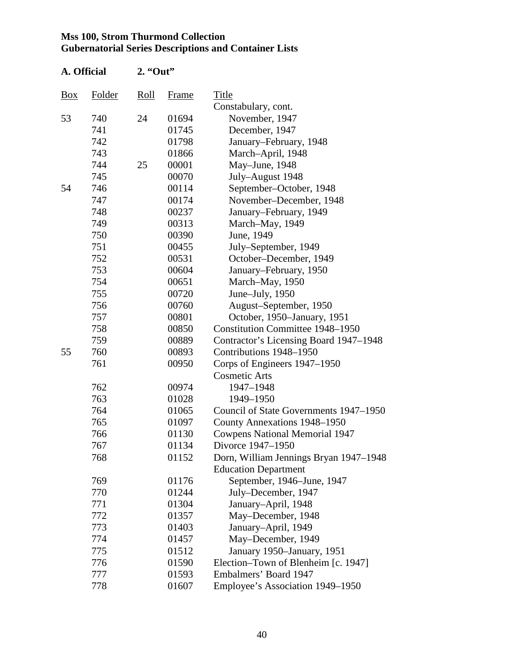| A. Official |        | $2.$ "Out" |       |                                         |
|-------------|--------|------------|-------|-----------------------------------------|
| <b>Box</b>  | Folder | Roll       | Frame | Title                                   |
|             |        |            |       | Constabulary, cont.                     |
| 53          | 740    | 24         | 01694 | November, 1947                          |
|             | 741    |            | 01745 | December, 1947                          |
|             | 742    |            | 01798 | January–February, 1948                  |
|             | 743    |            | 01866 | March-April, 1948                       |
|             | 744    | 25         | 00001 | May-June, 1948                          |
|             | 745    |            | 00070 | July-August 1948                        |
| 54          | 746    |            | 00114 | September-October, 1948                 |
|             | 747    |            | 00174 | November-December, 1948                 |
|             | 748    |            | 00237 | January–February, 1949                  |
|             | 749    |            | 00313 | March-May, 1949                         |
|             | 750    |            | 00390 | June, 1949                              |
|             | 751    |            | 00455 | July–September, 1949                    |
|             | 752    |            | 00531 | October-December, 1949                  |
|             | 753    |            | 00604 | January–February, 1950                  |
|             | 754    |            | 00651 | March-May, 1950                         |
|             | 755    |            | 00720 | June-July, 1950                         |
|             | 756    |            | 00760 | August-September, 1950                  |
|             | 757    |            | 00801 | October, 1950–January, 1951             |
|             | 758    |            | 00850 | <b>Constitution Committee 1948–1950</b> |
|             | 759    |            | 00889 | Contractor's Licensing Board 1947–1948  |
| 55          | 760    |            | 00893 | Contributions 1948-1950                 |
|             | 761    |            | 00950 | Corps of Engineers 1947–1950            |
|             |        |            |       | <b>Cosmetic Arts</b>                    |
|             | 762    |            | 00974 | 1947-1948                               |
|             | 763    |            | 01028 | 1949-1950                               |
|             | 764    |            | 01065 | Council of State Governments 1947–1950  |
|             | 765    |            | 01097 | County Annexations 1948-1950            |
|             | 766    |            | 01130 | <b>Cowpens National Memorial 1947</b>   |
|             | 767    |            | 01134 | Divorce 1947–1950                       |
|             | 768    |            | 01152 | Dorn, William Jennings Bryan 1947-1948  |
|             |        |            |       | <b>Education Department</b>             |
|             | 769    |            | 01176 | September, 1946–June, 1947              |
|             | 770    |            | 01244 | July-December, 1947                     |
|             | 771    |            | 01304 | January-April, 1948                     |
|             | 772    |            | 01357 | May-December, 1948                      |
|             | 773    |            | 01403 | January-April, 1949                     |
|             | 774    |            | 01457 | May-December, 1949                      |
|             | 775    |            | 01512 | January 1950–January, 1951              |
|             | 776    |            | 01590 | Election–Town of Blenheim [c. 1947]     |
|             | 777    |            | 01593 | Embalmers' Board 1947                   |
|             | 778    |            | 01607 | Employee's Association 1949–1950        |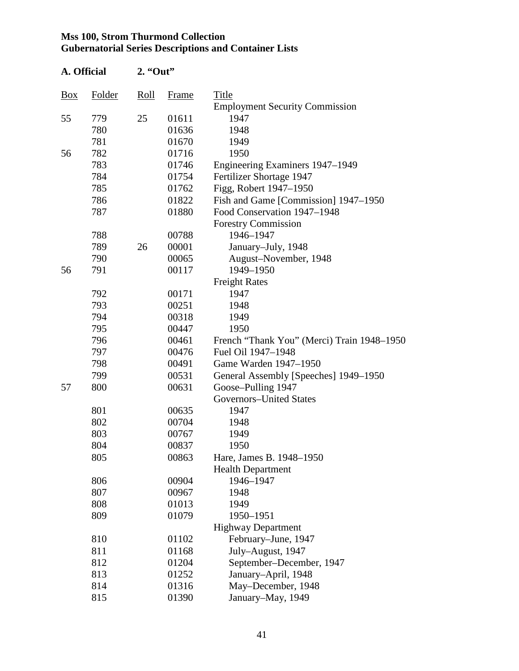| A. Official |        | $2.$ "Out" |       |                                            |  |
|-------------|--------|------------|-------|--------------------------------------------|--|
| Box         | Folder | Roll       | Frame | Title                                      |  |
|             |        |            |       | <b>Employment Security Commission</b>      |  |
| 55          | 779    | 25         | 01611 | 1947                                       |  |
|             | 780    |            | 01636 | 1948                                       |  |
|             | 781    |            | 01670 | 1949                                       |  |
| 56          | 782    |            | 01716 | 1950                                       |  |
|             | 783    |            | 01746 | Engineering Examiners 1947-1949            |  |
|             | 784    |            | 01754 | Fertilizer Shortage 1947                   |  |
|             | 785    |            | 01762 | Figg, Robert 1947-1950                     |  |
|             | 786    |            | 01822 | Fish and Game [Commission] 1947–1950       |  |
|             | 787    |            | 01880 | Food Conservation 1947–1948                |  |
|             |        |            |       | <b>Forestry Commission</b>                 |  |
|             | 788    |            | 00788 | 1946-1947                                  |  |
|             | 789    | 26         | 00001 | January-July, 1948                         |  |
|             | 790    |            | 00065 | August-November, 1948                      |  |
| 56          | 791    |            | 00117 | 1949-1950                                  |  |
|             |        |            |       | <b>Freight Rates</b>                       |  |
|             | 792    |            | 00171 | 1947                                       |  |
|             | 793    |            | 00251 | 1948                                       |  |
|             | 794    |            | 00318 | 1949                                       |  |
|             | 795    |            | 00447 | 1950                                       |  |
|             | 796    |            | 00461 | French "Thank You" (Merci) Train 1948–1950 |  |
|             | 797    |            | 00476 | Fuel Oil 1947-1948                         |  |
|             | 798    |            | 00491 | Game Warden 1947-1950                      |  |
|             | 799    |            | 00531 | General Assembly [Speeches] 1949–1950      |  |
| 57          | 800    |            | 00631 | Goose-Pulling 1947                         |  |
|             |        |            |       | <b>Governors-United States</b>             |  |
|             | 801    |            | 00635 | 1947                                       |  |
|             | 802    |            | 00704 | 1948                                       |  |
|             | 803    |            | 00767 | 1949                                       |  |
|             | 804    |            | 00837 | 1950                                       |  |
|             | 805    |            | 00863 | Hare, James B. 1948-1950                   |  |
|             |        |            |       | <b>Health Department</b>                   |  |
|             | 806    |            | 00904 | 1946-1947                                  |  |
|             | 807    |            | 00967 | 1948                                       |  |
|             | 808    |            | 01013 | 1949                                       |  |
|             | 809    |            | 01079 | 1950-1951                                  |  |
|             |        |            |       | <b>Highway Department</b>                  |  |
|             | 810    |            | 01102 | February–June, 1947                        |  |
|             | 811    |            | 01168 | July-August, 1947                          |  |
|             | 812    |            | 01204 | September-December, 1947                   |  |
|             | 813    |            | 01252 | January-April, 1948                        |  |
|             | 814    |            | 01316 | May-December, 1948                         |  |
|             | 815    |            | 01390 | January-May, 1949                          |  |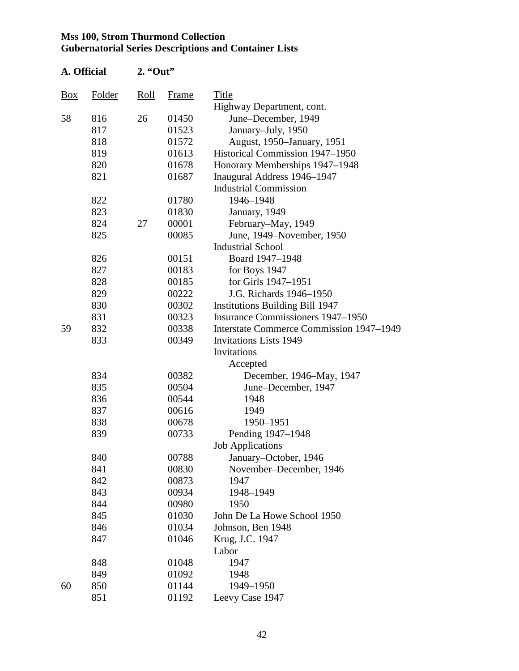| A. Official    |        | $2.$ "Out" |       |                                          |
|----------------|--------|------------|-------|------------------------------------------|
| $\frac{Box}{}$ | Folder | Roll       | Frame | Title                                    |
|                |        |            |       | Highway Department, cont.                |
| 58             | 816    | 26         | 01450 | June-December, 1949                      |
|                | 817    |            | 01523 | January-July, 1950                       |
|                | 818    |            | 01572 | August, 1950–January, 1951               |
|                | 819    |            | 01613 | Historical Commission 1947-1950          |
|                | 820    |            | 01678 | Honorary Memberships 1947–1948           |
|                | 821    |            | 01687 | Inaugural Address 1946-1947              |
|                |        |            |       | <b>Industrial Commission</b>             |
|                | 822    |            | 01780 | 1946-1948                                |
|                | 823    |            | 01830 | January, 1949                            |
|                | 824    | 27         | 00001 | February–May, 1949                       |
|                | 825    |            | 00085 | June, 1949–November, 1950                |
|                |        |            |       | <b>Industrial School</b>                 |
|                | 826    |            | 00151 | Board 1947-1948                          |
|                | 827    |            | 00183 | for Boys 1947                            |
|                | 828    |            | 00185 | for Girls 1947-1951                      |
|                | 829    |            | 00222 | J.G. Richards 1946-1950                  |
|                | 830    |            | 00302 | <b>Institutions Building Bill 1947</b>   |
|                | 831    |            | 00323 | <b>Insurance Commissioners 1947–1950</b> |
| 59             | 832    |            | 00338 | Interstate Commerce Commission 1947–1949 |
|                | 833    |            | 00349 | <b>Invitations Lists 1949</b>            |
|                |        |            |       | Invitations                              |
|                |        |            |       | Accepted                                 |
|                | 834    |            | 00382 | December, 1946-May, 1947                 |
|                | 835    |            | 00504 | June–December, 1947                      |
|                | 836    |            | 00544 | 1948                                     |
|                | 837    |            | 00616 | 1949                                     |
|                | 838    |            | 00678 | 1950-1951                                |
|                | 839    |            | 00733 | Pending 1947-1948                        |
|                |        |            |       | <b>Job Applications</b>                  |
|                | 840    |            | 00788 | January–October, 1946                    |
|                | 841    |            | 00830 | November-December, 1946                  |
|                | 842    |            | 00873 | 1947                                     |
|                | 843    |            | 00934 | 1948-1949                                |
|                | 844    |            | 00980 | 1950                                     |
|                | 845    |            | 01030 | John De La Howe School 1950              |
|                | 846    |            | 01034 | Johnson, Ben 1948                        |
|                | 847    |            | 01046 | Krug, J.C. 1947                          |
|                |        |            |       | Labor                                    |
|                | 848    |            | 01048 | 1947                                     |
|                | 849    |            | 01092 | 1948                                     |
| 60             | 850    |            | 01144 | 1949-1950                                |
|                | 851    |            | 01192 | Leevy Case 1947                          |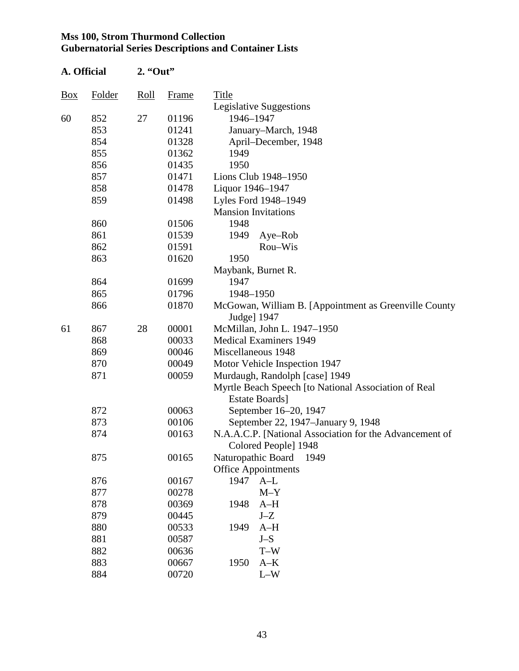| A. Official       |        | $2.$ "Out" |       |                                                                                 |  |  |  |
|-------------------|--------|------------|-------|---------------------------------------------------------------------------------|--|--|--|
| $\underline{Box}$ | Folder | Roll       | Frame | Title                                                                           |  |  |  |
|                   |        |            |       | Legislative Suggestions                                                         |  |  |  |
| 60                | 852    | 27         | 01196 | 1946-1947                                                                       |  |  |  |
|                   | 853    |            | 01241 | January-March, 1948                                                             |  |  |  |
|                   | 854    |            | 01328 | April–December, 1948                                                            |  |  |  |
|                   | 855    |            | 01362 | 1949                                                                            |  |  |  |
|                   | 856    |            | 01435 | 1950                                                                            |  |  |  |
|                   | 857    |            | 01471 | Lions Club 1948-1950                                                            |  |  |  |
|                   | 858    |            | 01478 | Liquor 1946-1947                                                                |  |  |  |
|                   | 859    |            | 01498 | Lyles Ford 1948-1949                                                            |  |  |  |
|                   |        |            |       | <b>Mansion Invitations</b>                                                      |  |  |  |
|                   | 860    |            | 01506 | 1948                                                                            |  |  |  |
|                   | 861    |            | 01539 | 1949<br>Aye-Rob                                                                 |  |  |  |
|                   | 862    |            | 01591 | Rou-Wis                                                                         |  |  |  |
|                   | 863    |            | 01620 | 1950                                                                            |  |  |  |
|                   |        |            |       | Maybank, Burnet R.                                                              |  |  |  |
|                   | 864    |            | 01699 | 1947                                                                            |  |  |  |
|                   | 865    |            | 01796 | 1948-1950                                                                       |  |  |  |
|                   | 866    |            | 01870 | McGowan, William B. [Appointment as Greenville County<br>Judge] 1947            |  |  |  |
| 61                | 867    | 28         | 00001 | McMillan, John L. 1947-1950                                                     |  |  |  |
|                   | 868    |            | 00033 | <b>Medical Examiners 1949</b>                                                   |  |  |  |
|                   | 869    |            | 00046 | Miscellaneous 1948                                                              |  |  |  |
|                   | 870    |            | 00049 | Motor Vehicle Inspection 1947                                                   |  |  |  |
|                   | 871    |            | 00059 | Murdaugh, Randolph [case] 1949                                                  |  |  |  |
|                   |        |            |       | Myrtle Beach Speech [to National Association of Real                            |  |  |  |
|                   |        |            |       | <b>Estate Boards</b> ]                                                          |  |  |  |
|                   | 872    |            | 00063 | September 16-20, 1947                                                           |  |  |  |
|                   | 873    |            | 00106 | September 22, 1947–January 9, 1948                                              |  |  |  |
|                   | 874    |            | 00163 | N.A.A.C.P. [National Association for the Advancement of<br>Colored People] 1948 |  |  |  |
|                   | 875    |            | 00165 | Naturopathic Board<br>1949                                                      |  |  |  |
|                   |        |            |       | <b>Office Appointments</b>                                                      |  |  |  |
|                   | 876    |            | 00167 | 1947<br>$A-L$                                                                   |  |  |  |
|                   | 877    |            | 00278 | $M-Y$                                                                           |  |  |  |
|                   | 878    |            | 00369 | 1948<br>$A-H$                                                                   |  |  |  |
|                   | 879    |            | 00445 | $J-Z$                                                                           |  |  |  |
|                   | 880    |            | 00533 | 1949<br>$A-H$                                                                   |  |  |  |
|                   | 881    |            | 00587 | $J-S$                                                                           |  |  |  |
|                   | 882    |            | 00636 | $T-W$                                                                           |  |  |  |
|                   | 883    |            | 00667 | 1950<br>$A-K$                                                                   |  |  |  |
|                   | 884    |            | 00720 | $L-W$                                                                           |  |  |  |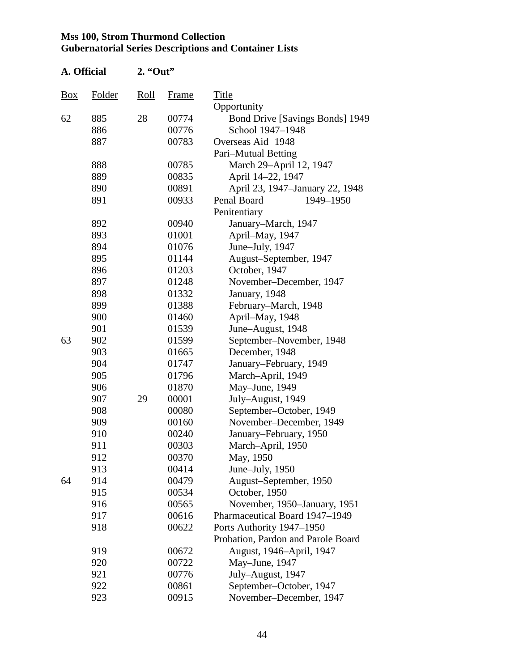| A. Official    |        | 2. "Out" |       |                                    |  |  |
|----------------|--------|----------|-------|------------------------------------|--|--|
| $\frac{Box}{}$ | Folder | Roll     | Frame | Title                              |  |  |
|                |        |          |       | Opportunity                        |  |  |
| 62             | 885    | 28       | 00774 | Bond Drive [Savings Bonds] 1949    |  |  |
|                | 886    |          | 00776 | School 1947-1948                   |  |  |
|                | 887    |          | 00783 | Overseas Aid 1948                  |  |  |
|                |        |          |       | Pari–Mutual Betting                |  |  |
|                | 888    |          | 00785 | March 29-April 12, 1947            |  |  |
|                | 889    |          | 00835 | April 14-22, 1947                  |  |  |
|                | 890    |          | 00891 | April 23, 1947–January 22, 1948    |  |  |
|                | 891    |          | 00933 | Penal Board<br>1949-1950           |  |  |
|                |        |          |       | Penitentiary                       |  |  |
|                | 892    |          | 00940 | January–March, 1947                |  |  |
|                | 893    |          | 01001 | April-May, 1947                    |  |  |
|                | 894    |          | 01076 | June-July, 1947                    |  |  |
|                | 895    |          | 01144 | August-September, 1947             |  |  |
|                | 896    |          | 01203 | October, 1947                      |  |  |
|                | 897    |          | 01248 | November-December, 1947            |  |  |
|                | 898    |          | 01332 | January, 1948                      |  |  |
|                | 899    |          | 01388 | February–March, 1948               |  |  |
|                | 900    |          | 01460 | April-May, 1948                    |  |  |
|                | 901    |          | 01539 | June-August, 1948                  |  |  |
| 63             | 902    |          | 01599 | September-November, 1948           |  |  |
|                | 903    |          | 01665 | December, 1948                     |  |  |
|                | 904    |          | 01747 | January–February, 1949             |  |  |
|                | 905    |          | 01796 | March-April, 1949                  |  |  |
|                | 906    |          | 01870 | May-June, 1949                     |  |  |
|                | 907    | 29       | 00001 | July-August, 1949                  |  |  |
|                | 908    |          | 00080 | September-October, 1949            |  |  |
|                | 909    |          | 00160 | November-December, 1949            |  |  |
|                | 910    |          | 00240 | January–February, 1950             |  |  |
|                | 911    |          | 00303 | March-April, 1950                  |  |  |
|                | 912    |          | 00370 | May, 1950                          |  |  |
|                | 913    |          | 00414 | June-July, 1950                    |  |  |
| 64             | 914    |          | 00479 | August-September, 1950             |  |  |
|                | 915    |          | 00534 | October, 1950                      |  |  |
|                | 916    |          | 00565 | November, 1950–January, 1951       |  |  |
|                | 917    |          | 00616 | Pharmaceutical Board 1947–1949     |  |  |
|                | 918    |          | 00622 | Ports Authority 1947-1950          |  |  |
|                |        |          |       | Probation, Pardon and Parole Board |  |  |
|                | 919    |          | 00672 | August, 1946–April, 1947           |  |  |
|                | 920    |          | 00722 | May-June, 1947                     |  |  |
|                | 921    |          | 00776 | July-August, 1947                  |  |  |
|                | 922    |          | 00861 | September-October, 1947            |  |  |
|                | 923    |          | 00915 | November-December, 1947            |  |  |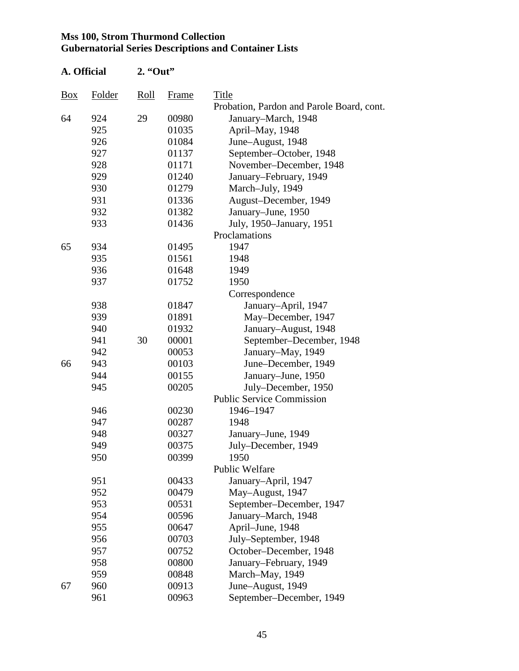| A. Official |        | $2.$ "Out" |       |                                           |
|-------------|--------|------------|-------|-------------------------------------------|
| <b>Box</b>  | Folder | Roll       | Frame | Title                                     |
|             |        |            |       | Probation, Pardon and Parole Board, cont. |
| 64          | 924    | 29         | 00980 | January-March, 1948                       |
|             | 925    |            | 01035 | April-May, 1948                           |
|             | 926    |            | 01084 | June-August, 1948                         |
|             | 927    |            | 01137 | September-October, 1948                   |
|             | 928    |            | 01171 | November-December, 1948                   |
|             | 929    |            | 01240 | January–February, 1949                    |
|             | 930    |            | 01279 | March-July, 1949                          |
|             | 931    |            | 01336 | August-December, 1949                     |
|             | 932    |            | 01382 | January–June, 1950                        |
|             | 933    |            | 01436 | July, 1950–January, 1951                  |
|             |        |            |       | Proclamations                             |
| 65          | 934    |            | 01495 | 1947                                      |
|             | 935    |            | 01561 | 1948                                      |
|             | 936    |            | 01648 | 1949                                      |
|             | 937    |            | 01752 | 1950                                      |
|             |        |            |       | Correspondence                            |
|             | 938    |            | 01847 | January-April, 1947                       |
|             | 939    |            | 01891 | May-December, 1947                        |
|             | 940    |            | 01932 | January-August, 1948                      |
|             | 941    | 30         | 00001 | September-December, 1948                  |
|             | 942    |            | 00053 | January-May, 1949                         |
| 66          | 943    |            | 00103 | June-December, 1949                       |
|             | 944    |            | 00155 | January–June, 1950                        |
|             | 945    |            | 00205 | July-December, 1950                       |
|             |        |            |       | <b>Public Service Commission</b>          |
|             | 946    |            | 00230 | 1946-1947                                 |
|             | 947    |            | 00287 | 1948                                      |
|             | 948    |            | 00327 | January-June, 1949                        |
|             | 949    |            | 00375 | July–December, 1949                       |
|             | 950    |            | 00399 | 1950                                      |
|             |        |            |       | Public Welfare                            |
|             | 951    |            | 00433 | January-April, 1947                       |
|             | 952    |            | 00479 | May-August, 1947                          |
|             | 953    |            | 00531 | September-December, 1947                  |
|             | 954    |            | 00596 | January-March, 1948                       |
|             | 955    |            | 00647 | April-June, 1948                          |
|             | 956    |            | 00703 | July-September, 1948                      |
|             | 957    |            | 00752 | October-December, 1948                    |
|             | 958    |            | 00800 | January–February, 1949                    |
|             | 959    |            | 00848 | March-May, 1949                           |
| 67          | 960    |            | 00913 | June-August, 1949                         |
|             | 961    |            | 00963 | September-December, 1949                  |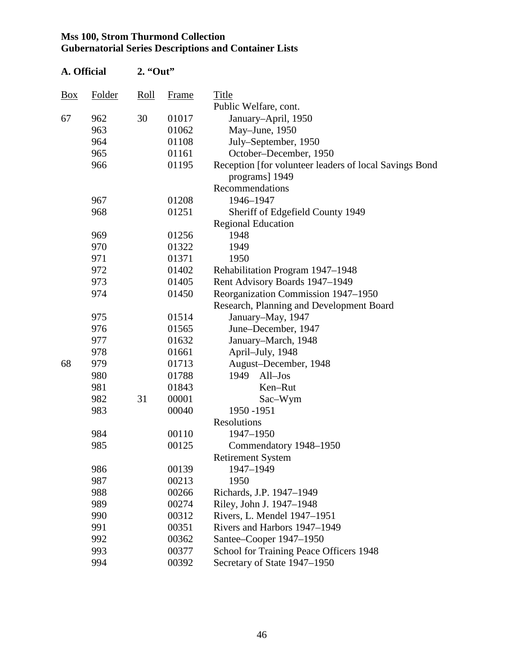| A. Official    |               | $2.$ "Out" |              |                                                                          |
|----------------|---------------|------------|--------------|--------------------------------------------------------------------------|
| $\frac{Box}{}$ | <b>Folder</b> | Roll       | <b>Frame</b> | Title                                                                    |
|                |               |            |              | Public Welfare, cont.                                                    |
| 67             | 962           | 30         | 01017        | January-April, 1950                                                      |
|                | 963           |            | 01062        | May-June, 1950                                                           |
|                | 964           |            | 01108        | July-September, 1950                                                     |
|                | 965           |            | 01161        | October-December, 1950                                                   |
|                | 966           |            | 01195        | Reception [for volunteer leaders of local Savings Bond<br>programs] 1949 |
|                |               |            |              | Recommendations                                                          |
|                | 967           |            | 01208        | 1946-1947                                                                |
|                | 968           |            | 01251        | Sheriff of Edgefield County 1949                                         |
|                |               |            |              | <b>Regional Education</b>                                                |
|                | 969           |            | 01256        | 1948                                                                     |
|                | 970           |            | 01322        | 1949                                                                     |
|                | 971           |            | 01371        | 1950                                                                     |
|                | 972           |            | 01402        | Rehabilitation Program 1947-1948                                         |
|                | 973           |            | 01405        | Rent Advisory Boards 1947-1949                                           |
|                | 974           |            | 01450        | Reorganization Commission 1947-1950                                      |
|                |               |            |              | Research, Planning and Development Board                                 |
|                | 975           |            | 01514        | January-May, 1947                                                        |
|                | 976           |            | 01565        | June-December, 1947                                                      |
|                | 977           |            | 01632        | January-March, 1948                                                      |
|                | 978           |            | 01661        | April-July, 1948                                                         |
| 68             | 979           |            | 01713        | August-December, 1948                                                    |
|                | 980           |            | 01788        | 1949<br>$All-Jos$                                                        |
|                | 981           |            | 01843        | Ken-Rut                                                                  |
|                | 982           | 31         | 00001        | Sac-Wym                                                                  |
|                | 983           |            | 00040        | 1950 - 1951                                                              |
|                |               |            |              | Resolutions                                                              |
|                | 984           |            | 00110        | 1947-1950                                                                |
|                | 985           |            | 00125        | Commendatory 1948-1950                                                   |
|                |               |            |              | <b>Retirement System</b>                                                 |
|                | 986           |            | 00139        | 1947-1949                                                                |
|                | 987           |            | 00213        | 1950                                                                     |
|                | 988           |            | 00266        | Richards, J.P. 1947-1949                                                 |
|                | 989           |            | 00274        | Riley, John J. 1947-1948                                                 |
|                | 990           |            | 00312        | Rivers, L. Mendel 1947-1951                                              |
|                | 991           |            | 00351        | Rivers and Harbors 1947–1949                                             |
|                | 992           |            | 00362        | Santee-Cooper 1947-1950                                                  |
|                | 993           |            | 00377        | School for Training Peace Officers 1948                                  |
|                | 994           |            | 00392        | Secretary of State 1947–1950                                             |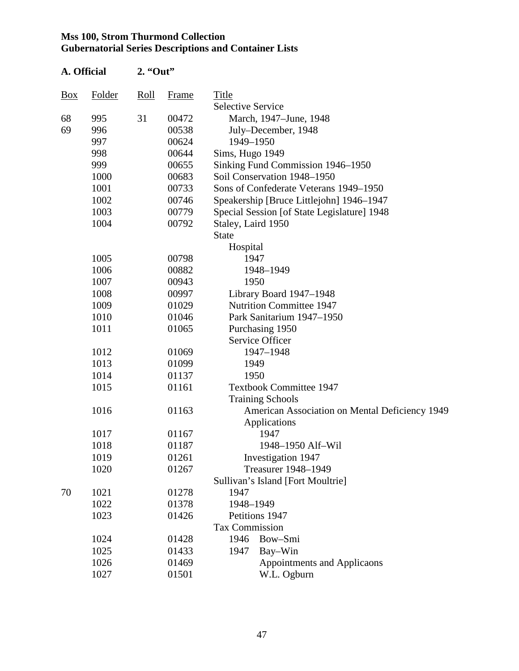| A. Official |        | 2. "Out" |       |                                                |  |  |
|-------------|--------|----------|-------|------------------------------------------------|--|--|
| <u>Box</u>  | Folder | Roll     | Frame | Title                                          |  |  |
|             |        |          |       | <b>Selective Service</b>                       |  |  |
| 68          | 995    | 31       | 00472 | March, 1947–June, 1948                         |  |  |
| 69          | 996    |          | 00538 | July–December, 1948                            |  |  |
|             | 997    |          | 00624 | 1949-1950                                      |  |  |
|             | 998    |          | 00644 | Sims, Hugo 1949                                |  |  |
|             | 999    |          | 00655 | Sinking Fund Commission 1946-1950              |  |  |
|             | 1000   |          | 00683 | Soil Conservation 1948-1950                    |  |  |
|             | 1001   |          | 00733 | Sons of Confederate Veterans 1949-1950         |  |  |
|             | 1002   |          | 00746 | Speakership [Bruce Littlejohn] 1946–1947       |  |  |
|             | 1003   |          | 00779 | Special Session [of State Legislature] 1948    |  |  |
|             | 1004   |          | 00792 | Staley, Laird 1950<br><b>State</b>             |  |  |
|             |        |          |       | Hospital                                       |  |  |
|             | 1005   |          | 00798 | 1947                                           |  |  |
|             | 1006   |          | 00882 | 1948-1949                                      |  |  |
|             | 1007   |          | 00943 | 1950                                           |  |  |
|             | 1008   |          | 00997 | Library Board 1947-1948                        |  |  |
|             | 1009   |          | 01029 | <b>Nutrition Committee 1947</b>                |  |  |
|             | 1010   |          | 01046 | Park Sanitarium 1947-1950                      |  |  |
|             | 1011   |          | 01065 | Purchasing 1950                                |  |  |
|             |        |          |       | Service Officer                                |  |  |
|             | 1012   |          | 01069 | 1947-1948                                      |  |  |
|             | 1013   |          | 01099 | 1949                                           |  |  |
|             | 1014   |          | 01137 | 1950                                           |  |  |
|             | 1015   |          | 01161 | <b>Textbook Committee 1947</b>                 |  |  |
|             |        |          |       | <b>Training Schools</b>                        |  |  |
|             | 1016   |          | 01163 | American Association on Mental Deficiency 1949 |  |  |
|             |        |          |       | Applications                                   |  |  |
|             | 1017   |          | 01167 | 1947                                           |  |  |
|             | 1018   |          | 01187 | 1948-1950 Alf-Wil                              |  |  |
|             | 1019   |          | 01261 | Investigation 1947                             |  |  |
|             | 1020   |          | 01267 | Treasurer 1948-1949                            |  |  |
|             |        |          |       | Sullivan's Island [Fort Moultrie]              |  |  |
| 70          | 1021   |          | 01278 | 1947                                           |  |  |
|             | 1022   |          | 01378 | 1948-1949                                      |  |  |
|             | 1023   |          | 01426 | Petitions 1947                                 |  |  |
|             |        |          |       | <b>Tax Commission</b>                          |  |  |
|             | 1024   |          | 01428 | 1946<br>Bow-Smi                                |  |  |
|             | 1025   |          | 01433 | Bay-Win<br>1947                                |  |  |
|             | 1026   |          | 01469 | Appointments and Applicaons                    |  |  |
|             | 1027   |          | 01501 | W.L. Ogburn                                    |  |  |
|             |        |          |       |                                                |  |  |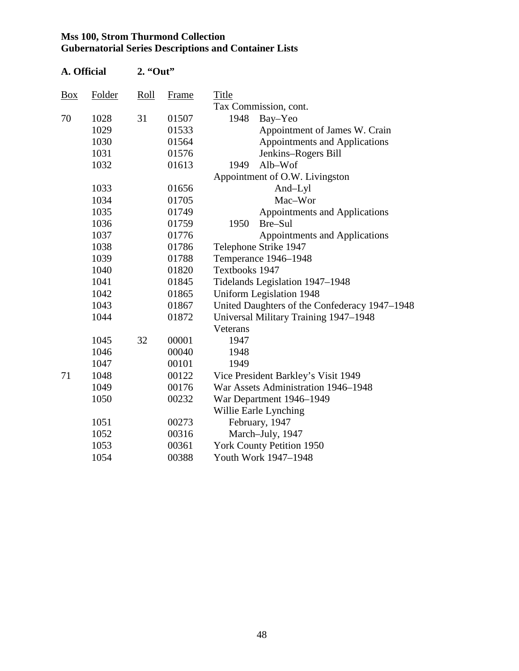| A. Official    |               | $2.$ "Out"  |              |                                               |
|----------------|---------------|-------------|--------------|-----------------------------------------------|
| $\frac{Box}{}$ | <b>Folder</b> | <u>Roll</u> | <b>Frame</b> | Title                                         |
|                |               |             |              | Tax Commission, cont.                         |
| 70             | 1028          | 31          | 01507        | 1948<br>Bay-Yeo                               |
|                | 1029          |             | 01533        | Appointment of James W. Crain                 |
|                | 1030          |             | 01564        | <b>Appointments and Applications</b>          |
|                | 1031          |             | 01576        | Jenkins-Rogers Bill                           |
|                | 1032          |             | 01613        | 1949<br>Alb-Wof                               |
|                |               |             |              | Appointment of O.W. Livingston                |
|                | 1033          |             | 01656        | And-Lyl                                       |
|                | 1034          |             | 01705        | Mac-Wor                                       |
|                | 1035          |             | 01749        | <b>Appointments and Applications</b>          |
|                | 1036          |             | 01759        | Bre-Sul<br>1950                               |
|                | 1037          |             | 01776        | Appointments and Applications                 |
|                | 1038          |             | 01786        | Telephone Strike 1947                         |
|                | 1039          |             | 01788        | Temperance 1946-1948                          |
|                | 1040          |             | 01820        | Textbooks 1947                                |
|                | 1041          |             | 01845        | Tidelands Legislation 1947-1948               |
|                | 1042          |             | 01865        | <b>Uniform Legislation 1948</b>               |
|                | 1043          |             | 01867        | United Daughters of the Confederacy 1947-1948 |
|                | 1044          |             | 01872        | Universal Military Training 1947–1948         |
|                |               |             |              | Veterans                                      |
|                | 1045          | 32          | 00001        | 1947                                          |
|                | 1046          |             | 00040        | 1948                                          |
|                | 1047          |             | 00101        | 1949                                          |
| 71             | 1048          |             | 00122        | Vice President Barkley's Visit 1949           |
|                | 1049          |             | 00176        | War Assets Administration 1946-1948           |
|                | 1050          |             | 00232        | War Department 1946–1949                      |
|                |               |             |              | Willie Earle Lynching                         |
|                | 1051          |             | 00273        | February, 1947                                |
|                | 1052          |             | 00316        | March-July, 1947                              |
|                | 1053          |             | 00361        | <b>York County Petition 1950</b>              |
|                | 1054          |             | 00388        | Youth Work 1947-1948                          |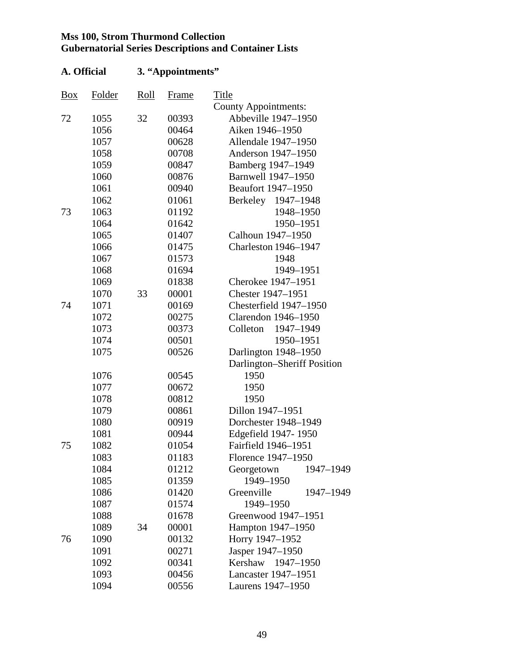| Box | Folder | Roll | Frame | <b>Title</b>                |
|-----|--------|------|-------|-----------------------------|
|     |        |      |       | <b>County Appointments:</b> |
| 72  | 1055   | 32   | 00393 | Abbeville 1947-1950         |
|     | 1056   |      | 00464 | Aiken 1946-1950             |
|     | 1057   |      | 00628 | Allendale 1947-1950         |
|     | 1058   |      | 00708 | Anderson 1947-1950          |
|     | 1059   |      | 00847 | Bamberg 1947-1949           |
|     | 1060   |      | 00876 | Barnwell 1947-1950          |
|     | 1061   |      | 00940 | Beaufort 1947-1950          |
|     | 1062   |      | 01061 | Berkeley<br>1947-1948       |
| 73  | 1063   |      | 01192 | 1948-1950                   |
|     | 1064   |      | 01642 | 1950-1951                   |
|     | 1065   |      | 01407 | Calhoun 1947-1950           |
|     | 1066   |      | 01475 | <b>Charleston 1946-1947</b> |
|     | 1067   |      | 01573 | 1948                        |
|     | 1068   |      | 01694 | 1949-1951                   |
|     | 1069   |      | 01838 | Cherokee 1947-1951          |
|     | 1070   | 33   | 00001 | Chester 1947-1951           |
| 74  | 1071   |      | 00169 | Chesterfield 1947-1950      |
|     | 1072   |      | 00275 | Clarendon 1946-1950         |
|     | 1073   |      | 00373 | Colleton<br>1947-1949       |
|     | 1074   |      | 00501 | 1950-1951                   |
|     | 1075   |      | 00526 | Darlington 1948-1950        |
|     |        |      |       | Darlington-Sheriff Position |
|     | 1076   |      | 00545 | 1950                        |
|     | 1077   |      | 00672 | 1950                        |
|     | 1078   |      | 00812 | 1950                        |
|     | 1079   |      | 00861 | Dillon 1947-1951            |
|     | 1080   |      | 00919 | Dorchester 1948-1949        |
|     | 1081   |      | 00944 | Edgefield 1947-1950         |
| 75  | 1082   |      | 01054 | Fairfield 1946-1951         |
|     | 1083   |      | 01183 | Florence 1947-1950          |
|     | 1084   |      | 01212 | Georgetown<br>1947–1949     |
|     | 1085   |      | 01359 | 1949-1950                   |
|     | 1086   |      | 01420 | Greenville<br>1947-1949     |
|     | 1087   |      | 01574 | 1949-1950                   |
|     | 1088   |      | 01678 | Greenwood 1947-1951         |
|     | 1089   | 34   | 00001 | Hampton 1947-1950           |
| 76  | 1090   |      | 00132 | Horry 1947-1952             |
|     | 1091   |      | 00271 | Jasper 1947-1950            |
|     | 1092   |      | 00341 | Kershaw<br>1947-1950        |
|     | 1093   |      | 00456 | Lancaster 1947-1951         |
|     | 1094   |      | 00556 | Laurens 1947-1950           |
|     |        |      |       |                             |

# **A. Official 3. "Appointments"**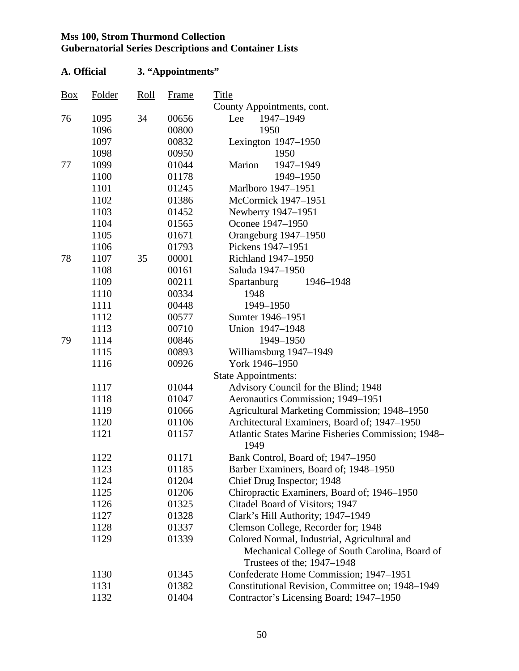# **A. Official 3. "Appointments"**

| <b>Box</b> | Folder | Roll | Frame | Title                                                                        |
|------------|--------|------|-------|------------------------------------------------------------------------------|
|            |        |      |       | County Appointments, cont.                                                   |
| 76         | 1095   | 34   | 00656 | Lee<br>1947-1949                                                             |
|            | 1096   |      | 00800 | 1950                                                                         |
|            | 1097   |      | 00832 | Lexington $1947-1950$                                                        |
|            | 1098   |      | 00950 | 1950                                                                         |
| 77         | 1099   |      | 01044 | Marion<br>1947-1949                                                          |
|            | 1100   |      | 01178 | 1949-1950                                                                    |
|            | 1101   |      | 01245 | Marlboro 1947-1951                                                           |
|            | 1102   |      | 01386 | McCormick 1947-1951                                                          |
|            | 1103   |      | 01452 | Newberry 1947-1951                                                           |
|            | 1104   |      | 01565 | Oconee 1947-1950                                                             |
|            | 1105   |      | 01671 | Orangeburg 1947-1950                                                         |
|            | 1106   |      | 01793 | Pickens 1947–1951                                                            |
| 78         | 1107   | 35   | 00001 | Richland 1947-1950                                                           |
|            | 1108   |      | 00161 | Saluda 1947-1950                                                             |
|            | 1109   |      | 00211 | <b>Spartanburg</b><br>1946-1948                                              |
|            | 1110   |      | 00334 | 1948                                                                         |
|            | 1111   |      | 00448 | 1949-1950                                                                    |
|            | 1112   |      | 00577 | Sumter 1946-1951                                                             |
|            | 1113   |      | 00710 | Union 1947-1948                                                              |
| 79         | 1114   |      | 00846 | 1949-1950                                                                    |
|            | 1115   |      | 00893 | Williamsburg 1947-1949                                                       |
|            | 1116   |      | 00926 | York 1946-1950                                                               |
|            |        |      |       | <b>State Appointments:</b>                                                   |
|            | 1117   |      | 01044 | Advisory Council for the Blind; 1948                                         |
|            | 1118   |      | 01047 | Aeronautics Commission; 1949-1951                                            |
|            | 1119   |      | 01066 | Agricultural Marketing Commission; 1948-1950                                 |
|            | 1120   |      | 01106 | Architectural Examiners, Board of; 1947-1950                                 |
|            | 1121   |      | 01157 | Atlantic States Marine Fisheries Commission; 1948–                           |
|            |        |      |       | 1949                                                                         |
|            | 1122   |      | 01171 | Bank Control, Board of; 1947-1950                                            |
|            | 1123   |      | 01185 | Barber Examiners, Board of; 1948-1950                                        |
|            | 1124   |      | 01204 | Chief Drug Inspector; 1948                                                   |
|            | 1125   |      | 01206 | Chiropractic Examiners, Board of; 1946–1950                                  |
|            | 1126   |      | 01325 | Citadel Board of Visitors; 1947                                              |
|            | 1127   |      | 01328 | Clark's Hill Authority; 1947-1949                                            |
|            | 1128   |      | 01337 | Clemson College, Recorder for; 1948                                          |
|            | 1129   |      | 01339 | Colored Normal, Industrial, Agricultural and                                 |
|            |        |      |       | Mechanical College of South Carolina, Board of<br>Trustees of the; 1947–1948 |
|            | 1130   |      | 01345 | Confederate Home Commission; 1947-1951                                       |
|            | 1131   |      | 01382 | Constitutional Revision, Committee on; 1948-1949                             |
|            | 1132   |      | 01404 | Contractor's Licensing Board; 1947-1950                                      |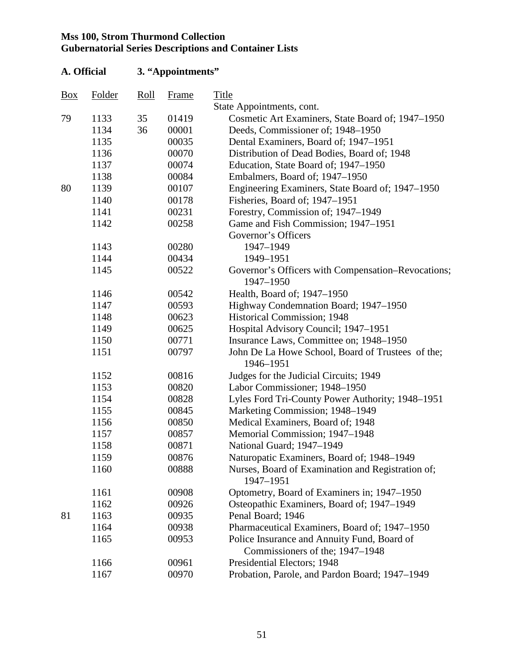| A. Official |        |      | 3. "Appointments" |                                                                |
|-------------|--------|------|-------------------|----------------------------------------------------------------|
| <b>Box</b>  | Folder | Roll | Frame             | Title                                                          |
|             |        |      |                   | State Appointments, cont.                                      |
| 79          | 1133   | 35   | 01419             | Cosmetic Art Examiners, State Board of; 1947–1950              |
|             | 1134   | 36   | 00001             | Deeds, Commissioner of; 1948–1950                              |
|             | 1135   |      | 00035             | Dental Examiners, Board of; 1947–1951                          |
|             | 1136   |      | 00070             | Distribution of Dead Bodies, Board of; 1948                    |
|             | 1137   |      | 00074             | Education, State Board of; 1947-1950                           |
|             | 1138   |      | 00084             | Embalmers, Board of; 1947-1950                                 |
| 80          | 1139   |      | 00107             | Engineering Examiners, State Board of; 1947–1950               |
|             | 1140   |      | 00178             | Fisheries, Board of; 1947-1951                                 |
|             | 1141   |      | 00231             | Forestry, Commission of; 1947–1949                             |
|             | 1142   |      | 00258             | Game and Fish Commission; 1947–1951                            |
|             |        |      |                   | Governor's Officers                                            |
|             | 1143   |      | 00280             | 1947-1949                                                      |
|             | 1144   |      | 00434             | 1949-1951                                                      |
|             | 1145   |      | 00522             | Governor's Officers with Compensation–Revocations;             |
|             |        |      |                   | 1947-1950                                                      |
|             | 1146   |      | 00542             | Health, Board of; 1947-1950                                    |
|             | 1147   |      | 00593             | Highway Condemnation Board; 1947-1950                          |
|             | 1148   |      | 00623             | <b>Historical Commission</b> ; 1948                            |
|             | 1149   |      | 00625             | Hospital Advisory Council; 1947-1951                           |
|             | 1150   |      | 00771             | Insurance Laws, Committee on; 1948-1950                        |
|             | 1151   |      | 00797             | John De La Howe School, Board of Trustees of the;              |
|             |        |      |                   | 1946-1951                                                      |
|             | 1152   |      | 00816             | Judges for the Judicial Circuits; 1949                         |
|             | 1153   |      | 00820             | Labor Commissioner; 1948–1950                                  |
|             | 1154   |      | 00828             | Lyles Ford Tri-County Power Authority; 1948-1951               |
|             | 1155   |      | 00845             | Marketing Commission; 1948-1949                                |
|             | 1156   |      | 00850             | Medical Examiners, Board of; 1948                              |
|             | 1157   |      | 00857             | Memorial Commission; 1947-1948                                 |
|             | 1158   |      | 00871             | National Guard; 1947-1949                                      |
|             | 1159   |      | 00876             | Naturopatic Examiners, Board of; 1948–1949                     |
|             | 1160   |      | 00888             | Nurses, Board of Examination and Registration of;<br>1947-1951 |
|             | 1161   |      | 00908             | Optometry, Board of Examiners in; 1947–1950                    |
|             | 1162   |      | 00926             | Osteopathic Examiners, Board of; 1947-1949                     |
| 81          | 1163   |      | 00935             | Penal Board; 1946                                              |
|             | 1164   |      | 00938             | Pharmaceutical Examiners, Board of; 1947-1950                  |
|             | 1165   |      | 00953             | Police Insurance and Annuity Fund, Board of                    |
|             |        |      |                   | Commissioners of the; 1947–1948                                |
|             | 1166   |      | 00961             | Presidential Electors; 1948                                    |
|             | 1167   |      | 00970             | Probation, Parole, and Pardon Board; 1947-1949                 |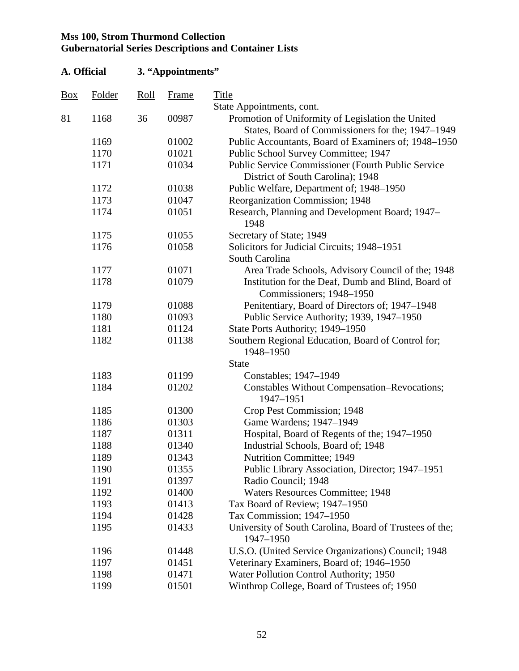| A. Official         |        |      | 3. "Appointments" |                                                                                                        |  |  |  |
|---------------------|--------|------|-------------------|--------------------------------------------------------------------------------------------------------|--|--|--|
| $\frac{Box}{angle}$ | Folder | Roll | <b>Frame</b>      | <b>Title</b>                                                                                           |  |  |  |
|                     |        |      |                   | State Appointments, cont.                                                                              |  |  |  |
| 81                  | 1168   | 36   | 00987             | Promotion of Uniformity of Legislation the United<br>States, Board of Commissioners for the; 1947–1949 |  |  |  |
|                     | 1169   |      | 01002             | Public Accountants, Board of Examiners of; 1948–1950                                                   |  |  |  |
|                     | 1170   |      | 01021             | Public School Survey Committee; 1947                                                                   |  |  |  |
|                     | 1171   |      | 01034             | Public Service Commissioner (Fourth Public Service<br>District of South Carolina); 1948                |  |  |  |
|                     | 1172   |      | 01038             | Public Welfare, Department of; 1948-1950                                                               |  |  |  |
|                     | 1173   |      | 01047             | Reorganization Commission; 1948                                                                        |  |  |  |
|                     | 1174   |      | 01051             | Research, Planning and Development Board; 1947–<br>1948                                                |  |  |  |
|                     | 1175   |      | 01055             | Secretary of State; 1949                                                                               |  |  |  |
|                     | 1176   |      | 01058             | Solicitors for Judicial Circuits; 1948-1951<br>South Carolina                                          |  |  |  |
|                     | 1177   |      | 01071             | Area Trade Schools, Advisory Council of the; 1948                                                      |  |  |  |
|                     | 1178   |      | 01079             | Institution for the Deaf, Dumb and Blind, Board of<br>Commissioners; 1948-1950                         |  |  |  |
|                     | 1179   |      | 01088             | Penitentiary, Board of Directors of; 1947–1948                                                         |  |  |  |
|                     | 1180   |      | 01093             | Public Service Authority; 1939, 1947–1950                                                              |  |  |  |
|                     | 1181   |      | 01124             | State Ports Authority; 1949-1950                                                                       |  |  |  |
|                     | 1182   |      | 01138             | Southern Regional Education, Board of Control for;<br>1948-1950                                        |  |  |  |
|                     |        |      |                   | <b>State</b>                                                                                           |  |  |  |
|                     | 1183   |      | 01199             | Constables; 1947-1949                                                                                  |  |  |  |
|                     | 1184   |      | 01202             | Constables Without Compensation-Revocations;<br>1947-1951                                              |  |  |  |
|                     | 1185   |      | 01300             | Crop Pest Commission; 1948                                                                             |  |  |  |
|                     | 1186   |      | 01303             | Game Wardens; 1947-1949                                                                                |  |  |  |
|                     | 1187   |      | 01311             | Hospital, Board of Regents of the; 1947–1950                                                           |  |  |  |
|                     | 1188   |      | 01340             | Industrial Schools, Board of; 1948                                                                     |  |  |  |
|                     | 1189   |      | 01343             | <b>Nutrition Committee; 1949</b>                                                                       |  |  |  |
|                     | 1190   |      | 01355             | Public Library Association, Director; 1947–1951                                                        |  |  |  |
|                     | 1191   |      | 01397             | Radio Council; 1948                                                                                    |  |  |  |
|                     | 1192   |      | 01400             | <b>Waters Resources Committee; 1948</b>                                                                |  |  |  |
|                     | 1193   |      | 01413             | Tax Board of Review; 1947-1950                                                                         |  |  |  |
|                     | 1194   |      | 01428             | Tax Commission; 1947-1950                                                                              |  |  |  |
|                     | 1195   |      | 01433             | University of South Carolina, Board of Trustees of the;<br>1947-1950                                   |  |  |  |
|                     | 1196   |      | 01448             | U.S.O. (United Service Organizations) Council; 1948                                                    |  |  |  |
|                     | 1197   |      | 01451             | Veterinary Examiners, Board of; 1946-1950                                                              |  |  |  |
|                     | 1198   |      | 01471             | Water Pollution Control Authority; 1950                                                                |  |  |  |
|                     | 1199   |      | 01501             | Winthrop College, Board of Trustees of; 1950                                                           |  |  |  |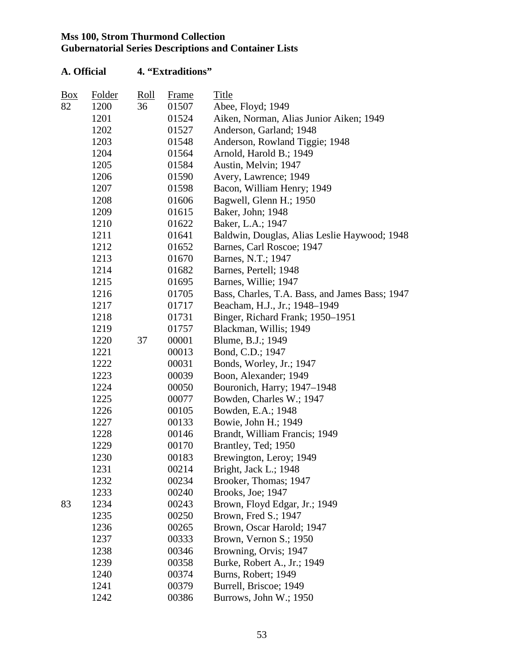| $\frac{Box}{angle}$ | <b>Folder</b> | <u>Roll</u> | <b>Frame</b> | Title                                          |
|---------------------|---------------|-------------|--------------|------------------------------------------------|
| 82                  | 1200          | 36          | 01507        | Abee, Floyd; 1949                              |
|                     | 1201          |             | 01524        | Aiken, Norman, Alias Junior Aiken; 1949        |
|                     | 1202          |             | 01527        | Anderson, Garland; 1948                        |
|                     | 1203          |             | 01548        | Anderson, Rowland Tiggie; 1948                 |
|                     | 1204          |             | 01564        | Arnold, Harold B.; 1949                        |
|                     | 1205          |             | 01584        | Austin, Melvin; 1947                           |
|                     | 1206          |             | 01590        | Avery, Lawrence; 1949                          |
|                     | 1207          |             | 01598        | Bacon, William Henry; 1949                     |
|                     | 1208          |             | 01606        | Bagwell, Glenn H.; 1950                        |
|                     | 1209          |             | 01615        | Baker, John; 1948                              |
|                     | 1210          |             | 01622        | Baker, L.A.; 1947                              |
|                     | 1211          |             | 01641        | Baldwin, Douglas, Alias Leslie Haywood; 1948   |
|                     | 1212          |             | 01652        | Barnes, Carl Roscoe; 1947                      |
|                     | 1213          |             | 01670        | Barnes, N.T.; 1947                             |
|                     | 1214          |             | 01682        | Barnes, Pertell; 1948                          |
|                     | 1215          |             | 01695        | Barnes, Willie; 1947                           |
|                     | 1216          |             | 01705        | Bass, Charles, T.A. Bass, and James Bass; 1947 |
|                     | 1217          |             | 01717        | Beacham, H.J., Jr.; 1948-1949                  |
|                     | 1218          |             | 01731        | Binger, Richard Frank; 1950–1951               |
|                     | 1219          |             | 01757        | Blackman, Willis; 1949                         |
|                     | 1220          | 37          | 00001        | Blume, B.J.; 1949                              |
|                     | 1221          |             | 00013        | Bond, C.D.; 1947                               |
|                     | 1222          |             | 00031        | Bonds, Worley, Jr.; 1947                       |
|                     | 1223          |             | 00039        | Boon, Alexander; 1949                          |
|                     | 1224          |             | 00050        | Bouronich, Harry; 1947–1948                    |
|                     | 1225          |             | 00077        | Bowden, Charles W.; 1947                       |
|                     | 1226          |             | 00105        | Bowden, E.A.; 1948                             |
|                     | 1227          |             | 00133        | Bowie, John H.; 1949                           |
|                     | 1228          |             | 00146        | Brandt, William Francis; 1949                  |
|                     | 1229          |             | 00170        | Brantley, Ted; 1950                            |
|                     | 1230          |             | 00183        | Brewington, Leroy; 1949                        |
|                     | 1231          |             | 00214        | Bright, Jack L.; 1948                          |
|                     | 1232          |             | 00234        | Brooker, Thomas; 1947                          |
|                     | 1233          |             | 00240        | Brooks, Joe; 1947                              |
| 83                  | 1234          |             | 00243        | Brown, Floyd Edgar, Jr.; 1949                  |
|                     | 1235          |             | 00250        | Brown, Fred S.; 1947                           |
|                     | 1236          |             | 00265        | Brown, Oscar Harold; 1947                      |
|                     | 1237          |             | 00333        | Brown, Vernon S.; 1950                         |
|                     | 1238          |             | 00346        | Browning, Orvis; 1947                          |
|                     | 1239          |             | 00358        | Burke, Robert A., Jr.; 1949                    |
|                     | 1240          |             | 00374        | Burns, Robert; 1949                            |
|                     | 1241          |             | 00379        | Burrell, Briscoe; 1949                         |
|                     | 1242          |             | 00386        | Burrows, John W.; 1950                         |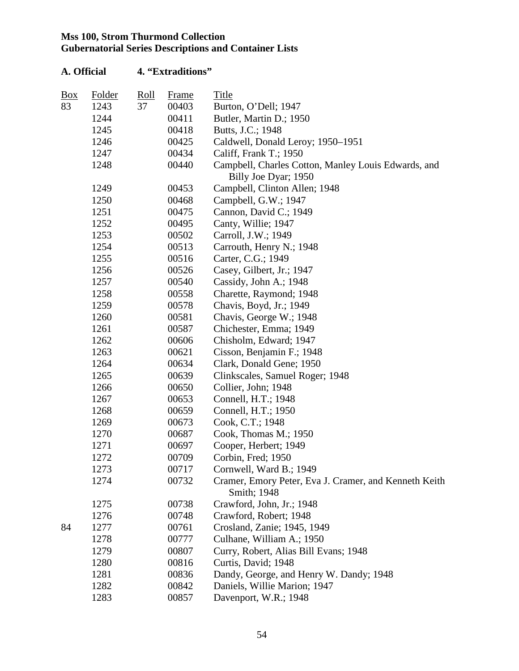# **A. Official 4. "Extraditions"**  Box Folder Roll Frame Title 83 1243 37 00403 Burton, O'Dell; 1947 1244 00411 Butler, Martin D.; 1950 1245 00418 Butts, J.C.; 1948 1246 00425 Caldwell, Donald Leroy; 1950–1951 1247 00434 Califf, Frank T.; 1950 1248 00440 Campbell, Charles Cotton, Manley Louis Edwards, and Billy Joe Dyar; 1950 1249 00453 Campbell, Clinton Allen; 1948 1250 00468 Campbell, G.W.; 1947 1251 00475 Cannon, David C.; 1949 1252 00495 Canty, Willie; 1947 1253 00502 Carroll, J.W.; 1949 1254 00513 Carrouth, Henry N.; 1948 1255 00516 Carter, C.G.; 1949 1256 00526 Casey, Gilbert, Jr.; 1947 1257 00540 Cassidy, John A.; 1948 1258 00558 Charette, Raymond; 1948 1259 00578 Chavis, Boyd, Jr.; 1949 1260 00581 Chavis, George W.; 1948 1261 00587 Chichester, Emma; 1949 1262 00606 Chisholm, Edward; 1947 1263 00621 Cisson, Benjamin F.; 1948 1264 00634 Clark, Donald Gene; 1950 1265 00639 Clinkscales, Samuel Roger; 1948 1266 00650 Collier, John; 1948 1267 00653 Connell, H.T.; 1948 1268 00659 Connell, H.T.; 1950 1269 00673 Cook, C.T.; 1948 1270 00687 Cook, Thomas M.; 1950 1271 00697 Cooper, Herbert; 1949 1272 00709 Corbin, Fred; 1950 1273 00717 Cornwell, Ward B.; 1949 1274 00732 Cramer, Emory Peter, Eva J. Cramer, and Kenneth Keith Smith; 1948 1275 00738 Crawford, John, Jr.; 1948 1276 00748 Crawford, Robert; 1948 84 1277 00761 Crosland, Zanie; 1945, 1949 1278 00777 Culhane, William A.; 1950 1279 00807 Curry, Robert, Alias Bill Evans; 1948 1280 00816 Curtis, David; 1948 1281 00836 Dandy, George, and Henry W. Dandy; 1948 1282 00842 Daniels, Willie Marion; 1947 1283 00857 Davenport, W.R.; 1948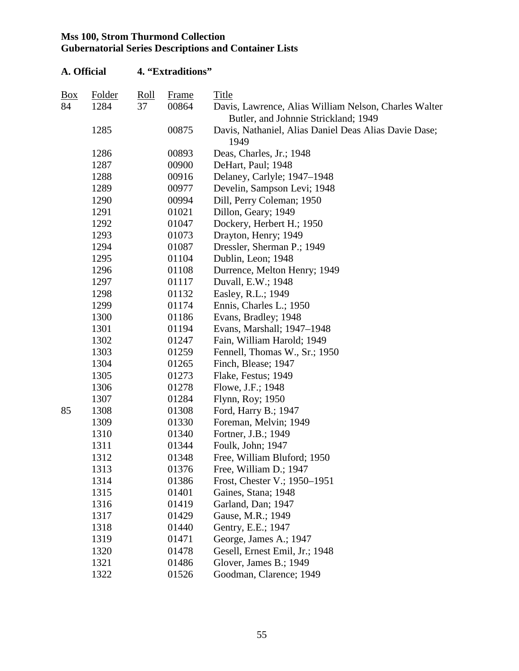| A. Official |               |             | 4. "Extraditions" |                                                                                               |
|-------------|---------------|-------------|-------------------|-----------------------------------------------------------------------------------------------|
| Box         | <b>Folder</b> | <u>Roll</u> | <b>Frame</b>      | Title                                                                                         |
| 84          | 1284          | 37          | 00864             | Davis, Lawrence, Alias William Nelson, Charles Walter<br>Butler, and Johnnie Strickland; 1949 |
|             | 1285          |             | 00875             | Davis, Nathaniel, Alias Daniel Deas Alias Davie Dase;<br>1949                                 |
|             | 1286          |             | 00893             | Deas, Charles, Jr.; 1948                                                                      |
|             | 1287          |             | 00900             | DeHart, Paul; 1948                                                                            |
|             | 1288          |             | 00916             | Delaney, Carlyle; 1947–1948                                                                   |
|             | 1289          |             | 00977             | Develin, Sampson Levi; 1948                                                                   |
|             | 1290          |             | 00994             | Dill, Perry Coleman; 1950                                                                     |
|             | 1291          |             | 01021             | Dillon, Geary; 1949                                                                           |
|             | 1292          |             | 01047             | Dockery, Herbert H.; 1950                                                                     |
|             | 1293          |             | 01073             | Drayton, Henry; 1949                                                                          |
|             | 1294          |             | 01087             | Dressler, Sherman P.; 1949                                                                    |
|             | 1295          |             | 01104             | Dublin, Leon; 1948                                                                            |
|             | 1296          |             | 01108             | Durrence, Melton Henry; 1949                                                                  |
|             | 1297          |             | 01117             | Duvall, E.W.; 1948                                                                            |
|             | 1298          |             | 01132             | Easley, R.L.; 1949                                                                            |
|             | 1299          |             | 01174             | Ennis, Charles L.; 1950                                                                       |
|             | 1300          |             | 01186             | Evans, Bradley; 1948                                                                          |
|             | 1301          |             | 01194             | Evans, Marshall; 1947–1948                                                                    |
|             | 1302          |             | 01247             | Fain, William Harold; 1949                                                                    |
|             | 1303          |             | 01259             | Fennell, Thomas W., Sr.; 1950                                                                 |
|             | 1304          |             | 01265             | Finch, Blease; 1947                                                                           |
|             | 1305          |             | 01273             | Flake, Festus; 1949                                                                           |
|             | 1306          |             | 01278             | Flowe, J.F.; 1948                                                                             |
|             | 1307          |             | 01284             | Flynn, Roy; 1950                                                                              |
| 85          | 1308          |             | 01308             | Ford, Harry B.; 1947                                                                          |
|             | 1309          |             | 01330             | Foreman, Melvin; 1949                                                                         |
|             | 1310          |             | 01340             | Fortner, J.B.; 1949                                                                           |
|             | 1311          |             | 01344             | Foulk, John; 1947                                                                             |
|             | 1312          |             | 01348             | Free, William Bluford; 1950                                                                   |
|             | 1313          |             | 01376             | Free, William D.; 1947                                                                        |
|             | 1314          |             | 01386             | Frost, Chester V.; 1950–1951                                                                  |
|             | 1315          |             | 01401             | Gaines, Stana; 1948                                                                           |
|             | 1316          |             | 01419             | Garland, Dan; 1947                                                                            |
|             | 1317          |             | 01429             | Gause, M.R.; 1949                                                                             |
|             | 1318          |             | 01440             | Gentry, E.E.; 1947                                                                            |
|             | 1319          |             | 01471             | George, James A.; 1947                                                                        |
|             | 1320          |             | 01478             | Gesell, Ernest Emil, Jr.; 1948                                                                |
|             | 1321          |             | 01486             | Glover, James B.; 1949                                                                        |
|             | 1322          |             | 01526             | Goodman, Clarence; 1949                                                                       |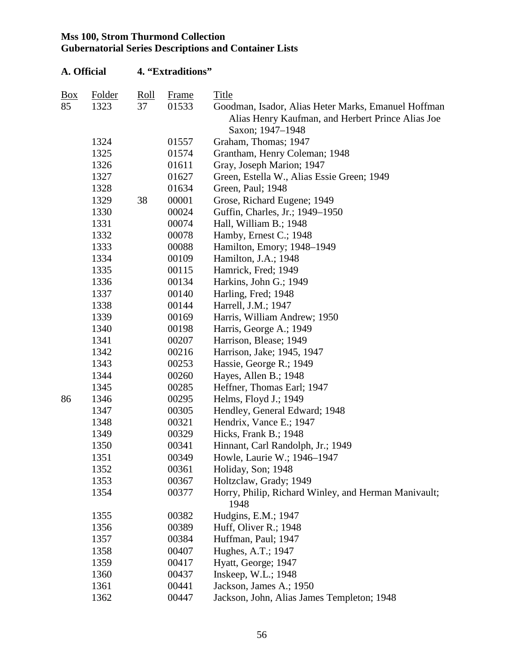|            | A. Official   |             | 4. "Extraditions" |                                                                                                                              |
|------------|---------------|-------------|-------------------|------------------------------------------------------------------------------------------------------------------------------|
| <b>Box</b> | <b>Folder</b> | <u>Roll</u> | <b>Frame</b>      | Title                                                                                                                        |
| 85         | 1323          | 37          | 01533             | Goodman, Isador, Alias Heter Marks, Emanuel Hoffman<br>Alias Henry Kaufman, and Herbert Prince Alias Joe<br>Saxon; 1947–1948 |
|            | 1324          |             | 01557             | Graham, Thomas; 1947                                                                                                         |
|            | 1325          |             | 01574             | Grantham, Henry Coleman; 1948                                                                                                |
|            | 1326          |             | 01611             | Gray, Joseph Marion; 1947                                                                                                    |
|            | 1327          |             | 01627             | Green, Estella W., Alias Essie Green; 1949                                                                                   |
|            | 1328          |             | 01634             | Green, Paul; 1948                                                                                                            |
|            | 1329          | 38          | 00001             | Grose, Richard Eugene; 1949                                                                                                  |
|            | 1330          |             | 00024             | Guffin, Charles, Jr.; 1949–1950                                                                                              |
|            | 1331          |             | 00074             | Hall, William B.; 1948                                                                                                       |
|            | 1332          |             | 00078             | Hamby, Ernest C.; 1948                                                                                                       |
|            | 1333          |             | 00088             | Hamilton, Emory; 1948-1949                                                                                                   |
|            | 1334          |             | 00109             | Hamilton, J.A.; 1948                                                                                                         |
|            | 1335          |             | 00115             | Hamrick, Fred; 1949                                                                                                          |
|            | 1336          |             | 00134             | Harkins, John G.; 1949                                                                                                       |
|            | 1337          |             | 00140             | Harling, Fred; 1948                                                                                                          |
|            | 1338          |             | 00144             | Harrell, J.M.; 1947                                                                                                          |
|            | 1339          |             | 00169             | Harris, William Andrew; 1950                                                                                                 |
|            | 1340          |             | 00198             | Harris, George A.; 1949                                                                                                      |
|            | 1341          |             | 00207             | Harrison, Blease; 1949                                                                                                       |
|            | 1342          |             | 00216             | Harrison, Jake; 1945, 1947                                                                                                   |
|            | 1343          |             | 00253             | Hassie, George R.; 1949                                                                                                      |
|            | 1344          |             | 00260             | Hayes, Allen B.; 1948                                                                                                        |
|            | 1345          |             | 00285             | Heffner, Thomas Earl; 1947                                                                                                   |
| 86         | 1346          |             | 00295             | Helms, Floyd J.; 1949                                                                                                        |
|            | 1347          |             | 00305             | Hendley, General Edward; 1948                                                                                                |
|            | 1348          |             | 00321             | Hendrix, Vance E.; 1947                                                                                                      |
|            | 1349          |             | 00329             | Hicks, Frank B.; 1948                                                                                                        |
|            | 1350          |             | 00341             | Hinnant, Carl Randolph, Jr.; 1949                                                                                            |
|            | 1351          |             | 00349             | Howle, Laurie W.; 1946-1947                                                                                                  |
|            | 1352          |             | 00361             | Holiday, Son; 1948                                                                                                           |
|            | 1353          |             | 00367             | Holtzclaw, Grady; 1949                                                                                                       |
|            | 1354          |             | 00377             | Horry, Philip, Richard Winley, and Herman Manivault;<br>1948                                                                 |
|            | 1355          |             | 00382             | Hudgins, E.M.; 1947                                                                                                          |
|            | 1356          |             | 00389             | Huff, Oliver R.; 1948                                                                                                        |
|            | 1357          |             | 00384             | Huffman, Paul; 1947                                                                                                          |
|            | 1358          |             | 00407             | Hughes, A.T.; 1947                                                                                                           |
|            | 1359          |             | 00417             | Hyatt, George; 1947                                                                                                          |
|            | 1360          |             | 00437             | Inskeep, W.L.; 1948                                                                                                          |
|            | 1361          |             | 00441             | Jackson, James A.; 1950                                                                                                      |
|            | 1362          |             | 00447             | Jackson, John, Alias James Templeton; 1948                                                                                   |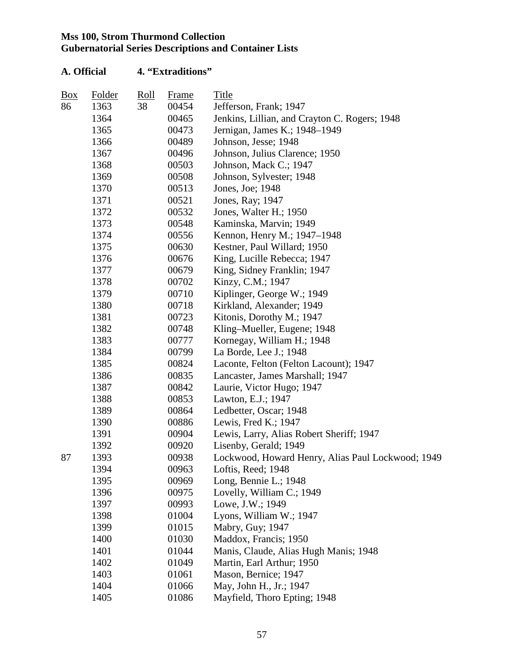| Box | <b>Folder</b> | <u>Roll</u> | Frame | Title                                             |
|-----|---------------|-------------|-------|---------------------------------------------------|
| 86  | 1363          | 38          | 00454 | Jefferson, Frank; 1947                            |
|     | 1364          |             | 00465 | Jenkins, Lillian, and Crayton C. Rogers; 1948     |
|     | 1365          |             | 00473 | Jernigan, James K.; 1948-1949                     |
|     | 1366          |             | 00489 | Johnson, Jesse; 1948                              |
|     | 1367          |             | 00496 | Johnson, Julius Clarence; 1950                    |
|     | 1368          |             | 00503 | Johnson, Mack C.; 1947                            |
|     | 1369          |             | 00508 | Johnson, Sylvester; 1948                          |
|     | 1370          |             | 00513 | Jones, Joe; 1948                                  |
|     | 1371          |             | 00521 | Jones, Ray; 1947                                  |
|     | 1372          |             | 00532 | Jones, Walter H.; 1950                            |
|     | 1373          |             | 00548 | Kaminska, Marvin; 1949                            |
|     | 1374          |             | 00556 | Kennon, Henry M.; 1947–1948                       |
|     | 1375          |             | 00630 | Kestner, Paul Willard; 1950                       |
|     | 1376          |             | 00676 | King, Lucille Rebecca; 1947                       |
|     | 1377          |             | 00679 | King, Sidney Franklin; 1947                       |
|     | 1378          |             | 00702 | Kinzy, C.M.; 1947                                 |
|     | 1379          |             | 00710 | Kiplinger, George W.; 1949                        |
|     | 1380          |             | 00718 | Kirkland, Alexander; 1949                         |
|     | 1381          |             | 00723 | Kitonis, Dorothy M.; 1947                         |
|     | 1382          |             | 00748 | Kling-Mueller, Eugene; 1948                       |
|     | 1383          |             | 00777 | Kornegay, William H.; 1948                        |
|     | 1384          |             | 00799 | La Borde, Lee J.; 1948                            |
|     | 1385          |             | 00824 | Laconte, Felton (Felton Lacount); 1947            |
|     | 1386          |             | 00835 | Lancaster, James Marshall; 1947                   |
|     | 1387          |             | 00842 | Laurie, Victor Hugo; 1947                         |
|     | 1388          |             | 00853 | Lawton, E.J.; 1947                                |
|     | 1389          |             | 00864 | Ledbetter, Oscar; 1948                            |
|     | 1390          |             | 00886 | Lewis, Fred K.; 1947                              |
|     | 1391          |             | 00904 | Lewis, Larry, Alias Robert Sheriff; 1947          |
|     | 1392          |             | 00920 | Lisenby, Gerald; 1949                             |
| 87  | 1393          |             | 00938 | Lockwood, Howard Henry, Alias Paul Lockwood; 1949 |
|     | 1394          |             | 00963 | Loftis, Reed; 1948                                |
|     | 1395          |             | 00969 | Long, Bennie L.; 1948                             |
|     | 1396          |             | 00975 | Lovelly, William C.; 1949                         |
|     | 1397          |             | 00993 | Lowe, J.W.; 1949                                  |
|     | 1398          |             | 01004 | Lyons, William W.; 1947                           |
|     | 1399          |             | 01015 | Mabry, Guy; 1947                                  |
|     | 1400          |             | 01030 | Maddox, Francis; 1950                             |
|     | 1401          |             | 01044 | Manis, Claude, Alias Hugh Manis; 1948             |
|     | 1402          |             | 01049 | Martin, Earl Arthur; 1950                         |
|     | 1403          |             | 01061 | Mason, Bernice; 1947                              |
|     | 1404          |             | 01066 | May, John H., Jr.; 1947                           |
|     | 1405          |             | 01086 | Mayfield, Thoro Epting; 1948                      |
|     |               |             |       |                                                   |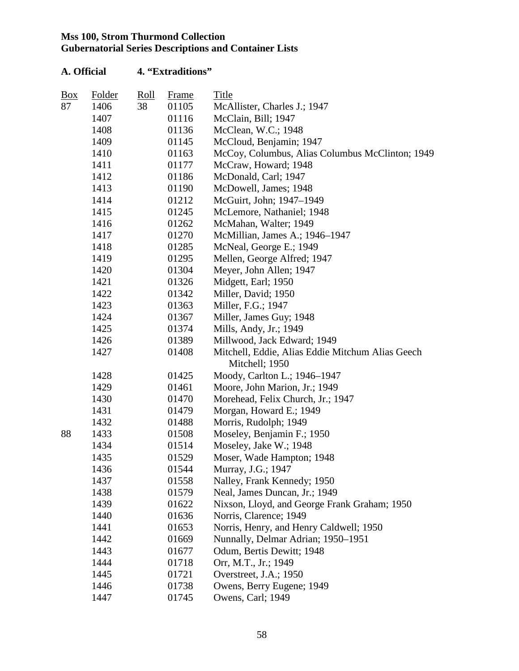| $\underline{Box}$ | Folder | Roll | Frame | Title                                            |
|-------------------|--------|------|-------|--------------------------------------------------|
| 87                | 1406   | 38   | 01105 | McAllister, Charles J.; 1947                     |
|                   | 1407   |      | 01116 | McClain, Bill; 1947                              |
|                   | 1408   |      | 01136 | McClean, W.C.; 1948                              |
|                   | 1409   |      | 01145 | McCloud, Benjamin; 1947                          |
|                   | 1410   |      | 01163 | McCoy, Columbus, Alias Columbus McClinton; 1949  |
|                   | 1411   |      | 01177 | McCraw, Howard; 1948                             |
|                   | 1412   |      | 01186 | McDonald, Carl; 1947                             |
|                   | 1413   |      | 01190 | McDowell, James; 1948                            |
|                   | 1414   |      | 01212 | McGuirt, John; 1947-1949                         |
|                   | 1415   |      | 01245 | McLemore, Nathaniel; 1948                        |
|                   | 1416   |      | 01262 | McMahan, Walter; 1949                            |
|                   | 1417   |      | 01270 | McMillian, James A.; 1946–1947                   |
|                   | 1418   |      | 01285 | McNeal, George E.; 1949                          |
|                   | 1419   |      | 01295 | Mellen, George Alfred; 1947                      |
|                   | 1420   |      | 01304 | Meyer, John Allen; 1947                          |
|                   | 1421   |      | 01326 | Midgett, Earl; 1950                              |
|                   | 1422   |      | 01342 | Miller, David; 1950                              |
|                   | 1423   |      | 01363 | Miller, F.G.; 1947                               |
|                   | 1424   |      | 01367 | Miller, James Guy; 1948                          |
|                   | 1425   |      | 01374 | Mills, Andy, Jr.; 1949                           |
|                   | 1426   |      | 01389 | Millwood, Jack Edward; 1949                      |
|                   | 1427   |      | 01408 | Mitchell, Eddie, Alias Eddie Mitchum Alias Geech |
|                   |        |      |       | Mitchell; 1950                                   |
|                   | 1428   |      | 01425 | Moody, Carlton L.; 1946–1947                     |
|                   | 1429   |      | 01461 | Moore, John Marion, Jr.; 1949                    |
|                   | 1430   |      | 01470 | Morehead, Felix Church, Jr.; 1947                |
|                   | 1431   |      | 01479 | Morgan, Howard E.; 1949                          |
|                   | 1432   |      | 01488 | Morris, Rudolph; 1949                            |
| 88                | 1433   |      | 01508 | Moseley, Benjamin F.; 1950                       |
|                   | 1434   |      | 01514 | Moseley, Jake W.; 1948                           |
|                   | 1435   |      | 01529 | Moser, Wade Hampton; 1948                        |
|                   | 1436   |      | 01544 | Murray, J.G.; 1947                               |
|                   | 1437   |      | 01558 | Nalley, Frank Kennedy; 1950                      |
|                   | 1438   |      | 01579 | Neal, James Duncan, Jr.; 1949                    |
|                   | 1439   |      | 01622 | Nixson, Lloyd, and George Frank Graham; 1950     |
|                   | 1440   |      | 01636 | Norris, Clarence; 1949                           |
|                   | 1441   |      | 01653 | Norris, Henry, and Henry Caldwell; 1950          |
|                   | 1442   |      | 01669 | Nunnally, Delmar Adrian; 1950-1951               |
|                   | 1443   |      | 01677 | Odum, Bertis Dewitt; 1948                        |
|                   | 1444   |      | 01718 | Orr, M.T., Jr.; 1949                             |
|                   | 1445   |      | 01721 | Overstreet, J.A.; 1950                           |
|                   | 1446   |      | 01738 | Owens, Berry Eugene; 1949                        |
|                   | 1447   |      | 01745 | Owens, Carl; 1949                                |
|                   |        |      |       |                                                  |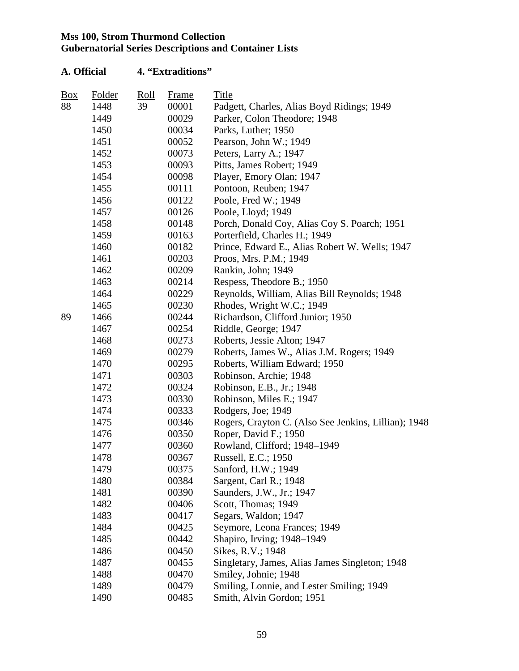| Box | Folder | Roll | Frame | Title                                                |
|-----|--------|------|-------|------------------------------------------------------|
| 88  | 1448   | 39   | 00001 | Padgett, Charles, Alias Boyd Ridings; 1949           |
|     | 1449   |      | 00029 | Parker, Colon Theodore; 1948                         |
|     | 1450   |      | 00034 | Parks, Luther; 1950                                  |
|     | 1451   |      | 00052 | Pearson, John W.; 1949                               |
|     | 1452   |      | 00073 | Peters, Larry A.; 1947                               |
|     | 1453   |      | 00093 | Pitts, James Robert; 1949                            |
|     | 1454   |      | 00098 | Player, Emory Olan; 1947                             |
|     | 1455   |      | 00111 | Pontoon, Reuben; 1947                                |
|     | 1456   |      | 00122 | Poole, Fred W.; 1949                                 |
|     | 1457   |      | 00126 | Poole, Lloyd; 1949                                   |
|     | 1458   |      | 00148 | Porch, Donald Coy, Alias Coy S. Poarch; 1951         |
|     | 1459   |      | 00163 | Porterfield, Charles H.; 1949                        |
|     | 1460   |      | 00182 | Prince, Edward E., Alias Robert W. Wells; 1947       |
|     | 1461   |      | 00203 | Proos, Mrs. P.M.; 1949                               |
|     | 1462   |      | 00209 | Rankin, John; 1949                                   |
|     | 1463   |      | 00214 | Respess, Theodore B.; 1950                           |
|     | 1464   |      | 00229 | Reynolds, William, Alias Bill Reynolds; 1948         |
|     | 1465   |      | 00230 | Rhodes, Wright W.C.; 1949                            |
| 89  | 1466   |      | 00244 | Richardson, Clifford Junior; 1950                    |
|     | 1467   |      | 00254 | Riddle, George; 1947                                 |
|     | 1468   |      | 00273 | Roberts, Jessie Alton; 1947                          |
|     | 1469   |      | 00279 | Roberts, James W., Alias J.M. Rogers; 1949           |
|     | 1470   |      | 00295 | Roberts, William Edward; 1950                        |
|     | 1471   |      | 00303 | Robinson, Archie; 1948                               |
|     | 1472   |      | 00324 | Robinson, E.B., Jr.; 1948                            |
|     | 1473   |      | 00330 | Robinson, Miles E.; 1947                             |
|     | 1474   |      | 00333 | Rodgers, Joe; 1949                                   |
|     | 1475   |      | 00346 | Rogers, Crayton C. (Also See Jenkins, Lillian); 1948 |
|     | 1476   |      | 00350 | Roper, David F.; 1950                                |
|     | 1477   |      | 00360 | Rowland, Clifford; 1948-1949                         |
|     | 1478   |      | 00367 | Russell, E.C.; 1950                                  |
|     | 1479   |      | 00375 | Sanford, H.W.; 1949                                  |
|     | 1480   |      | 00384 | Sargent, Carl R.; 1948                               |
|     | 1481   |      | 00390 | Saunders, J.W., Jr.; 1947                            |
|     | 1482   |      | 00406 | Scott, Thomas; 1949                                  |
|     | 1483   |      | 00417 | Segars, Waldon; 1947                                 |
|     | 1484   |      | 00425 | Seymore, Leona Frances; 1949                         |
|     | 1485   |      | 00442 | Shapiro, Irving; 1948–1949                           |
|     | 1486   |      | 00450 | Sikes, R.V.; 1948                                    |
|     | 1487   |      | 00455 | Singletary, James, Alias James Singleton; 1948       |
|     | 1488   |      | 00470 | Smiley, Johnie; 1948                                 |
|     | 1489   |      | 00479 | Smiling, Lonnie, and Lester Smiling; 1949            |
|     | 1490   |      | 00485 | Smith, Alvin Gordon; 1951                            |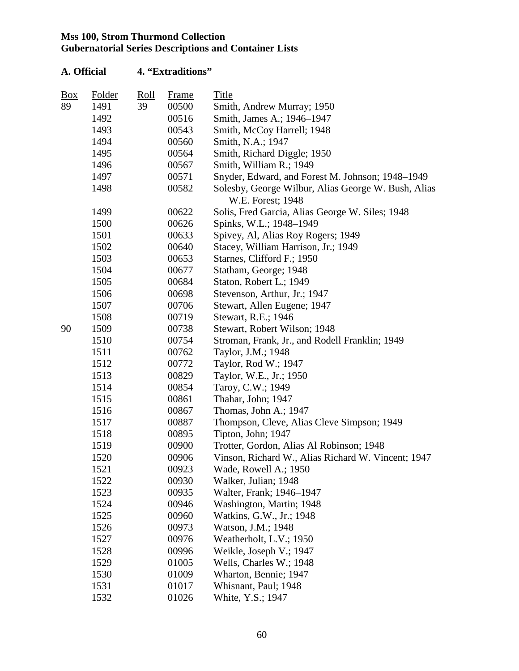| A. Official |        |      | 4. "Extraditions" |                                                                          |  |  |  |
|-------------|--------|------|-------------------|--------------------------------------------------------------------------|--|--|--|
| Box         | Folder | Roll | Frame             | Title                                                                    |  |  |  |
| 89          | 1491   | 39   | 00500             | Smith, Andrew Murray; 1950                                               |  |  |  |
|             | 1492   |      | 00516             | Smith, James A.; 1946–1947                                               |  |  |  |
|             | 1493   |      | 00543             | Smith, McCoy Harrell; 1948                                               |  |  |  |
|             | 1494   |      | 00560             | Smith, N.A.; 1947                                                        |  |  |  |
|             | 1495   |      | 00564             | Smith, Richard Diggle; 1950                                              |  |  |  |
|             | 1496   |      | 00567             | Smith, William R.; 1949                                                  |  |  |  |
|             | 1497   |      | 00571             | Snyder, Edward, and Forest M. Johnson; 1948-1949                         |  |  |  |
|             | 1498   |      | 00582             | Solesby, George Wilbur, Alias George W. Bush, Alias<br>W.E. Forest; 1948 |  |  |  |
|             | 1499   |      | 00622             | Solis, Fred Garcia, Alias George W. Siles; 1948                          |  |  |  |
|             | 1500   |      | 00626             | Spinks, W.L.; 1948-1949                                                  |  |  |  |
|             | 1501   |      | 00633             | Spivey, Al, Alias Roy Rogers; 1949                                       |  |  |  |
|             | 1502   |      | 00640             | Stacey, William Harrison, Jr.; 1949                                      |  |  |  |
|             | 1503   |      | 00653             | Starnes, Clifford F.; 1950                                               |  |  |  |
|             | 1504   |      | 00677             | Statham, George; 1948                                                    |  |  |  |
|             | 1505   |      | 00684             | Staton, Robert L.; 1949                                                  |  |  |  |
|             | 1506   |      | 00698             | Stevenson, Arthur, Jr.; 1947                                             |  |  |  |
|             | 1507   |      | 00706             | Stewart, Allen Eugene; 1947                                              |  |  |  |
|             | 1508   |      | 00719             | Stewart, R.E.; 1946                                                      |  |  |  |
| 90          | 1509   |      | 00738             | Stewart, Robert Wilson; 1948                                             |  |  |  |
|             | 1510   |      | 00754             | Stroman, Frank, Jr., and Rodell Franklin; 1949                           |  |  |  |
|             | 1511   |      | 00762             | Taylor, J.M.; 1948                                                       |  |  |  |
|             | 1512   |      | 00772             | Taylor, Rod W.; 1947                                                     |  |  |  |
|             | 1513   |      | 00829             | Taylor, W.E., Jr.; 1950                                                  |  |  |  |
|             | 1514   |      | 00854             | Taroy, C.W.; 1949                                                        |  |  |  |
|             | 1515   |      | 00861             | Thahar, John; 1947                                                       |  |  |  |
|             | 1516   |      | 00867             | Thomas, John A.; 1947                                                    |  |  |  |
|             | 1517   |      | 00887             | Thompson, Cleve, Alias Cleve Simpson; 1949                               |  |  |  |
|             | 1518   |      | 00895             | Tipton, John; 1947                                                       |  |  |  |
|             | 1519   |      | 00900             | Trotter, Gordon, Alias Al Robinson; 1948                                 |  |  |  |
|             | 1520   |      | 00906             | Vinson, Richard W., Alias Richard W. Vincent; 1947                       |  |  |  |
|             | 1521   |      | 00923             | Wade, Rowell A.; 1950                                                    |  |  |  |
|             | 1522   |      | 00930             | Walker, Julian; 1948                                                     |  |  |  |
|             | 1523   |      | 00935             | Walter, Frank; 1946–1947                                                 |  |  |  |
|             | 1524   |      | 00946             | Washington, Martin; 1948                                                 |  |  |  |
|             | 1525   |      | 00960             | Watkins, G.W., Jr.; 1948                                                 |  |  |  |
|             | 1526   |      | 00973             | Watson, J.M.; 1948                                                       |  |  |  |
|             | 1527   |      | 00976             | Weatherholt, L.V.; 1950                                                  |  |  |  |
|             | 1528   |      | 00996             | Weikle, Joseph V.; 1947                                                  |  |  |  |
|             | 1529   |      | 01005             | Wells, Charles W.; 1948                                                  |  |  |  |
|             | 1530   |      | 01009             | Wharton, Bennie; 1947                                                    |  |  |  |
|             | 1531   |      | 01017             | Whisnant, Paul; 1948                                                     |  |  |  |
|             | 1532   |      | 01026             | White, Y.S.; 1947                                                        |  |  |  |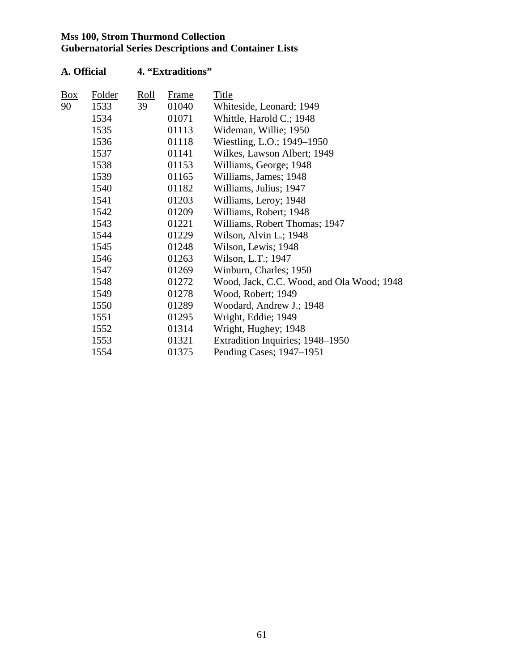| Box | Folder | Roll | Frame | Title                                     |
|-----|--------|------|-------|-------------------------------------------|
| 90  | 1533   | 39   | 01040 | Whiteside, Leonard; 1949                  |
|     | 1534   |      | 01071 | Whittle, Harold C.; 1948                  |
|     | 1535   |      | 01113 | Wideman, Willie; 1950                     |
|     | 1536   |      | 01118 | Wiestling, L.O.; 1949-1950                |
|     | 1537   |      | 01141 | Wilkes, Lawson Albert; 1949               |
|     | 1538   |      | 01153 | Williams, George; 1948                    |
|     | 1539   |      | 01165 | Williams, James; 1948                     |
|     | 1540   |      | 01182 | Williams, Julius; 1947                    |
|     | 1541   |      | 01203 | Williams, Leroy; 1948                     |
|     | 1542   |      | 01209 | Williams, Robert; 1948                    |
|     | 1543   |      | 01221 | Williams, Robert Thomas; 1947             |
|     | 1544   |      | 01229 | Wilson, Alvin L.; 1948                    |
|     | 1545   |      | 01248 | Wilson, Lewis; 1948                       |
|     | 1546   |      | 01263 | Wilson, L.T.; 1947                        |
|     | 1547   |      | 01269 | Winburn, Charles; 1950                    |
|     | 1548   |      | 01272 | Wood, Jack, C.C. Wood, and Ola Wood; 1948 |
|     | 1549   |      | 01278 | Wood, Robert; 1949                        |
|     | 1550   |      | 01289 | Woodard, Andrew J.; 1948                  |
|     | 1551   |      | 01295 | Wright, Eddie; 1949                       |
|     | 1552   |      | 01314 | Wright, Hughey; 1948                      |
|     | 1553   |      | 01321 | Extradition Inquiries; 1948-1950          |
|     | 1554   |      | 01375 | Pending Cases; 1947–1951                  |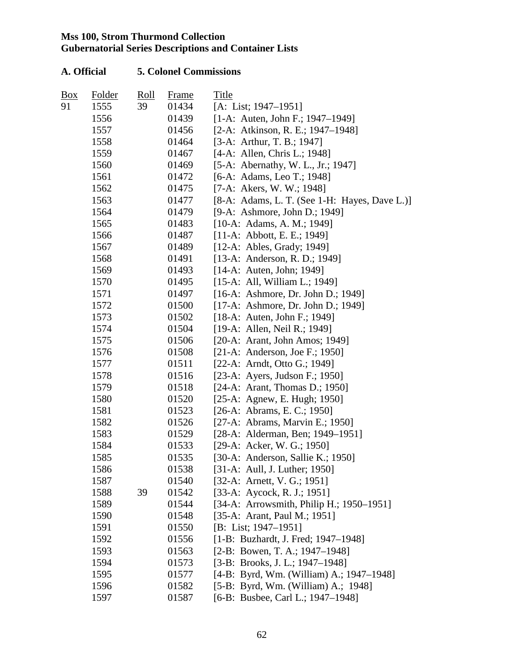| $\frac{Box}{}$ | Folder | Roll | Frame | Title                                           |
|----------------|--------|------|-------|-------------------------------------------------|
| 91             | 1555   | 39   | 01434 | [A: List; $1947-1951$ ]                         |
|                | 1556   |      | 01439 | $[1-A:$ Auten, John F.; 1947–1949]              |
|                | 1557   |      | 01456 | [2-A: Atkinson, R. E.; 1947-1948]               |
|                | 1558   |      | 01464 | [3-A: Arthur, T. B.; 1947]                      |
|                | 1559   |      | 01467 | [4-A: Allen, Chris L.; 1948]                    |
|                | 1560   |      | 01469 | [5-A: Abernathy, W. L., Jr.; 1947]              |
|                | 1561   |      | 01472 | [6-A: Adams, Leo T.; 1948]                      |
|                | 1562   |      | 01475 | [7-A: Akers, W. W.; 1948]                       |
|                | 1563   |      | 01477 | $[8-A: Adams, L. T. (See 1-H: Hayes, Dave L.)]$ |
|                | 1564   |      | 01479 | [9-A: Ashmore, John D.; 1949]                   |
|                | 1565   |      | 01483 | $[10-A: Adams, A. M.; 1949]$                    |
|                | 1566   |      | 01487 | $[11-A: Abbott, E. E.; 1949]$                   |
|                | 1567   |      | 01489 | $[12-A:$ Ables, Grady; 1949]                    |
|                | 1568   |      | 01491 | [13-A: Anderson, R. D.; 1949]                   |
|                | 1569   |      | 01493 | $[14-A:$ Auten, John; 1949]                     |
|                | 1570   |      | 01495 | $[15-A: All, William L.; 1949]$                 |
|                | 1571   |      | 01497 | [16-A: Ashmore, Dr. John D.; 1949]              |
|                | 1572   |      | 01500 | [17-A: Ashmore, Dr. John D.; 1949]              |
|                | 1573   |      | 01502 | $[18-A:$ Auten, John F.; 1949]                  |
|                | 1574   |      | 01504 | [19-A: Allen, Neil R.; 1949]                    |
|                | 1575   |      | 01506 | [20-A: Arant, John Amos; 1949]                  |
|                | 1576   |      | 01508 | [21-A: Anderson, Joe F.; 1950]                  |
|                | 1577   |      | 01511 | [22-A: Arndt, Otto G.; 1949]                    |
|                | 1578   |      | 01516 | [23-A: Ayers, Judson F.; 1950]                  |
|                | 1579   |      | 01518 | [24-A: Arant, Thomas D.; 1950]                  |
|                | 1580   |      | 01520 | $[25-A:$ Agnew, E. Hugh; 1950]                  |
|                | 1581   |      | 01523 | [26-A: Abrams, E. C.; 1950]                     |
|                | 1582   |      | 01526 | [27-A: Abrams, Marvin E.; 1950]                 |
|                | 1583   |      | 01529 | [28-A: Alderman, Ben; 1949–1951]                |
|                | 1584   |      | 01533 | [29-A: Acker, W. G.; 1950]                      |
|                | 1585   |      | 01535 | [30-A: Anderson, Sallie K.; 1950]               |
|                | 1586   |      | 01538 | [31-A: Aull, J. Luther; 1950]                   |
|                | 1587   |      | 01540 | [32-A: Arnett, V. G.; 1951]                     |
|                | 1588   | 39   | 01542 | [33-A: Aycock, R. J.; 1951]                     |
|                | 1589   |      | 01544 | [34-A: Arrowsmith, Philip H.; 1950–1951]        |
|                | 1590   |      | 01548 | [35-A: Arant, Paul M.; 1951]                    |
|                | 1591   |      | 01550 | [B: List; $1947-1951$ ]                         |
|                | 1592   |      | 01556 | [1-B: Buzhardt, J. Fred; 1947-1948]             |
|                | 1593   |      | 01563 | [2-B: Bowen, T. A.; $1947-1948$ ]               |
|                | 1594   |      | 01573 | $[3-B: Brooks, J. L.; 1947-1948]$               |
|                | 1595   |      | 01577 | [4-B: Byrd, Wm. (William) A.; 1947-1948]        |
|                | 1596   |      | 01582 | [5-B: Byrd, Wm. (William) A.; 1948]             |
|                | 1597   |      | 01587 | [6-B: Busbee, Carl L.; 1947–1948]               |
|                |        |      |       |                                                 |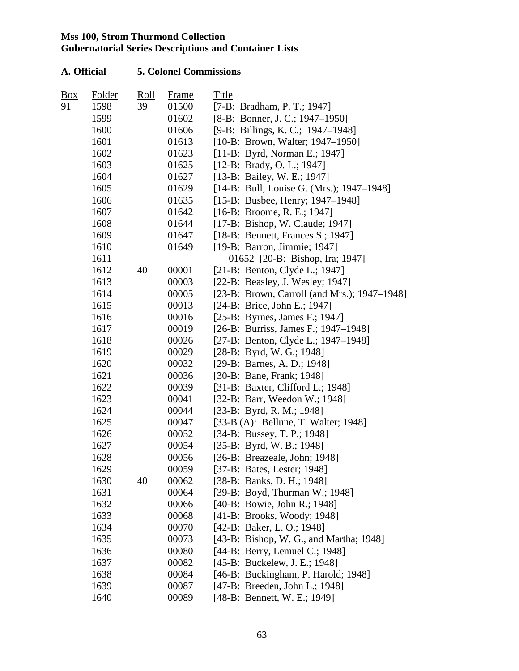| Box | <b>Folder</b> | Roll | <b>Frame</b> | Title                                        |
|-----|---------------|------|--------------|----------------------------------------------|
| 91  | 1598          | 39   | 01500        | [7-B: Bradham, P. T.; 1947]                  |
|     | 1599          |      | 01602        | [8-B: Bonner, J. C.; 1947–1950]              |
|     | 1600          |      | 01606        | [9-B: Billings, K. C.; 1947–1948]            |
|     | 1601          |      | 01613        | [10-B: Brown, Walter; 1947-1950]             |
|     | 1602          |      | 01623        | [11-B: Byrd, Norman E.; 1947]                |
|     | 1603          |      | 01625        | [12-B: Brady, O. L.; 1947]                   |
|     | 1604          |      | 01627        | [13-B: Bailey, W. E.; 1947]                  |
|     | 1605          |      | 01629        | [14-B: Bull, Louise G. (Mrs.); 1947–1948]    |
|     | 1606          |      | 01635        | [15-B: Busbee, Henry; 1947–1948]             |
|     | 1607          |      | 01642        | $[16-B: Broom, R. E.; 1947]$                 |
|     | 1608          |      | 01644        | [17-B: Bishop, W. Claude; 1947]              |
|     | 1609          |      | 01647        | [18-B: Bennett, Frances S.; 1947]            |
|     | 1610          |      | 01649        | [19-B: Barron, Jimmie; 1947]                 |
|     | 1611          |      |              | 01652 [20-B: Bishop, Ira; 1947]              |
|     | 1612          | 40   | 00001        | [21-B: Benton, Clyde L.; 1947]               |
|     | 1613          |      | 00003        | [22-B: Beasley, J. Wesley; 1947]             |
|     | 1614          |      | 00005        | [23-B: Brown, Carroll (and Mrs.); 1947–1948] |
|     | 1615          |      | 00013        | [24-B: Brice, John E.; 1947]                 |
|     | 1616          |      | 00016        | [25-B: Byrnes, James F.; 1947]               |
|     | 1617          |      | 00019        | [26-B: Burriss, James F.; 1947–1948]         |
|     | 1618          |      | 00026        | [27-B: Benton, Clyde L.; 1947–1948]          |
|     | 1619          |      | 00029        | [28-B: Byrd, W. G.; 1948]                    |
|     | 1620          |      | 00032        | [29-B: Barnes, A. D.; 1948]                  |
|     | 1621          |      | 00036        | [30-B: Bane, Frank; 1948]                    |
|     | 1622          |      | 00039        | [31-B: Baxter, Clifford L.; 1948]            |
|     | 1623          |      | 00041        | [32-B: Barr, Weedon W.; 1948]                |
|     | 1624          |      | 00044        | [33-B: Byrd, R. M.; 1948]                    |
|     | 1625          |      | 00047        | [33-B (A): Bellune, T. Walter; 1948]         |
|     | 1626          |      | 00052        | [34-B: Bussey, T. P.; 1948]                  |
|     | 1627          |      | 00054        | $[35-B: Byrd, W. B.; 1948]$                  |
|     | 1628          |      | 00056        | [36-B: Breazeale, John; 1948]                |
|     | 1629          |      | 00059        | [37-B: Bates, Lester; 1948]                  |
|     | 1630          | 40   | 00062        | [38-B: Banks, D. H.; 1948]                   |
|     | 1631          |      | 00064        | [39-B: Boyd, Thurman W.; 1948]               |
|     | 1632          |      | 00066        | [40-B: Bowie, John R.; 1948]                 |
|     | 1633          |      | 00068        | [41-B: Brooks, Woody; 1948]                  |
|     | 1634          |      | 00070        | [42-B: Baker, L. O.; 1948]                   |
|     | 1635          |      | 00073        | [43-B: Bishop, W. G., and Martha; 1948]      |
|     | 1636          |      | 00080        | [44-B: Berry, Lemuel C.; 1948]               |
|     | 1637          |      | 00082        | [45-B: Buckelew, J. E.; 1948]                |
|     | 1638          |      | 00084        | [46-B: Buckingham, P. Harold; 1948]          |
|     | 1639          |      | 00087        | [47-B: Breeden, John L.; 1948]               |
|     | 1640          |      | 00089        | [48-B: Bennett, W. E.; 1949]                 |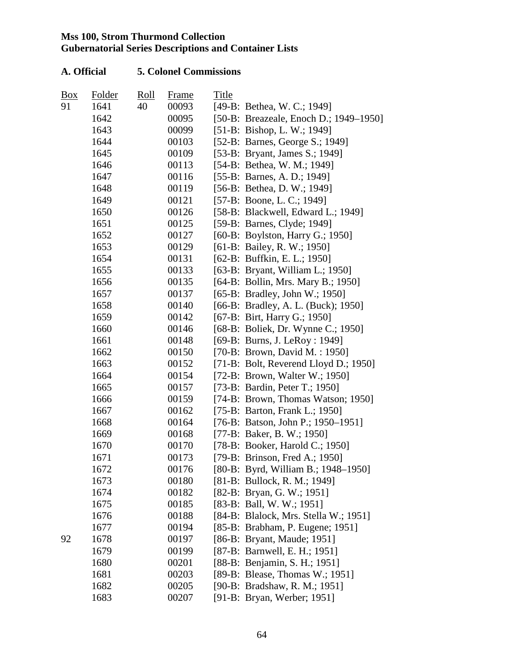| Box | Folder | Roll | <u>Frame</u> | Title |                                        |
|-----|--------|------|--------------|-------|----------------------------------------|
| 91  | 1641   | 40   | 00093        |       | [49-B: Bethea, W. C.; 1949]            |
|     | 1642   |      | 00095        |       | [50-B: Breazeale, Enoch D.; 1949–1950] |
|     | 1643   |      | 00099        |       | [51-B: Bishop, L. W.; 1949]            |
|     | 1644   |      | 00103        |       | [52-B: Barnes, George S.; 1949]        |
|     | 1645   |      | 00109        |       | [53-B: Bryant, James S.; 1949]         |
|     | 1646   |      | 00113        |       | [54-B: Bethea, W. M.; 1949]            |
|     | 1647   |      | 00116        |       | [55-B: Barnes, A. D.; 1949]            |
|     | 1648   |      | 00119        |       | [56-B: Bethea, D. W.; 1949]            |
|     | 1649   |      | 00121        |       | [57-B: Boone, L. C.; 1949]             |
|     | 1650   |      | 00126        |       | [58-B: Blackwell, Edward L.; 1949]     |
|     | 1651   |      | 00125        |       | [59-B: Barnes, Clyde; 1949]            |
|     | 1652   |      | 00127        |       | [60-B: Boylston, Harry G.; 1950]       |
|     | 1653   |      | 00129        |       | [61-B: Bailey, R. W.; 1950]            |
|     | 1654   |      | 00131        |       | [62-B: Buffkin, E. L.; 1950]           |
|     | 1655   |      | 00133        |       | [63-B: Bryant, William L.; 1950]       |
|     | 1656   |      | 00135        |       | [64-B: Bollin, Mrs. Mary B.; 1950]     |
|     | 1657   |      | 00137        |       | [65-B: Bradley, John W.; 1950]         |
|     | 1658   |      | 00140        |       | [66-B: Bradley, A. L. (Buck); 1950]    |
|     | 1659   |      | 00142        |       | [67-B: Birt, Harry G.; 1950]           |
|     | 1660   |      | 00146        |       | [68-B: Boliek, Dr. Wynne C.; 1950]     |
|     | 1661   |      | 00148        |       | [69-B: Burns, J. LeRoy : 1949]         |
|     | 1662   |      | 00150        |       | [70-B: Brown, David M.: 1950]          |
|     | 1663   |      | 00152        |       | [71-B: Bolt, Reverend Lloyd D.; 1950]  |
|     | 1664   |      | 00154        |       | [72-B: Brown, Walter W.; 1950]         |
|     | 1665   |      | 00157        |       | [73-B: Bardin, Peter T.; 1950]         |
|     | 1666   |      | 00159        |       | [74-B: Brown, Thomas Watson; 1950]     |
|     | 1667   |      | 00162        |       | [75-B: Barton, Frank L.; 1950]         |
|     | 1668   |      | 00164        |       | [76-B: Batson, John P.; 1950-1951]     |
|     | 1669   |      | 00168        |       | [77-B: Baker, B. W.; 1950]             |
|     | 1670   |      | 00170        |       | [78-B: Booker, Harold C.; 1950]        |
|     | 1671   |      | 00173        |       | [79-B: Brinson, Fred A.; 1950]         |
|     | 1672   |      | 00176        |       | [80-B: Byrd, William B.; 1948–1950]    |
|     | 1673   |      | 00180        |       | [81-B: Bullock, R. M.; 1949]           |
|     | 1674   |      | 00182        |       | [82-B: Bryan, G. W.; 1951]             |
|     | 1675   |      | 00185        |       | [83-B: Ball, W. W.; 1951]              |
|     | 1676   |      | 00188        |       | [84-B: Blalock, Mrs. Stella W.; 1951]  |
|     | 1677   |      | 00194        |       | [85-B: Brabham, P. Eugene; 1951]       |
| 92  | 1678   |      | 00197        |       | [86-B: Bryant, Maude; 1951]            |
|     | 1679   |      | 00199        |       | [87-B: Barnwell, E. H.; 1951]          |
|     | 1680   |      | 00201        |       | [88-B: Benjamin, S. H.; 1951]          |
|     | 1681   |      | 00203        |       | [89-B: Blease, Thomas W.; 1951]        |
|     | 1682   |      | 00205        |       | [90-B: Bradshaw, R. M.; 1951]          |
|     | 1683   |      | 00207        |       | [91-B: Bryan, Werber; 1951]            |
|     |        |      |              |       |                                        |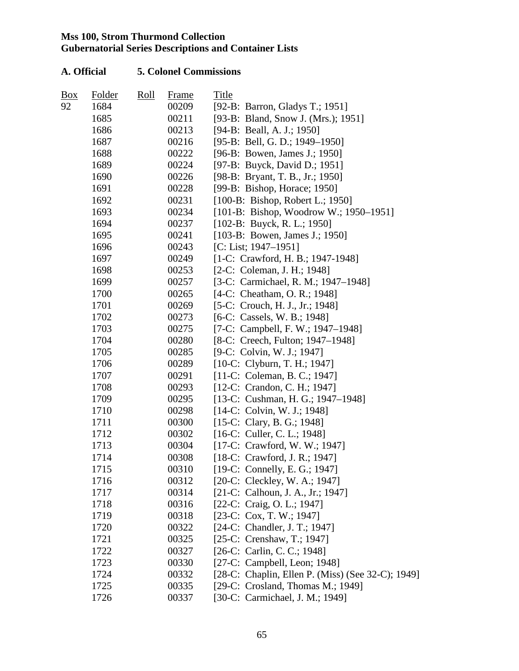| Box | Folder | Roll | Frame | Title                                             |
|-----|--------|------|-------|---------------------------------------------------|
| 92  | 1684   |      | 00209 | [92-B: Barron, Gladys T.; 1951]                   |
|     | 1685   |      | 00211 | [93-B: Bland, Snow J. (Mrs.); 1951]               |
|     | 1686   |      | 00213 | [94-B: Beall, A. J.; 1950]                        |
|     | 1687   |      | 00216 | [95-B: Bell, G. D.; 1949–1950]                    |
|     | 1688   |      | 00222 | [96-B: Bowen, James J.; 1950]                     |
|     | 1689   |      | 00224 | [97-B: Buyck, David D.; 1951]                     |
|     | 1690   |      | 00226 | [98-B: Bryant, T. B., Jr.; 1950]                  |
|     | 1691   |      | 00228 | [99-B: Bishop, Horace; 1950]                      |
|     | 1692   |      | 00231 | $[100-B: Bishop, Robert L.; 1950]$                |
|     | 1693   |      | 00234 | [101-B: Bishop, Woodrow W.; 1950–1951]            |
|     | 1694   |      | 00237 | $[102-B: Buyck, R. L.; 1950]$                     |
|     | 1695   |      | 00241 | [103-B: Bowen, James J.; 1950]                    |
|     | 1696   |      | 00243 | [C: List; $1947-1951$ ]                           |
|     | 1697   |      | 00249 | [1-C: Crawford, H. B.; 1947-1948]                 |
|     | 1698   |      | 00253 | [2-C: Coleman, J. H.; 1948]                       |
|     | 1699   |      | 00257 | [3-C: Carmichael, R. M.; 1947–1948]               |
|     | 1700   |      | 00265 | [4-C: Cheatham, O. R.; 1948]                      |
|     | 1701   |      | 00269 | [5-C: Crouch, H. J., Jr.; 1948]                   |
|     | 1702   |      | 00273 | [6-C: Cassels, W. B.; 1948]                       |
|     | 1703   |      | 00275 | [7-C: Campbell, F. W.; 1947–1948]                 |
|     | 1704   |      | 00280 | [8-C: Creech, Fulton; 1947–1948]                  |
|     | 1705   |      | 00285 | [9-C: Colvin, W. J.; 1947]                        |
|     | 1706   |      | 00289 | [10-C: Clyburn, T. H.; 1947]                      |
|     | 1707   |      | 00291 | [11-C: Coleman, B. C.; 1947]                      |
|     | 1708   |      | 00293 | [12-C: Crandon, C. H.; 1947]                      |
|     | 1709   |      | 00295 | [13-C: Cushman, H. G.; 1947-1948]                 |
|     | 1710   |      | 00298 | $[14-C: Colvin, W. J.; 1948]$                     |
|     | 1711   |      | 00300 | [15-C: Clary, B. G.; 1948]                        |
|     | 1712   |      | 00302 | $[16-C:$ Culler, C. L.; 1948]                     |
|     | 1713   |      | 00304 | [17-C: Crawford, W. W.; 1947]                     |
|     | 1714   |      | 00308 | [18-C: Crawford, J. R.; 1947]                     |
|     | 1715   |      | 00310 | [19-C: Connelly, E. G.; 1947]                     |
|     | 1716   |      | 00312 | [20-C: Cleckley, W. A.; 1947]                     |
|     | 1717   |      | 00314 | [21-C: Calhoun, J. A., Jr.; 1947]                 |
|     | 1718   |      | 00316 | [22-C: Craig, O. L.; 1947]                        |
|     | 1719   |      | 00318 | [23-C: Cox, T. W.; 1947]                          |
|     | 1720   |      | 00322 | [24-C: Chandler, J. T.; 1947]                     |
|     | 1721   |      | 00325 | [25-C: Crenshaw, T.; 1947]                        |
|     | 1722   |      | 00327 | [26-C: Carlin, C. C.; 1948]                       |
|     | 1723   |      | 00330 | [27-C: Campbell, Leon; $1948$ ]                   |
|     | 1724   |      | 00332 | [28-C: Chaplin, Ellen P. (Miss) (See 32-C); 1949] |
|     | 1725   |      | 00335 | [29-C: Crosland, Thomas M.; 1949]                 |
|     | 1726   |      | 00337 | [30-C: Carmichael, J. M.; 1949]                   |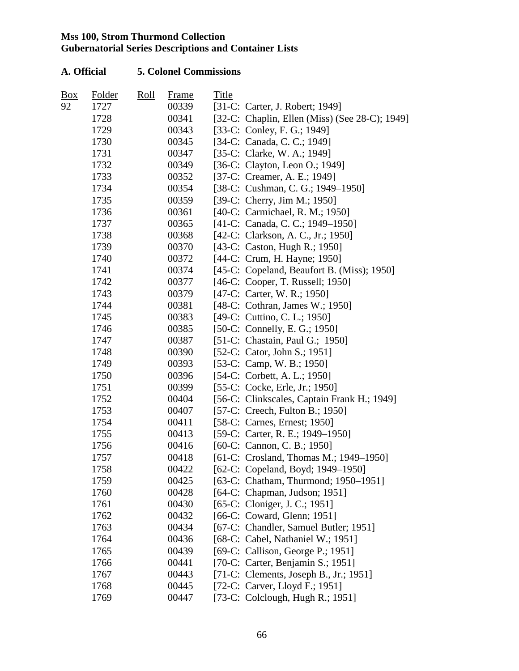| Box | Folder | Roll | <b>Frame</b> | Title |                                                |
|-----|--------|------|--------------|-------|------------------------------------------------|
| 92  | 1727   |      | 00339        |       | [31-C: Carter, J. Robert; 1949]                |
|     | 1728   |      | 00341        |       | [32-C: Chaplin, Ellen (Miss) (See 28-C); 1949] |
|     | 1729   |      | 00343        |       | [33-C: Conley, F. G.; 1949]                    |
|     | 1730   |      | 00345        |       | [34-C: Canada, C. C.; 1949]                    |
|     | 1731   |      | 00347        |       | [35-C: Clarke, W. A.; 1949]                    |
|     | 1732   |      | 00349        |       | [36-C: Clayton, Leon O.; 1949]                 |
|     | 1733   |      | 00352        |       | [37-C: Creamer, A. E.; 1949]                   |
|     | 1734   |      | 00354        |       | [38-C: Cushman, C. G.; 1949-1950]              |
|     | 1735   |      | 00359        |       | [39-C: Cherry, Jim M.; 1950]                   |
|     | 1736   |      | 00361        |       | [40-C: Carmichael, R. M.; 1950]                |
|     | 1737   |      | 00365        |       | [41-C: Canada, C. C.; 1949-1950]               |
|     | 1738   |      | 00368        |       | [42-C: Clarkson, A. C., Jr.; 1950]             |
|     | 1739   |      | 00370        |       | [43-C: Caston, Hugh R.; 1950]                  |
|     | 1740   |      | 00372        |       | [44-C: Crum, H. Hayne; 1950]                   |
|     | 1741   |      | 00374        |       | [45-C: Copeland, Beaufort B. (Miss); 1950]     |
|     | 1742   |      | 00377        |       | [46-C: Cooper, T. Russell; 1950]               |
|     | 1743   |      | 00379        |       | [47-C: Carter, W. R.; 1950]                    |
|     | 1744   |      | 00381        |       | [48-C: Cothran, James W.; 1950]                |
|     | 1745   |      | 00383        |       | [49-C: Cuttino, C. L.; 1950]                   |
|     | 1746   |      | 00385        |       | [50-C: Connelly, E. G.; 1950]                  |
|     | 1747   |      | 00387        |       | [51-C: Chastain, Paul G.; 1950]                |
|     | 1748   |      | 00390        |       | [52-C: Cator, John S.; 1951]                   |
|     | 1749   |      | 00393        |       | [53-C: Camp, W. B.; 1950]                      |
|     | 1750   |      | 00396        |       | [54-C: Corbett, A. L.; 1950]                   |
|     | 1751   |      | 00399        |       | [55-C: Cocke, Erle, Jr.; 1950]                 |
|     | 1752   |      | 00404        |       | [56-C: Clinkscales, Captain Frank H.; 1949]    |
|     | 1753   |      | 00407        |       | [57-C: Creech, Fulton B.; 1950]                |
|     | 1754   |      | 00411        |       | [58-C: Carnes, Ernest; 1950]                   |
|     | 1755   |      | 00413        |       | [59-C: Carter, R. E.; 1949–1950]               |
|     | 1756   |      | 00416        |       | [60-C: Cannon, C. B.; 1950]                    |
|     | 1757   |      | 00418        |       | [61-C: Crosland, Thomas M.; 1949–1950]         |
|     | 1758   |      | 00422        |       | [62-C: Copeland, Boyd; 1949–1950]              |
|     | 1759   |      | 00425        |       | [63-C: Chatham, Thurmond; 1950-1951]           |
|     | 1760   |      | 00428        |       | [64-C: Chapman, Judson; 1951]                  |
|     | 1761   |      | 00430        |       | [65-C: Cloniger, J. C.; 1951]                  |
|     | 1762   |      | 00432        |       | [66-C: Coward, Glenn; 1951]                    |
|     | 1763   |      | 00434        |       | [67-C: Chandler, Samuel Butler; 1951]          |
|     | 1764   |      | 00436        |       | [68-C: Cabel, Nathaniel W.; 1951]              |
|     | 1765   |      | 00439        |       | [69-C: Callison, George P.; 1951]              |
|     | 1766   |      | 00441        |       | [70-C: Carter, Benjamin S.; 1951]              |
|     | 1767   |      | 00443        |       | [71-C: Clements, Joseph B., Jr.; 1951]         |
|     | 1768   |      | 00445        |       | [72-C: Carver, Lloyd F.; 1951]                 |
|     | 1769   |      | 00447        |       | [73-C: Colclough, Hugh R.; 1951]               |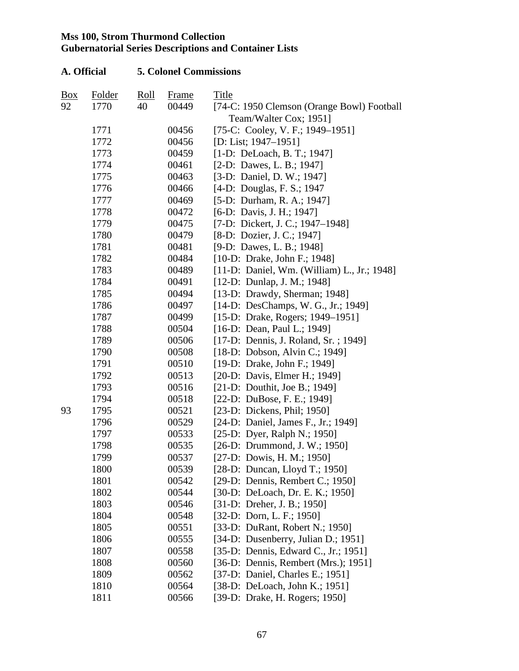| A. Official |              | <b>5. Colonel Commissions</b>     |                |                                                                |  |  |
|-------------|--------------|-----------------------------------|----------------|----------------------------------------------------------------|--|--|
| <u>Box</u>  | Folder       | $\frac{\text{Roll}}{\text{Roll}}$ | Frame          | Title                                                          |  |  |
| 92          | 1770         | 40                                | 00449          | [74-C: 1950 Clemson (Orange Bowl) Football                     |  |  |
|             |              |                                   |                | Team/Walter Cox; 1951]                                         |  |  |
|             | 1771         |                                   | 00456          | [75-C: Cooley, V. F.; 1949–1951]                               |  |  |
|             | 1772         |                                   | 00456          | [D: List; 1947–1951]                                           |  |  |
|             | 1773         |                                   | 00459          | [1-D: DeLoach, B. T.; 1947]                                    |  |  |
|             | 1774         |                                   | 00461          | $[2-D:$ Dawes, L. B.; 1947]                                    |  |  |
|             | 1775         |                                   | 00463          | [3-D: Daniel, D. W.; 1947]                                     |  |  |
|             | 1776         |                                   | 00466          | [4-D: Douglas, F. S.; 1947]                                    |  |  |
|             | 1777         |                                   | 00469          | [5-D: Durham, R. A.; 1947]                                     |  |  |
|             | 1778         |                                   | 00472          | [6-D: Davis, J. H.; 1947]                                      |  |  |
|             | 1779         |                                   | 00475          | [7-D: Dickert, J. C.; 1947–1948]                               |  |  |
|             | 1780         |                                   | 00479          | [8-D: Dozier, J. C.; 1947]                                     |  |  |
|             | 1781         |                                   | 00481          | [9-D: Dawes, L. B.; 1948]                                      |  |  |
|             | 1782         |                                   | 00484          | [10-D: Drake, John F.; 1948]                                   |  |  |
|             | 1783         |                                   | 00489          | [11-D: Daniel, Wm. (William) L., Jr.; 1948]                    |  |  |
|             | 1784         |                                   | 00491          | $[12-D: Dunlap, J. M.; 1948]$                                  |  |  |
|             | 1785         |                                   | 00494          | [13-D: Drawdy, Sherman; 1948]                                  |  |  |
|             | 1786         |                                   | 00497          | [14-D: DesChamps, W. G., Jr.; 1949]                            |  |  |
|             | 1787         |                                   | 00499          | [15-D: Drake, Rogers; 1949-1951]                               |  |  |
|             | 1788         |                                   | 00504          | [16-D: Dean, Paul L.; 1949]                                    |  |  |
|             | 1789         |                                   | 00506          | [17-D: Dennis, J. Roland, Sr.; 1949]                           |  |  |
|             | 1790         |                                   | 00508          | [18-D: Dobson, Alvin C.; 1949]                                 |  |  |
|             | 1791         |                                   | 00510          | [19-D: Drake, John F.; 1949]                                   |  |  |
|             | 1792         |                                   | 00513          | [20-D: Davis, Elmer H.; 1949]                                  |  |  |
|             | 1793         |                                   | 00516          | [21-D: Douthit, Joe B.; 1949]                                  |  |  |
|             | 1794         |                                   | 00518          | [22-D: DuBose, F. E.; 1949]                                    |  |  |
| 93          | 1795         |                                   | 00521          | [23-D: Dickens, Phil; 1950]                                    |  |  |
|             | 1796         |                                   | 00529          | [24-D: Daniel, James F., Jr.; 1949]                            |  |  |
|             | 1797         |                                   | 00533          | [25-D: Dyer, Ralph N.; 1950]                                   |  |  |
|             | 1798         |                                   | 00535          | [26-D: Drummond, J. W.; 1950]                                  |  |  |
|             | 1799         |                                   | 00537          | $[27-D:$ Dowis, H. M.; 1950]                                   |  |  |
|             | 1800         |                                   | 00539          | [28-D: Duncan, Lloyd T.; 1950]                                 |  |  |
|             | 1801         |                                   | 00542          | [29-D: Dennis, Rembert C.; 1950]                               |  |  |
|             | 1802         |                                   | 00544          | [30-D: DeLoach, Dr. E. K.; 1950]                               |  |  |
|             | 1803         |                                   | 00546          | $[31-D: Dreher, J. B.; 1950]$                                  |  |  |
|             | 1804         |                                   | 00548          | $[32-D: Dorn, L. F.; 1950]$<br>[33-D: DuRant, Robert N.; 1950] |  |  |
|             | 1805<br>1806 |                                   | 00551<br>00555 | [34-D: Dusenberry, Julian D.; 1951]                            |  |  |
|             |              |                                   | 00558          | [35-D: Dennis, Edward C., Jr.; 1951]                           |  |  |
|             | 1807<br>1808 |                                   | 00560          | [36-D: Dennis, Rembert (Mrs.); 1951]                           |  |  |
|             | 1809         |                                   | 00562          | [37-D: Daniel, Charles E.; 1951]                               |  |  |
|             | 1810         |                                   | 00564          | [38-D: DeLoach, John K.; 1951]                                 |  |  |
|             |              |                                   |                |                                                                |  |  |
|             | 1811         |                                   | 00566          | [39-D: Drake, H. Rogers; 1950]                                 |  |  |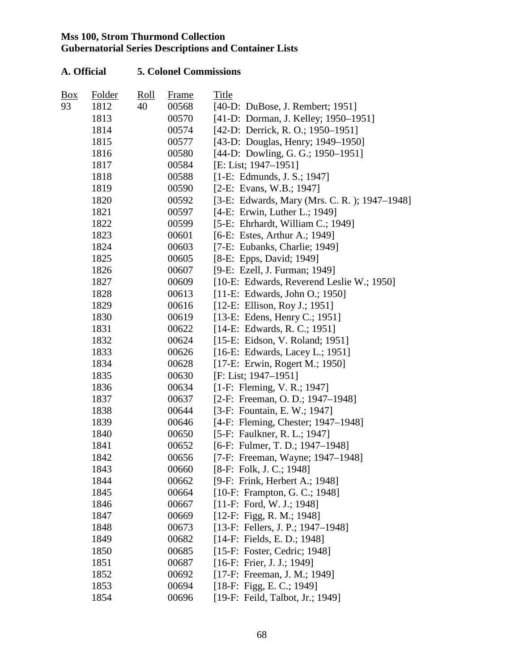| <b>Box</b> | Folder | Roll | <b>Frame</b> | Title                                        |
|------------|--------|------|--------------|----------------------------------------------|
| 93         | 1812   | 40   | 00568        | [40-D: DuBose, J. Rembert; 1951]             |
|            | 1813   |      | 00570        | [41-D: Dorman, J. Kelley; 1950-1951]         |
|            | 1814   |      | 00574        | [42-D: Derrick, R. O.; 1950–1951]            |
|            | 1815   |      | 00577        | [43-D: Douglas, Henry; 1949–1950]            |
|            | 1816   |      | 00580        | [44-D: Dowling, G. G.; 1950–1951]            |
|            | 1817   |      | 00584        | [E: List; 1947–1951]                         |
|            | 1818   |      | 00588        | [1-E: Edmunds, J. S.; 1947]                  |
|            | 1819   |      | 00590        | [2-E: Evans, W.B.; 1947]                     |
|            | 1820   |      | 00592        | [3-E: Edwards, Mary (Mrs. C. R.); 1947–1948] |
|            | 1821   |      | 00597        | [4-E: Erwin, Luther L.; 1949]                |
|            | 1822   |      | 00599        | [5-E: Ehrhardt, William C.; 1949]            |
|            | 1823   |      | 00601        | [6-E: Estes, Arthur A.; 1949]                |
|            | 1824   |      | 00603        | [7-E: Eubanks, Charlie; 1949]                |
|            | 1825   |      | 00605        | [8-E: Epps, David; 1949]                     |
|            | 1826   |      | 00607        | [9-E: Ezell, J. Furman; 1949]                |
|            | 1827   |      | 00609        | [10-E: Edwards, Reverend Leslie W.; 1950]    |
|            | 1828   |      | 00613        | [11-E: Edwards, John O.; 1950]               |
|            | 1829   |      | 00616        | [12-E: Ellison, Roy J.; 1951]                |
|            | 1830   |      | 00619        | [13-E: Edens, Henry C.; 1951]                |
|            | 1831   |      | 00622        | $[14-E: Edwards, R. C.; 1951]$               |
|            | 1832   |      | 00624        | [15-E: Eidson, V. Roland; 1951]              |
|            | 1833   |      | 00626        | $[16-E: Edwards, Lacey L.; 1951]$            |
|            | 1834   |      | 00628        | [17-E: Erwin, Rogert M.; 1950]               |
|            | 1835   |      | 00630        | $[F: List; 1947-1951]$                       |
|            | 1836   |      | 00634        | $[1-F: Fleming, V. R.; 1947]$                |
|            | 1837   |      | 00637        | [2-F: Freeman, O. D.; 1947–1948]             |
|            | 1838   |      | 00644        | [3-F: Fountain, E. W.; 1947]                 |
|            | 1839   |      | 00646        | [4-F: Fleming, Chester; 1947-1948]           |
|            | 1840   |      | 00650        | [5-F: Faulkner, R. L.; 1947]                 |
|            | 1841   |      | 00652        | [6-F: Fulmer, T. D.; $1947-1948$ ]           |
|            | 1842   |      | 00656        | [7-F: Freeman, Wayne; 1947-1948]             |
|            | 1843   |      | 00660        | [8-F: Folk, J. C.; 1948]                     |
|            | 1844   |      | 00662        | [9-F: Frink, Herbert A.; 1948]               |
|            | 1845   |      | 00664        | [10-F: Frampton, G. C.; 1948]                |
|            | 1846   |      | 00667        | $[11-F: Ford, W. J.; 1948]$                  |
|            | 1847   |      | 00669        | $[12-F: Figg, R. M.; 1948]$                  |
|            | 1848   |      | 00673        | [13-F: Fellers, J. P.; 1947–1948]            |
|            | 1849   |      | 00682        | [14-F: Fields, E. D.; 1948]                  |
|            | 1850   |      | 00685        | [15-F: Foster, Cedric; 1948]                 |
|            | 1851   |      | 00687        | [16-F: Frier, J. J.; 1949]                   |
|            | 1852   |      | 00692        | [17-F: Freeman, J. M.; 1949]                 |
|            | 1853   |      | 00694        | $[18-F: Figg, E. C.; 1949]$                  |
|            | 1854   |      | 00696        | [19-F: Feild, Talbot, Jr.; 1949]             |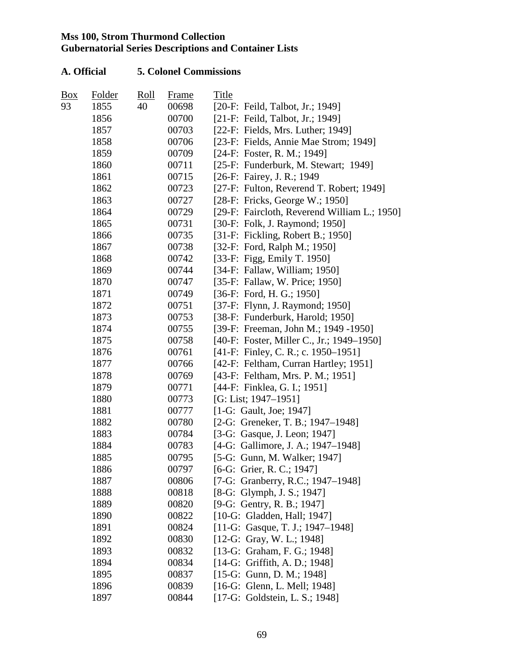| Box | Folder | <u>Roll</u> | Frame | Title                                        |
|-----|--------|-------------|-------|----------------------------------------------|
| 93  | 1855   | 40          | 00698 | [20-F: Feild, Talbot, Jr.; 1949]             |
|     | 1856   |             | 00700 | [21-F: Feild, Talbot, Jr.; 1949]             |
|     | 1857   |             | 00703 | $[22-F: Fields, Mrs. Luther; 1949]$          |
|     | 1858   |             | 00706 | [23-F: Fields, Annie Mae Strom; 1949]        |
|     | 1859   |             | 00709 | [24-F: Foster, R. M.; 1949]                  |
|     | 1860   |             | 00711 | [25-F: Funderburk, M. Stewart; 1949]         |
|     | 1861   |             | 00715 | [26-F: Fairey, J. R.; 1949                   |
|     | 1862   |             | 00723 | [27-F: Fulton, Reverend T. Robert; 1949]     |
|     | 1863   |             | 00727 | [28-F: Fricks, George W.; 1950]              |
|     | 1864   |             | 00729 | [29-F: Faircloth, Reverend William L.; 1950] |
|     | 1865   |             | 00731 | [30-F: Folk, J. Raymond; 1950]               |
|     | 1866   |             | 00735 | [31-F: Fickling, Robert B.; 1950]            |
|     | 1867   |             | 00738 | [32-F: Ford, Ralph M.; 1950]                 |
|     | 1868   |             | 00742 | [33-F: Figg, Emily T. 1950]                  |
|     | 1869   |             | 00744 | [34-F: Fallaw, William; $1950$ ]             |
|     | 1870   |             | 00747 | [35-F: Fallaw, W. Price; 1950]               |
|     | 1871   |             | 00749 | [36-F: Ford, H. G.; 1950]                    |
|     | 1872   |             | 00751 | [37-F: Flynn, J. Raymond; 1950]              |
|     | 1873   |             | 00753 | [38-F: Funderburk, Harold; 1950]             |
|     | 1874   |             | 00755 | [39-F: Freeman, John M.; 1949 -1950]         |
|     | 1875   |             | 00758 | [40-F: Foster, Miller C., Jr.; 1949–1950]    |
|     | 1876   |             | 00761 | [41-F: Finley, C. R.; c. 1950–1951]          |
|     | 1877   |             | 00766 | [42-F: Feltham, Curran Hartley; 1951]        |
|     | 1878   |             | 00769 | [43-F: Feltham, Mrs. P. M.; 1951]            |
|     | 1879   |             | 00771 | [44-F: Finklea, G. I.; 1951]                 |
|     | 1880   |             | 00773 | [G: List; 1947-1951]                         |
|     | 1881   |             | 00777 | [1-G: Gault, Joe; 1947]                      |
|     | 1882   |             | 00780 | [2-G: Greneker, T. B.; 1947–1948]            |
|     | 1883   |             | 00784 | [3-G: Gasque, J. Leon; 1947]                 |
|     | 1884   |             | 00783 | [4-G: Gallimore, J. A.; 1947–1948]           |
|     | 1885   |             | 00795 | [5-G: Gunn, M. Walker; 1947]                 |
|     | 1886   |             | 00797 | [6-G: Grier, R. C.; 1947]                    |
|     | 1887   |             | 00806 | [7-G: Granberry, R.C.; 1947–1948]            |
|     | 1888   |             | 00818 | [8-G: Glymph, J. S.; 1947]                   |
|     | 1889   |             | 00820 | [9-G: Gentry, R. B.; 1947]                   |
|     | 1890   |             | 00822 | [10-G: Gladden, Hall; 1947]                  |
|     | 1891   |             | 00824 | [11-G: Gasque, T. J.; 1947–1948]             |
|     | 1892   |             | 00830 | [12-G: Gray, W. L.; 1948]                    |
|     | 1893   |             | 00832 | [13-G: Graham, F. G.; 1948]                  |
|     | 1894   |             | 00834 | [14-G: Griffith, A. D.; 1948]                |
|     | 1895   |             | 00837 | $[15-G: Gunn, D. M.; 1948]$                  |
|     | 1896   |             | 00839 | [16-G: Glenn, L. Mell; 1948]                 |
|     | 1897   |             | 00844 | [17-G: Goldstein, L. S.; 1948]               |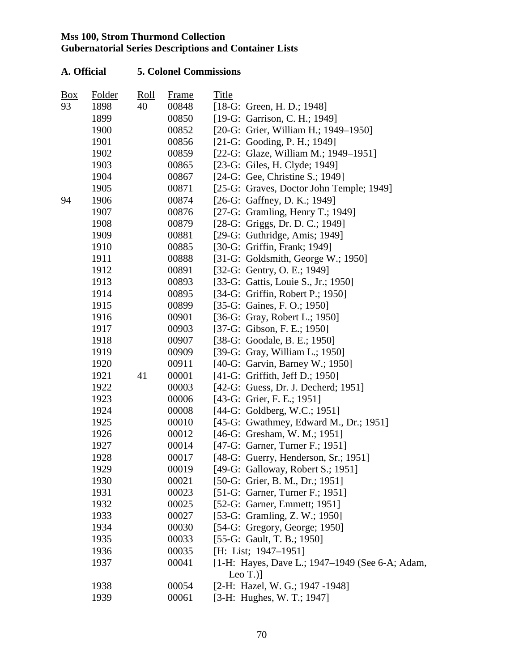| Box | Folder | $\frac{\text{Roll}}{\text{Roll}}$ | Frame | Title                                           |
|-----|--------|-----------------------------------|-------|-------------------------------------------------|
| 93  | 1898   | 40                                | 00848 | [18-G: Green, H. D.; 1948]                      |
|     | 1899   |                                   | 00850 | [19-G: Garrison, C. H.; 1949]                   |
|     | 1900   |                                   | 00852 | [20-G: Grier, William H.; 1949–1950]            |
|     | 1901   |                                   | 00856 | $[21-G: Gooding, P. H.; 1949]$                  |
|     | 1902   |                                   | 00859 | [22-G: Glaze, William M.; 1949-1951]            |
|     | 1903   |                                   | 00865 | [23-G: Giles, H. Clyde; 1949]                   |
|     | 1904   |                                   | 00867 | [24-G: Gee, Christine S.; 1949]                 |
|     | 1905   |                                   | 00871 | [25-G: Graves, Doctor John Temple; 1949]        |
| 94  | 1906   |                                   | 00874 | [26-G: Gaffney, D. K.; 1949]                    |
|     | 1907   |                                   | 00876 | [27-G: Gramling, Henry T.; 1949]                |
|     | 1908   |                                   | 00879 | [28-G: Griggs, Dr. D. C.; 1949]                 |
|     | 1909   |                                   | 00881 | [ $29-G:$ Guthridge, Amis; 1949]                |
|     | 1910   |                                   | 00885 | [30-G: Griffin, Frank; 1949]                    |
|     | 1911   |                                   | 00888 | [31-G: Goldsmith, George W.; 1950]              |
|     | 1912   |                                   | 00891 | [32-G: Gentry, O. E.; 1949]                     |
|     | 1913   |                                   | 00893 | [33-G: Gattis, Louie S., Jr.; 1950]             |
|     | 1914   |                                   | 00895 | [34-G: Griffin, Robert P.; 1950]                |
|     | 1915   |                                   | 00899 | [35-G: Gaines, F. O.; 1950]                     |
|     | 1916   |                                   | 00901 | [36-G: Gray, Robert L.; 1950]                   |
|     | 1917   |                                   | 00903 | [37-G: Gibson, F. E.; 1950]                     |
|     | 1918   |                                   | 00907 | [38-G: Goodale, B. E.; 1950]                    |
|     | 1919   |                                   | 00909 | [39-G: Gray, William L.; 1950]                  |
|     | 1920   |                                   | 00911 | [40-G: Garvin, Barney W.; 1950]                 |
|     | 1921   | 41                                | 00001 | [41-G: Griffith, Jeff D.; 1950]                 |
|     | 1922   |                                   | 00003 | [42-G: Guess, Dr. J. Decherd; 1951]             |
|     | 1923   |                                   | 00006 | [43-G: Grier, F. E.; 1951]                      |
|     | 1924   |                                   | 00008 | [44-G: Goldberg, W.C.; 1951]                    |
|     | 1925   |                                   | 00010 | [45-G: Gwathmey, Edward M., Dr.; 1951]          |
|     | 1926   |                                   | 00012 | [46-G: Gresham, W. M.; 1951]                    |
|     | 1927   |                                   | 00014 | [47-G: Garner, Turner F.; 1951]                 |
|     | 1928   |                                   | 00017 | [48-G: Guerry, Henderson, Sr.; 1951]            |
|     | 1929   |                                   | 00019 | [49-G: Galloway, Robert S.; 1951]               |
|     | 1930   |                                   | 00021 | [50-G: Grier, B. M., Dr.; 1951]                 |
|     | 1931   |                                   | 00023 | [51-G: Garner, Turner F.; 1951]                 |
|     | 1932   |                                   | 00025 | [52-G: Garner, Emmett; 1951]                    |
|     | 1933   |                                   | 00027 | [53-G: Gramling, Z. W.; 1950]                   |
|     | 1934   |                                   | 00030 | $[54-G: Gregory, George; 1950]$                 |
|     | 1935   |                                   | 00033 | [55-G: Gault, T. B.; 1950]                      |
|     | 1936   |                                   | 00035 | [H: List; 1947-1951]                            |
|     | 1937   |                                   | 00041 | [1-H: Hayes, Dave L.; 1947–1949 (See 6-A; Adam, |
|     |        |                                   |       | Leo $T$ .)                                      |
|     | 1938   |                                   | 00054 | [2-H: Hazel, W. G.; 1947 -1948]                 |
|     | 1939   |                                   | 00061 | [3-H: Hughes, W. T.; 1947]                      |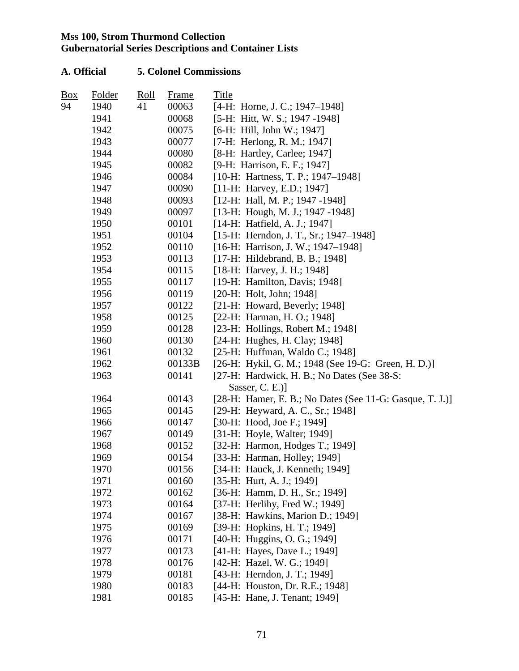| <b>Box</b> | Folder | Roll | <b>Frame</b> | Title                                                    |
|------------|--------|------|--------------|----------------------------------------------------------|
| 94         | 1940   | 41   | 00063        | [4-H: Horne, J. C.; 1947–1948]                           |
|            | 1941   |      | 00068        | [5-H: Hitt, W. S.; 1947 -1948]                           |
|            | 1942   |      | 00075        | [6-H: Hill, John W.; 1947]                               |
|            | 1943   |      | 00077        | [7-H: Herlong, R. M.; 1947]                              |
|            | 1944   |      | 00080        | [8-H: Hartley, Carlee; 1947]                             |
|            | 1945   |      | 00082        | [9-H: Harrison, E. F.; 1947]                             |
|            | 1946   |      | 00084        | [10-H: Hartness, T. P.; 1947–1948]                       |
|            | 1947   |      | 00090        | [11-H: Harvey, E.D.; 1947]                               |
|            | 1948   |      | 00093        | [12-H: Hall, M. P.; 1947 -1948]                          |
|            | 1949   |      | 00097        | [13-H: Hough, M. J.; 1947 -1948]                         |
|            | 1950   |      | 00101        | [14-H: Hatfield, A. J.; 1947]                            |
|            | 1951   |      | 00104        | [15-H: Herndon, J. T., Sr.; 1947–1948]                   |
|            | 1952   |      | 00110        | [16-H: Harrison, J. W.; 1947-1948]                       |
|            | 1953   |      | 00113        | [17-H: Hildebrand, B. B.; 1948]                          |
|            | 1954   |      | 00115        | [18-H: Harvey, J. H.; 1948]                              |
|            | 1955   |      | 00117        | [19-H: Hamilton, Davis; 1948]                            |
|            | 1956   |      | 00119        | $[20-H: Holt, John; 1948]$                               |
|            | 1957   |      | 00122        | [21-H: Howard, Beverly; 1948]                            |
|            | 1958   |      | 00125        | [22-H: Harman, H. O.; 1948]                              |
|            | 1959   |      | 00128        | [ $23-H:$ Hollings, Robert M.; 1948]                     |
|            | 1960   |      | 00130        | [24-H: Hughes, H. Clay; 1948]                            |
|            | 1961   |      | 00132        | [25-H: Huffman, Waldo C.; 1948]                          |
|            | 1962   |      | 00133B       | [26-H: Hykil, G. M.; 1948 (See 19-G: Green, H. D.)]      |
|            | 1963   |      | 00141        | [27-H: Hardwick, H. B.; No Dates (See 38-S:              |
|            |        |      |              | Sasser, $C. E.)$ ]                                       |
|            | 1964   |      | 00143        | [28-H: Hamer, E. B.; No Dates (See 11-G: Gasque, T. J.)] |
|            | 1965   |      | 00145        | [29-H: Heyward, A. C., Sr.; 1948]                        |
|            | 1966   |      | 00147        | [30-H: Hood, Joe F.; 1949]                               |
|            | 1967   |      | 00149        | [31-H: Hoyle, Walter; 1949]                              |
|            | 1968   |      | 00152        | [32-H: Harmon, Hodges T.; 1949]                          |
|            | 1969   |      | 00154        | [33-H: Harman, Holley; 1949]                             |
|            | 1970   |      | 00156        | [34-H: Hauck, J. Kenneth; 1949]                          |
|            | 1971   |      | 00160        | $[35-H: Hurt, A. J.; 1949]$                              |
|            | 1972   |      | 00162        | [36-H: Hamm, D. H., Sr.; 1949]                           |
|            | 1973   |      | 00164        | [37-H: Herlihy, Fred W.; 1949]                           |
|            | 1974   |      | 00167        | [38-H: Hawkins, Marion D.; 1949]                         |
|            | 1975   |      | 00169        | [39-H: Hopkins, H. T.; 1949]                             |
|            | 1976   |      | 00171        | [40-H: Huggins, O. G.; 1949]                             |
|            | 1977   |      | 00173        | [41-H: Hayes, Dave L.; 1949]                             |
|            | 1978   |      | 00176        | [42-H: Hazel, W. G.; 1949]                               |
|            | 1979   |      | 00181        | [43-H: Herndon, J. T.; 1949]                             |
|            | 1980   |      | 00183        | [44-H: Houston, Dr. R.E.; 1948]                          |
|            | 1981   |      | 00185        | [45-H: Hane, J. Tenant; 1949]                            |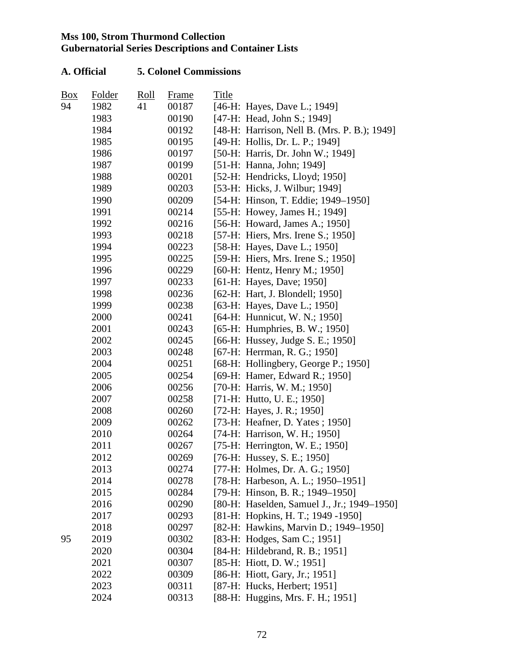| Box | Folder | Roll | Frame | Title |                                              |
|-----|--------|------|-------|-------|----------------------------------------------|
| 94  | 1982   | 41   | 00187 |       | [46-H: Hayes, Dave L.; 1949]                 |
|     | 1983   |      | 00190 |       | [47-H: Head, John S.; 1949]                  |
|     | 1984   |      | 00192 |       | [48-H: Harrison, Nell B. (Mrs. P. B.); 1949] |
|     | 1985   |      | 00195 |       | [49-H: Hollis, Dr. L. P.; 1949]              |
|     | 1986   |      | 00197 |       | [50-H: Harris, Dr. John W.; 1949]            |
|     | 1987   |      | 00199 |       | [51-H: Hanna, John; 1949]                    |
|     | 1988   |      | 00201 |       | [52-H: Hendricks, Lloyd; 1950]               |
|     | 1989   |      | 00203 |       | [53-H: Hicks, J. Wilbur; 1949]               |
|     | 1990   |      | 00209 |       | [54-H: Hinson, T. Eddie; 1949–1950]          |
|     | 1991   |      | 00214 |       | [55-H: Howey, James H.; 1949]                |
|     | 1992   |      | 00216 |       | [56-H: Howard, James A.; 1950]               |
|     | 1993   |      | 00218 |       | [57-H: Hiers, Mrs. Irene S.; 1950]           |
|     | 1994   |      | 00223 |       | [58-H: Hayes, Dave L.; 1950]                 |
|     | 1995   |      | 00225 |       | [59-H: Hiers, Mrs. Irene S.; 1950]           |
|     | 1996   |      | 00229 |       | [60-H: Hentz, Henry M.; 1950]                |
|     | 1997   |      | 00233 |       | [61-H: Hayes, Dave; 1950]                    |
|     | 1998   |      | 00236 |       | [62-H: Hart, J. Blondell; 1950]              |
|     | 1999   |      | 00238 |       | [63-H: Hayes, Dave L.; 1950]                 |
|     | 2000   |      | 00241 |       | [64-H: Hunnicut, W. N.; 1950]                |
|     | 2001   |      | 00243 |       | [65-H: Humphries, B. W.; 1950]               |
|     | 2002   |      | 00245 |       | [66-H: Hussey, Judge S. E.; 1950]            |
|     | 2003   |      | 00248 |       | [67-H: Herrman, R. G.; 1950]                 |
|     | 2004   |      | 00251 |       | [68-H: Hollingbery, George P.; 1950]         |
|     | 2005   |      | 00254 |       | [69-H: Hamer, Edward R.; 1950]               |
|     | 2006   |      | 00256 |       | [70-H: Harris, W. M.; 1950]                  |
|     | 2007   |      | 00258 |       | [71-H: Hutto, U. E.; 1950]                   |
|     | 2008   |      | 00260 |       | [72-H: Hayes, J. R.; 1950]                   |
|     | 2009   |      | 00262 |       | [73-H: Heafner, D. Yates; 1950]              |
|     | 2010   |      | 00264 |       | [74-H: Harrison, W. H.; 1950]                |
|     | 2011   |      | 00267 |       | [75-H: Herrington, W. E.; 1950]              |
|     | 2012   |      | 00269 |       | [76-H: Hussey, S. E.; 1950]                  |
|     | 2013   |      | 00274 |       | [77-H: Holmes, Dr. A. G.; 1950]              |
|     | 2014   |      | 00278 |       | [78-H: Harbeson, A. L.; 1950–1951]           |
|     | 2015   |      | 00284 |       | [79-H: Hinson, B. R.; 1949-1950]             |
|     | 2016   |      | 00290 |       | [80-H: Haselden, Samuel J., Jr.; 1949–1950]  |
|     | 2017   |      | 00293 |       | [81-H: Hopkins, H. T.; 1949 -1950]           |
|     | 2018   |      | 00297 |       | [82-H: Hawkins, Marvin D.; 1949-1950]        |
| 95  | 2019   |      | 00302 |       | [83-H: Hodges, Sam C.; 1951]                 |
|     | 2020   |      | 00304 |       | [84-H: Hildebrand, R. B.; 1951]              |
|     | 2021   |      | 00307 |       | [85-H: Hiott, D. W.; 1951]                   |
|     | 2022   |      | 00309 |       | [86-H: Hiott, Gary, Jr.; 1951]               |
|     | 2023   |      | 00311 |       | [87-H: Hucks, Herbert; 1951]                 |
|     | 2024   |      | 00313 |       | [88-H: Huggins, Mrs. F. H.; 1951]            |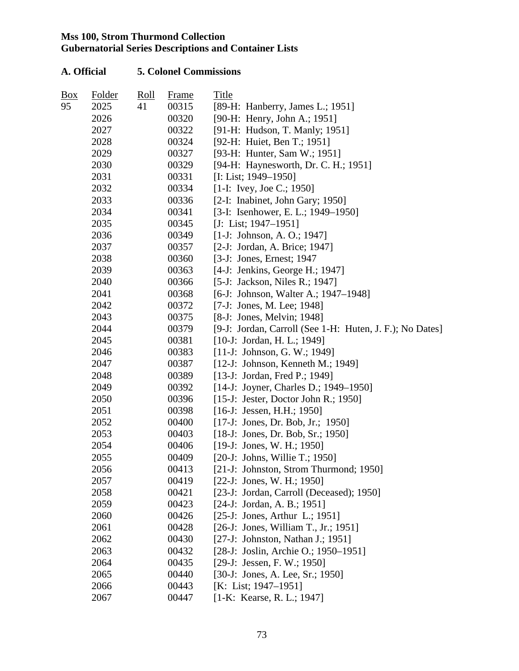| Box | Folder | Roll | Frame | Title                                                    |
|-----|--------|------|-------|----------------------------------------------------------|
| 95  | 2025   | 41   | 00315 | [89-H: Hanberry, James L.; 1951]                         |
|     | 2026   |      | 00320 | [90-H: Henry, John A.; 1951]                             |
|     | 2027   |      | 00322 | [91-H: Hudson, T. Manly; 1951]                           |
|     | 2028   |      | 00324 | [92-H: Huiet, Ben T.; 1951]                              |
|     | 2029   |      | 00327 | [93-H: Hunter, Sam W.; 1951]                             |
|     | 2030   |      | 00329 | [94-H: Haynesworth, Dr. C. H.; 1951]                     |
|     | 2031   |      | 00331 | [I: List; 1949–1950]                                     |
|     | 2032   |      | 00334 | $[1-I: Ivey, Joe C.; 1950]$                              |
|     | 2033   |      | 00336 | [2-I: Inabinet, John Gary; 1950]                         |
|     | 2034   |      | 00341 | [3-I: Isenhower, E. L.; 1949–1950]                       |
|     | 2035   |      | 00345 | [J: List; $1947-1951$ ]                                  |
|     | 2036   |      | 00349 | $[1-J: Johnson, A. O.; 1947]$                            |
|     | 2037   |      | 00357 | [2-J: Jordan, A. Brice; 1947]                            |
|     | 2038   |      | 00360 | [3-J: Jones, Ernest; 1947                                |
|     | 2039   |      | 00363 | [4-J: Jenkins, George H.; 1947]                          |
|     | 2040   |      | 00366 | [5-J: Jackson, Niles R.; 1947]                           |
|     | 2041   |      | 00368 | [6-J: Johnson, Walter A.; 1947-1948]                     |
|     | 2042   |      | 00372 | [7-J: Jones, M. Lee; 1948]                               |
|     | 2043   |      | 00375 | [8-J: Jones, Melvin; 1948]                               |
|     | 2044   |      | 00379 | [9-J: Jordan, Carroll (See 1-H: Huten, J. F.); No Dates] |
|     | 2045   |      | 00381 | $[10-J: Jordan, H. L.; 1949]$                            |
|     | 2046   |      | 00383 | $[11-$ J: Johnson, G. W.; 1949]                          |
|     | 2047   |      | 00387 | [12-J: Johnson, Kenneth M.; 1949]                        |
|     | 2048   |      | 00389 | [13-J: Jordan, Fred P.; 1949]                            |
|     | 2049   |      | 00392 | [14-J: Joyner, Charles D.; 1949–1950]                    |
|     | 2050   |      | 00396 | [15-J: Jester, Doctor John R.; 1950]                     |
|     | 2051   |      | 00398 | $[16-J: Jesus, H.H.; 1950]$                              |
|     | 2052   |      | 00400 | [17-J: Jones, Dr. Bob, Jr.; 1950]                        |
|     | 2053   |      | 00403 | $[18-J: Jones, Dr. Bob, Sr.; 1950]$                      |
|     | 2054   |      | 00406 | $[19-J: Jones, W. H.; 1950]$                             |
|     | 2055   |      | 00409 | [20-J: Johns, Willie T.; 1950]                           |
|     | 2056   |      | 00413 | [21-J: Johnston, Strom Thurmond; 1950]                   |
|     | 2057   |      | 00419 | $[22-J: Jones, W. H.: 1950]$                             |
|     | 2058   |      | 00421 | [23-J: Jordan, Carroll (Deceased); 1950]                 |
|     | 2059   |      | 00423 | $[24-J: Jordan, A. B.; 1951]$                            |
|     | 2060   |      | 00426 | [25-J: Jones, Arthur L.; 1951]                           |
|     | 2061   |      | 00428 | [26-J: Jones, William T., Jr.; 1951]                     |
|     | 2062   |      | 00430 | [27-J: Johnston, Nathan J.; 1951]                        |
|     | 2063   |      | 00432 | [28-J: Joslin, Archie O.; 1950–1951]                     |
|     | 2064   |      | 00435 | [29-J: Jessen, F. W.; 1950]                              |
|     | 2065   |      | 00440 | $[30-J: Jones, A. Lee, Sr.; 1950]$                       |
|     | 2066   |      | 00443 | [K: List; $1947-1951$ ]                                  |
|     | 2067   |      | 00447 | [1-K: Kearse, R. L.; 1947]                               |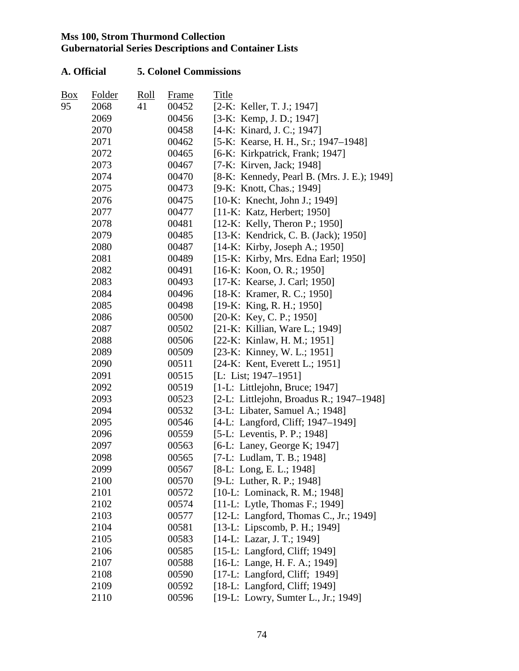| $B_{0X}$ | Folder | <u>Roll</u> | Frame | Title                                       |
|----------|--------|-------------|-------|---------------------------------------------|
| 95       | 2068   | 41          | 00452 | $[2-K:$ Keller, T. J.; 1947]                |
|          | 2069   |             | 00456 | [3-K: Kemp, J. D.; 1947]                    |
|          | 2070   |             | 00458 | [4-K: Kinard, J. C.; 1947]                  |
|          | 2071   |             | 00462 | [5-K: Kearse, H. H., Sr.; 1947–1948]        |
|          | 2072   |             | 00465 | [6-K: Kirkpatrick, Frank; 1947]             |
|          | 2073   |             | 00467 | [7-K: Kirven, Jack; 1948]                   |
|          | 2074   |             | 00470 | [8-K: Kennedy, Pearl B. (Mrs. J. E.); 1949] |
|          | 2075   |             | 00473 | [9-K: Knott, Chas.; 1949]                   |
|          | 2076   |             | 00475 | [10-K: Knecht, John J.; 1949]               |
|          | 2077   |             | 00477 | [11-K: Katz, Herbert; 1950]                 |
|          | 2078   |             | 00481 | $[12-K: Kelly, Theron P.; 1950]$            |
|          | 2079   |             | 00485 | [13-K: Kendrick, C. B. (Jack); 1950]        |
|          | 2080   |             | 00487 | $[14-K:$ Kirby, Joseph A.; 1950]            |
|          | 2081   |             | 00489 | [15-K: Kirby, Mrs. Edna Earl; 1950]         |
|          | 2082   |             | 00491 | [16-K: Koon, O.R.; 1950]                    |
|          | 2083   |             | 00493 | [17-K: Kearse, J. Carl; 1950]               |
|          | 2084   |             | 00496 | [18-K: Kramer, R. C.; 1950]                 |
|          | 2085   |             | 00498 | $[19-K: King, R. H.; 1950]$                 |
|          | 2086   |             | 00500 | $[20-K: Key, C. P.; 1950]$                  |
|          | 2087   |             | 00502 | [21-K: Killian, Ware L.; 1949]              |
|          | 2088   |             | 00506 | [22-K: Kinlaw, H. M.; 1951]                 |
|          | 2089   |             | 00509 | [23-K: Kinney, W. L.; 1951]                 |
|          | 2090   |             | 00511 | [24-K: Kent, Everett L.; 1951]              |
|          | 2091   |             | 00515 | [L: List; $1947-1951$ ]                     |
|          | 2092   |             | 00519 | $[1-L: Littlejohn, Bruce; 1947]$            |
|          | 2093   |             | 00523 | [2-L: Littlejohn, Broadus R.; 1947–1948]    |
|          | 2094   |             | 00532 | [3-L: Libater, Samuel A.; 1948]             |
|          | 2095   |             | 00546 | [4-L: Langford, Cliff; 1947-1949]           |
|          | 2096   |             | 00559 | [5-L: Leventis, P. P.; 1948]                |
|          | 2097   |             | 00563 | [6-L: Laney, George K; 1947]                |
|          | 2098   |             | 00565 | [7-L: Ludlam, T. B.; 1948]                  |
|          | 2099   |             | 00567 | $[8-L: Long, E. L.; 1948]$                  |
|          | 2100   |             | 00570 | [9-L: Luther, R. P.; 1948]                  |
|          | 2101   |             | 00572 | [10-L: Lominack, R. M.; 1948]               |
|          | 2102   |             | 00574 | $[11-L: Lytle, Thomas F.; 1949]$            |
|          | 2103   |             | 00577 | [12-L: Langford, Thomas C., Jr.; 1949]      |
|          | 2104   |             | 00581 | [13-L: Lipscomb, P. H.; 1949]               |
|          | 2105   |             | 00583 | [14-L: Lazar, J. T.; 1949]                  |
|          | 2106   |             | 00585 | [15-L: Langford, Cliff; 1949]               |
|          | 2107   |             | 00588 | [16-L: Lange, H. F. A.; 1949]               |
|          | 2108   |             | 00590 | [17-L: Langford, Cliff; 1949]               |
|          | 2109   |             | 00592 | [18-L: Langford, Cliff; 1949]               |
|          | 2110   |             | 00596 | [19-L: Lowry, Sumter L., Jr.; 1949]         |
|          |        |             |       |                                             |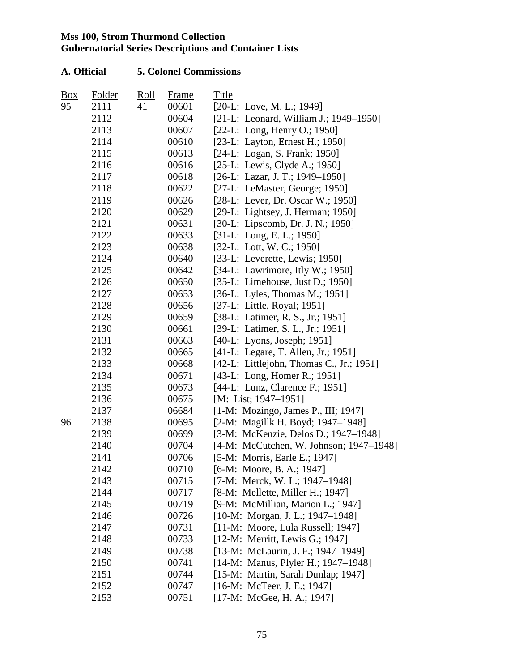| Box | <b>Folder</b> | <u>Roll</u> | <b>Frame</b> | Title                                    |
|-----|---------------|-------------|--------------|------------------------------------------|
| 95  | 2111          | 41          | 00601        | $[20-L: Love, M. L.; 1949]$              |
|     | 2112          |             | 00604        | [21-L: Leonard, William J.; 1949–1950]   |
|     | 2113          |             | 00607        | $[22-L: Long, Henry O.; 1950]$           |
|     | 2114          |             | 00610        | [23-L: Layton, Ernest H.; 1950]          |
|     | 2115          |             | 00613        | [24-L: Logan, S. Frank; 1950]            |
|     | 2116          |             | 00616        | $[25-L: Lewis, Clyde A.; 1950]$          |
|     | 2117          |             | 00618        | [26-L: Lazar, J. T.; 1949-1950]          |
|     | 2118          |             | 00622        | [27-L: LeMaster, George; 1950]           |
|     | 2119          |             | 00626        | [28-L: Lever, Dr. Oscar W.; 1950]        |
|     | 2120          |             | 00629        | [29-L: Lightsey, J. Herman; 1950]        |
|     | 2121          |             | 00631        | [30-L: Lipscomb, Dr. J. N.; 1950]        |
|     | 2122          |             | 00633        | [31-L: Long, E. L.; 1950]                |
|     | 2123          |             | 00638        | $[32-L:$ Lott, W. C.; 1950]              |
|     | 2124          |             | 00640        | [33-L: Leverette, Lewis; $1950$ ]        |
|     | 2125          |             | 00642        | [34-L: Lawrimore, Itly W.; 1950]         |
|     | 2126          |             | 00650        | $[35-L:$ Limehouse, Just D.; 1950]       |
|     | 2127          |             | 00653        | [36-L: Lyles, Thomas M.; 1951]           |
|     | 2128          |             | 00656        | [37-L: Little, Royal; 1951]              |
|     | 2129          |             | 00659        | [38-L: Latimer, R. S., Jr.; 1951]        |
|     | 2130          |             | 00661        | [39-L: Latimer, S. L., Jr.; 1951]        |
|     | 2131          |             | 00663        | $[40-L: Lyons, Joseph; 1951]$            |
|     | 2132          |             | 00665        | [41-L: Legare, T. Allen, Jr.; 1951]      |
|     | 2133          |             | 00668        | [42-L: Littlejohn, Thomas C., Jr.; 1951] |
|     | 2134          |             | 00671        | [43-L: Long, Homer R.; 1951]             |
|     | 2135          |             | 00673        | [44-L: Lunz, Clarence F.; 1951]          |
|     | 2136          |             | 00675        | [M: List; $1947-1951$ ]                  |
|     | 2137          |             | 06684        | [1-M: Mozingo, James P., III; 1947]      |
| 96  | 2138          |             | 00695        | [2-M: Magillk H. Boyd; 1947–1948]        |
|     | 2139          |             | 00699        | [3-M: McKenzie, Delos D.; 1947-1948]     |
|     | 2140          |             | 00704        | [4-M: McCutchen, W. Johnson; 1947–1948]  |
|     | 2141          |             | 00706        | [5-M: Morris, Earle E.; 1947]            |
|     | 2142          |             | 00710        | [6-M: Moore, B. A.; 1947]                |
|     | 2143          |             | 00715        | [7-M: Merck, W. L.; 1947–1948]           |
|     | 2144          |             | 00717        | [8-M: Mellette, Miller H.; 1947]         |
|     | 2145          |             | 00719        | [9-M: McMillian, Marion L.; 1947]        |
|     | 2146          |             | 00726        | $[10-M: Morgan, J. L.; 1947-1948]$       |
|     | 2147          |             | 00731        | [11-M: Moore, Lula Russell; 1947]        |
|     | 2148          |             | 00733        | [12-M: Merritt, Lewis G.; 1947]          |
|     | 2149          |             | 00738        | [13-M: McLaurin, J. F.; 1947-1949]       |
|     | 2150          |             | 00741        | [14-M: Manus, Plyler H.; 1947–1948]      |
|     | 2151          |             | 00744        | [15-M: Martin, Sarah Dunlap; 1947]       |
|     | 2152          |             | 00747        | [16-M: McTeer, J. E.; 1947]              |
|     | 2153          |             | 00751        | [17-M: McGee, H. A.; 1947]               |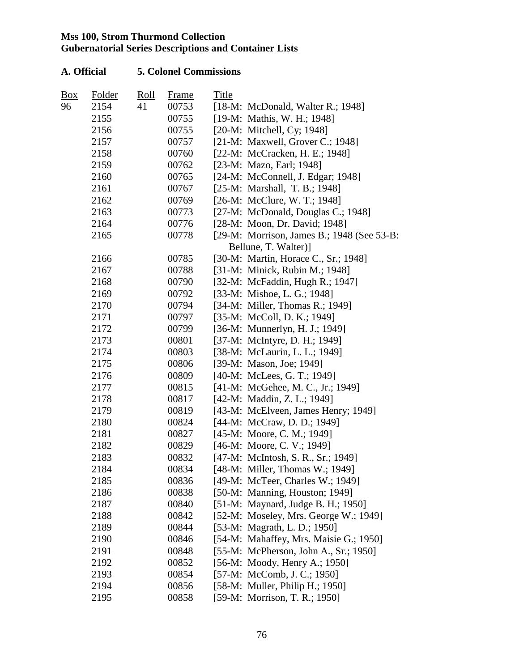| $B_{0X}$ | Folder | <u>Roll</u> | <b>Frame</b> | Title |                                            |
|----------|--------|-------------|--------------|-------|--------------------------------------------|
| 96       | 2154   | 41          | 00753        |       | [18-M: McDonald, Walter R.; 1948]          |
|          | 2155   |             | 00755        |       | [19-M: Mathis, W. H.; 1948]                |
|          | 2156   |             | 00755        |       | [20-M: Mitchell, Cy; 1948]                 |
|          | 2157   |             | 00757        |       | [21-M: Maxwell, Grover C.; 1948]           |
|          | 2158   |             | 00760        |       | [22-M: McCracken, H. E.; 1948]             |
|          | 2159   |             | 00762        |       | [23-M: Mazo, Earl; 1948]                   |
|          | 2160   |             | 00765        |       | [24-M: McConnell, J. Edgar; 1948]          |
|          | 2161   |             | 00767        |       | [25-M: Marshall, T. B.; 1948]              |
|          | 2162   |             | 00769        |       | [26-M: McClure, W. T.; 1948]               |
|          | 2163   |             | 00773        |       | [27-M: McDonald, Douglas C.; 1948]         |
|          | 2164   |             | 00776        |       | [28-M: Moon, Dr. David; 1948]              |
|          | 2165   |             | 00778        |       | [29-M: Morrison, James B.; 1948 (See 53-B: |
|          |        |             |              |       | Bellune, T. Walter)]                       |
|          | 2166   |             | 00785        |       | [30-M: Martin, Horace C., Sr.; 1948]       |
|          | 2167   |             | 00788        |       | [31-M: Minick, Rubin M.; 1948]             |
|          | 2168   |             | 00790        |       | [32-M: McFaddin, Hugh R.; 1947]            |
|          | 2169   |             | 00792        |       | [33-M: Mishoe, L. G.; 1948]                |
|          | 2170   |             | 00794        |       | [34-M: Miller, Thomas R.; 1949]            |
|          | 2171   |             | 00797        |       | [35-M: McColl, D. K.; 1949]                |
|          | 2172   |             | 00799        |       | [36-M: Munnerlyn, H. J.; 1949]             |
|          | 2173   |             | 00801        |       | [37-M: McIntyre, D. H.; 1949]              |
|          | 2174   |             | 00803        |       | [38-M: McLaurin, L. L.; 1949]              |
|          | 2175   |             | 00806        |       | [39-M: Mason, Joe; 1949]                   |
|          | 2176   |             | 00809        |       | [40-M: McLees, G. T.; 1949]                |
|          | 2177   |             | 00815        |       | [41-M: McGehee, M. C., Jr.; 1949]          |
|          | 2178   |             | 00817        |       | [42-M: Maddin, Z. L.; 1949]                |
|          | 2179   |             | 00819        |       | [43-M: McElveen, James Henry; 1949]        |
|          | 2180   |             | 00824        |       | [44-M: McCraw, D. D.; 1949]                |
|          | 2181   |             | 00827        |       | [45-M: Moore, C. M.; 1949]                 |
|          | 2182   |             | 00829        |       | [46-M: Moore, C. V.; 1949]                 |
|          | 2183   |             | 00832        |       | [47-M: McIntosh, S. R., Sr.; 1949]         |
|          | 2184   |             | 00834        |       | [48-M: Miller, Thomas W.; 1949]            |
|          | 2185   |             | 00836        |       | [49-M: McTeer, Charles W.; 1949]           |
|          | 2186   |             | 00838        |       | [50-M: Manning, Houston; 1949]             |
|          | 2187   |             | 00840        |       | [51-M: Maynard, Judge B. H.; 1950]         |
|          | 2188   |             | 00842        |       | [52-M: Moseley, Mrs. George W.; 1949]      |
|          | 2189   |             | 00844        |       | [53-M: Magrath, L. D.; 1950]               |
|          | 2190   |             | 00846        |       | [54-M: Mahaffey, Mrs. Maisie G.; 1950]     |
|          | 2191   |             | 00848        |       | [55-M: McPherson, John A., Sr.; 1950]      |
|          | 2192   |             | 00852        |       | [56-M: Moody, Henry A.; 1950]              |
|          | 2193   |             | 00854        |       | [57-M: McComb, J. C.; 1950]                |
|          | 2194   |             | 00856        |       | [58-M: Muller, Philip H.; 1950]            |
|          | 2195   |             | 00858        |       | [59-M: Morrison, T. R.; 1950]              |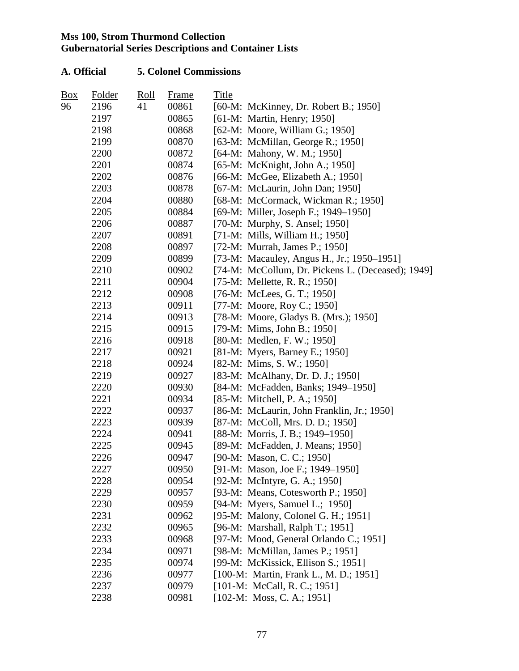| <b>Box</b> | Folder | Roll | Frame | Title |                                                   |
|------------|--------|------|-------|-------|---------------------------------------------------|
| 96         | 2196   | 41   | 00861 |       | [60-M: McKinney, Dr. Robert B.; 1950]             |
|            | 2197   |      | 00865 |       | [61-M: Martin, Henry; 1950]                       |
|            | 2198   |      | 00868 |       | [62-M: Moore, William G.; 1950]                   |
|            | 2199   |      | 00870 |       | [63-M: McMillan, George R.; 1950]                 |
|            | 2200   |      | 00872 |       | [64-M: Mahony, W. M.; 1950]                       |
|            | 2201   |      | 00874 |       | [65-M: McKnight, John A.; 1950]                   |
|            | 2202   |      | 00876 |       | [66-M: McGee, Elizabeth A.; 1950]                 |
|            | 2203   |      | 00878 |       | [67-M: McLaurin, John Dan; 1950]                  |
|            | 2204   |      | 00880 |       | [68-M: McCormack, Wickman R.; 1950]               |
|            | 2205   |      | 00884 |       | [69-M: Miller, Joseph F.; 1949–1950]              |
|            | 2206   |      | 00887 |       | [70-M: Murphy, S. Ansel; 1950]                    |
|            | 2207   |      | 00891 |       | [71-M: Mills, William H.; 1950]                   |
|            | 2208   |      | 00897 |       | [72-M: Murrah, James P.; 1950]                    |
|            | 2209   |      | 00899 |       | [73-M: Macauley, Angus H., Jr.; 1950–1951]        |
|            | 2210   |      | 00902 |       | [74-M: McCollum, Dr. Pickens L. (Deceased); 1949] |
|            | 2211   |      | 00904 |       | [75-M: Mellette, R. R.; 1950]                     |
|            | 2212   |      | 00908 |       | [76-M: McLees, G. T.; 1950]                       |
|            | 2213   |      | 00911 |       | [77-M: Moore, Roy C.; 1950]                       |
|            | 2214   |      | 00913 |       | [78-M: Moore, Gladys B. (Mrs.); 1950]             |
|            | 2215   |      | 00915 |       | [79-M: Mims, John B.; 1950]                       |
|            | 2216   |      | 00918 |       | [80-M: Medlen, F. W.; 1950]                       |
|            | 2217   |      | 00921 |       | [81-M: Myers, Barney E.; 1950]                    |
|            | 2218   |      | 00924 |       | $[82-M: Mims, S. W.; 1950]$                       |
|            | 2219   |      | 00927 |       | [83-M: McAlhany, Dr. D. J.; 1950]                 |
|            | 2220   |      | 00930 |       | [84-M: McFadden, Banks; 1949-1950]                |
|            | 2221   |      | 00934 |       | [85-M: Mitchell, P. A.; 1950]                     |
|            | 2222   |      | 00937 |       | [86-M: McLaurin, John Franklin, Jr.; 1950]        |
|            | 2223   |      | 00939 |       | [87-M: McColl, Mrs. D. D.; 1950]                  |
|            | 2224   |      | 00941 |       | [88-M: Morris, J. B.; 1949–1950]                  |
|            | 2225   |      | 00945 |       | [89-M: McFadden, J. Means; 1950]                  |
|            | 2226   |      | 00947 |       | [90-M: Mason, C. C.; 1950]                        |
|            | 2227   |      | 00950 |       | [91-M: Mason, Joe F.; 1949–1950]                  |
|            | 2228   |      | 00954 |       | [92-M: McIntyre, G. A.; 1950]                     |
|            | 2229   |      | 00957 |       | [93-M: Means, Cotesworth P.; 1950]                |
|            | 2230   |      | 00959 |       | [94-M: Myers, Samuel L.; 1950]                    |
|            | 2231   |      | 00962 |       | [95-M: Malony, Colonel G. H.; 1951]               |
|            | 2232   |      | 00965 |       | [96-M: Marshall, Ralph T.; 1951]                  |
|            | 2233   |      | 00968 |       | [97-M: Mood, General Orlando C.; 1951]            |
|            | 2234   |      | 00971 |       | [98-M: McMillan, James P.; 1951]                  |
|            | 2235   |      | 00974 |       | [99-M: McKissick, Ellison S.; 1951]               |
|            | 2236   |      | 00977 |       | [100-M: Martin, Frank L., M. D.; 1951]            |
|            | 2237   |      | 00979 |       | $[101-M: McCall, R. C.; 1951]$                    |
|            | 2238   |      | 00981 |       | $[102-M: Mass, C. A.; 1951]$                      |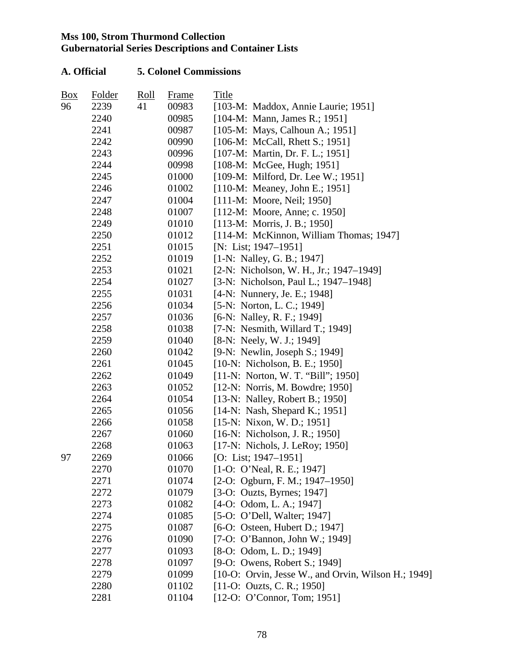| Box | Folder | <u>Roll</u> | Frame | Title                                               |
|-----|--------|-------------|-------|-----------------------------------------------------|
| 96  | 2239   | 41          | 00983 | [103-M: Maddox, Annie Laurie; 1951]                 |
|     | 2240   |             | 00985 | $[104-M: Mann, James R.; 1951]$                     |
|     | 2241   |             | 00987 | [105-M: Mays, Calhoun A.; 1951]                     |
|     | 2242   |             | 00990 | [106-M: McCall, Rhett S.; 1951]                     |
|     | 2243   |             | 00996 | [107-M: Martin, Dr. F. L.; 1951]                    |
|     | 2244   |             | 00998 | [108-M: McGee, Hugh; 1951]                          |
|     | 2245   |             | 01000 | [109-M: Milford, Dr. Lee W.; 1951]                  |
|     | 2246   |             | 01002 | [110-M: Meaney, John E.; 1951]                      |
|     | 2247   |             | 01004 | [111-M: Moore, Neil; 1950]                          |
|     | 2248   |             | 01007 | [112-M: Moore, Anne; c. 1950]                       |
|     | 2249   |             | 01010 | $[113-M: Morris, J. B.; 1950]$                      |
|     | 2250   |             | 01012 | [114-M: McKinnon, William Thomas; 1947]             |
|     | 2251   |             | 01015 | [N: List; 1947–1951]                                |
|     | 2252   |             | 01019 | [1-N: Nalley, G. B.; 1947]                          |
|     | 2253   |             | 01021 | [2-N: Nicholson, W. H., Jr.; 1947–1949]             |
|     | 2254   |             | 01027 | [3-N: Nicholson, Paul L.; 1947–1948]                |
|     | 2255   |             | 01031 | [4-N: Nunnery, Je. E.; 1948]                        |
|     | 2256   |             | 01034 | [5-N: Norton, L. C.; 1949]                          |
|     | 2257   |             | 01036 | [6-N: Nalley, R. F.; 1949]                          |
|     | 2258   |             | 01038 | [7-N: Nesmith, Willard T.; 1949]                    |
|     | 2259   |             | 01040 | [8-N: Neely, W. J.; 1949]                           |
|     | 2260   |             | 01042 | [9-N: Newlin, Joseph S.; 1949]                      |
|     | 2261   |             | 01045 | [10-N: Nicholson, B. E.; 1950]                      |
|     | 2262   |             | 01049 | [11-N: Norton, W. T. "Bill"; 1950]                  |
|     | 2263   |             | 01052 | [12-N: Norris, M. Bowdre; 1950]                     |
|     | 2264   |             | 01054 | [13-N: Nalley, Robert B.; 1950]                     |
|     | 2265   |             | 01056 | $[14-N: Nash, Shepard K.; 1951]$                    |
|     | 2266   |             | 01058 | $[15-N: Nixon, W. D.; 1951]$                        |
|     | 2267   |             | 01060 | [16-N: Nicholson, J. R.; 1950]                      |
|     | 2268   |             | 01063 | [17-N: Nichols, J. LeRoy; 1950]                     |
| 97  | 2269   |             | 01066 | [O: List; $1947-1951$ ]                             |
|     | 2270   |             | 01070 | $[1-O: O'Neal, R. E.; 1947]$                        |
|     | 2271   |             | 01074 | $[2-O: Ogburn, F. M.; 1947–1950]$                   |
|     | 2272   |             | 01079 | [3-O: Ouzts, Byrnes; $1947$ ]                       |
|     | 2273   |             | 01082 | $[4-O: Odom, L. A.; 1947]$                          |
|     | 2274   |             | 01085 | [5-O: O'Dell, Walter; 1947]                         |
|     | 2275   |             | 01087 | [6-O: Osteen, Hubert D.; 1947]                      |
|     | 2276   |             | 01090 | [7-O: O'Bannon, John W.; 1949]                      |
|     | 2277   |             | 01093 | $[8-O: Odom, L. D.; 1949]$                          |
|     | 2278   |             | 01097 | [9-O: Owens, Robert S.; 1949]                       |
|     | 2279   |             | 01099 | [10-O: Orvin, Jesse W., and Orvin, Wilson H.; 1949] |
|     | 2280   |             | 01102 | $[11-O: Ouzts, C. R.; 1950]$                        |
|     | 2281   |             | 01104 | $[12-O: O'Connect, Tom; 1951]$                      |
|     |        |             |       |                                                     |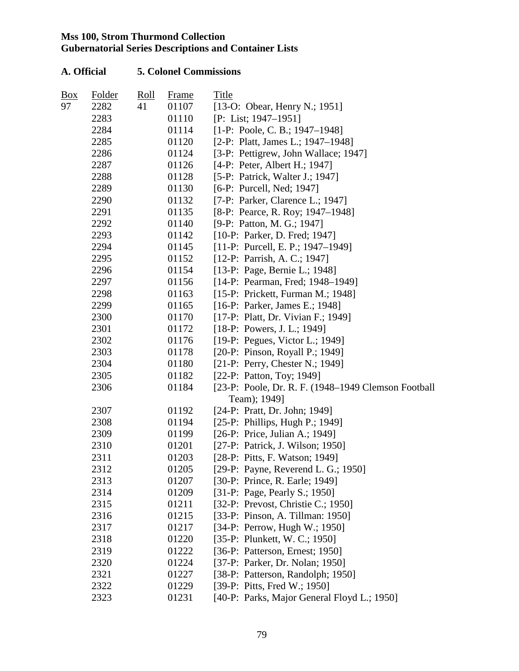| <b>Box</b> | Folder | $\frac{\text{Roll}}{\text{Roll}}$ | Frame | Title                                               |
|------------|--------|-----------------------------------|-------|-----------------------------------------------------|
| 97         | 2282   | 41                                | 01107 | [13-O: Obear, Henry N.; 1951]                       |
|            | 2283   |                                   | 01110 | $[P: List; 1947-1951]$                              |
|            | 2284   |                                   | 01114 | $[1-P: Poole, C. B.: 1947-1948]$                    |
|            | 2285   |                                   | 01120 | [2-P: Platt, James L.; 1947-1948]                   |
|            | 2286   |                                   | 01124 | [3-P: Pettigrew, John Wallace; 1947]                |
|            | 2287   |                                   | 01126 | [4-P: Peter, Albert H.; 1947]                       |
|            | 2288   |                                   | 01128 | [5-P: Patrick, Walter J.; 1947]                     |
|            | 2289   |                                   | 01130 | [6-P: Purcell, Ned; 1947]                           |
|            | 2290   |                                   | 01132 | [7-P: Parker, Clarence L.; 1947]                    |
|            | 2291   |                                   | 01135 | [8-P: Pearce, R. Roy; 1947–1948]                    |
|            | 2292   |                                   | 01140 | [9-P: Patton, M. G.; 1947]                          |
|            | 2293   |                                   | 01142 | [10-P: Parker, D. Fred; 1947]                       |
|            | 2294   |                                   | 01145 | [11-P: Purcell, E. P.; 1947–1949]                   |
|            | 2295   |                                   | 01152 | [12-P: Parrish, A. C.; 1947]                        |
|            | 2296   |                                   | 01154 | [13-P: Page, Bernie L.; 1948]                       |
|            | 2297   |                                   | 01156 | [14-P: Pearman, Fred; 1948-1949]                    |
|            | 2298   |                                   | 01163 | [15-P: Prickett, Furman M.; 1948]                   |
|            | 2299   |                                   | 01165 | [16-P: Parker, James E.; 1948]                      |
|            | 2300   |                                   | 01170 | [17-P: Platt, Dr. Vivian F.; 1949]                  |
|            | 2301   |                                   | 01172 | $[18-P: Powers, J. L.; 1949]$                       |
|            | 2302   |                                   | 01176 | [19-P: Pegues, Victor L.; 1949]                     |
|            | 2303   |                                   | 01178 | [20-P: Pinson, Royall P.; 1949]                     |
|            | 2304   |                                   | 01180 | [21-P: Perry, Chester N.; 1949]                     |
|            | 2305   |                                   | 01182 | [22-P: Patton, Toy; 1949]                           |
|            | 2306   |                                   | 01184 | [23-P: Poole, Dr. R. F. (1948–1949 Clemson Football |
|            |        |                                   |       | Team); 1949]                                        |
|            | 2307   |                                   | 01192 | [24-P: Pratt, Dr. John; 1949]                       |
|            | 2308   |                                   | 01194 | [25-P: Phillips, Hugh P.; 1949]                     |
|            | 2309   |                                   | 01199 | [26-P: Price, Julian A.; 1949]                      |
|            | 2310   |                                   | 01201 | [27-P: Patrick, J. Wilson; 1950]                    |
|            | 2311   |                                   | 01203 | [28-P: Pitts, F. Watson; 1949]                      |
|            | 2312   |                                   | 01205 | [29-P: Payne, Reverend L. G.; 1950]                 |
|            | 2313   |                                   | 01207 | [30-P: Prince, R. Earle; 1949]                      |
|            | 2314   |                                   | 01209 | [31-P: Page, Pearly S.; 1950]                       |
|            | 2315   |                                   | 01211 | [32-P: Prevost, Christie C.; 1950]                  |
|            | 2316   |                                   | 01215 | [33-P: Pinson, A. Tillman: 1950]                    |
|            | 2317   |                                   | 01217 | [34-P: Perrow, Hugh W.; 1950]                       |
|            | 2318   |                                   | 01220 | [35-P: Plunkett, W. C.; 1950]                       |
|            | 2319   |                                   | 01222 | [36-P: Patterson, Ernest; 1950]                     |
|            | 2320   |                                   | 01224 | [37-P: Parker, Dr. Nolan; 1950]                     |
|            | 2321   |                                   | 01227 | [38-P: Patterson, Randolph; 1950]                   |
|            | 2322   |                                   | 01229 | [39-P: Pitts, Fred W.; 1950]                        |
|            | 2323   |                                   | 01231 | [40-P: Parks, Major General Floyd L.; 1950]         |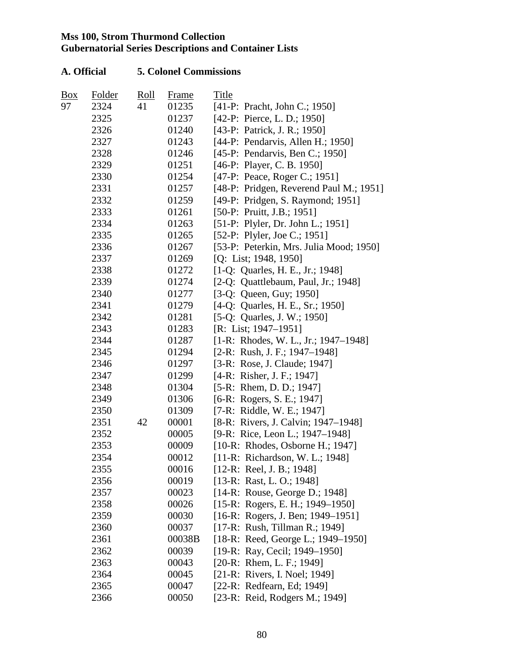| Box | Folder | $\frac{\text{Roll}}{\text{Roll}}$ | <b>Frame</b> | Title                                   |
|-----|--------|-----------------------------------|--------------|-----------------------------------------|
| 97  | 2324   | 41                                | 01235        | [41-P: Pracht, John C.; 1950]           |
|     | 2325   |                                   | 01237        | [42-P: Pierce, L. D.; 1950]             |
|     | 2326   |                                   | 01240        | [43-P: Patrick, J. R.; 1950]            |
|     | 2327   |                                   | 01243        | [44-P: Pendarvis, Allen H.; 1950]       |
|     | 2328   |                                   | 01246        | [45-P: Pendarvis, Ben C.; 1950]         |
|     | 2329   |                                   | 01251        | [46-P: Player, C. B. 1950]              |
|     | 2330   |                                   | 01254        | [47-P: Peace, Roger C.; 1951]           |
|     | 2331   |                                   | 01257        | [48-P: Pridgen, Reverend Paul M.; 1951] |
|     | 2332   |                                   | 01259        | [49-P: Pridgen, S. Raymond; 1951]       |
|     | 2333   |                                   | 01261        | [50-P: Pruitt, J.B.; 1951]              |
|     | 2334   |                                   | 01263        | [51-P: Plyler, Dr. John L.; 1951]       |
|     | 2335   |                                   | 01265        | [52-P: Plyler, Joe C.; 1951]            |
|     | 2336   |                                   | 01267        | [53-P: Peterkin, Mrs. Julia Mood; 1950] |
|     | 2337   |                                   | 01269        | [Q: List; 1948, 1950]                   |
|     | 2338   |                                   | 01272        | [1-Q: Quarles, H. E., Jr.; 1948]        |
|     | 2339   |                                   | 01274        | [2-Q: Quattlebaum, Paul, Jr.; 1948]     |
|     | 2340   |                                   | 01277        | [3-Q: Queen, Guy; 1950]                 |
|     | 2341   |                                   | 01279        | [4-Q: Quarles, H. E., Sr.; 1950]        |
|     | 2342   |                                   | 01281        | [5-Q: Quarles, J. W.; 1950]             |
|     | 2343   |                                   | 01283        | $[R: List; 1947-1951]$                  |
|     | 2344   |                                   | 01287        | $[1-R: Rhodes, W. L., Jr.; 1947-1948]$  |
|     | 2345   |                                   | 01294        | $[2-R: Rush, J. F.; 1947-1948]$         |
|     | 2346   |                                   | 01297        | [3-R: Rose, J. Claude; 1947]            |
|     | 2347   |                                   | 01299        | [4-R: Risher, J. F.; 1947]              |
|     | 2348   |                                   | 01304        | [5-R: Rhem, D. D.; 1947]                |
|     | 2349   |                                   | 01306        | $[6-R: Rogers, S. E.; 1947]$            |
|     | 2350   |                                   | 01309        | [7-R: Riddle, W. E.; 1947]              |
|     | 2351   | 42                                | 00001        | [8-R: Rivers, J. Calvin; 1947–1948]     |
|     | 2352   |                                   | 00005        | [9-R: Rice, Leon L.; 1947-1948]         |
|     | 2353   |                                   | 00009        | $[10-R: Rhodes, Osborne H.; 1947]$      |
|     | 2354   |                                   | 00012        | [11-R: Richardson, W. L.; 1948]         |
|     | 2355   |                                   | 00016        | $[12-R: Real, J. B.; 1948]$             |
|     | 2356   |                                   | 00019        | [13-R: Rast, L. O.; 1948]               |
|     | 2357   |                                   | 00023        | [14-R: Rouse, George D.; 1948]          |
|     | 2358   |                                   | 00026        | [15-R: Rogers, E. H.; 1949-1950]        |
|     | 2359   |                                   | 00030        | $[16-R: Rogers, J. Ben; 1949-1951]$     |
|     | 2360   |                                   | 00037        | [17-R: Rush, Tillman R.; 1949]          |
|     | 2361   |                                   | 00038B       | [18-R: Reed, George L.; 1949–1950]      |
|     | 2362   |                                   | 00039        | [19-R: Ray, Cecil; 1949-1950]           |
|     | 2363   |                                   | 00043        | [20-R: Rhem, L. F.; 1949]               |
|     | 2364   |                                   | 00045        | [21-R: Rivers, I. Noel; 1949]           |
|     | 2365   |                                   | 00047        | [22-R: Redfearn, Ed; 1949]              |
|     | 2366   |                                   | 00050        | [23-R: Reid, Rodgers M.; 1949]          |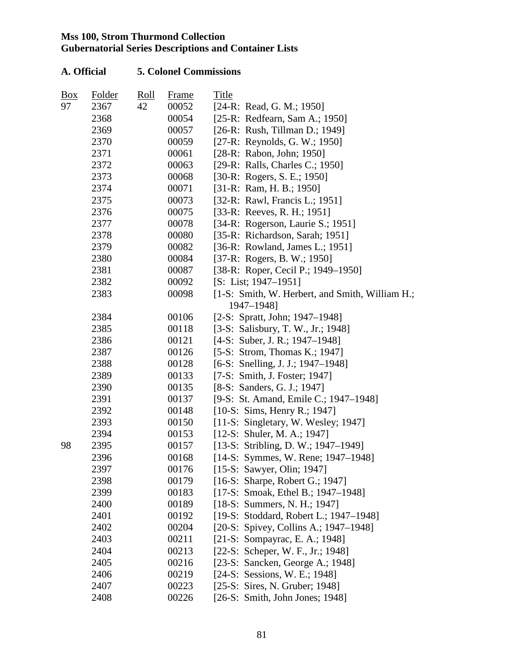| $\frac{Box}{}$ | <b>Folder</b> | Roll | <b>Frame</b> | Title                                           |
|----------------|---------------|------|--------------|-------------------------------------------------|
| 97             | 2367          | 42   | 00052        | [24-R: Read, G. M.; 1950]                       |
|                | 2368          |      | 00054        | [25-R: Redfearn, Sam A.; 1950]                  |
|                | 2369          |      | 00057        | [26-R: Rush, Tillman D.; 1949]                  |
|                | 2370          |      | 00059        | $[27-R: Reynolds, G. W.; 1950]$                 |
|                | 2371          |      | 00061        | [28-R: Rabon, John; 1950]                       |
|                | 2372          |      | 00063        | [29-R: Ralls, Charles C.; 1950]                 |
|                | 2373          |      | 00068        | $[30-R: Rogers, S. E.; 1950]$                   |
|                | 2374          |      | 00071        | [31-R: Ram, H. B.; 1950]                        |
|                | 2375          |      | 00073        | [32-R: Rawl, Francis L.; 1951]                  |
|                | 2376          |      | 00075        | [33-R: Reeves, R. H.; 1951]                     |
|                | 2377          |      | 00078        | [34-R: Rogerson, Laurie S.; 1951]               |
|                | 2378          |      | 00080        | [35-R: Richardson, Sarah; 1951]                 |
|                | 2379          |      | 00082        | [36-R: Rowland, James L.; 1951]                 |
|                | 2380          |      | 00084        | $[37-R: Rogers, B. W.; 1950]$                   |
|                | 2381          |      | 00087        | [38-R: Roper, Cecil P.; 1949–1950]              |
|                | 2382          |      | 00092        | $[S: List; 1947-1951]$                          |
|                | 2383          |      | 00098        | [1-S: Smith, W. Herbert, and Smith, William H.; |
|                |               |      |              | 1947-1948]                                      |
|                | 2384          |      | 00106        | $[2-S: Spratt, John; 1947–1948]$                |
|                | 2385          |      | 00118        | [3-S: Salisbury, T. W., Jr.; 1948]              |
|                | 2386          |      | 00121        | $[4-S: Suber, J. R.; 1947-1948]$                |
|                | 2387          |      | 00126        | [5-S: Strom, Thomas K.; 1947]                   |
|                | 2388          |      | 00128        | [6-S: Snelling, J. J.; 1947–1948]               |
|                | 2389          |      | 00133        | [7-S: Smith, J. Foster; 1947]                   |
|                | 2390          |      | 00135        | $[8-S: Sanders, G. J.; 1947]$                   |
|                | 2391          |      | 00137        | [9-S: St. Amand, Emile C.; 1947–1948]           |
|                | 2392          |      | 00148        | $[10-S: Sims, Henry R.; 1947]$                  |
|                | 2393          |      | 00150        | [11-S: Singletary, W. Wesley; 1947]             |
|                | 2394          |      | 00153        | $[12-S: Shuler, M. A.; 1947]$                   |
| 98             | 2395          |      | 00157        | [13-S: Stribling, D. W.; 1947–1949]             |
|                | 2396          |      | 00168        | $[14-S: Symmes, W. Rene; 1947-1948]$            |
|                | 2397          |      | 00176        | [15-S: Sawyer, Olin; 1947]                      |
|                | 2398          |      | 00179        | [16-S: Sharpe, Robert G.; 1947]                 |
|                | 2399          |      | 00183        | [17-S: Smoak, Ethel B.; 1947–1948]              |
|                | 2400          |      | 00189        | $[18-S: Summers, N. H.; 1947]$                  |
|                | 2401          |      | 00192        | [19-S: Stoddard, Robert L.; 1947–1948]          |
|                | 2402          |      | 00204        | [20-S: Spivey, Collins A.; 1947–1948]           |
|                | 2403          |      | 00211        | [21-S: Sompayrac, E. A.; 1948]                  |
|                | 2404          |      | 00213        | [22-S: Scheper, W. F., Jr.; 1948]               |
|                | 2405          |      | 00216        | [23-S: Sancken, George A.; 1948]                |
|                | 2406          |      | 00219        | [24-S: Sessions, W. E.; 1948]                   |
|                | 2407          |      | 00223        | [25-S: Sires, N. Gruber; 1948]                  |
|                | 2408          |      | 00226        | $[26-S: Smith, John Jones; 1948]$               |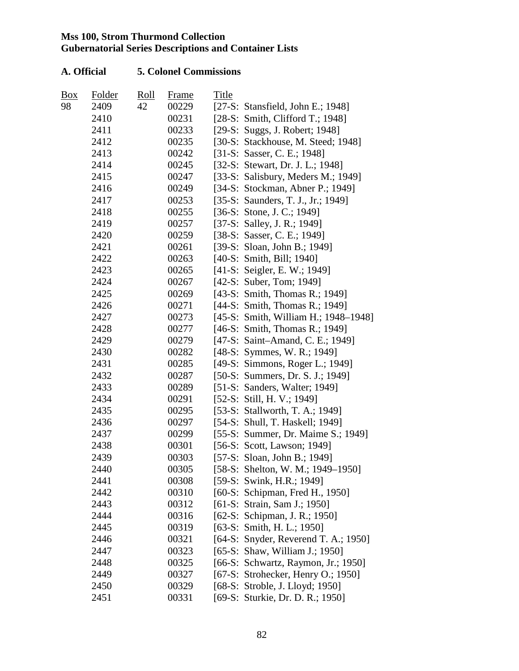| Box | Folder | <u>Roll</u> | Frame | Title |                                      |
|-----|--------|-------------|-------|-------|--------------------------------------|
| 98  | 2409   | 42          | 00229 |       | [27-S: Stansfield, John E.; 1948]    |
|     | 2410   |             | 00231 |       | [ $28-S$ : Smith, Clifford T.; 1948] |
|     | 2411   |             | 00233 |       | [29-S: Suggs, J. Robert; 1948]       |
|     | 2412   |             | 00235 |       | [30-S: Stackhouse, M. Steed; 1948]   |
|     | 2413   |             | 00242 |       | [31-S: Sasser, C. E.; 1948]          |
|     | 2414   |             | 00245 |       | [32-S: Stewart, Dr. J. L.; 1948]     |
|     | 2415   |             | 00247 |       | [33-S: Salisbury, Meders M.; 1949]   |
|     | 2416   |             | 00249 |       | [34-S: Stockman, Abner P.; 1949]     |
|     | 2417   |             | 00253 |       | [35-S: Saunders, T. J., Jr.; 1949]   |
|     | 2418   |             | 00255 |       | $[36-S: Stone, J. C.; 1949]$         |
|     | 2419   |             | 00257 |       | [37-S: Salley, J. R.; 1949]          |
|     | 2420   |             | 00259 |       | [38-S: Sasser, C. E.; 1949]          |
|     | 2421   |             | 00261 |       | [39-S: Sloan, John B.; 1949]         |
|     | 2422   |             | 00263 |       | [40-S: Smith, Bill; 1940]            |
|     | 2423   |             | 00265 |       | [41-S: Seigler, E. W.; 1949]         |
|     | 2424   |             | 00267 |       | $[42-S: Suber, Tom; 1949]$           |
|     | 2425   |             | 00269 |       | [43-S: Smith, Thomas R.; 1949]       |
|     | 2426   |             | 00271 |       | [44-S: Smith, Thomas R.; 1949]       |
|     | 2427   |             | 00273 |       | [45-S: Smith, William H.; 1948–1948] |
|     | 2428   |             | 00277 |       | [46-S: Smith, Thomas R.; 1949]       |
|     | 2429   |             | 00279 |       | [47-S: Saint-Amand, C. E.; 1949]     |
|     | 2430   |             | 00282 |       | $[48-S: Symmes, W. R.; 1949]$        |
|     | 2431   |             | 00285 |       | [49-S: Simmons, Roger L.; 1949]      |
|     | 2432   |             | 00287 |       | [50-S: Summers, Dr. S. J.; 1949]     |
|     | 2433   |             | 00289 |       | [51-S: Sanders, Walter; 1949]        |
|     | 2434   |             | 00291 |       | $[52-S: Still, H. V.; 1949]$         |
|     | 2435   |             | 00295 |       | [53-S: Stallworth, T. A.; 1949]      |
|     | 2436   |             | 00297 |       | [54-S: Shull, T. Haskell; 1949]      |
|     | 2437   |             | 00299 |       | [55-S: Summer, Dr. Maime S.; 1949]   |
|     | 2438   |             | 00301 |       | [56-S: Scott, Lawson; 1949]          |
|     | 2439   |             | 00303 |       | [57-S: Sloan, John B.; 1949]         |
|     | 2440   |             | 00305 |       | [58-S: Shelton, W. M.; 1949–1950]    |
|     | 2441   |             | 00308 |       | [59-S: Swink, H.R.; 1949]            |
|     | 2442   |             | 00310 |       | [60-S: Schipman, Fred H., 1950]      |
|     | 2443   |             | 00312 |       | [61-S: Strain, Sam J.; 1950]         |
|     | 2444   |             | 00316 |       | [62-S: Schipman, J. R.; 1950]        |
|     | 2445   |             | 00319 |       | [63-S: Smith, H. L.; 1950]           |
|     | 2446   |             | 00321 |       | [64-S: Snyder, Reverend T. A.; 1950] |
|     | 2447   |             | 00323 |       | [65-S: Shaw, William J.; 1950]       |
|     | 2448   |             | 00325 |       | [66-S: Schwartz, Raymon, Jr.; 1950]  |
|     | 2449   |             | 00327 |       | [67-S: Strohecker, Henry O.; 1950]   |
|     | 2450   |             | 00329 |       | [68-S: Stroble, J. Lloyd; 1950]      |
|     | 2451   |             | 00331 |       | [69-S: Sturkie, Dr. D. R.; 1950]     |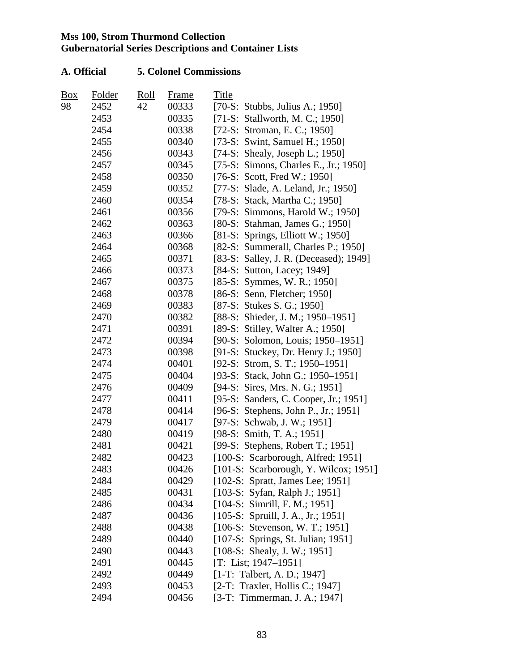| Box | Folder | <u>Roll</u> | <b>Frame</b> | Title                                  |
|-----|--------|-------------|--------------|----------------------------------------|
| 98  | 2452   | 42          | 00333        | [70-S: Stubbs, Julius A.; 1950]        |
|     | 2453   |             | 00335        | [71-S: Stallworth, M. C.; 1950]        |
|     | 2454   |             | 00338        | [72-S: Stroman, E. C.; 1950]           |
|     | 2455   |             | 00340        | [73-S: Swint, Samuel H.; 1950]         |
|     | 2456   |             | 00343        | [74-S: Shealy, Joseph L.; 1950]        |
|     | 2457   |             | 00345        | [75-S: Simons, Charles E., Jr.; 1950]  |
|     | 2458   |             | 00350        | [76-S: Scott, Fred W.; 1950]           |
|     | 2459   |             | 00352        | [77-S: Slade, A. Leland, Jr.; 1950]    |
|     | 2460   |             | 00354        | [78-S: Stack, Martha C.; 1950]         |
|     | 2461   |             | 00356        | [79-S: Simmons, Harold W.; 1950]       |
|     | 2462   |             | 00363        | [80-S: Stahman, James G.; 1950]        |
|     | 2463   |             | 00366        | $[81-S: Springs, Elliott W.; 1950]$    |
|     | 2464   |             | 00368        | [82-S: Summerall, Charles P.; 1950]    |
|     | 2465   |             | 00371        | [83-S: Salley, J. R. (Deceased); 1949] |
|     | 2466   |             | 00373        | [84-S: Sutton, Lacey; 1949]            |
|     | 2467   |             | 00375        | [85-S: Symmes, W. R.; 1950]            |
|     | 2468   |             | 00378        | [86-S: Senn, Fletcher; 1950]           |
|     | 2469   |             | 00383        | [87-S: Stukes S. G.; 1950]             |
|     | 2470   |             | 00382        | [88-S: Shieder, J. M.; 1950-1951]      |
|     | 2471   |             | 00391        | [89-S: Stilley, Walter A.; 1950]       |
|     | 2472   |             | 00394        | [90-S: Solomon, Louis; 1950–1951]      |
|     | 2473   |             | 00398        | [91-S: Stuckey, Dr. Henry J.; 1950]    |
|     | 2474   |             | 00401        | [92-S: Strom, S. T.; 1950-1951]        |
|     | 2475   |             | 00404        | [93-S: Stack, John G.; 1950–1951]      |
|     | 2476   |             | 00409        | [94-S: Sires, Mrs. N. G.; 1951]        |
|     | 2477   |             | 00411        | [95-S: Sanders, C. Cooper, Jr.; 1951]  |
|     | 2478   |             | 00414        | [96-S: Stephens, John P., Jr.; 1951]   |
|     | 2479   |             | 00417        | [97-S: Schwab, J. W.; 1951]            |
|     | 2480   |             | 00419        | [98-S: Smith, T. A.; 1951]             |
|     | 2481   |             | 00421        | [99-S: Stephens, Robert T.; 1951]      |
|     | 2482   |             | 00423        | [100-S: Scarborough, Alfred; 1951]     |
|     | 2483   |             | 00426        | [101-S: Scarborough, Y. Wilcox; 1951]  |
|     | 2484   |             | 00429        | [102-S: Spratt, James Lee; 1951]       |
|     | 2485   |             | 00431        | [103-S: Syfan, Ralph J.; 1951]         |
|     | 2486   |             | 00434        | $[104-S: Simrill, F. M.; 1951]$        |
|     | 2487   |             | 00436        | $[105-S: Spruill, J. A., Jr.; 1951]$   |
|     | 2488   |             | 00438        | $[106-S: Stevenson, W. T.; 1951]$      |
|     | 2489   |             | 00440        | [107-S: Springs, St. Julian; 1951]     |
|     | 2490   |             | 00443        | [108-S: Shealy, J. W.; 1951]           |
|     | 2491   |             | 00445        | $[T: List; 1947-1951]$                 |
|     | 2492   |             | 00449        | $[1-T:$ Talbert, A. D.; 1947]          |
|     | 2493   |             | 00453        | [2-T: Traxler, Hollis C.; 1947]        |
|     | 2494   |             | 00456        | [3-T: Timmerman, J. A.; 1947]          |
|     |        |             |              |                                        |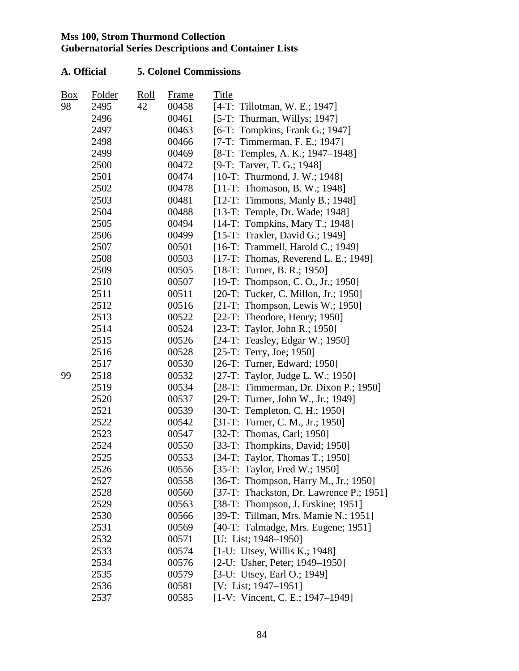| Box | Folder | Roll | Frame | Title                                     |
|-----|--------|------|-------|-------------------------------------------|
| 98  | 2495   | 42   | 00458 | [4-T: Tillotman, W. E.; 1947]             |
|     | 2496   |      | 00461 | [5-T: Thurman, Willys; $1947$ ]           |
|     | 2497   |      | 00463 | [6-T: Tompkins, Frank G.; 1947]           |
|     | 2498   |      | 00466 | [7-T: Timmerman, F. E.; 1947]             |
|     | 2499   |      | 00469 | [8-T: Temples, A. K.; 1947–1948]          |
|     | 2500   |      | 00472 | [9-T: Tarver, T. G.; 1948]                |
|     | 2501   |      | 00474 | $[10-T: Thurmond, J. W.; 1948]$           |
|     | 2502   |      | 00478 | [11-T: Thomason, B. W.; 1948]             |
|     | 2503   |      | 00481 | [12-T: Timmons, Manly B.; 1948]           |
|     | 2504   |      | 00488 | [13-T: Temple, Dr. Wade; 1948]            |
|     | 2505   |      | 00494 | [14-T: Tompkins, Mary T.; 1948]           |
|     | 2506   |      | 00499 | [15-T: Traxler, David G.; 1949]           |
|     | 2507   |      | 00501 | [16-T: Trammell, Harold C.; 1949]         |
|     | 2508   |      | 00503 | [17-T: Thomas, Reverend L. E.; 1949]      |
|     | 2509   |      | 00505 | $[18-T: Turner, B. R.; 1950]$             |
|     | 2510   |      | 00507 | [19-T: Thompson, C. O., Jr.; 1950]        |
|     | 2511   |      | 00511 | [20-T: Tucker, C. Millon, Jr.; 1950]      |
|     | 2512   |      | 00516 | [21-T: Thompson, Lewis W.; 1950]          |
|     | 2513   |      | 00522 | $[22-T: Theodore, Henry; 1950]$           |
|     | 2514   |      | 00524 | [23-T: Taylor, John R.; 1950]             |
|     | 2515   |      | 00526 | [24-T: Teasley, Edgar W.; 1950]           |
|     | 2516   |      | 00528 | $[25-T: Terry, Joe; 1950]$                |
|     | 2517   |      | 00530 | [26-T: Turner, Edward; 1950]              |
| 99  | 2518   |      | 00532 | [27-T: Taylor, Judge L. W.; 1950]         |
|     | 2519   |      | 00534 | [ $28-T$ : Timmerman, Dr. Dixon P.; 1950] |
|     | 2520   |      | 00537 | [29-T: Turner, John W., Jr.; 1949]        |
|     | 2521   |      | 00539 | [30-T: Templeton, C. H.; 1950]            |
|     | 2522   |      | 00542 | [31-T: Turner, C. M., Jr.; 1950]          |
|     | 2523   |      | 00547 | [32-T: Thomas, Carl; 1950]                |
|     | 2524   |      | 00550 | [33-T: Thompkins, David; $1950$ ]         |
|     | 2525   |      | 00553 | [34-T: Taylor, Thomas T.; 1950]           |
|     | 2526   |      | 00556 | [35-T: Taylor, Fred W.; 1950]             |
|     | 2527   |      | 00558 | [36-T: Thompson, Harry M., Jr.; 1950]     |
|     | 2528   |      | 00560 | [37-T: Thackston, Dr. Lawrence P.; 1951]  |
|     | 2529   |      | 00563 | [38-T: Thompson, J. Erskine; 1951]        |
|     | 2530   |      | 00566 | [39-T: Tillman, Mrs. Mamie N.; 1951]      |
|     | 2531   |      | 00569 | [40-T: Talmadge, Mrs. Eugene; 1951]       |
|     | 2532   |      | 00571 | [U: List; 1948-1950]                      |
|     | 2533   |      | 00574 | $[1-U: Utsey, Willis K.; 1948]$           |
|     | 2534   |      | 00576 | [2-U: Usher, Peter; 1949–1950]            |
|     | 2535   |      | 00579 | [3-U: Utsey, Earl O.; 1949]               |
|     | 2536   |      | 00581 | [V: List; 1947–1951]                      |
|     | 2537   |      | 00585 | $[1-V: Vincent, C. E.; 1947-1949]$        |
|     |        |      |       |                                           |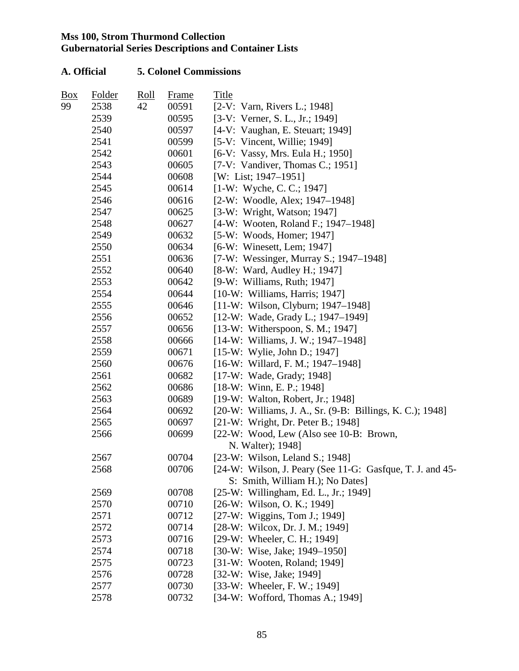| Box | Folder | Roll | Frame | Title                                                     |
|-----|--------|------|-------|-----------------------------------------------------------|
| 99  | 2538   | 42   | 00591 | [2-V: Varn, Rivers L.; 1948]                              |
|     | 2539   |      | 00595 | [3-V: Verner, S. L., Jr.; 1949]                           |
|     | 2540   |      | 00597 | [4-V: Vaughan, E. Steuart; 1949]                          |
|     | 2541   |      | 00599 | [5-V: Vincent, Willie; 1949]                              |
|     | 2542   |      | 00601 | [6-V: Vassy, Mrs. Eula H.; 1950]                          |
|     | 2543   |      | 00605 | [7-V: Vandiver, Thomas C.; 1951]                          |
|     | 2544   |      | 00608 | [W: List; 1947–1951]                                      |
|     | 2545   |      | 00614 | $[1-W: Wyche, C. C.; 1947]$                               |
|     | 2546   |      | 00616 | [2-W: Woodle, Alex; 1947–1948]                            |
|     | 2547   |      | 00625 | [3-W: Wright, Watson; 1947]                               |
|     | 2548   |      | 00627 | [4-W: Wooten, Roland F.; 1947–1948]                       |
|     | 2549   |      | 00632 | [5-W: Woods, Homer; 1947]                                 |
|     | 2550   |      | 00634 | [6-W: Winesett, Lem; 1947]                                |
|     | 2551   |      | 00636 | [7-W: Wessinger, Murray S.; 1947-1948]                    |
|     | 2552   |      | 00640 | [8-W: Ward, Audley H.; 1947]                              |
|     | 2553   |      | 00642 | $[9-W:$ Williams, Ruth; 1947]                             |
|     | 2554   |      | 00644 | $[10-W:$ Williams, Harris; 1947]                          |
|     | 2555   |      | 00646 | [11-W: Wilson, Clyburn; 1947-1948]                        |
|     | 2556   |      | 00652 | [12-W: Wade, Grady L.; 1947–1949]                         |
|     | 2557   |      | 00656 | $[13-W: Witherspoon, S. M.; 1947]$                        |
|     | 2558   |      | 00666 | [14-W: Williams, J. W.; 1947–1948]                        |
|     | 2559   |      | 00671 | [15-W: Wylie, John D.; 1947]                              |
|     | 2560   |      | 00676 | $[16-W: Willard, F. M.; 1947-1948]$                       |
|     | 2561   |      | 00682 | [17-W: Wade, Grady; 1948]                                 |
|     | 2562   |      | 00686 | $[18-W: Winn, E. P.; 1948]$                               |
|     | 2563   |      | 00689 | [19-W: Walton, Robert, Jr.; 1948]                         |
|     | 2564   |      | 00692 | [20-W: Williams, J. A., Sr. (9-B: Billings, K. C.); 1948] |
|     | 2565   |      | 00697 | [21-W: Wright, Dr. Peter B.; 1948]                        |
|     | 2566   |      | 00699 | [22-W: Wood, Lew (Also see 10-B: Brown,                   |
|     |        |      |       | N. Walter); 1948]                                         |
|     | 2567   |      | 00704 | [ $23-W$ : Wilson, Leland S.; 1948]                       |
|     | 2568   |      | 00706 | [24-W: Wilson, J. Peary (See 11-G: Gasfque, T. J. and 45- |
|     |        |      |       | S: Smith, William H.); No Dates]                          |
|     | 2569   |      | 00708 | [25-W: Willingham, Ed. L., Jr.; 1949]                     |
|     | 2570   |      | 00710 | $[26-W: Wilson, O. K.; 1949]$                             |
|     | 2571   |      | 00712 | [27-W: Wiggins, Tom J.; 1949]                             |
|     | 2572   |      | 00714 | [28-W: Wilcox, Dr. J. M.; 1949]                           |
|     | 2573   |      | 00716 | [29-W: Wheeler, C. H.; 1949]                              |
|     | 2574   |      | 00718 | [30-W: Wise, Jake; 1949–1950]                             |
|     | 2575   |      | 00723 | [31-W: Wooten, Roland; 1949]                              |
|     | 2576   |      | 00728 | [32-W: Wise, Jake; 1949]                                  |
|     | 2577   |      | 00730 | [33-W: Wheeler, F. W.; 1949]                              |
|     | 2578   |      | 00732 | [34-W: Wofford, Thomas A.; 1949]                          |
|     |        |      |       |                                                           |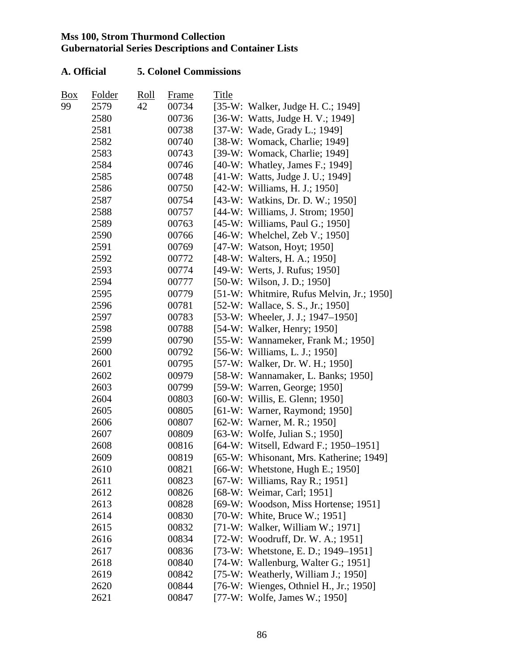| Box | Folder | <u>Roll</u> | Frame | Title |                                           |
|-----|--------|-------------|-------|-------|-------------------------------------------|
| 99  | 2579   | 42          | 00734 |       | [35-W: Walker, Judge H. C.; 1949]         |
|     | 2580   |             | 00736 |       | [36-W: Watts, Judge H. V.; 1949]          |
|     | 2581   |             | 00738 |       | [37-W: Wade, Grady L.; 1949]              |
|     | 2582   |             | 00740 |       | [38-W: Womack, Charlie; 1949]             |
|     | 2583   |             | 00743 |       | [39-W: Womack, Charlie; 1949]             |
|     | 2584   |             | 00746 |       | [40-W: Whatley, James F.; 1949]           |
|     | 2585   |             | 00748 |       | [41-W: Watts, Judge J. U.; 1949]          |
|     | 2586   |             | 00750 |       | [42-W: Williams, H. J.; 1950]             |
|     | 2587   |             | 00754 |       | [43-W: Watkins, Dr. D. W.; 1950]          |
|     | 2588   |             | 00757 |       | [44-W: Williams, J. Strom; 1950]          |
|     | 2589   |             | 00763 |       | [45-W: Williams, Paul G.; 1950]           |
|     | 2590   |             | 00766 |       | [46-W: Whelchel, Zeb V.; 1950]            |
|     | 2591   |             | 00769 |       | [47-W: Watson, Hoyt; 1950]                |
|     | 2592   |             | 00772 |       | [48-W: Walters, H. A.; 1950]              |
|     | 2593   |             | 00774 |       | [49-W: Werts, J. Rufus; 1950]             |
|     | 2594   |             | 00777 |       | $[50-W: Wilson, J. D.; 1950]$             |
|     | 2595   |             | 00779 |       | [51-W: Whitmire, Rufus Melvin, Jr.; 1950] |
|     | 2596   |             | 00781 |       | [52-W: Wallace, S. S., Jr.; 1950]         |
|     | 2597   |             | 00783 |       | [53-W: Wheeler, J. J.; 1947–1950]         |
|     | 2598   |             | 00788 |       | [54-W: Walker, Henry; 1950]               |
|     | 2599   |             | 00790 |       | [55-W: Wannameker, Frank M.; 1950]        |
|     | 2600   |             | 00792 |       | [56-W: Williams, L. J.; 1950]             |
|     | 2601   |             | 00795 |       | [57-W: Walker, Dr. W. H.; 1950]           |
|     | 2602   |             | 00979 |       | [58-W: Wannamaker, L. Banks; 1950]        |
|     | 2603   |             | 00799 |       | [59-W: Warren, George; 1950]              |
|     | 2604   |             | 00803 |       | $[60-W:$ Willis, E. Glenn; 1950]          |
|     | 2605   |             | 00805 |       | [61-W: Warner, Raymond; 1950]             |
|     | 2606   |             | 00807 |       | [62-W: Warner, M. R.; 1950]               |
|     | 2607   |             | 00809 |       | [63-W: Wolfe, Julian S.; 1950]            |
|     | 2608   |             | 00816 |       | [64-W: Witsell, Edward F.; 1950–1951]     |
|     | 2609   |             | 00819 |       | [65-W: Whisonant, Mrs. Katherine; 1949]   |
|     | 2610   |             | 00821 |       | [66-W: Whetstone, Hugh E.; 1950]          |
|     | 2611   |             | 00823 |       | [67-W: Williams, Ray R.; 1951]            |
|     | 2612   |             | 00826 |       | [68-W: Weimar, Carl; 1951]                |
|     | 2613   |             | 00828 |       | [69-W: Woodson, Miss Hortense; 1951]      |
|     | 2614   |             | 00830 |       | [70-W: White, Bruce W.; 1951]             |
|     | 2615   |             | 00832 |       | [71-W: Walker, William W.; 1971]          |
|     | 2616   |             | 00834 |       | [72-W: Woodruff, Dr. W. A.; 1951]         |
|     | 2617   |             | 00836 |       | [73-W: Whetstone, E. D.; 1949–1951]       |
|     | 2618   |             | 00840 |       | [74-W: Wallenburg, Walter G.; 1951]       |
|     | 2619   |             | 00842 |       | [75-W: Weatherly, William J.; 1950]       |
|     | 2620   |             | 00844 |       | [76-W: Wienges, Othniel H., Jr.; 1950]    |
|     | 2621   |             | 00847 |       | [77-W: Wolfe, James W.; 1950]             |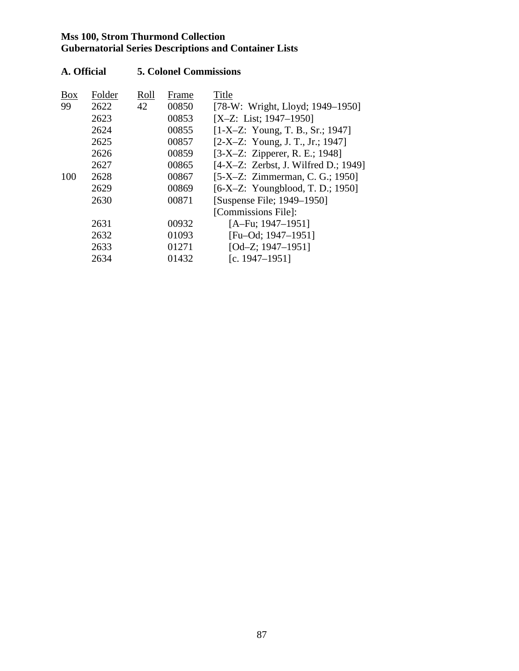| <b>Box</b> | Folder | Roll | Frame | Title                                  |
|------------|--------|------|-------|----------------------------------------|
| 99         | 2622   | 42   | 00850 | [78-W: Wright, Lloyd; 1949–1950]       |
|            | 2623   |      | 00853 | [X-Z: List; $1947-1950$ ]              |
|            | 2624   |      | 00855 | $[1-X-Z: Young, T. B., Sr.; 1947]$     |
|            | 2625   |      | 00857 | $[2-X-Z: Young, J. T., Jr.; 1947]$     |
|            | 2626   |      | 00859 | $[3-X-Z: Zipperer, R. E.; 1948]$       |
|            | 2627   |      | 00865 | $[4-X-Z: Zerbst, J. Wilfred D.; 1949]$ |
| 100        | 2628   |      | 00867 | [5-X–Z: Zimmerman, C. G.; 1950]        |
|            | 2629   |      | 00869 | $[6-X-Z: Young blood, T. D.; 1950]$    |
|            | 2630   |      | 00871 | [Suspense File; 1949–1950]             |
|            |        |      |       | [Commissions File]:                    |
|            | 2631   |      | 00932 | $[A-Fu; 1947-1951]$                    |
|            | 2632   |      | 01093 | [Fu-Od; $1947-1951$ ]                  |
|            | 2633   |      | 01271 | [Od-Z; 1947-1951]                      |
|            | 2634   |      | 01432 | [c. $1947 - 1951$ ]                    |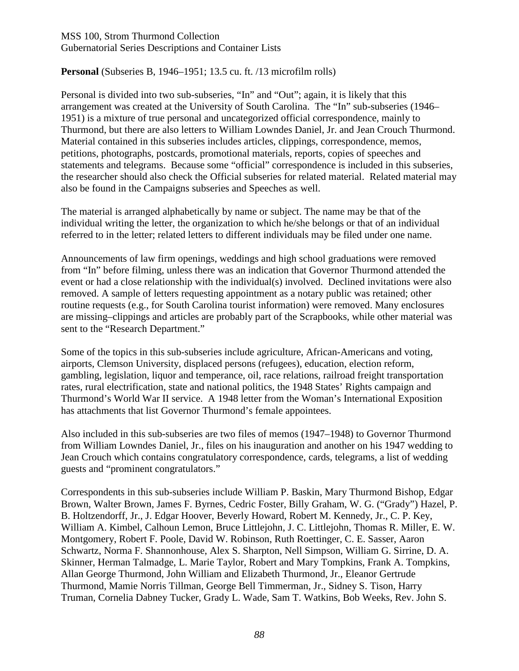### **Personal** (Subseries B, 1946–1951; 13.5 cu. ft. /13 microfilm rolls)

Personal is divided into two sub-subseries, "In" and "Out"; again, it is likely that this arrangement was created at the University of South Carolina. The "In" sub-subseries (1946– 1951) is a mixture of true personal and uncategorized official correspondence, mainly to Thurmond, but there are also letters to William Lowndes Daniel, Jr. and Jean Crouch Thurmond. Material contained in this subseries includes articles, clippings, correspondence, memos, petitions, photographs, postcards, promotional materials, reports, copies of speeches and statements and telegrams. Because some "official" correspondence is included in this subseries, the researcher should also check the Official subseries for related material. Related material may also be found in the Campaigns subseries and Speeches as well.

The material is arranged alphabetically by name or subject. The name may be that of the individual writing the letter, the organization to which he/she belongs or that of an individual referred to in the letter; related letters to different individuals may be filed under one name.

Announcements of law firm openings, weddings and high school graduations were removed from "In" before filming, unless there was an indication that Governor Thurmond attended the event or had a close relationship with the individual(s) involved. Declined invitations were also removed. A sample of letters requesting appointment as a notary public was retained; other routine requests (e.g., for South Carolina tourist information) were removed. Many enclosures are missing–clippings and articles are probably part of the Scrapbooks, while other material was sent to the "Research Department."

Some of the topics in this sub-subseries include agriculture, African-Americans and voting, airports, Clemson University, displaced persons (refugees), education, election reform, gambling, legislation, liquor and temperance, oil, race relations, railroad freight transportation rates, rural electrification, state and national politics, the 1948 States' Rights campaign and Thurmond's World War II service. A 1948 letter from the Woman's International Exposition has attachments that list Governor Thurmond's female appointees.

Also included in this sub-subseries are two files of memos (1947–1948) to Governor Thurmond from William Lowndes Daniel, Jr., files on his inauguration and another on his 1947 wedding to Jean Crouch which contains congratulatory correspondence, cards, telegrams, a list of wedding guests and "prominent congratulators."

Correspondents in this sub-subseries include William P. Baskin, Mary Thurmond Bishop, Edgar Brown, Walter Brown, James F. Byrnes, Cedric Foster, Billy Graham, W. G. ("Grady") Hazel, P. B. Holtzendorff, Jr., J. Edgar Hoover, Beverly Howard, Robert M. Kennedy, Jr., C. P. Key, William A. Kimbel, Calhoun Lemon, Bruce Littlejohn, J. C. Littlejohn, Thomas R. Miller, E. W. Montgomery, Robert F. Poole, David W. Robinson, Ruth Roettinger, C. E. Sasser, Aaron Schwartz, Norma F. Shannonhouse, Alex S. Sharpton, Nell Simpson, William G. Sirrine, D. A. Skinner, Herman Talmadge, L. Marie Taylor, Robert and Mary Tompkins, Frank A. Tompkins, Allan George Thurmond, John William and Elizabeth Thurmond, Jr., Eleanor Gertrude Thurmond, Mamie Norris Tillman, George Bell Timmerman, Jr., Sidney S. Tison, Harry Truman, Cornelia Dabney Tucker, Grady L. Wade, Sam T. Watkins, Bob Weeks, Rev. John S.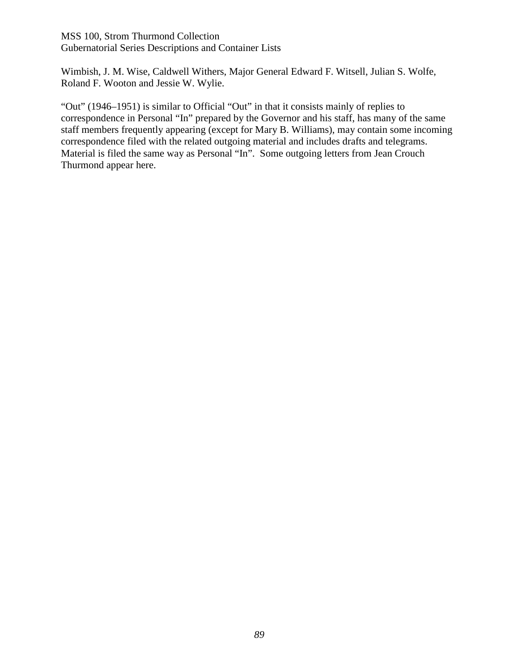Wimbish, J. M. Wise, Caldwell Withers, Major General Edward F. Witsell, Julian S. Wolfe, Roland F. Wooton and Jessie W. Wylie.

"Out" (1946–1951) is similar to Official "Out" in that it consists mainly of replies to correspondence in Personal "In" prepared by the Governor and his staff, has many of the same staff members frequently appearing (except for Mary B. Williams), may contain some incoming correspondence filed with the related outgoing material and includes drafts and telegrams. Material is filed the same way as Personal "In". Some outgoing letters from Jean Crouch Thurmond appear here.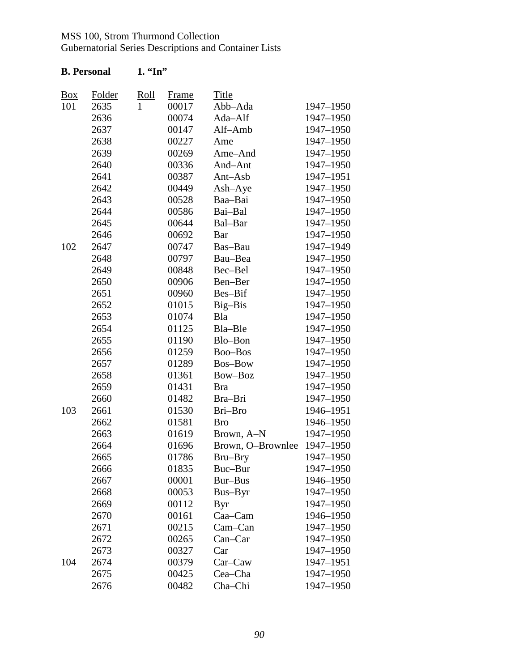| <b>B.</b> Personal |               | $1.$ "In"    |              |                             |           |
|--------------------|---------------|--------------|--------------|-----------------------------|-----------|
| $\frac{Box}{}$     | <b>Folder</b> | <u>Roll</u>  | <b>Frame</b> | <u>Title</u>                |           |
| 101                | 2635          | $\mathbf{1}$ | 00017        | Abb-Ada                     | 1947-1950 |
|                    | 2636          |              | 00074        | Ada-Alf                     | 1947-1950 |
|                    | 2637          |              | 00147        | Alf-Amb                     | 1947-1950 |
|                    | 2638          |              | 00227        | Ame                         | 1947-1950 |
|                    | 2639          |              | 00269        | Ame-And                     | 1947-1950 |
|                    | 2640          |              | 00336        | And-Ant                     | 1947-1950 |
|                    | 2641          |              | 00387        | Ant-Asb                     | 1947-1951 |
|                    | 2642          |              | 00449        | $Ash-Aye$                   | 1947-1950 |
|                    | 2643          |              | 00528        | Baa-Bai                     | 1947-1950 |
|                    | 2644          |              | 00586        | Bai-Bal                     | 1947-1950 |
|                    | 2645          |              | 00644        | Bal-Bar                     | 1947-1950 |
|                    | 2646          |              | 00692        | Bar                         | 1947-1950 |
| 102                | 2647          |              | 00747        | Bas-Bau                     | 1947-1949 |
|                    | 2648          |              | 00797        | Bau-Bea                     | 1947-1950 |
|                    | 2649          |              | 00848        | Bec-Bel                     | 1947-1950 |
|                    | 2650          |              | 00906        | Ben-Ber                     | 1947-1950 |
|                    | 2651          |              | 00960        | Bes-Bif                     | 1947-1950 |
|                    | 2652          |              | 01015        | Big-Bis                     | 1947-1950 |
|                    | 2653          |              | 01074        | Bla                         | 1947-1950 |
|                    | 2654          |              | 01125        | Bla-Ble                     | 1947-1950 |
|                    | 2655          |              | 01190        | Blo-Bon                     | 1947-1950 |
|                    | 2656          |              | 01259        | Boo-Bos                     | 1947-1950 |
|                    | 2657          |              | 01289        | <b>Bos-Bow</b>              | 1947-1950 |
|                    | 2658          |              | 01361        | Bow-Boz                     | 1947-1950 |
|                    | 2659          |              | 01431        | <b>Bra</b>                  | 1947-1950 |
|                    | 2660          |              | 01482        | Bra-Bri                     | 1947-1950 |
| 103                | 2661          |              | 01530        | Bri-Bro                     | 1946-1951 |
|                    | 2662          |              | 01581        | <b>Bro</b>                  | 1946-1950 |
|                    | 2663          |              | 01619        | Brown, A-N                  | 1947-1950 |
|                    | 2664          |              | 01696        | Brown, O-Brownlee 1947-1950 |           |
|                    | 2665          |              | 01786        | Bru-Bry                     | 1947-1950 |
|                    | 2666          |              | 01835        | Buc-Bur                     | 1947-1950 |
|                    | 2667          |              | 00001        | Bur-Bus                     | 1946-1950 |
|                    | 2668          |              | 00053        | Bus-Byr                     | 1947-1950 |
|                    | 2669          |              | 00112        | <b>Byr</b>                  | 1947-1950 |
|                    | 2670          |              | 00161        | Caa-Cam                     | 1946-1950 |
|                    | 2671          |              | 00215        | Cam-Can                     | 1947-1950 |
|                    | 2672          |              | 00265        | Can-Car                     | 1947-1950 |
|                    | 2673          |              | 00327        | Car                         | 1947-1950 |
| 104                | 2674          |              | 00379        | $Car-Caw$                   | 1947-1951 |
|                    | 2675          |              | 00425        | Cea–Cha                     | 1947-1950 |
|                    | 2676          |              | 00482        | Cha-Chi                     | 1947-1950 |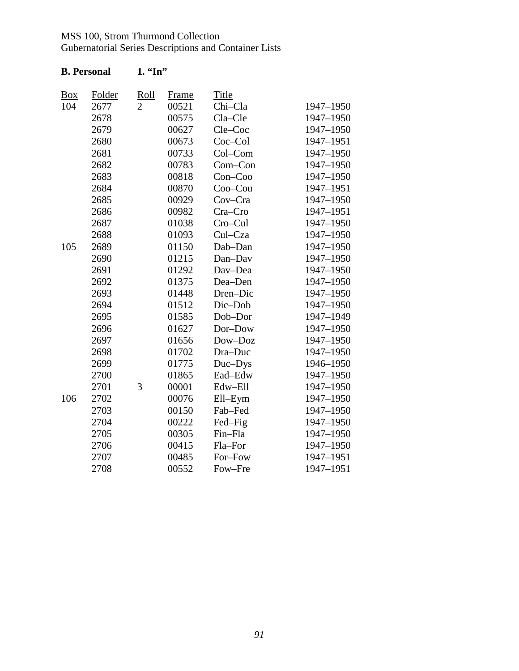| $\underline{Box}$ | Folder | <u>Roll</u>    | <b>Frame</b> | Title     |           |
|-------------------|--------|----------------|--------------|-----------|-----------|
| 104               | 2677   | $\overline{2}$ | 00521        | Chi-Cla   | 1947-1950 |
|                   | 2678   |                | 00575        | Cla-Cle   | 1947-1950 |
|                   | 2679   |                | 00627        | Cle-Coc   | 1947-1950 |
|                   | 2680   |                | 00673        | Coc-Col   | 1947-1951 |
|                   | 2681   |                | 00733        | Col-Com   | 1947-1950 |
|                   | 2682   |                | 00783        | Com-Con   | 1947-1950 |
|                   | 2683   |                | 00818        | $Con-Coo$ | 1947-1950 |
|                   | 2684   |                | 00870        | Coo-Cou   | 1947-1951 |
|                   | 2685   |                | 00929        | Cov-Cra   | 1947-1950 |
|                   | 2686   |                | 00982        | Cra-Cro   | 1947-1951 |
|                   | 2687   |                | 01038        | Cro-Cul   | 1947-1950 |
|                   | 2688   |                | 01093        | Cul-Cza   | 1947-1950 |
| 105               | 2689   |                | 01150        | Dab-Dan   | 1947-1950 |
|                   | 2690   |                | 01215        | Dan-Dav   | 1947-1950 |
|                   | 2691   |                | 01292        | Dav-Dea   | 1947-1950 |
|                   | 2692   |                | 01375        | Dea-Den   | 1947-1950 |
|                   | 2693   |                | 01448        | Dren-Dic  | 1947-1950 |
|                   | 2694   |                | 01512        | Dic-Dob   | 1947-1950 |
|                   | 2695   |                | 01585        | Dob-Dor   | 1947-1949 |
|                   | 2696   |                | 01627        | Dor-Dow   | 1947-1950 |
|                   | 2697   |                | 01656        | Dow-Doz   | 1947-1950 |
|                   | 2698   |                | 01702        | Dra-Duc   | 1947-1950 |
|                   | 2699   |                | 01775        | Duc-Dys   | 1946-1950 |
|                   | 2700   |                | 01865        | Ead-Edw   | 1947-1950 |
|                   | 2701   | 3              | 00001        | Edw-Ell   | 1947-1950 |
| 106               | 2702   |                | 00076        | Ell-Eym   | 1947-1950 |
|                   | 2703   |                | 00150        | Fab-Fed   | 1947-1950 |
|                   | 2704   |                | 00222        | Fed-Fig   | 1947-1950 |
|                   | 2705   |                | 00305        | Fin-Fla   | 1947-1950 |
|                   | 2706   |                | 00415        | Fla-For   | 1947-1950 |
|                   | 2707   |                | 00485        | For-Fow   | 1947-1951 |
|                   | 2708   |                | 00552        | Fow-Fre   | 1947-1951 |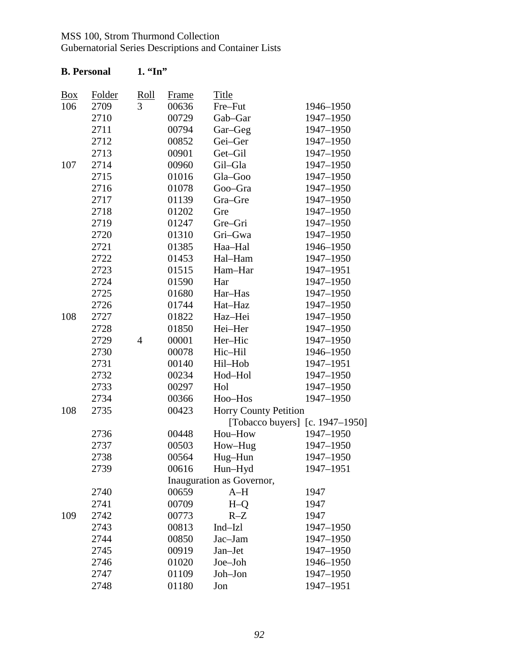| <b>B.</b> Personal |               | $1.$ "In"      |              |                                 |           |
|--------------------|---------------|----------------|--------------|---------------------------------|-----------|
| $\frac{Box}{}$     | <b>Folder</b> | Roll           | <u>Frame</u> | <b>Title</b>                    |           |
| 106                | 2709          | 3              | 00636        | Fre-Fut                         | 1946-1950 |
|                    | 2710          |                | 00729        | Gab-Gar                         | 1947-1950 |
|                    | 2711          |                | 00794        | Gar-Geg                         | 1947-1950 |
|                    | 2712          |                | 00852        | Gei-Ger                         | 1947-1950 |
|                    | 2713          |                | 00901        | Get-Gil                         | 1947-1950 |
| 107                | 2714          |                | 00960        | Gil-Gla                         | 1947-1950 |
|                    | 2715          |                | 01016        | Gla-Goo                         | 1947-1950 |
|                    | 2716          |                | 01078        | Goo-Gra                         | 1947-1950 |
|                    | 2717          |                | 01139        | Gra-Gre                         | 1947-1950 |
|                    | 2718          |                | 01202        | Gre                             | 1947-1950 |
|                    | 2719          |                | 01247        | Gre-Gri                         | 1947-1950 |
|                    | 2720          |                | 01310        | Gri-Gwa                         | 1947-1950 |
|                    | 2721          |                | 01385        | Haa-Hal                         | 1946-1950 |
|                    | 2722          |                | 01453        | Hal-Ham                         | 1947-1950 |
|                    | 2723          |                | 01515        | Ham-Har                         | 1947-1951 |
|                    | 2724          |                | 01590        | Har                             | 1947-1950 |
|                    | 2725          |                | 01680        | Har-Has                         | 1947-1950 |
|                    | 2726          |                | 01744        | Hat-Haz                         | 1947-1950 |
| 108                | 2727          |                | 01822        | Haz-Hei                         | 1947-1950 |
|                    | 2728          |                | 01850        | Hei-Her                         | 1947-1950 |
|                    | 2729          | $\overline{4}$ | 00001        | Her-Hic                         | 1947-1950 |
|                    | 2730          |                | 00078        | Hic-Hil                         | 1946-1950 |
|                    | 2731          |                | 00140        | Hil-Hob                         | 1947-1951 |
|                    | 2732          |                | 00234        | Hod-Hol                         | 1947-1950 |
|                    | 2733          |                | 00297        | Hol                             | 1947-1950 |
|                    | 2734          |                | 00366        | Hoo-Hos                         | 1947-1950 |
| 108                | 2735          |                | 00423        | <b>Horry County Petition</b>    |           |
|                    |               |                |              | [Tobacco buyers] [c. 1947–1950] |           |
|                    | 2736          |                | 00448        | Hou-How                         | 1947-1950 |
|                    | 2737          |                | 00503        | How-Hug                         | 1947-1950 |
|                    | 2738          |                | 00564        | Hug-Hun                         | 1947-1950 |
|                    | 2739          |                | 00616        | Hun-Hyd                         | 1947-1951 |
|                    |               |                |              | Inauguration as Governor,       |           |
|                    | 2740          |                | 00659        | $A-H$                           | 1947      |
|                    | 2741          |                | 00709        | $H-Q$                           | 1947      |
| 109                | 2742          |                | 00773        | $R-Z$                           | 1947      |
|                    | 2743          |                | 00813        | Ind-Izl                         | 1947-1950 |
|                    | 2744          |                | 00850        | Jac-Jam                         | 1947-1950 |
|                    | 2745          |                | 00919        | Jan-Jet                         | 1947-1950 |
|                    | 2746          |                | 01020        | Joe-Joh                         | 1946-1950 |
|                    | 2747          |                | 01109        | Joh-Jon                         | 1947-1950 |
|                    | 2748          |                | 01180        | Jon                             | 1947-1951 |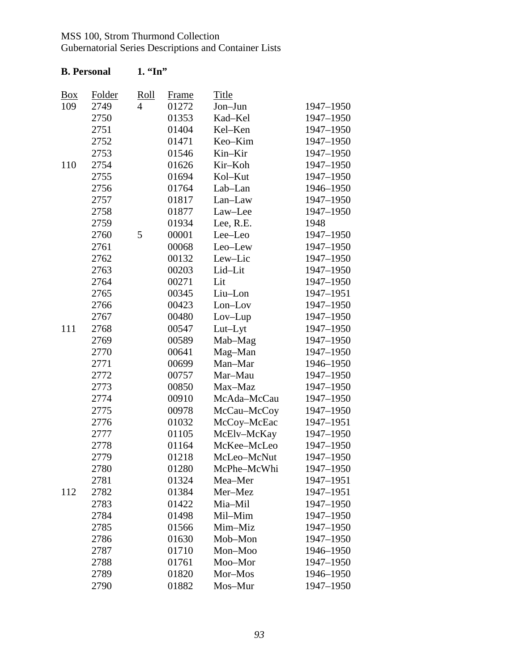| <b>B.</b> Personal |               | $1.$ "In"      |              |             |           |
|--------------------|---------------|----------------|--------------|-------------|-----------|
| <b>Box</b>         | <b>Folder</b> | Roll           | <b>Frame</b> | Title       |           |
| 109                | 2749          | $\overline{4}$ | 01272        | Jon-Jun     | 1947-1950 |
|                    | 2750          |                | 01353        | Kad-Kel     | 1947-1950 |
|                    | 2751          |                | 01404        | Kel-Ken     | 1947-1950 |
|                    | 2752          |                | 01471        | Keo-Kim     | 1947-1950 |
|                    | 2753          |                | 01546        | Kin-Kir     | 1947-1950 |
| 110                | 2754          |                | 01626        | Kir-Koh     | 1947-1950 |
|                    | 2755          |                | 01694        | Kol-Kut     | 1947-1950 |
|                    | 2756          |                | 01764        | Lab-Lan     | 1946-1950 |
|                    | 2757          |                | 01817        | Lan-Law     | 1947-1950 |
|                    | 2758          |                | 01877        | Law-Lee     | 1947-1950 |
|                    | 2759          |                | 01934        | Lee, R.E.   | 1948      |
|                    | 2760          | 5              | 00001        | Lee-Leo     | 1947-1950 |
|                    | 2761          |                | 00068        | Leo-Lew     | 1947-1950 |
|                    | 2762          |                | 00132        | Lew-Lic     | 1947-1950 |
|                    | 2763          |                | 00203        | Lid-Lit     | 1947-1950 |
|                    | 2764          |                | 00271        | Lit         | 1947-1950 |
|                    | 2765          |                | 00345        | Liu-Lon     | 1947-1951 |
|                    | 2766          |                | 00423        | Lon-Lov     | 1947-1950 |
|                    | 2767          |                | 00480        | $Lov-Lup$   | 1947-1950 |
| 111                | 2768          |                | 00547        | Lut-Lyt     | 1947-1950 |
|                    | 2769          |                | 00589        | Mab-Mag     | 1947-1950 |
|                    | 2770          |                | 00641        | Mag-Man     | 1947-1950 |
|                    | 2771          |                | 00699        | Man-Mar     | 1946-1950 |
|                    | 2772          |                | 00757        | Mar-Mau     | 1947-1950 |
|                    | 2773          |                | 00850        | Max-Maz     | 1947-1950 |
|                    | 2774          |                | 00910        | McAda-McCau | 1947-1950 |
|                    | 2775          |                | 00978        | McCau-McCoy | 1947-1950 |
|                    | 2776          |                | 01032        | McCoy-McEac | 1947-1951 |
|                    | 2777          |                | 01105        | McElv-McKay | 1947-1950 |
|                    | 2778          |                | 01164        | McKee-McLeo | 1947-1950 |
|                    | 2779          |                | 01218        | McLeo-McNut | 1947-1950 |
|                    | 2780          |                | 01280        | McPhe-McWhi | 1947-1950 |
|                    | 2781          |                | 01324        | Mea-Mer     | 1947-1951 |
| 112                | 2782          |                | 01384        | Mer-Mez     | 1947-1951 |
|                    | 2783          |                | 01422        | Mia-Mil     | 1947-1950 |
|                    | 2784          |                | 01498        | Mil-Mim     | 1947-1950 |
|                    | 2785          |                | 01566        | Mim-Miz     | 1947-1950 |
|                    | 2786          |                | 01630        | Mob-Mon     | 1947-1950 |
|                    | 2787          |                | 01710        | Mon-Moo     | 1946-1950 |
|                    | 2788          |                | 01761        | Moo-Mor     | 1947-1950 |
|                    | 2789          |                | 01820        | Mor-Mos     | 1946-1950 |
|                    | 2790          |                | 01882        | Mos-Mur     | 1947-1950 |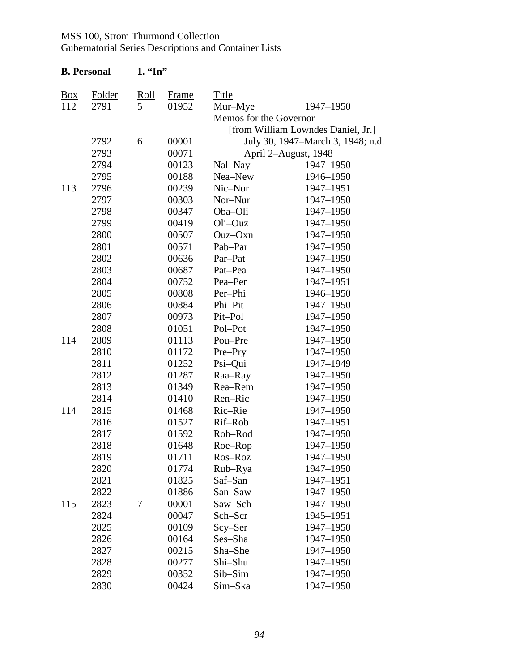|                   | <b>B.</b> Personal | $1.$ "In" |              |                        |                                    |
|-------------------|--------------------|-----------|--------------|------------------------|------------------------------------|
| $\underline{Box}$ | <b>Folder</b>      | Roll      | <b>Frame</b> | <b>Title</b>           |                                    |
| 112               | 2791               | 5         | 01952        | Mur-Mye                | 1947-1950                          |
|                   |                    |           |              | Memos for the Governor |                                    |
|                   |                    |           |              |                        | [from William Lowndes Daniel, Jr.] |
|                   | 2792               | 6         | 00001        |                        | July 30, 1947–March 3, 1948; n.d.  |
|                   | 2793               |           | 00071        |                        | April 2-August, 1948               |
|                   | 2794               |           | 00123        | Nal-Nay                | 1947-1950                          |
|                   | 2795               |           | 00188        | Nea-New                | 1946-1950                          |
| 113               | 2796               |           | 00239        | Nic-Nor                | 1947-1951                          |
|                   | 2797               |           | 00303        | Nor-Nur                | 1947-1950                          |
|                   | 2798               |           | 00347        | Oba-Oli                | 1947-1950                          |
|                   | 2799               |           | 00419        | Oli-Ouz                | 1947-1950                          |
|                   | 2800               |           | 00507        | $Ouz-Oxn$              | 1947-1950                          |
|                   | 2801               |           | 00571        | Pab-Par                | 1947-1950                          |
|                   | 2802               |           | 00636        | Par-Pat                | 1947-1950                          |
|                   | 2803               |           | 00687        | Pat-Pea                | 1947-1950                          |
|                   | 2804               |           | 00752        | Pea-Per                | 1947-1951                          |
|                   | 2805               |           | 00808        | Per-Phi                | 1946-1950                          |
|                   | 2806               |           | 00884        | Phi-Pit                | 1947-1950                          |
|                   | 2807               |           | 00973        | Pit-Pol                | 1947-1950                          |
|                   | 2808               |           | 01051        | Pol-Pot                | 1947-1950                          |
| 114               | 2809               |           | 01113        | Pou-Pre                | 1947-1950                          |
|                   | 2810               |           | 01172        | Pre-Pry                | 1947-1950                          |
|                   | 2811               |           | 01252        | Psi-Qui                | 1947-1949                          |
|                   | 2812               |           | 01287        | Raa-Ray                | 1947-1950                          |
|                   | 2813               |           | 01349        | Rea-Rem                | 1947-1950                          |
|                   | 2814               |           | 01410        | Ren-Ric                | 1947-1950                          |
| 114               | 2815               |           | 01468        | Ric-Rie                | 1947-1950                          |
|                   | 2816               |           | 01527        | Rif-Rob                | 1947-1951                          |
|                   | 2817               |           | 01592        | Rob-Rod                | 1947-1950                          |
|                   | 2818               |           | 01648        | Roe-Rop                | 1947-1950                          |
|                   | 2819               |           | 01711        | Ros-Roz                | 1947-1950                          |
|                   | 2820               |           | 01774        | Rub-Rya                | 1947-1950                          |
|                   | 2821               |           | 01825        | Saf-San                | 1947-1951                          |
|                   | 2822               |           | 01886        | San-Saw                | 1947-1950                          |
| 115               | 2823               | 7         | 00001        | Saw-Sch                | 1947-1950                          |
|                   | 2824               |           | 00047        | Sch-Scr                | 1945-1951                          |
|                   | 2825               |           | 00109        | Scy–Ser                | 1947-1950                          |
|                   | 2826               |           | 00164        | Ses-Sha                | 1947-1950                          |
|                   | 2827               |           | 00215        | Sha-She                | 1947-1950                          |
|                   | 2828               |           | 00277        | Shi-Shu                | 1947-1950                          |
|                   | 2829               |           | 00352        | Sib-Sim                | 1947-1950                          |
|                   | 2830               |           | 00424        | Sim-Ska                | 1947-1950                          |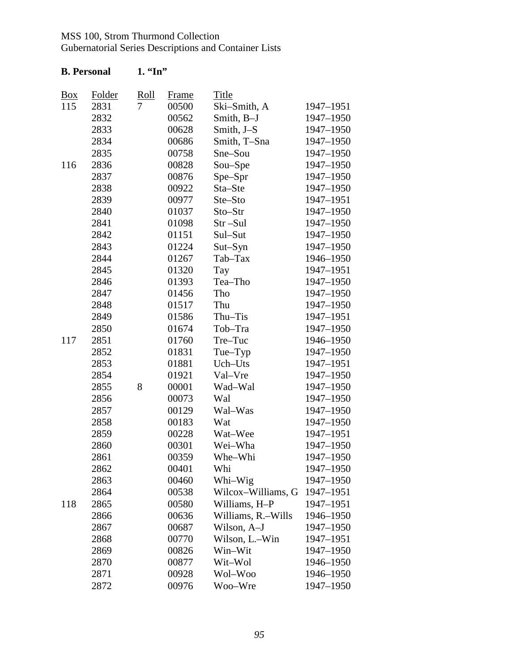| <b>B.</b> Personal |        | $1.$ "In" |              |                    |           |
|--------------------|--------|-----------|--------------|--------------------|-----------|
| $\underline{Box}$  | Folder | Roll      | <u>Frame</u> | <b>Title</b>       |           |
| 115                | 2831   | 7         | 00500        | Ski-Smith, A       | 1947-1951 |
|                    | 2832   |           | 00562        | Smith, B-J         | 1947-1950 |
|                    | 2833   |           | 00628        | Smith, J-S         | 1947-1950 |
|                    | 2834   |           | 00686        | Smith, T-Sna       | 1947-1950 |
|                    | 2835   |           | 00758        | Sne–Sou            | 1947-1950 |
| 116                | 2836   |           | 00828        | Sou-Spe            | 1947-1950 |
|                    | 2837   |           | 00876        | Spe-Spr            | 1947-1950 |
|                    | 2838   |           | 00922        | Sta-Ste            | 1947-1950 |
|                    | 2839   |           | 00977        | Ste-Sto            | 1947-1951 |
|                    | 2840   |           | 01037        | Sto-Str            | 1947-1950 |
|                    | 2841   |           | 01098        | Str-Sul            | 1947-1950 |
|                    | 2842   |           | 01151        | Sul-Sut            | 1947-1950 |
|                    | 2843   |           | 01224        | $Sut-Syn$          | 1947-1950 |
|                    | 2844   |           | 01267        | Tab-Tax            | 1946-1950 |
|                    | 2845   |           | 01320        | Tay                | 1947-1951 |
|                    | 2846   |           | 01393        | Tea-Tho            | 1947-1950 |
|                    | 2847   |           | 01456        | Tho                | 1947-1950 |
|                    | 2848   |           | 01517        | Thu                | 1947-1950 |
|                    | 2849   |           | 01586        | Thu-Tis            | 1947-1951 |
|                    | 2850   |           | 01674        | Tob-Tra            | 1947-1950 |
| 117                | 2851   |           | 01760        | Tre-Tuc            | 1946-1950 |
|                    | 2852   |           | 01831        | Tue-Typ            | 1947-1950 |
|                    | 2853   |           | 01881        | Uch-Uts            | 1947-1951 |
|                    | 2854   |           | 01921        | Val-Vre            | 1947-1950 |
|                    | 2855   | 8         | 00001        | Wad-Wal            | 1947-1950 |
|                    | 2856   |           | 00073        | Wal                | 1947-1950 |
|                    | 2857   |           | 00129        | Wal-Was            | 1947-1950 |
|                    | 2858   |           | 00183        | Wat                | 1947-1950 |
|                    | 2859   |           | 00228        | Wat-Wee            | 1947-1951 |
|                    | 2860   |           | 00301        | Wei-Wha            | 1947-1950 |
|                    | 2861   |           | 00359        | Whe-Whi            | 1947-1950 |
|                    | 2862   |           | 00401        | Whi                | 1947-1950 |
|                    | 2863   |           | 00460        | Whi-Wig            | 1947-1950 |
|                    | 2864   |           | 00538        | Wilcox-Williams, G | 1947-1951 |
| 118                | 2865   |           | 00580        | Williams, H-P      | 1947-1951 |
|                    | 2866   |           | 00636        | Williams, R.–Wills | 1946-1950 |
|                    | 2867   |           | 00687        | Wilson, A-J        | 1947-1950 |
|                    | 2868   |           | 00770        | Wilson, L.–Win     | 1947–1951 |
|                    | 2869   |           | 00826        | Win–Wit            | 1947-1950 |
|                    | 2870   |           | 00877        | Wit-Wol            | 1946-1950 |
|                    | 2871   |           | 00928        | Wol–Woo            | 1946-1950 |
|                    | 2872   |           | 00976        | Woo–Wre            | 1947–1950 |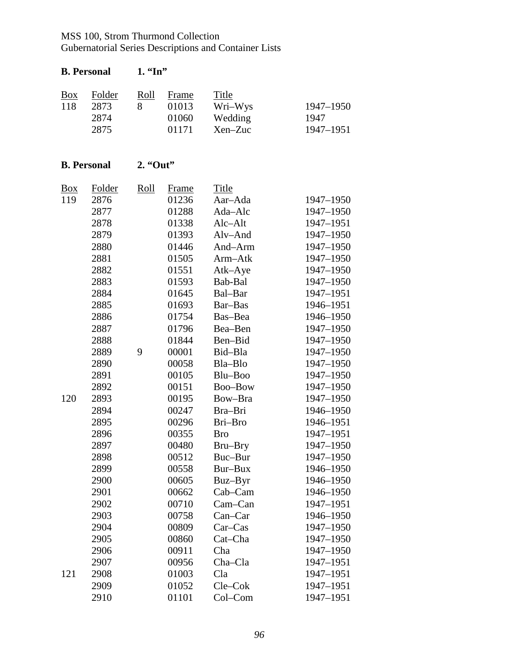| <b>B.</b> Personal    |                                                                                                                                                |                  | $1.$ "In"                                                                                                                                                      |                                                                                                                                                                                                  |                                                                                                                                                                                                                           |  |  |  |
|-----------------------|------------------------------------------------------------------------------------------------------------------------------------------------|------------------|----------------------------------------------------------------------------------------------------------------------------------------------------------------|--------------------------------------------------------------------------------------------------------------------------------------------------------------------------------------------------|---------------------------------------------------------------------------------------------------------------------------------------------------------------------------------------------------------------------------|--|--|--|
| $\frac{Box}{}$<br>118 | Folder<br>2873<br>2874<br>2875                                                                                                                 | <u>Roll</u><br>8 | Frame<br>01013<br>01060<br>01171                                                                                                                               | <b>Title</b><br>Wri-Wys<br>Wedding<br>Xen-Zuc                                                                                                                                                    | 1947-1950<br>1947<br>1947-1951                                                                                                                                                                                            |  |  |  |
|                       | <b>B.</b> Personal                                                                                                                             | $2.$ "Out"       |                                                                                                                                                                |                                                                                                                                                                                                  |                                                                                                                                                                                                                           |  |  |  |
| <u>Box</u><br>119     | Folder<br>2876<br>2877<br>2878<br>2879<br>2880<br>2881<br>2882<br>2883<br>2884<br>2885<br>2886<br>2887<br>2888<br>2889<br>2890<br>2891<br>2892 | Roll<br>9        | Frame<br>01236<br>01288<br>01338<br>01393<br>01446<br>01505<br>01551<br>01593<br>01645<br>01693<br>01754<br>01796<br>01844<br>00001<br>00058<br>00105<br>00151 | Title<br>Aar-Ada<br>Ada-Alc<br>Alc-Alt<br>Alv-And<br>And-Arm<br>Arm-Atk<br>Atk-Aye<br>Bab-Bal<br>Bal-Bar<br>Bar-Bas<br>Bas-Bea<br>Bea-Ben<br>Ben-Bid<br>Bid-Bla<br>Bla-Blo<br>Blu-Boo<br>Boo-Bow | 1947-1950<br>1947-1950<br>1947-1951<br>1947-1950<br>1947-1950<br>1947-1950<br>1947-1950<br>1947-1950<br>1947-1951<br>1946-1951<br>1946-1950<br>1947-1950<br>1947-1950<br>1947-1950<br>1947-1950<br>1947-1950<br>1947-1950 |  |  |  |
| 120                   | 2893<br>2894<br>2895<br>2896<br>2897<br>2898<br>2899<br>2900<br>2901<br>2902<br>2903<br>2904<br>2905<br>2906<br>2907                           |                  | 00195<br>00247<br>00296<br>00355<br>00480<br>00512<br>00558<br>00605<br>00662<br>00710<br>00758<br>00809<br>00860<br>00911<br>00956                            | Bow-Bra<br>Bra-Bri<br>Bri-Bro<br><b>Bro</b><br>Bru–Bry<br>Buc-Bur<br>Bur-Bux<br>Buz-Byr<br>Cab–Cam<br>Cam–Can<br>$Can-Car$<br>$Car-Cas$<br>Cat-Cha<br>Cha<br>Cha-Cla                             | 1947-1950<br>1946-1950<br>1946-1951<br>1947-1951<br>1947-1950<br>1947-1950<br>1946-1950<br>1946-1950<br>1946-1950<br>1947-1951<br>1946-1950<br>1947-1950<br>1947-1950<br>1947-1950<br>1947-1951                           |  |  |  |
| 121                   | 2908<br>2909<br>2910                                                                                                                           |                  | 01003<br>01052<br>01101                                                                                                                                        | Cla<br>Cle-Cok<br>Col-Com                                                                                                                                                                        | 1947-1951<br>1947-1951<br>1947-1951                                                                                                                                                                                       |  |  |  |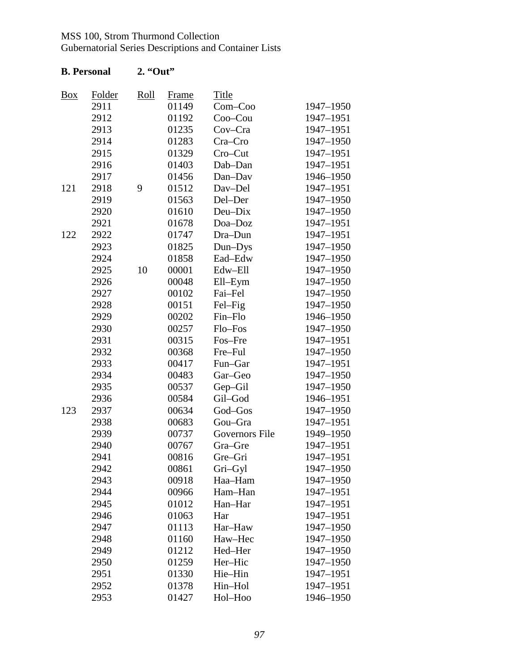Gubernatorial Series Descriptions and Container Lists

| Box | Folder | Roll | Frame | <b>Title</b>   |           |
|-----|--------|------|-------|----------------|-----------|
|     | 2911   |      | 01149 | $Com-Coo$      | 1947-1950 |
|     | 2912   |      | 01192 | $Coo$ -Cou     | 1947-1951 |
|     | 2913   |      | 01235 | Cov-Cra        | 1947-1951 |
|     | 2914   |      | 01283 | Cra-Cro        | 1947-1950 |
|     | 2915   |      | 01329 | Cro-Cut        | 1947-1951 |
|     | 2916   |      | 01403 | Dab-Dan        | 1947-1951 |
|     | 2917   |      | 01456 | Dan-Dav        | 1946-1950 |
| 121 | 2918   | 9    | 01512 | Dav-Del        | 1947-1951 |
|     | 2919   |      | 01563 | Del-Der        | 1947-1950 |
|     | 2920   |      | 01610 | Deu-Dix        | 1947-1950 |
|     | 2921   |      | 01678 | Doa-Doz        | 1947-1951 |
| 122 | 2922   |      | 01747 | Dra-Dun        | 1947-1951 |
|     | 2923   |      | 01825 | Dun-Dys        | 1947-1950 |
|     | 2924   |      | 01858 | Ead-Edw        | 1947-1950 |
|     | 2925   | 10   | 00001 | Edw-Ell        | 1947-1950 |
|     | 2926   |      | 00048 | Ell-Eym        | 1947-1950 |
|     | 2927   |      | 00102 | Fai-Fel        | 1947-1950 |
|     | 2928   |      | 00151 | Fel-Fig        | 1947-1950 |
|     | 2929   |      | 00202 | Fin-Flo        | 1946-1950 |
|     | 2930   |      | 00257 | Flo-Fos        | 1947-1950 |
|     | 2931   |      | 00315 | Fos-Fre        | 1947-1951 |
|     | 2932   |      | 00368 | Fre-Ful        | 1947-1950 |
|     | 2933   |      | 00417 | Fun-Gar        | 1947-1951 |
|     | 2934   |      | 00483 | Gar-Geo        | 1947-1950 |
|     | 2935   |      | 00537 | Gep-Gil        | 1947-1950 |
|     | 2936   |      | 00584 | Gil-God        | 1946-1951 |
| 123 | 2937   |      | 00634 | God-Gos        | 1947-1950 |
|     | 2938   |      | 00683 | Gou-Gra        | 1947-1951 |
|     | 2939   |      | 00737 | Governors File | 1949-1950 |
|     | 2940   |      | 00767 | Gra-Gre        | 1947-1951 |
|     | 2941   |      | 00816 | Gre-Gri        | 1947-1951 |
|     | 2942   |      | 00861 | Gri-Gyl        | 1947-1950 |
|     | 2943   |      | 00918 | Haa-Ham        | 1947-1950 |
|     | 2944   |      | 00966 | Ham-Han        | 1947-1951 |
|     | 2945   |      | 01012 | Han-Har        | 1947-1951 |
|     | 2946   |      | 01063 | Har            | 1947-1951 |
|     | 2947   |      | 01113 | Har-Haw        | 1947-1950 |
|     | 2948   |      | 01160 | Haw-Hec        | 1947-1950 |
|     | 2949   |      | 01212 | Hed-Her        | 1947-1950 |
|     | 2950   |      | 01259 | Her-Hic        | 1947-1950 |
|     | 2951   |      | 01330 | Hie-Hin        | 1947-1951 |
|     | 2952   |      | 01378 | Hin-Hol        | 1947-1951 |
|     | 2953   |      | 01427 | Hol-Hoo        | 1946-1950 |
|     |        |      |       |                |           |

### **B. Personal 2. "Out"**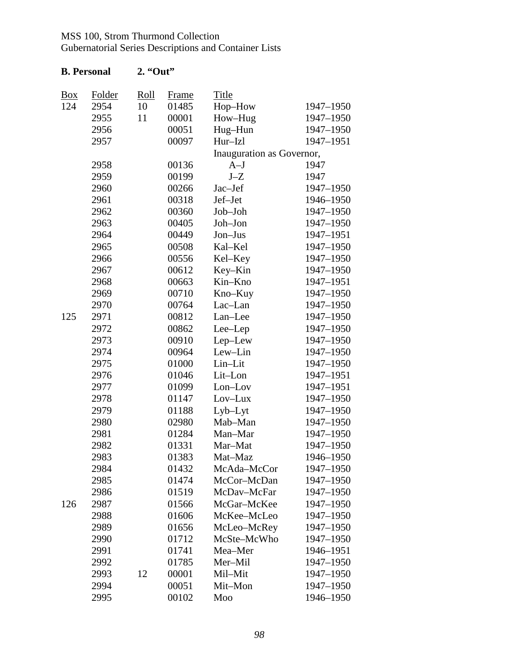| <b>B.</b> Personal |               | $2.$ "Out"  |              |                           |           |
|--------------------|---------------|-------------|--------------|---------------------------|-----------|
| <u>Box</u>         | <b>Folder</b> | <u>Roll</u> | <b>Frame</b> | <b>Title</b>              |           |
| 124                | 2954          | 10          | 01485        | Hop-How                   | 1947-1950 |
|                    | 2955          | 11          | 00001        | How-Hug                   | 1947-1950 |
|                    | 2956          |             | 00051        | Hug-Hun                   | 1947-1950 |
|                    | 2957          |             | 00097        | Hur-Izl                   | 1947-1951 |
|                    |               |             |              | Inauguration as Governor, |           |
|                    | 2958          |             | 00136        | $A-J$                     | 1947      |
|                    | 2959          |             | 00199        | $J-Z$                     | 1947      |
|                    | 2960          |             | 00266        | Jac-Jef                   | 1947-1950 |
|                    | 2961          |             | 00318        | Jef-Jet                   | 1946-1950 |
|                    | 2962          |             | 00360        | Job-Joh                   | 1947-1950 |
|                    | 2963          |             | 00405        | Joh-Jon                   | 1947-1950 |
|                    | 2964          |             | 00449        | Jon-Jus                   | 1947-1951 |
|                    | 2965          |             | 00508        | Kal-Kel                   | 1947-1950 |
|                    | 2966          |             | 00556        | Kel-Key                   | 1947-1950 |
|                    | 2967          |             | 00612        | Key–Kin                   | 1947-1950 |
|                    | 2968          |             | 00663        | Kin-Kno                   | 1947-1951 |
|                    | 2969          |             | 00710        | Kno-Kuy                   | 1947-1950 |
|                    | 2970          |             | 00764        | Lac-Lan                   | 1947-1950 |
| 125                | 2971          |             | 00812        | Lan-Lee                   | 1947-1950 |
|                    | 2972          |             | 00862        | Lee-Lep                   | 1947-1950 |
|                    | 2973          |             | 00910        | Lep-Lew                   | 1947-1950 |
|                    | 2974          |             | 00964        | Lew-Lin                   | 1947-1950 |
|                    | 2975          |             | 01000        | Lin-Lit                   | 1947-1950 |
|                    | 2976          |             | 01046        | Lit-Lon                   | 1947-1951 |
|                    | 2977          |             | 01099        | Lon-Lov                   | 1947-1951 |
|                    | 2978          |             | 01147        | Lov-Lux                   | 1947-1950 |
|                    | 2979          |             | 01188        | Lyb-Lyt                   | 1947-1950 |
|                    | 2980          |             | 02980        | Mab-Man                   | 1947-1950 |
|                    | 2981          |             | 01284        | Man-Mar                   | 1947-1950 |
|                    | 2982          |             | 01331        | Mar-Mat                   | 1947-1950 |
|                    | 2983          |             | 01383        | Mat-Maz                   | 1946-1950 |
|                    | 2984          |             | 01432        | McAda-McCor               | 1947-1950 |
|                    | 2985          |             | 01474        | McCor-McDan               | 1947-1950 |
|                    | 2986          |             | 01519        | McDav-McFar               | 1947-1950 |
| 126                | 2987          |             | 01566        | McGar-McKee               | 1947-1950 |
|                    | 2988          |             | 01606        | McKee-McLeo               | 1947-1950 |
|                    | 2989          |             | 01656        | McLeo-McRey               | 1947-1950 |
|                    | 2990          |             | 01712        | McSte-McWho               | 1947-1950 |
|                    | 2991          |             | 01741        | Mea-Mer                   | 1946-1951 |
|                    | 2992          |             | 01785        | Mer-Mil                   | 1947-1950 |
|                    | 2993          | 12          | 00001        | Mil-Mit                   | 1947-1950 |
|                    | 2994          |             | 00051        | Mit-Mon                   | 1947-1950 |
|                    | 2995          |             | 00102        | Moo                       | 1946-1950 |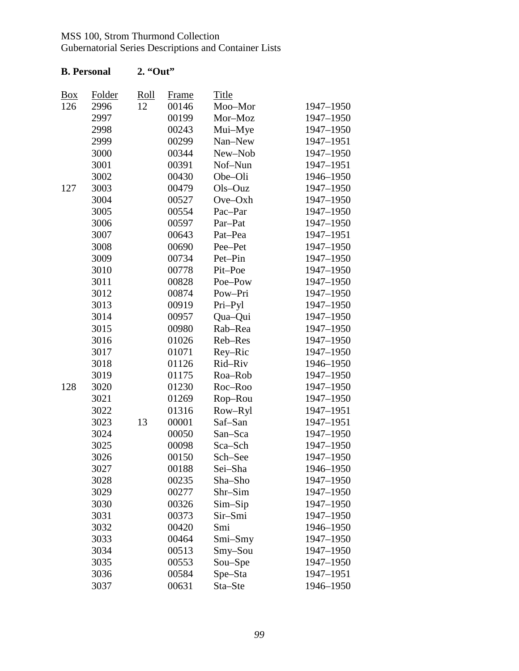Gubernatorial Series Descriptions and Container Lists

|            | Folder | <u>Roll</u> |                       | <b>Title</b> |           |
|------------|--------|-------------|-----------------------|--------------|-----------|
| Box<br>126 | 2996   | 12          | <b>Frame</b><br>00146 | Moo-Mor      | 1947-1950 |
|            | 2997   |             | 00199                 | Mor-Moz      | 1947-1950 |
|            | 2998   |             | 00243                 | Mui-Mye      | 1947-1950 |
|            | 2999   |             | 00299                 | Nan-New      | 1947-1951 |
|            | 3000   |             | 00344                 | New-Nob      | 1947-1950 |
|            | 3001   |             | 00391                 | Nof-Nun      | 1947-1951 |
|            | 3002   |             | 00430                 | Obe-Oli      | 1946-1950 |
| 127        | 3003   |             | 00479                 | Ols-Ouz      | 1947-1950 |
|            | 3004   |             | 00527                 | Ove-Oxh      | 1947-1950 |
|            | 3005   |             | 00554                 | Pac-Par      | 1947-1950 |
|            | 3006   |             | 00597                 | Par-Pat      | 1947-1950 |
|            | 3007   |             | 00643                 | Pat-Pea      | 1947-1951 |
|            | 3008   |             | 00690                 | Pee-Pet      | 1947-1950 |
|            | 3009   |             | 00734                 | Pet-Pin      | 1947-1950 |
|            | 3010   |             | 00778                 | Pit-Poe      | 1947-1950 |
|            | 3011   |             | 00828                 | Poe-Pow      | 1947-1950 |
|            | 3012   |             | 00874                 | Pow-Pri      | 1947-1950 |
|            | 3013   |             | 00919                 | Pri-Pyl      | 1947-1950 |
|            | 3014   |             | 00957                 | Qua-Qui      | 1947-1950 |
|            | 3015   |             | 00980                 | Rab-Rea      | 1947-1950 |
|            | 3016   |             | 01026                 | Reb-Res      | 1947-1950 |
|            | 3017   |             | 01071                 | Rey-Ric      | 1947-1950 |
|            | 3018   |             | 01126                 | Rid-Riv      | 1946-1950 |
|            | 3019   |             | 01175                 | Roa-Rob      | 1947-1950 |
| 128        | 3020   |             | 01230                 | Roc-Roo      | 1947-1950 |
|            | 3021   |             | 01269                 | Rop-Rou      | 1947-1950 |
|            | 3022   |             | 01316                 | Row-Ryl      | 1947-1951 |
|            | 3023   | 13          | 00001                 | Saf-San      | 1947-1951 |
|            | 3024   |             | 00050                 | San-Sca      | 1947-1950 |
|            | 3025   |             | 00098                 | Sca-Sch      | 1947-1950 |
|            | 3026   |             | 00150                 | Sch-See      | 1947-1950 |
|            | 3027   |             | 00188                 | Sei-Sha      | 1946-1950 |
|            | 3028   |             | 00235                 | Sha-Sho      | 1947-1950 |
|            | 3029   |             | 00277                 | Shr-Sim      | 1947-1950 |
|            | 3030   |             | 00326                 | Sim-Sip      | 1947-1950 |
|            | 3031   |             | 00373                 | Sir–Smi      | 1947-1950 |
|            | 3032   |             | 00420                 | Smi          | 1946-1950 |
|            | 3033   |             | 00464                 | $Smi-Smy$    | 1947-1950 |
|            | 3034   |             | 00513                 | $S$ my-Sou   | 1947-1950 |
|            | 3035   |             | 00553                 | Sou-Spe      | 1947-1950 |
|            | 3036   |             | 00584                 | Spe-Sta      | 1947-1951 |
|            | 3037   |             | 00631                 | Sta-Ste      | 1946-1950 |

### **B. Personal 2. "Out"**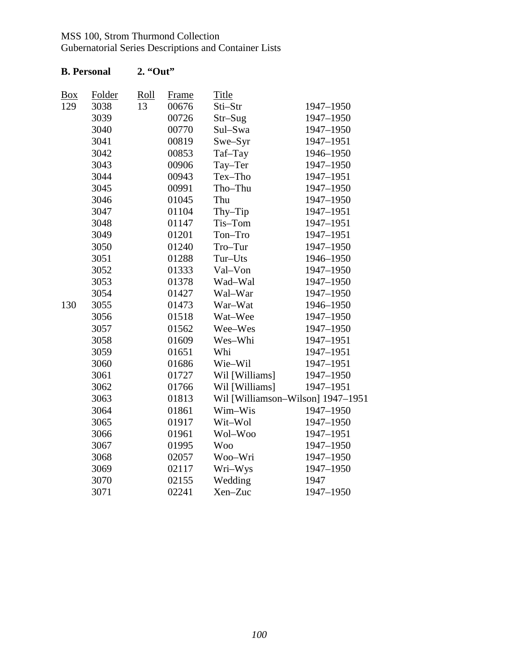Gubernatorial Series Descriptions and Container Lists

| <b>Box</b> | Folder | Roll | <b>Frame</b> | <b>Title</b>                      |           |
|------------|--------|------|--------------|-----------------------------------|-----------|
| 129        | 3038   | 13   | 00676        | Sti-Str<br>1947-1950              |           |
|            | 3039   |      | 00726        | $Str-Sug$                         | 1947-1950 |
|            | 3040   |      | 00770        | Sul-Swa                           | 1947-1950 |
|            | 3041   |      | 00819        | Swe-Syr                           | 1947-1951 |
|            | 3042   |      | 00853        | Taf-Tay                           | 1946-1950 |
|            | 3043   |      | 00906        | Tay-Ter                           | 1947-1950 |
|            | 3044   |      | 00943        | Tex-Tho                           | 1947-1951 |
|            | 3045   |      | 00991        | Tho-Thu                           | 1947-1950 |
|            | 3046   |      | 01045        | Thu                               | 1947-1950 |
|            | 3047   |      | 01104        | Thy-Tip                           | 1947-1951 |
|            | 3048   |      | 01147        | Tis-Tom                           | 1947-1951 |
|            | 3049   |      | 01201        | Ton-Tro                           | 1947-1951 |
|            | 3050   |      | 01240        | Tro-Tur                           | 1947-1950 |
|            | 3051   |      | 01288        | Tur-Uts                           | 1946-1950 |
|            | 3052   |      | 01333        | Val-Von                           | 1947-1950 |
|            | 3053   |      | 01378        | Wad-Wal                           | 1947-1950 |
|            | 3054   |      | 01427        | Wal-War                           | 1947-1950 |
| 130        | 3055   |      | 01473        | War-Wat                           | 1946-1950 |
|            | 3056   |      | 01518        | Wat-Wee                           | 1947-1950 |
|            | 3057   |      | 01562        | Wee-Wes                           | 1947-1950 |
|            | 3058   |      | 01609        | Wes-Whi                           | 1947-1951 |
|            | 3059   |      | 01651        | Whi                               | 1947-1951 |
|            | 3060   |      | 01686        | Wie-Wil                           | 1947-1951 |
|            | 3061   |      | 01727        | Wil [Williams]                    | 1947-1950 |
|            | 3062   |      | 01766        | Wil [Williams]                    | 1947-1951 |
|            | 3063   |      | 01813        | Wil [Williamson-Wilson] 1947-1951 |           |
|            | 3064   |      | 01861        | Wim-Wis                           | 1947-1950 |
|            | 3065   |      | 01917        | Wit-Wol                           | 1947-1950 |
|            | 3066   |      | 01961        | Wol-Woo                           | 1947-1951 |
|            | 3067   |      | 01995        | <b>Woo</b>                        | 1947-1950 |
|            | 3068   |      | 02057        | Woo-Wri                           | 1947-1950 |
|            | 3069   |      | 02117        | Wri-Wys                           | 1947-1950 |
|            | 3070   |      | 02155        | Wedding                           | 1947      |
|            | 3071   |      | 02241        | Xen-Zuc                           | 1947-1950 |

## **B. Personal 2. "Out"**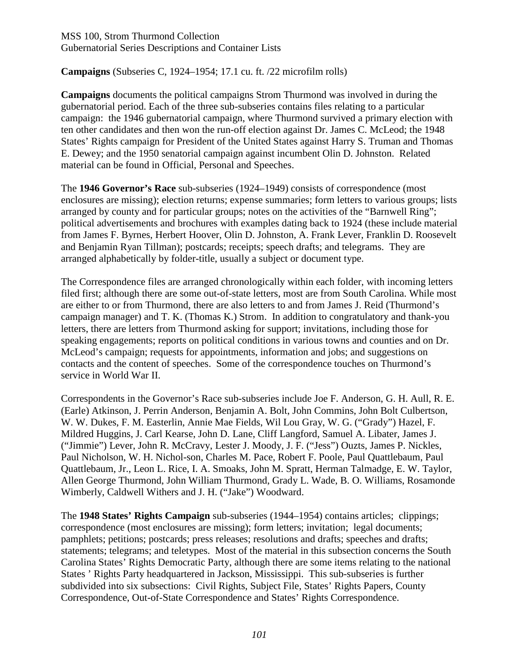**Campaigns** (Subseries C, 1924–1954; 17.1 cu. ft. /22 microfilm rolls)

**Campaigns** documents the political campaigns Strom Thurmond was involved in during the gubernatorial period. Each of the three sub-subseries contains files relating to a particular campaign: the 1946 gubernatorial campaign, where Thurmond survived a primary election with ten other candidates and then won the run-off election against Dr. James C. McLeod; the 1948 States' Rights campaign for President of the United States against Harry S. Truman and Thomas E. Dewey; and the 1950 senatorial campaign against incumbent Olin D. Johnston. Related material can be found in Official, Personal and Speeches.

The **1946 Governor's Race** sub-subseries (1924–1949) consists of correspondence (most enclosures are missing); election returns; expense summaries; form letters to various groups; lists arranged by county and for particular groups; notes on the activities of the "Barnwell Ring"; political advertisements and brochures with examples dating back to 1924 (these include material from James F. Byrnes, Herbert Hoover, Olin D. Johnston, A. Frank Lever, Franklin D. Roosevelt and Benjamin Ryan Tillman); postcards; receipts; speech drafts; and telegrams. They are arranged alphabetically by folder-title, usually a subject or document type.

The Correspondence files are arranged chronologically within each folder, with incoming letters filed first; although there are some out-of-state letters, most are from South Carolina. While most are either to or from Thurmond, there are also letters to and from James J. Reid (Thurmond's campaign manager) and T. K. (Thomas K.) Strom. In addition to congratulatory and thank-you letters, there are letters from Thurmond asking for support; invitations, including those for speaking engagements; reports on political conditions in various towns and counties and on Dr. McLeod's campaign; requests for appointments, information and jobs; and suggestions on contacts and the content of speeches. Some of the correspondence touches on Thurmond's service in World War II.

Correspondents in the Governor's Race sub-subseries include Joe F. Anderson, G. H. Aull, R. E. (Earle) Atkinson, J. Perrin Anderson, Benjamin A. Bolt, John Commins, John Bolt Culbertson, W. W. Dukes, F. M. Easterlin, Annie Mae Fields, Wil Lou Gray, W. G. ("Grady") Hazel, F. Mildred Huggins, J. Carl Kearse, John D. Lane, Cliff Langford, Samuel A. Libater, James J. ("Jimmie") Lever, John R. McCravy, Lester J. Moody, J. F. ("Jess") Ouzts, James P. Nickles, Paul Nicholson, W. H. Nichol-son, Charles M. Pace, Robert F. Poole, Paul Quattlebaum, Paul Quattlebaum, Jr., Leon L. Rice, I. A. Smoaks, John M. Spratt, Herman Talmadge, E. W. Taylor, Allen George Thurmond, John William Thurmond, Grady L. Wade, B. O. Williams, Rosamonde Wimberly, Caldwell Withers and J. H. ("Jake") Woodward.

The **1948 States' Rights Campaign** sub-subseries (1944–1954) contains articles; clippings; correspondence (most enclosures are missing); form letters; invitation; legal documents; pamphlets; petitions; postcards; press releases; resolutions and drafts; speeches and drafts; statements; telegrams; and teletypes. Most of the material in this subsection concerns the South Carolina States' Rights Democratic Party, although there are some items relating to the national States ' Rights Party headquartered in Jackson, Mississippi. This sub-subseries is further subdivided into six subsections: Civil Rights, Subject File, States' Rights Papers, County Correspondence, Out-of-State Correspondence and States' Rights Correspondence.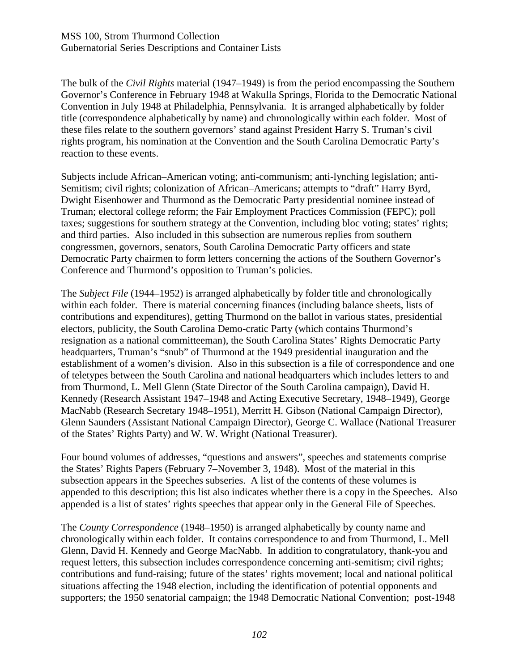The bulk of the *Civil Rights* material (1947–1949) is from the period encompassing the Southern Governor's Conference in February 1948 at Wakulla Springs, Florida to the Democratic National Convention in July 1948 at Philadelphia, Pennsylvania. It is arranged alphabetically by folder title (correspondence alphabetically by name) and chronologically within each folder. Most of these files relate to the southern governors' stand against President Harry S. Truman's civil rights program, his nomination at the Convention and the South Carolina Democratic Party's reaction to these events.

Subjects include African–American voting; anti-communism; anti-lynching legislation; anti-Semitism; civil rights; colonization of African–Americans; attempts to "draft" Harry Byrd, Dwight Eisenhower and Thurmond as the Democratic Party presidential nominee instead of Truman; electoral college reform; the Fair Employment Practices Commission (FEPC); poll taxes; suggestions for southern strategy at the Convention, including bloc voting; states' rights; and third parties. Also included in this subsection are numerous replies from southern congressmen, governors, senators, South Carolina Democratic Party officers and state Democratic Party chairmen to form letters concerning the actions of the Southern Governor's Conference and Thurmond's opposition to Truman's policies.

The *Subject File* (1944–1952) is arranged alphabetically by folder title and chronologically within each folder. There is material concerning finances (including balance sheets, lists of contributions and expenditures), getting Thurmond on the ballot in various states, presidential electors, publicity, the South Carolina Demo-cratic Party (which contains Thurmond's resignation as a national committeeman), the South Carolina States' Rights Democratic Party headquarters, Truman's "snub" of Thurmond at the 1949 presidential inauguration and the establishment of a women's division. Also in this subsection is a file of correspondence and one of teletypes between the South Carolina and national headquarters which includes letters to and from Thurmond, L. Mell Glenn (State Director of the South Carolina campaign), David H. Kennedy (Research Assistant 1947–1948 and Acting Executive Secretary, 1948–1949), George MacNabb (Research Secretary 1948–1951), Merritt H. Gibson (National Campaign Director), Glenn Saunders (Assistant National Campaign Director), George C. Wallace (National Treasurer of the States' Rights Party) and W. W. Wright (National Treasurer).

Four bound volumes of addresses, "questions and answers", speeches and statements comprise the States' Rights Papers (February 7–November 3, 1948). Most of the material in this subsection appears in the Speeches subseries. A list of the contents of these volumes is appended to this description; this list also indicates whether there is a copy in the Speeches. Also appended is a list of states' rights speeches that appear only in the General File of Speeches.

The *County Correspondence* (1948–1950) is arranged alphabetically by county name and chronologically within each folder. It contains correspondence to and from Thurmond, L. Mell Glenn, David H. Kennedy and George MacNabb. In addition to congratulatory, thank-you and request letters, this subsection includes correspondence concerning anti-semitism; civil rights; contributions and fund-raising; future of the states' rights movement; local and national political situations affecting the 1948 election, including the identification of potential opponents and supporters; the 1950 senatorial campaign; the 1948 Democratic National Convention; post-1948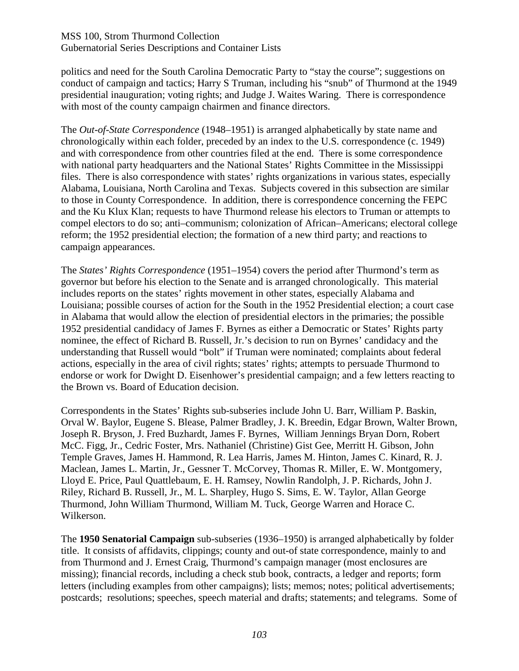politics and need for the South Carolina Democratic Party to "stay the course"; suggestions on conduct of campaign and tactics; Harry S Truman, including his "snub" of Thurmond at the 1949 presidential inauguration; voting rights; and Judge J. Waites Waring. There is correspondence with most of the county campaign chairmen and finance directors.

The *Out-of-State Correspondence* (1948–1951) is arranged alphabetically by state name and chronologically within each folder, preceded by an index to the U.S. correspondence (c. 1949) and with correspondence from other countries filed at the end. There is some correspondence with national party headquarters and the National States' Rights Committee in the Mississippi files. There is also correspondence with states' rights organizations in various states, especially Alabama, Louisiana, North Carolina and Texas. Subjects covered in this subsection are similar to those in County Correspondence. In addition, there is correspondence concerning the FEPC and the Ku Klux Klan; requests to have Thurmond release his electors to Truman or attempts to compel electors to do so; anti–communism; colonization of African–Americans; electoral college reform; the 1952 presidential election; the formation of a new third party; and reactions to campaign appearances.

The *States' Rights Correspondence* (1951–1954) covers the period after Thurmond's term as governor but before his election to the Senate and is arranged chronologically. This material includes reports on the states' rights movement in other states, especially Alabama and Louisiana; possible courses of action for the South in the 1952 Presidential election; a court case in Alabama that would allow the election of presidential electors in the primaries; the possible 1952 presidential candidacy of James F. Byrnes as either a Democratic or States' Rights party nominee, the effect of Richard B. Russell, Jr.'s decision to run on Byrnes' candidacy and the understanding that Russell would "bolt" if Truman were nominated; complaints about federal actions, especially in the area of civil rights; states' rights; attempts to persuade Thurmond to endorse or work for Dwight D. Eisenhower's presidential campaign; and a few letters reacting to the Brown vs. Board of Education decision.

Correspondents in the States' Rights sub-subseries include John U. Barr, William P. Baskin, Orval W. Baylor, Eugene S. Blease, Palmer Bradley, J. K. Breedin, Edgar Brown, Walter Brown, Joseph R. Bryson, J. Fred Buzhardt, James F. Byrnes, William Jennings Bryan Dorn, Robert McC. Figg, Jr., Cedric Foster, Mrs. Nathaniel (Christine) Gist Gee, Merritt H. Gibson, John Temple Graves, James H. Hammond, R. Lea Harris, James M. Hinton, James C. Kinard, R. J. Maclean, James L. Martin, Jr., Gessner T. McCorvey, Thomas R. Miller, E. W. Montgomery, Lloyd E. Price, Paul Quattlebaum, E. H. Ramsey, Nowlin Randolph, J. P. Richards, John J. Riley, Richard B. Russell, Jr., M. L. Sharpley, Hugo S. Sims, E. W. Taylor, Allan George Thurmond, John William Thurmond, William M. Tuck, George Warren and Horace C. Wilkerson.

The **1950 Senatorial Campaign** sub-subseries (1936–1950) is arranged alphabetically by folder title. It consists of affidavits, clippings; county and out-of state correspondence, mainly to and from Thurmond and J. Ernest Craig, Thurmond's campaign manager (most enclosures are missing); financial records, including a check stub book, contracts, a ledger and reports; form letters (including examples from other campaigns); lists; memos; notes; political advertisements; postcards; resolutions; speeches, speech material and drafts; statements; and telegrams. Some of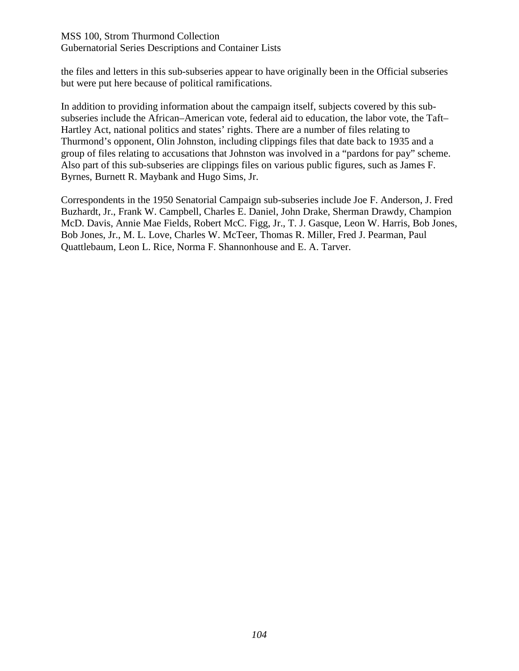the files and letters in this sub-subseries appear to have originally been in the Official subseries but were put here because of political ramifications.

In addition to providing information about the campaign itself, subjects covered by this subsubseries include the African–American vote, federal aid to education, the labor vote, the Taft– Hartley Act, national politics and states' rights. There are a number of files relating to Thurmond's opponent, Olin Johnston, including clippings files that date back to 1935 and a group of files relating to accusations that Johnston was involved in a "pardons for pay" scheme. Also part of this sub-subseries are clippings files on various public figures, such as James F. Byrnes, Burnett R. Maybank and Hugo Sims, Jr.

Correspondents in the 1950 Senatorial Campaign sub-subseries include Joe F. Anderson, J. Fred Buzhardt, Jr., Frank W. Campbell, Charles E. Daniel, John Drake, Sherman Drawdy, Champion McD. Davis, Annie Mae Fields, Robert McC. Figg, Jr., T. J. Gasque, Leon W. Harris, Bob Jones, Bob Jones, Jr., M. L. Love, Charles W. McTeer, Thomas R. Miller, Fred J. Pearman, Paul Quattlebaum, Leon L. Rice, Norma F. Shannonhouse and E. A. Tarver.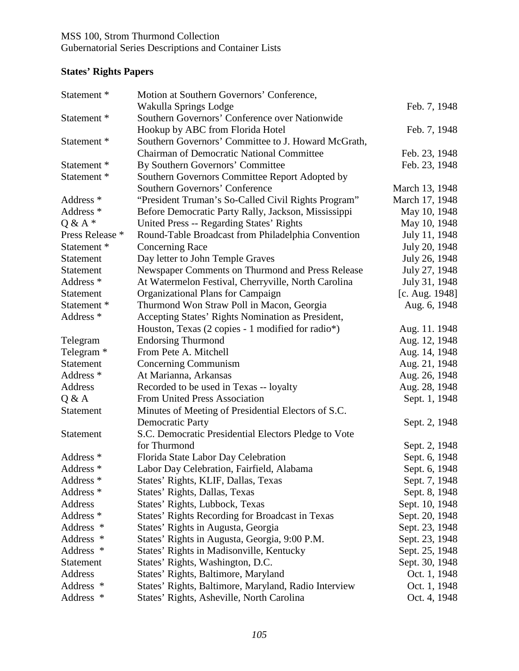# **States' Rights Papers**

| Statement <sup>*</sup> | Motion at Southern Governors' Conference,            |                |
|------------------------|------------------------------------------------------|----------------|
|                        | Wakulla Springs Lodge                                | Feb. 7, 1948   |
| Statement *            | Southern Governors' Conference over Nationwide       |                |
|                        | Hookup by ABC from Florida Hotel                     | Feb. 7, 1948   |
| Statement <sup>*</sup> | Southern Governors' Committee to J. Howard McGrath,  |                |
|                        | <b>Chairman of Democratic National Committee</b>     | Feb. 23, 1948  |
| Statement *            | By Southern Governors' Committee                     | Feb. 23, 1948  |
| Statement *            | Southern Governors Committee Report Adopted by       |                |
|                        | Southern Governors' Conference                       | March 13, 1948 |
| Address <sup>*</sup>   | "President Truman's So-Called Civil Rights Program"  | March 17, 1948 |
| Address <sup>*</sup>   | Before Democratic Party Rally, Jackson, Mississippi  | May 10, 1948   |
| $Q & A *$              | United Press -- Regarding States' Rights             | May 10, 1948   |
| Press Release *        | Round-Table Broadcast from Philadelphia Convention   | July 11, 1948  |
| Statement <sup>*</sup> | <b>Concerning Race</b>                               | July 20, 1948  |
| <b>Statement</b>       | Day letter to John Temple Graves                     | July 26, 1948  |
| Statement              | Newspaper Comments on Thurmond and Press Release     | July 27, 1948  |
| Address *              | At Watermelon Festival, Cherryville, North Carolina  | July 31, 1948  |
| Statement              | Organizational Plans for Campaign                    | [c. Aug. 1948] |
| Statement <sup>*</sup> | Thurmond Won Straw Poll in Macon, Georgia            | Aug. 6, 1948   |
| Address <sup>*</sup>   | Accepting States' Rights Nomination as President,    |                |
|                        | Houston, Texas (2 copies - 1 modified for radio*)    | Aug. 11. 1948  |
| Telegram               | <b>Endorsing Thurmond</b>                            | Aug. 12, 1948  |
| Telegram <sup>*</sup>  | From Pete A. Mitchell                                | Aug. 14, 1948  |
| <b>Statement</b>       | Concerning Communism                                 | Aug. 21, 1948  |
| Address <sup>*</sup>   | At Marianna, Arkansas                                | Aug. 26, 1948  |
| Address                | Recorded to be used in Texas -- loyalty              | Aug. 28, 1948  |
| Q & A                  | <b>From United Press Association</b>                 | Sept. 1, 1948  |
| Statement              | Minutes of Meeting of Presidential Electors of S.C.  |                |
|                        | <b>Democratic Party</b>                              | Sept. 2, 1948  |
| Statement              | S.C. Democratic Presidential Electors Pledge to Vote |                |
|                        | for Thurmond                                         | Sept. 2, 1948  |
| Address <sup>*</sup>   | Florida State Labor Day Celebration                  | Sept. 6, 1948  |
| Address *              | Labor Day Celebration, Fairfield, Alabama            | Sept. 6, 1948  |
| Address *              | States' Rights, KLIF, Dallas, Texas                  | Sept. 7, 1948  |
| Address <sup>*</sup>   | States' Rights, Dallas, Texas                        | Sept. 8, 1948  |
| Address                | States' Rights, Lubbock, Texas                       | Sept. 10, 1948 |
| Address *              | States' Rights Recording for Broadcast in Texas      | Sept. 20, 1948 |
| Address *              | States' Rights in Augusta, Georgia                   | Sept. 23, 1948 |
| Address *              | States' Rights in Augusta, Georgia, 9:00 P.M.        | Sept. 23, 1948 |
| Address *              | States' Rights in Madisonville, Kentucky             | Sept. 25, 1948 |
| Statement              | States' Rights, Washington, D.C.                     | Sept. 30, 1948 |
| Address                | States' Rights, Baltimore, Maryland                  | Oct. 1, 1948   |
| Address *              | States' Rights, Baltimore, Maryland, Radio Interview | Oct. 1, 1948   |
| Address *              | States' Rights, Asheville, North Carolina            | Oct. 4, 1948   |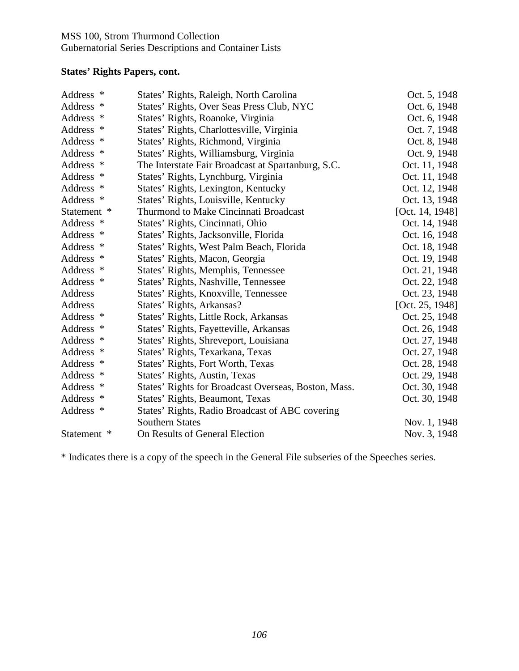### Gubernatorial Series Descriptions and Container Lists

### **States' Rights Papers, cont.**

| Address *   | States' Rights, Raleigh, North Carolina              | Oct. 5, 1948    |
|-------------|------------------------------------------------------|-----------------|
| Address *   | States' Rights, Over Seas Press Club, NYC            | Oct. 6, 1948    |
| Address *   | States' Rights, Roanoke, Virginia                    | Oct. 6, 1948    |
| Address *   | States' Rights, Charlottesville, Virginia            | Oct. 7, 1948    |
| Address *   | States' Rights, Richmond, Virginia                   | Oct. 8, 1948    |
| Address *   | States' Rights, Williamsburg, Virginia               | Oct. 9, 1948    |
| Address *   | The Interstate Fair Broadcast at Spartanburg, S.C.   | Oct. 11, 1948   |
| Address *   | States' Rights, Lynchburg, Virginia                  | Oct. 11, 1948   |
| Address *   | States' Rights, Lexington, Kentucky                  | Oct. 12, 1948   |
| Address *   | States' Rights, Louisville, Kentucky                 | Oct. 13, 1948   |
| Statement * | Thurmond to Make Cincinnati Broadcast                | [Oct. 14, 1948] |
| Address *   | States' Rights, Cincinnati, Ohio                     | Oct. 14, 1948   |
| Address *   | States' Rights, Jacksonville, Florida                | Oct. 16, 1948   |
| Address *   | States' Rights, West Palm Beach, Florida             | Oct. 18, 1948   |
| Address *   | States' Rights, Macon, Georgia                       | Oct. 19, 1948   |
| Address *   | States' Rights, Memphis, Tennessee                   | Oct. 21, 1948   |
| Address *   | States' Rights, Nashville, Tennessee                 | Oct. 22, 1948   |
| Address     | States' Rights, Knoxville, Tennessee                 | Oct. 23, 1948   |
| Address     | States' Rights, Arkansas?                            | [Oct. 25, 1948] |
| Address *   | States' Rights, Little Rock, Arkansas                | Oct. 25, 1948   |
| Address *   | States' Rights, Fayetteville, Arkansas               | Oct. 26, 1948   |
| Address *   | States' Rights, Shreveport, Louisiana                | Oct. 27, 1948   |
| Address *   | States' Rights, Texarkana, Texas                     | Oct. 27, 1948   |
| Address *   | States' Rights, Fort Worth, Texas                    | Oct. 28, 1948   |
| Address *   | States' Rights, Austin, Texas                        | Oct. 29, 1948   |
| Address *   | States' Rights for Broadcast Overseas, Boston, Mass. | Oct. 30, 1948   |
| Address *   | States' Rights, Beaumont, Texas                      | Oct. 30, 1948   |
| Address *   | States' Rights, Radio Broadcast of ABC covering      |                 |
|             | <b>Southern States</b>                               | Nov. 1, 1948    |
| Statement * | On Results of General Election                       | Nov. 3, 1948    |

\* Indicates there is a copy of the speech in the General File subseries of the Speeches series.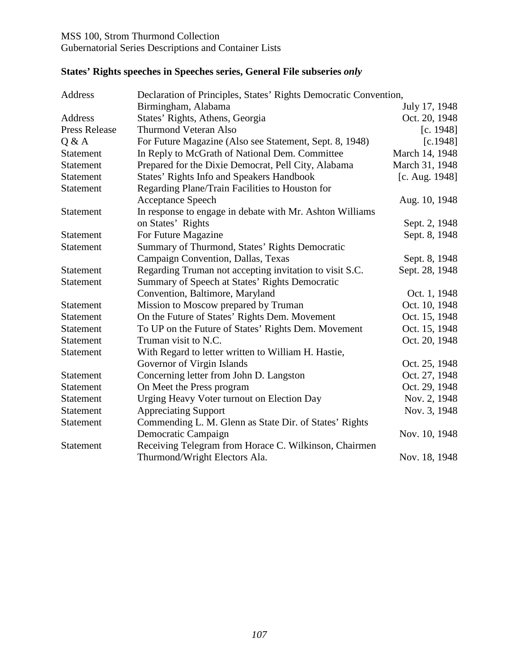# Gubernatorial Series Descriptions and Container Lists

| Address              | Declaration of Principles, States' Rights Democratic Convention, |                   |  |
|----------------------|------------------------------------------------------------------|-------------------|--|
|                      | Birmingham, Alabama                                              | July 17, 1948     |  |
| Address              | States' Rights, Athens, Georgia                                  | Oct. 20, 1948     |  |
| <b>Press Release</b> | <b>Thurmond Veteran Also</b>                                     | [c. 1948]         |  |
| Q & A                | For Future Magazine (Also see Statement, Sept. 8, 1948)          | [c.1948]          |  |
| <b>Statement</b>     | In Reply to McGrath of National Dem. Committee                   | March 14, 1948    |  |
| <b>Statement</b>     | Prepared for the Dixie Democrat, Pell City, Alabama              | March 31, 1948    |  |
| <b>Statement</b>     | <b>States' Rights Info and Speakers Handbook</b>                 | [c. Aug. $1948$ ] |  |
| Statement            | Regarding Plane/Train Facilities to Houston for                  |                   |  |
|                      | <b>Acceptance Speech</b>                                         | Aug. 10, 1948     |  |
| <b>Statement</b>     | In response to engage in debate with Mr. Ashton Williams         |                   |  |
|                      | on States' Rights                                                | Sept. 2, 1948     |  |
| <b>Statement</b>     | For Future Magazine                                              | Sept. 8, 1948     |  |
| Statement            | Summary of Thurmond, States' Rights Democratic                   |                   |  |
|                      | Campaign Convention, Dallas, Texas                               | Sept. 8, 1948     |  |
| Statement            | Regarding Truman not accepting invitation to visit S.C.          | Sept. 28, 1948    |  |
| Statement            | Summary of Speech at States' Rights Democratic                   |                   |  |
|                      | Convention, Baltimore, Maryland                                  | Oct. 1, 1948      |  |
| <b>Statement</b>     | Mission to Moscow prepared by Truman                             | Oct. 10, 1948     |  |
| Statement            | On the Future of States' Rights Dem. Movement                    | Oct. 15, 1948     |  |
| Statement            | To UP on the Future of States' Rights Dem. Movement              | Oct. 15, 1948     |  |
| Statement            | Truman visit to N.C.                                             | Oct. 20, 1948     |  |
| <b>Statement</b>     | With Regard to letter written to William H. Hastie,              |                   |  |
|                      | Governor of Virgin Islands                                       | Oct. 25, 1948     |  |
| Statement            | Concerning letter from John D. Langston                          | Oct. 27, 1948     |  |
| Statement            | On Meet the Press program                                        | Oct. 29, 1948     |  |
| <b>Statement</b>     | Urging Heavy Voter turnout on Election Day                       | Nov. 2, 1948      |  |
| <b>Statement</b>     | <b>Appreciating Support</b>                                      | Nov. 3, 1948      |  |
| Statement            | Commending L. M. Glenn as State Dir. of States' Rights           |                   |  |
|                      | Democratic Campaign                                              | Nov. 10, 1948     |  |
| Statement            | Receiving Telegram from Horace C. Wilkinson, Chairmen            |                   |  |
|                      | Thurmond/Wright Electors Ala.                                    | Nov. 18, 1948     |  |

# **States' Rights speeches in Speeches series, General File subseries** *only*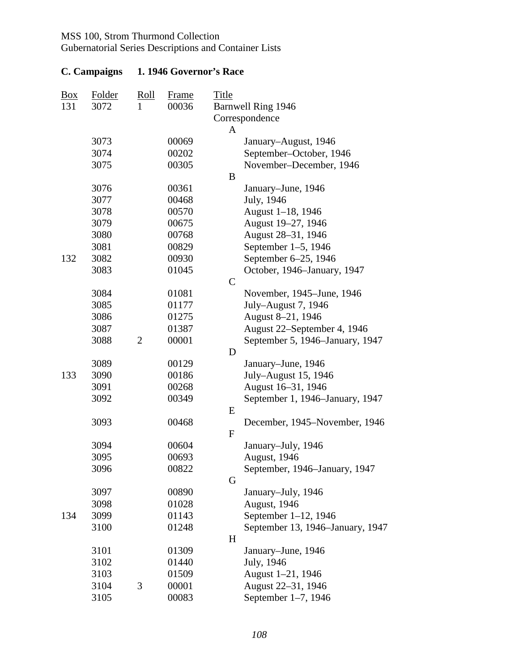Gubernatorial Series Descriptions and Container Lists

| $\frac{\text{Box}}{\text{Box}}$<br>131 | Folder<br>3072 | Roll<br>1      | <b>Frame</b><br>00036 | <b>Title</b> | Barnwell Ring 1946                      |
|----------------------------------------|----------------|----------------|-----------------------|--------------|-----------------------------------------|
|                                        |                |                |                       | A            | Correspondence                          |
|                                        | 3073           |                | 00069                 |              | January-August, 1946                    |
|                                        | 3074           |                | 00202                 |              | September-October, 1946                 |
|                                        | 3075           |                | 00305                 |              | November-December, 1946                 |
|                                        |                |                |                       | B            |                                         |
|                                        | 3076           |                | 00361                 |              | January-June, 1946                      |
|                                        | 3077           |                | 00468                 |              | July, 1946                              |
|                                        | 3078           |                | 00570                 |              | August 1-18, 1946                       |
|                                        | 3079           |                | 00675                 |              | August 19-27, 1946                      |
|                                        | 3080           |                | 00768                 |              | August 28-31, 1946                      |
|                                        | 3081           |                | 00829                 |              | September 1-5, 1946                     |
| 132                                    | 3082           |                | 00930                 |              | September 6-25, 1946                    |
|                                        | 3083           |                | 01045                 |              | October, 1946–January, 1947             |
|                                        |                |                |                       | $\mathsf{C}$ |                                         |
|                                        | 3084           |                | 01081                 |              | November, 1945–June, 1946               |
|                                        | 3085           |                | 01177                 |              | July-August 7, 1946                     |
|                                        | 3086           |                | 01275                 |              | August 8-21, 1946                       |
|                                        | 3087           |                | 01387                 |              | August 22–September 4, 1946             |
|                                        | 3088           | $\overline{2}$ | 00001                 |              | September 5, 1946–January, 1947         |
|                                        |                |                |                       | D            |                                         |
|                                        | 3089           |                | 00129                 |              | January–June, 1946                      |
| 133                                    | 3090           |                | 00186                 |              | July-August 15, 1946                    |
|                                        | 3091           |                | 00268                 |              | August 16-31, 1946                      |
|                                        | 3092           |                | 00349                 |              | September 1, 1946–January, 1947         |
|                                        |                |                |                       | E            |                                         |
|                                        | 3093           |                | 00468                 |              | December, 1945-November, 1946           |
|                                        |                |                |                       | $\mathbf{F}$ |                                         |
|                                        | 3094           |                | 00604                 |              | January-July, 1946                      |
|                                        | 3095           |                | 00693                 |              | August, 1946                            |
|                                        | 3096           |                | 00822                 |              | September, 1946–January, 1947           |
|                                        |                |                |                       | G            |                                         |
|                                        | 3097           |                | 00890                 |              | January-July, 1946                      |
|                                        | 3098           |                | 01028                 |              | August, 1946                            |
| 134                                    | 3099           |                | 01143                 |              | September 1-12, 1946                    |
|                                        | 3100           |                | 01248                 |              | September 13, 1946–January, 1947        |
|                                        |                |                |                       | H            |                                         |
|                                        | 3101           |                | 01309                 |              | January–June, 1946                      |
|                                        | 3102           |                | 01440                 |              | July, 1946                              |
|                                        | 3103<br>3104   | 3              | 01509<br>00001        |              | August 1-21, 1946<br>August 22–31, 1946 |
|                                        | 3105           |                | 00083                 |              | September 1–7, 1946                     |
|                                        |                |                |                       |              |                                         |

### **C. Campaigns 1. 1946 Governor's Race**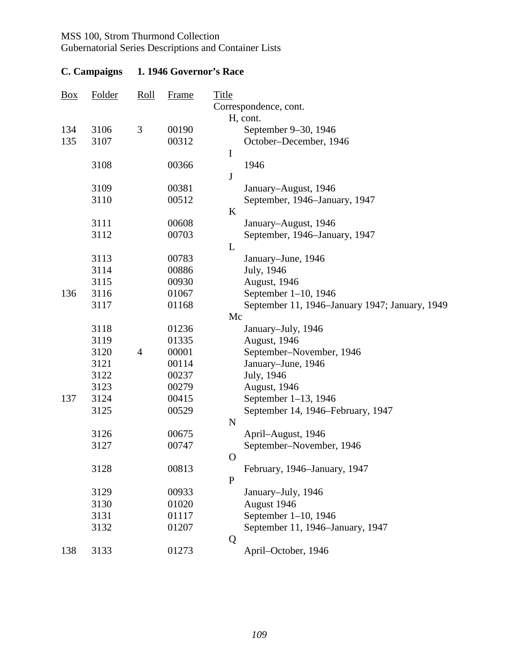Gubernatorial Series Descriptions and Container Lists

| $\frac{Box}{}$ | Folder | <u>Roll</u>    | <b>Frame</b> | <b>Title</b> | Correspondence, cont.                          |
|----------------|--------|----------------|--------------|--------------|------------------------------------------------|
|                |        |                |              |              | H, cont.                                       |
| 134            | 3106   | 3              | 00190        |              | September 9–30, 1946                           |
| 135            | 3107   |                | 00312        |              | October-December, 1946                         |
|                |        |                |              | $\mathbf I$  |                                                |
|                | 3108   |                | 00366        |              | 1946                                           |
|                |        |                |              | $\bf J$      |                                                |
|                | 3109   |                | 00381        |              | January-August, 1946                           |
|                | 3110   |                | 00512        |              | September, 1946–January, 1947                  |
|                |        |                |              | K            |                                                |
|                | 3111   |                | 00608        |              | January-August, 1946                           |
|                | 3112   |                | 00703        |              | September, 1946–January, 1947                  |
|                |        |                |              | L            |                                                |
|                | 3113   |                | 00783        |              | January-June, 1946                             |
|                | 3114   |                | 00886        |              | July, 1946                                     |
|                | 3115   |                | 00930        |              | August, 1946                                   |
| 136            | 3116   |                | 01067        |              | September 1-10, 1946                           |
|                | 3117   |                | 01168        |              | September 11, 1946–January 1947; January, 1949 |
|                |        |                |              | Mc           |                                                |
|                | 3118   |                | 01236        |              | January-July, 1946                             |
|                | 3119   |                | 01335        |              | August, 1946                                   |
|                | 3120   | $\overline{4}$ | 00001        |              | September-November, 1946                       |
|                | 3121   |                | 00114        |              | January-June, 1946                             |
|                | 3122   |                | 00237        |              | July, 1946                                     |
|                | 3123   |                | 00279        |              | August, 1946                                   |
| 137            | 3124   |                | 00415        |              | September 1-13, 1946                           |
|                | 3125   |                | 00529        |              | September 14, 1946–February, 1947              |
|                |        |                |              | ${\bf N}$    |                                                |
|                | 3126   |                | 00675        |              | April-August, 1946                             |
|                | 3127   |                | 00747        |              | September-November, 1946                       |
|                |        |                |              | $\mathbf{O}$ |                                                |
|                | 3128   |                | 00813        |              | February, 1946–January, 1947                   |
|                |        |                |              | $\mathbf{P}$ |                                                |
|                | 3129   |                | 00933        |              | January-July, 1946                             |
|                | 3130   |                | 01020        |              | August 1946                                    |
|                | 3131   |                | 01117        |              | September 1-10, 1946                           |
|                | 3132   |                | 01207        |              | September 11, 1946–January, 1947               |
|                |        |                |              | Q            |                                                |
| 138            | 3133   |                | 01273        |              | April-October, 1946                            |

# **C. Campaigns 1. 1946 Governor's Race**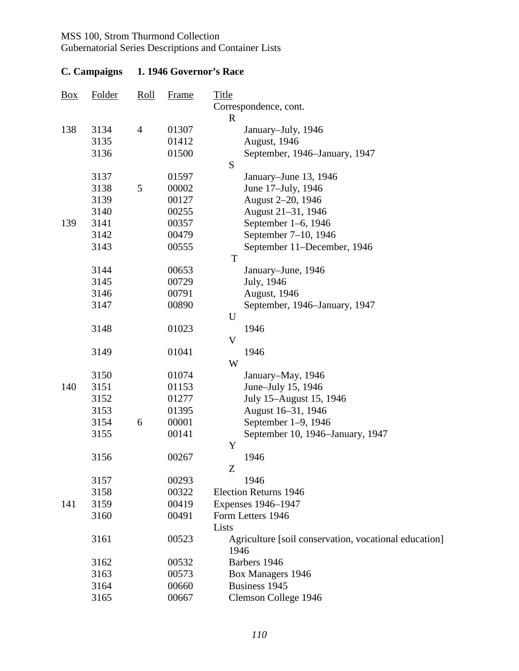## Gubernatorial Series Descriptions and Container Lists

| $\frac{Box}{}$ | Folder | Roll           | <b>Frame</b> | <b>Title</b>                                          |
|----------------|--------|----------------|--------------|-------------------------------------------------------|
|                |        |                |              | Correspondence, cont.<br>$\mathbf R$                  |
| 138            | 3134   | $\overline{4}$ | 01307        | January-July, 1946                                    |
|                | 3135   |                | 01412        | August, 1946                                          |
|                | 3136   |                | 01500        | September, 1946–January, 1947                         |
|                |        |                |              | S                                                     |
|                | 3137   |                | 01597        | January–June 13, 1946                                 |
|                | 3138   | 5              | 00002        | June 17-July, 1946                                    |
|                | 3139   |                | 00127        | August 2-20, 1946                                     |
|                | 3140   |                | 00255        | August 21-31, 1946                                    |
| 139            | 3141   |                | 00357        | September 1–6, 1946                                   |
|                | 3142   |                | 00479        | September 7-10, 1946                                  |
|                | 3143   |                | 00555        | September 11–December, 1946                           |
|                |        |                |              | T                                                     |
|                | 3144   |                | 00653        | January–June, 1946                                    |
|                | 3145   |                | 00729        | July, 1946                                            |
|                | 3146   |                | 00791        | August, 1946                                          |
|                | 3147   |                | 00890        | September, 1946–January, 1947                         |
|                |        |                |              | U                                                     |
|                | 3148   |                | 01023        | 1946                                                  |
|                |        |                |              | V                                                     |
|                | 3149   |                | 01041        | 1946                                                  |
|                |        |                |              | W                                                     |
|                | 3150   |                | 01074        | January-May, 1946                                     |
| 140            | 3151   |                | 01153        | June-July 15, 1946                                    |
|                | 3152   |                | 01277        | July 15-August 15, 1946                               |
|                | 3153   |                | 01395        | August 16-31, 1946                                    |
|                | 3154   | 6              | 00001        | September 1–9, 1946                                   |
|                | 3155   |                | 00141        | September 10, 1946–January, 1947                      |
|                |        |                |              | Y                                                     |
|                | 3156   |                | 00267        | 1946                                                  |
|                |        |                |              | Z                                                     |
|                | 3157   |                | 00293        | 1946                                                  |
|                | 3158   |                | 00322        | <b>Election Returns 1946</b>                          |
| 141            | 3159   |                | 00419        | Expenses 1946-1947                                    |
|                | 3160   |                | 00491        | Form Letters 1946                                     |
|                |        |                |              | Lists                                                 |
|                | 3161   |                | 00523        | Agriculture [soil conservation, vocational education] |
|                |        |                |              | 1946                                                  |
|                | 3162   |                | 00532        | Barbers 1946                                          |
|                | 3163   |                | 00573        | Box Managers 1946                                     |
|                | 3164   |                | 00660        | Business 1945                                         |
|                | 3165   |                | 00667        | Clemson College 1946                                  |

## **C. Campaigns 1. 1946 Governor's Race**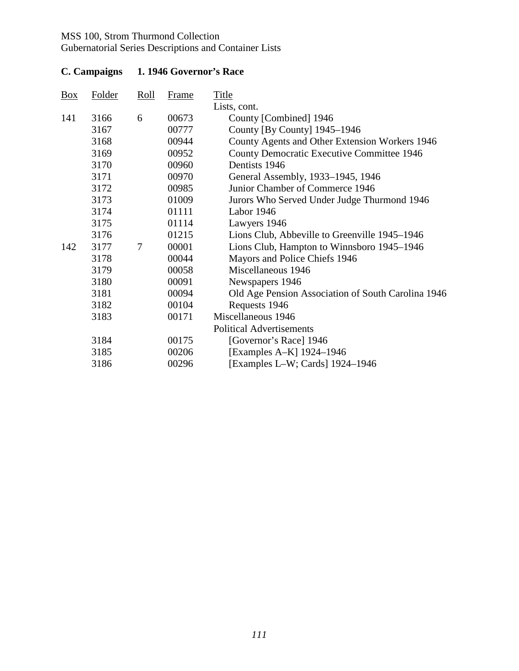## Gubernatorial Series Descriptions and Container Lists

| $\frac{Box}{}$ | <b>Folder</b> | Roll | <b>Frame</b> | <b>Title</b>                                       |
|----------------|---------------|------|--------------|----------------------------------------------------|
|                |               |      |              | Lists, cont.                                       |
| 141            | 3166          | 6    | 00673        | County [Combined] 1946                             |
|                | 3167          |      | 00777        | County [By County] 1945-1946                       |
|                | 3168          |      | 00944        | County Agents and Other Extension Workers 1946     |
|                | 3169          |      | 00952        | County Democratic Executive Committee 1946         |
|                | 3170          |      | 00960        | Dentists 1946                                      |
|                | 3171          |      | 00970        | General Assembly, 1933–1945, 1946                  |
|                | 3172          |      | 00985        | Junior Chamber of Commerce 1946                    |
|                | 3173          |      | 01009        | Jurors Who Served Under Judge Thurmond 1946        |
|                | 3174          |      | 01111        | Labor 1946                                         |
|                | 3175          |      | 01114        | Lawyers 1946                                       |
|                | 3176          |      | 01215        | Lions Club, Abbeville to Greenville 1945–1946      |
| 142            | 3177          | 7    | 00001        | Lions Club, Hampton to Winnsboro 1945–1946         |
|                | 3178          |      | 00044        | Mayors and Police Chiefs 1946                      |
|                | 3179          |      | 00058        | Miscellaneous 1946                                 |
|                | 3180          |      | 00091        | Newspapers 1946                                    |
|                | 3181          |      | 00094        | Old Age Pension Association of South Carolina 1946 |
|                | 3182          |      | 00104        | Requests 1946                                      |
|                | 3183          |      | 00171        | Miscellaneous 1946                                 |
|                |               |      |              | <b>Political Advertisements</b>                    |
|                | 3184          |      | 00175        | [Governor's Race] 1946                             |
|                | 3185          |      | 00206        | [Examples A-K] 1924–1946                           |
|                | 3186          |      | 00296        | [Examples L-W; Cards] 1924–1946                    |

# **C. Campaigns 1. 1946 Governor's Race**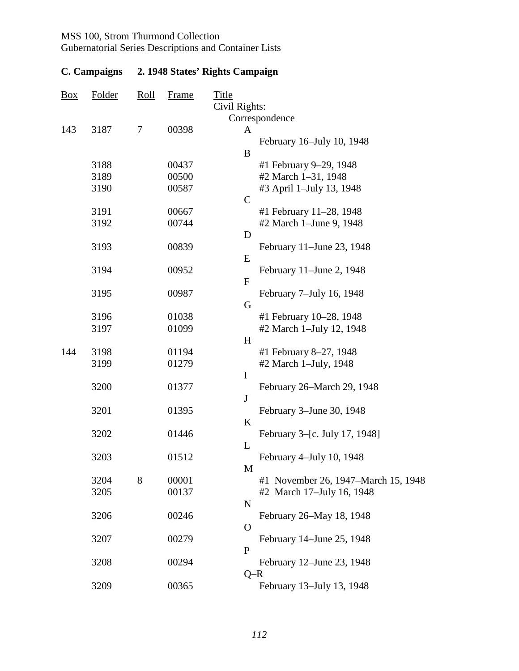Gubernatorial Series Descriptions and Container Lists

| Box | Folder | $\frac{\text{Roll}}{\text{Roll}}$ | <b>Frame</b> | <b>Title</b><br>Civil Rights:       |
|-----|--------|-----------------------------------|--------------|-------------------------------------|
|     |        |                                   |              | Correspondence                      |
| 143 | 3187   | $\tau$                            | 00398        | A                                   |
|     |        |                                   |              | February 16–July 10, 1948           |
|     |        |                                   |              | B                                   |
|     | 3188   |                                   | 00437        | #1 February 9-29, 1948              |
|     | 3189   |                                   | 00500        | #2 March 1-31, 1948                 |
|     | 3190   |                                   | 00587        | #3 April 1-July 13, 1948            |
|     |        |                                   |              | $\mathbf C$                         |
|     | 3191   |                                   | 00667        | #1 February 11-28, 1948             |
|     | 3192   |                                   | 00744        | #2 March 1-June 9, 1948             |
|     |        |                                   |              | D                                   |
|     | 3193   |                                   | 00839        | February 11–June 23, 1948           |
|     |        |                                   |              | E                                   |
|     | 3194   |                                   | 00952        | February 11–June 2, 1948            |
|     |        |                                   |              | $\overline{F}$                      |
|     | 3195   |                                   | 00987        | February 7-July 16, 1948            |
|     |        |                                   |              | G                                   |
|     | 3196   |                                   | 01038        | #1 February 10-28, 1948             |
|     | 3197   |                                   | 01099        | #2 March 1-July 12, 1948            |
|     |        |                                   |              | H                                   |
| 144 | 3198   |                                   | 01194        | #1 February 8-27, 1948              |
|     | 3199   |                                   | 01279        | #2 March 1-July, 1948               |
|     |        |                                   |              | $\mathbf I$                         |
|     | 3200   |                                   | 01377        | February 26–March 29, 1948          |
|     |        |                                   |              | $\mathbf{J}$                        |
|     | 3201   |                                   | 01395        | February 3–June 30, 1948<br>$\bf K$ |
|     | 3202   |                                   | 01446        | February 3–[c. July 17, 1948]       |
|     |        |                                   |              | L                                   |
|     | 3203   |                                   | 01512        | February 4-July 10, 1948            |
|     |        |                                   |              | M                                   |
|     | 3204   | 8                                 | 00001        | #1 November 26, 1947–March 15, 1948 |
|     | 3205   |                                   | 00137        | #2 March 17-July 16, 1948           |
|     |        |                                   |              | $\mathbf N$                         |
|     | 3206   |                                   | 00246        | February 26–May 18, 1948            |
|     |        |                                   |              | O                                   |
|     | 3207   |                                   | 00279        | February 14–June 25, 1948           |
|     |        |                                   |              | P                                   |
|     | 3208   |                                   | 00294        | February 12–June 23, 1948           |
|     |        |                                   |              | $Q-R$                               |
|     | 3209   |                                   | 00365        | February 13-July 13, 1948           |
|     |        |                                   |              |                                     |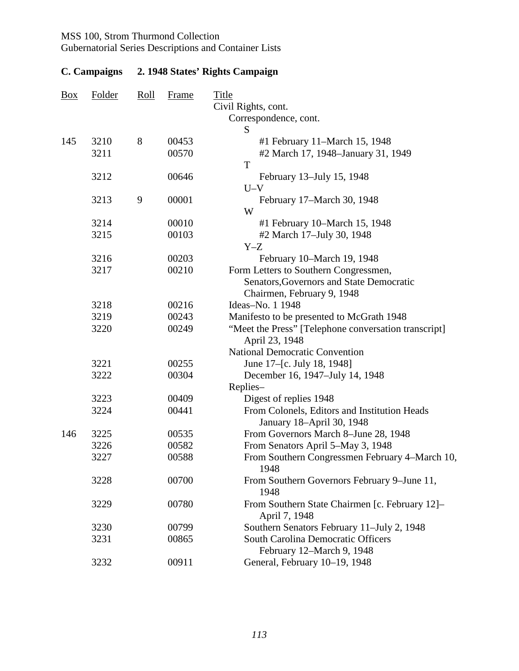Gubernatorial Series Descriptions and Container Lists

| $\frac{Box}{}$ | <b>Folder</b> | <u>Roll</u> | <b>Frame</b>   | <b>Title</b><br>Civil Rights, cont.                                 |
|----------------|---------------|-------------|----------------|---------------------------------------------------------------------|
|                |               |             |                | Correspondence, cont.                                               |
|                |               | 8           |                | S                                                                   |
| 145            | 3210<br>3211  |             | 00453<br>00570 | #1 February 11–March 15, 1948<br>#2 March 17, 1948–January 31, 1949 |
|                |               |             |                | T                                                                   |
|                | 3212          |             | 00646          | February 13-July 15, 1948                                           |
|                |               |             |                | $U-V$                                                               |
|                | 3213          | 9           | 00001          | February 17–March 30, 1948                                          |
|                |               |             |                | W                                                                   |
|                | 3214          |             | 00010          | #1 February 10–March 15, 1948                                       |
|                | 3215          |             | 00103          | #2 March 17-July 30, 1948                                           |
|                |               |             |                | $Y-Z$                                                               |
|                | 3216          |             | 00203          | February 10-March 19, 1948                                          |
|                | 3217          |             | 00210          | Form Letters to Southern Congressmen,                               |
|                |               |             |                | Senators, Governors and State Democratic                            |
|                | 3218          |             | 00216          | Chairmen, February 9, 1948<br>Ideas-No. 1 1948                      |
|                | 3219          |             | 00243          | Manifesto to be presented to McGrath 1948                           |
|                | 3220          |             | 00249          | "Meet the Press" [Telephone conversation transcript]                |
|                |               |             |                | April 23, 1948                                                      |
|                |               |             |                | <b>National Democratic Convention</b>                               |
|                | 3221          |             | 00255          | June 17–[c. July 18, 1948]                                          |
|                | 3222          |             | 00304          | December 16, 1947–July 14, 1948                                     |
|                |               |             |                | Replies-                                                            |
|                | 3223          |             | 00409          | Digest of replies 1948                                              |
|                | 3224          |             | 00441          | From Colonels, Editors and Institution Heads                        |
|                |               |             |                | January 18-April 30, 1948                                           |
| 146            | 3225          |             | 00535          | From Governors March 8-June 28, 1948                                |
|                | 3226          |             | 00582          | From Senators April 5–May 3, 1948                                   |
|                | 3227          |             | 00588          | From Southern Congressmen February 4-March 10,<br>1948              |
|                | 3228          |             | 00700          | From Southern Governors February 9-June 11,<br>1948                 |
|                | 3229          |             | 00780          | From Southern State Chairmen [c. February 12]–<br>April 7, 1948     |
|                | 3230          |             | 00799          | Southern Senators February 11-July 2, 1948                          |
|                | 3231          |             | 00865          | <b>South Carolina Democratic Officers</b>                           |
|                |               |             |                | February 12–March 9, 1948                                           |
|                | 3232          |             | 00911          | General, February 10-19, 1948                                       |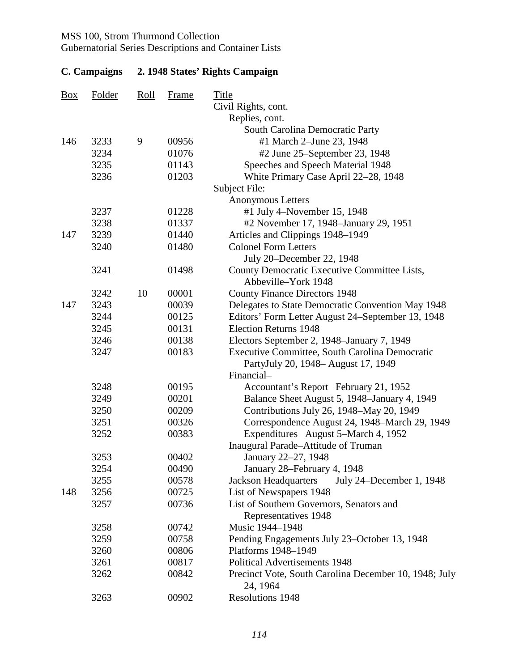Gubernatorial Series Descriptions and Container Lists

| $\frac{Box}{}$ | Folder | Roll | <b>Frame</b> | Title<br>Civil Rights, cont.                                        |
|----------------|--------|------|--------------|---------------------------------------------------------------------|
|                |        |      |              | Replies, cont.                                                      |
|                |        |      |              | South Carolina Democratic Party                                     |
| 146            | 3233   | 9    | 00956        | #1 March 2-June 23, 1948                                            |
|                | 3234   |      | 01076        | #2 June 25-September 23, 1948                                       |
|                | 3235   |      | 01143        | Speeches and Speech Material 1948                                   |
|                | 3236   |      | 01203        | White Primary Case April 22-28, 1948                                |
|                |        |      |              | Subject File:                                                       |
|                |        |      |              | <b>Anonymous Letters</b>                                            |
|                | 3237   |      | 01228        | #1 July 4–November 15, 1948                                         |
|                | 3238   |      | 01337        | #2 November 17, 1948–January 29, 1951                               |
| 147            | 3239   |      | 01440        | Articles and Clippings 1948-1949                                    |
|                | 3240   |      | 01480        | <b>Colonel Form Letters</b>                                         |
|                |        |      |              | July 20-December 22, 1948                                           |
|                | 3241   |      | 01498        | County Democratic Executive Committee Lists,<br>Abbeville-York 1948 |
|                | 3242   | 10   | 00001        | <b>County Finance Directors 1948</b>                                |
| 147            | 3243   |      | 00039        | Delegates to State Democratic Convention May 1948                   |
|                | 3244   |      | 00125        | Editors' Form Letter August 24–September 13, 1948                   |
|                | 3245   |      | 00131        | <b>Election Returns 1948</b>                                        |
|                | 3246   |      | 00138        | Electors September 2, 1948–January 7, 1949                          |
|                | 3247   |      | 00183        | Executive Committee, South Carolina Democratic                      |
|                |        |      |              | PartyJuly 20, 1948– August 17, 1949                                 |
|                |        |      |              | Financial-                                                          |
|                | 3248   |      | 00195        | Accountant's Report February 21, 1952                               |
|                | 3249   |      | 00201        | Balance Sheet August 5, 1948–January 4, 1949                        |
|                | 3250   |      | 00209        | Contributions July 26, 1948–May 20, 1949                            |
|                | 3251   |      | 00326        | Correspondence August 24, 1948–March 29, 1949                       |
|                | 3252   |      | 00383        | Expenditures August 5–March 4, 1952                                 |
|                |        |      |              | Inaugural Parade-Attitude of Truman                                 |
|                | 3253   |      | 00402        | January 22-27, 1948                                                 |
|                | 3254   |      | 00490        | January 28–February 4, 1948                                         |
|                | 3255   |      | 00578        | <b>Jackson Headquarters</b><br>July 24–December 1, 1948             |
| 148            | 3256   |      | 00725        | List of Newspapers 1948                                             |
|                | 3257   |      | 00736        | List of Southern Governors, Senators and                            |
|                |        |      |              | Representatives 1948                                                |
|                | 3258   |      | 00742        | Music 1944-1948                                                     |
|                | 3259   |      | 00758        | Pending Engagements July 23-October 13, 1948                        |
|                | 3260   |      | 00806        | Platforms 1948-1949                                                 |
|                | 3261   |      | 00817        | <b>Political Advertisements 1948</b>                                |
|                | 3262   |      | 00842        | Precinct Vote, South Carolina December 10, 1948; July<br>24, 1964   |
|                | 3263   |      | 00902        | Resolutions 1948                                                    |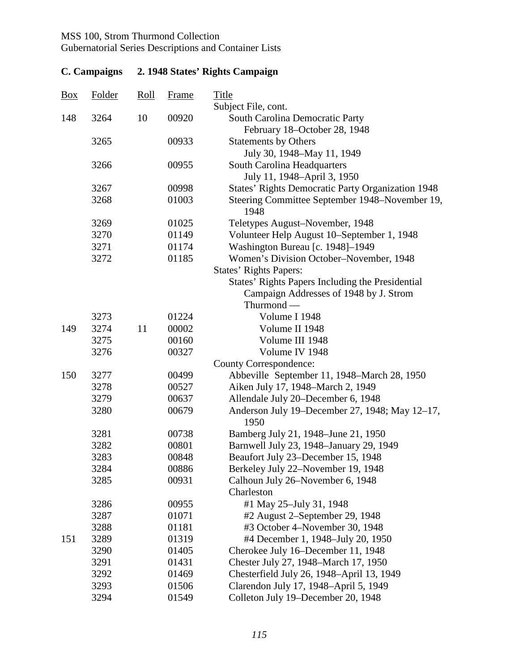Gubernatorial Series Descriptions and Container Lists

| <b>Box</b> | Folder | <u>Roll</u> | <b>Frame</b> | <b>Title</b><br>Subject File, cont.                             |
|------------|--------|-------------|--------------|-----------------------------------------------------------------|
| 148        | 3264   | 10          | 00920        | South Carolina Democratic Party<br>February 18-October 28, 1948 |
|            | 3265   |             | 00933        | <b>Statements by Others</b><br>July 30, 1948–May 11, 1949       |
|            | 3266   |             | 00955        | South Carolina Headquarters<br>July 11, 1948–April 3, 1950      |
|            | 3267   |             | 00998        | <b>States' Rights Democratic Party Organization 1948</b>        |
|            | 3268   |             | 01003        | Steering Committee September 1948–November 19,<br>1948          |
|            | 3269   |             | 01025        | Teletypes August-November, 1948                                 |
|            | 3270   |             | 01149        | Volunteer Help August 10–September 1, 1948                      |
|            | 3271   |             | 01174        | Washington Bureau [c. 1948]-1949                                |
|            | 3272   |             | 01185        | Women's Division October-November, 1948                         |
|            |        |             |              | <b>States' Rights Papers:</b>                                   |
|            |        |             |              | States' Rights Papers Including the Presidential                |
|            |        |             |              | Campaign Addresses of 1948 by J. Strom                          |
|            |        |             |              | Thurmond —                                                      |
|            | 3273   |             | 01224        | Volume I 1948                                                   |
| 149        | 3274   | 11          | 00002        | Volume II 1948                                                  |
|            | 3275   |             | 00160        | Volume III 1948                                                 |
|            | 3276   |             | 00327        | Volume IV 1948                                                  |
|            |        |             |              | <b>County Correspondence:</b>                                   |
| 150        | 3277   |             | 00499        | Abbeville September 11, 1948–March 28, 1950                     |
|            | 3278   |             | 00527        | Aiken July 17, 1948–March 2, 1949                               |
|            | 3279   |             | 00637        | Allendale July 20–December 6, 1948                              |
|            | 3280   |             | 00679        | Anderson July 19–December 27, 1948; May 12–17,<br>1950          |
|            | 3281   |             | 00738        | Bamberg July 21, 1948–June 21, 1950                             |
|            | 3282   |             | 00801        | Barnwell July 23, 1948–January 29, 1949                         |
|            | 3283   |             | 00848        | Beaufort July 23–December 15, 1948                              |
|            | 3284   |             | 00886        | Berkeley July 22-November 19, 1948                              |
|            | 3285   |             | 00931        | Calhoun July 26–November 6, 1948                                |
|            |        |             |              | Charleston                                                      |
|            | 3286   |             | 00955        | #1 May 25-July 31, 1948                                         |
|            | 3287   |             | 01071        | #2 August 2–September 29, 1948                                  |
|            | 3288   |             | 01181        | #3 October 4–November 30, 1948                                  |
| 151        | 3289   |             | 01319        | #4 December 1, 1948–July 20, 1950                               |
|            | 3290   |             | 01405        | Cherokee July 16–December 11, 1948                              |
|            | 3291   |             | 01431        | Chester July 27, 1948–March 17, 1950                            |
|            | 3292   |             | 01469        | Chesterfield July 26, 1948–April 13, 1949                       |
|            | 3293   |             | 01506        | Clarendon July 17, 1948–April 5, 1949                           |
|            | 3294   |             | 01549        | Colleton July 19-December 20, 1948                              |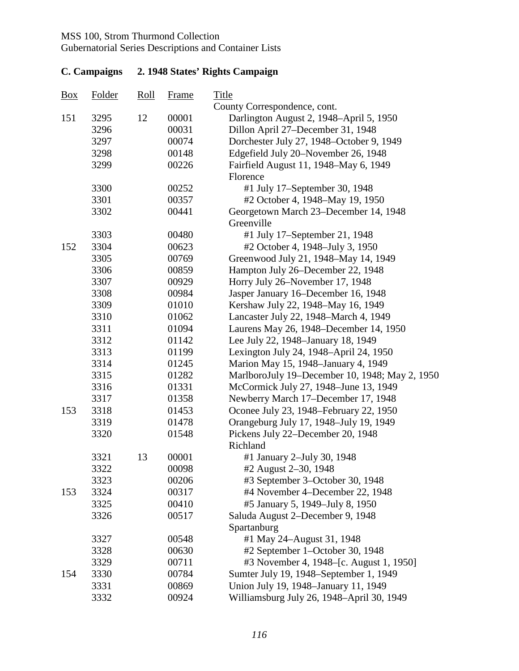Gubernatorial Series Descriptions and Container Lists

| 151<br>3295<br>12<br>00001<br>Darlington August 2, 1948-April 5, 1950<br>3296<br>00031<br>Dillon April 27–December 31, 1948<br>3297<br>00074<br>Dorchester July 27, 1948–October 9, 1949<br>Edgefield July 20-November 26, 1948<br>3298<br>00148<br>3299<br>00226<br>Fairfield August 11, 1948-May 6, 1949<br>Florence<br>3300<br>00252<br>#1 July 17-September 30, 1948<br>3301<br>00357<br>#2 October 4, 1948–May 19, 1950<br>00441<br>3302<br>Georgetown March 23–December 14, 1948<br>Greenville<br>3303<br>00480<br>#1 July 17-September 21, 1948<br>3304<br>152<br>00623<br>#2 October 4, 1948–July 3, 1950<br>Greenwood July 21, 1948-May 14, 1949<br>3305<br>00769<br>3306<br>00859<br>Hampton July 26–December 22, 1948<br>3307<br>00929<br>Horry July 26–November 17, 1948<br>3308<br>00984<br>Jasper January 16–December 16, 1948<br>3309<br>01010<br>Kershaw July 22, 1948–May 16, 1949<br>3310<br>01062<br>Lancaster July 22, 1948–March 4, 1949<br>3311<br>01094<br>Laurens May 26, 1948–December 14, 1950<br>3312<br>Lee July 22, 1948–January 18, 1949<br>01142<br>3313<br>Lexington July 24, 1948-April 24, 1950<br>01199<br>3314<br>01245<br>Marion May 15, 1948–January 4, 1949<br>MarlboroJuly 19–December 10, 1948; May 2, 1950<br>3315<br>01282<br>McCormick July 27, 1948–June 13, 1949<br>3316<br>01331<br>3317<br>01358<br>Newberry March 17-December 17, 1948<br>3318<br>Oconee July 23, 1948–February 22, 1950<br>153<br>01453<br>3319<br>01478<br>Orangeburg July 17, 1948-July 19, 1949<br>3320<br>Pickens July 22-December 20, 1948<br>01548<br>Richland<br>3321<br>13<br>00001<br>#1 January 2-July 30, 1948<br>3322<br>00098<br>#2 August 2–30, 1948<br>3323<br>00206<br>#3 September 3–October 30, 1948<br>3324<br>#4 November 4–December 22, 1948<br>153<br>00317<br>3325<br>#5 January 5, 1949-July 8, 1950<br>00410<br>3326<br>Saluda August 2-December 9, 1948<br>00517<br>Spartanburg<br>3327<br>00548<br>#1 May 24-August 31, 1948<br>3328<br>00630<br>#2 September 1–October 30, 1948<br>#3 November 4, 1948–[c. August 1, 1950]<br>3329<br>00711<br>3330<br>Sumter July 19, 1948–September 1, 1949<br>154<br>00784<br>Union July 19, 1948–January 11, 1949<br>3331<br>00869 | $\frac{Box}{}$ | Folder | $\frac{\text{Roll}}{\text{Roll}}$ | Frame | Title                                     |
|----------------------------------------------------------------------------------------------------------------------------------------------------------------------------------------------------------------------------------------------------------------------------------------------------------------------------------------------------------------------------------------------------------------------------------------------------------------------------------------------------------------------------------------------------------------------------------------------------------------------------------------------------------------------------------------------------------------------------------------------------------------------------------------------------------------------------------------------------------------------------------------------------------------------------------------------------------------------------------------------------------------------------------------------------------------------------------------------------------------------------------------------------------------------------------------------------------------------------------------------------------------------------------------------------------------------------------------------------------------------------------------------------------------------------------------------------------------------------------------------------------------------------------------------------------------------------------------------------------------------------------------------------------------------------------------------------------------------------------------------------------------------------------------------------------------------------------------------------------------------------------------------------------------------------------------------------------------------------------------------------------------------------------------------------------------------------------------------------------------------------------------------------------------------------------------------------------------------|----------------|--------|-----------------------------------|-------|-------------------------------------------|
|                                                                                                                                                                                                                                                                                                                                                                                                                                                                                                                                                                                                                                                                                                                                                                                                                                                                                                                                                                                                                                                                                                                                                                                                                                                                                                                                                                                                                                                                                                                                                                                                                                                                                                                                                                                                                                                                                                                                                                                                                                                                                                                                                                                                                      |                |        |                                   |       | County Correspondence, cont.              |
|                                                                                                                                                                                                                                                                                                                                                                                                                                                                                                                                                                                                                                                                                                                                                                                                                                                                                                                                                                                                                                                                                                                                                                                                                                                                                                                                                                                                                                                                                                                                                                                                                                                                                                                                                                                                                                                                                                                                                                                                                                                                                                                                                                                                                      |                |        |                                   |       |                                           |
|                                                                                                                                                                                                                                                                                                                                                                                                                                                                                                                                                                                                                                                                                                                                                                                                                                                                                                                                                                                                                                                                                                                                                                                                                                                                                                                                                                                                                                                                                                                                                                                                                                                                                                                                                                                                                                                                                                                                                                                                                                                                                                                                                                                                                      |                |        |                                   |       |                                           |
|                                                                                                                                                                                                                                                                                                                                                                                                                                                                                                                                                                                                                                                                                                                                                                                                                                                                                                                                                                                                                                                                                                                                                                                                                                                                                                                                                                                                                                                                                                                                                                                                                                                                                                                                                                                                                                                                                                                                                                                                                                                                                                                                                                                                                      |                |        |                                   |       |                                           |
|                                                                                                                                                                                                                                                                                                                                                                                                                                                                                                                                                                                                                                                                                                                                                                                                                                                                                                                                                                                                                                                                                                                                                                                                                                                                                                                                                                                                                                                                                                                                                                                                                                                                                                                                                                                                                                                                                                                                                                                                                                                                                                                                                                                                                      |                |        |                                   |       |                                           |
|                                                                                                                                                                                                                                                                                                                                                                                                                                                                                                                                                                                                                                                                                                                                                                                                                                                                                                                                                                                                                                                                                                                                                                                                                                                                                                                                                                                                                                                                                                                                                                                                                                                                                                                                                                                                                                                                                                                                                                                                                                                                                                                                                                                                                      |                |        |                                   |       |                                           |
|                                                                                                                                                                                                                                                                                                                                                                                                                                                                                                                                                                                                                                                                                                                                                                                                                                                                                                                                                                                                                                                                                                                                                                                                                                                                                                                                                                                                                                                                                                                                                                                                                                                                                                                                                                                                                                                                                                                                                                                                                                                                                                                                                                                                                      |                |        |                                   |       |                                           |
|                                                                                                                                                                                                                                                                                                                                                                                                                                                                                                                                                                                                                                                                                                                                                                                                                                                                                                                                                                                                                                                                                                                                                                                                                                                                                                                                                                                                                                                                                                                                                                                                                                                                                                                                                                                                                                                                                                                                                                                                                                                                                                                                                                                                                      |                |        |                                   |       |                                           |
|                                                                                                                                                                                                                                                                                                                                                                                                                                                                                                                                                                                                                                                                                                                                                                                                                                                                                                                                                                                                                                                                                                                                                                                                                                                                                                                                                                                                                                                                                                                                                                                                                                                                                                                                                                                                                                                                                                                                                                                                                                                                                                                                                                                                                      |                |        |                                   |       |                                           |
|                                                                                                                                                                                                                                                                                                                                                                                                                                                                                                                                                                                                                                                                                                                                                                                                                                                                                                                                                                                                                                                                                                                                                                                                                                                                                                                                                                                                                                                                                                                                                                                                                                                                                                                                                                                                                                                                                                                                                                                                                                                                                                                                                                                                                      |                |        |                                   |       |                                           |
|                                                                                                                                                                                                                                                                                                                                                                                                                                                                                                                                                                                                                                                                                                                                                                                                                                                                                                                                                                                                                                                                                                                                                                                                                                                                                                                                                                                                                                                                                                                                                                                                                                                                                                                                                                                                                                                                                                                                                                                                                                                                                                                                                                                                                      |                |        |                                   |       |                                           |
|                                                                                                                                                                                                                                                                                                                                                                                                                                                                                                                                                                                                                                                                                                                                                                                                                                                                                                                                                                                                                                                                                                                                                                                                                                                                                                                                                                                                                                                                                                                                                                                                                                                                                                                                                                                                                                                                                                                                                                                                                                                                                                                                                                                                                      |                |        |                                   |       |                                           |
|                                                                                                                                                                                                                                                                                                                                                                                                                                                                                                                                                                                                                                                                                                                                                                                                                                                                                                                                                                                                                                                                                                                                                                                                                                                                                                                                                                                                                                                                                                                                                                                                                                                                                                                                                                                                                                                                                                                                                                                                                                                                                                                                                                                                                      |                |        |                                   |       |                                           |
|                                                                                                                                                                                                                                                                                                                                                                                                                                                                                                                                                                                                                                                                                                                                                                                                                                                                                                                                                                                                                                                                                                                                                                                                                                                                                                                                                                                                                                                                                                                                                                                                                                                                                                                                                                                                                                                                                                                                                                                                                                                                                                                                                                                                                      |                |        |                                   |       |                                           |
|                                                                                                                                                                                                                                                                                                                                                                                                                                                                                                                                                                                                                                                                                                                                                                                                                                                                                                                                                                                                                                                                                                                                                                                                                                                                                                                                                                                                                                                                                                                                                                                                                                                                                                                                                                                                                                                                                                                                                                                                                                                                                                                                                                                                                      |                |        |                                   |       |                                           |
|                                                                                                                                                                                                                                                                                                                                                                                                                                                                                                                                                                                                                                                                                                                                                                                                                                                                                                                                                                                                                                                                                                                                                                                                                                                                                                                                                                                                                                                                                                                                                                                                                                                                                                                                                                                                                                                                                                                                                                                                                                                                                                                                                                                                                      |                |        |                                   |       |                                           |
|                                                                                                                                                                                                                                                                                                                                                                                                                                                                                                                                                                                                                                                                                                                                                                                                                                                                                                                                                                                                                                                                                                                                                                                                                                                                                                                                                                                                                                                                                                                                                                                                                                                                                                                                                                                                                                                                                                                                                                                                                                                                                                                                                                                                                      |                |        |                                   |       |                                           |
|                                                                                                                                                                                                                                                                                                                                                                                                                                                                                                                                                                                                                                                                                                                                                                                                                                                                                                                                                                                                                                                                                                                                                                                                                                                                                                                                                                                                                                                                                                                                                                                                                                                                                                                                                                                                                                                                                                                                                                                                                                                                                                                                                                                                                      |                |        |                                   |       |                                           |
|                                                                                                                                                                                                                                                                                                                                                                                                                                                                                                                                                                                                                                                                                                                                                                                                                                                                                                                                                                                                                                                                                                                                                                                                                                                                                                                                                                                                                                                                                                                                                                                                                                                                                                                                                                                                                                                                                                                                                                                                                                                                                                                                                                                                                      |                |        |                                   |       |                                           |
|                                                                                                                                                                                                                                                                                                                                                                                                                                                                                                                                                                                                                                                                                                                                                                                                                                                                                                                                                                                                                                                                                                                                                                                                                                                                                                                                                                                                                                                                                                                                                                                                                                                                                                                                                                                                                                                                                                                                                                                                                                                                                                                                                                                                                      |                |        |                                   |       |                                           |
|                                                                                                                                                                                                                                                                                                                                                                                                                                                                                                                                                                                                                                                                                                                                                                                                                                                                                                                                                                                                                                                                                                                                                                                                                                                                                                                                                                                                                                                                                                                                                                                                                                                                                                                                                                                                                                                                                                                                                                                                                                                                                                                                                                                                                      |                |        |                                   |       |                                           |
|                                                                                                                                                                                                                                                                                                                                                                                                                                                                                                                                                                                                                                                                                                                                                                                                                                                                                                                                                                                                                                                                                                                                                                                                                                                                                                                                                                                                                                                                                                                                                                                                                                                                                                                                                                                                                                                                                                                                                                                                                                                                                                                                                                                                                      |                |        |                                   |       |                                           |
|                                                                                                                                                                                                                                                                                                                                                                                                                                                                                                                                                                                                                                                                                                                                                                                                                                                                                                                                                                                                                                                                                                                                                                                                                                                                                                                                                                                                                                                                                                                                                                                                                                                                                                                                                                                                                                                                                                                                                                                                                                                                                                                                                                                                                      |                |        |                                   |       |                                           |
|                                                                                                                                                                                                                                                                                                                                                                                                                                                                                                                                                                                                                                                                                                                                                                                                                                                                                                                                                                                                                                                                                                                                                                                                                                                                                                                                                                                                                                                                                                                                                                                                                                                                                                                                                                                                                                                                                                                                                                                                                                                                                                                                                                                                                      |                |        |                                   |       |                                           |
|                                                                                                                                                                                                                                                                                                                                                                                                                                                                                                                                                                                                                                                                                                                                                                                                                                                                                                                                                                                                                                                                                                                                                                                                                                                                                                                                                                                                                                                                                                                                                                                                                                                                                                                                                                                                                                                                                                                                                                                                                                                                                                                                                                                                                      |                |        |                                   |       |                                           |
|                                                                                                                                                                                                                                                                                                                                                                                                                                                                                                                                                                                                                                                                                                                                                                                                                                                                                                                                                                                                                                                                                                                                                                                                                                                                                                                                                                                                                                                                                                                                                                                                                                                                                                                                                                                                                                                                                                                                                                                                                                                                                                                                                                                                                      |                |        |                                   |       |                                           |
|                                                                                                                                                                                                                                                                                                                                                                                                                                                                                                                                                                                                                                                                                                                                                                                                                                                                                                                                                                                                                                                                                                                                                                                                                                                                                                                                                                                                                                                                                                                                                                                                                                                                                                                                                                                                                                                                                                                                                                                                                                                                                                                                                                                                                      |                |        |                                   |       |                                           |
|                                                                                                                                                                                                                                                                                                                                                                                                                                                                                                                                                                                                                                                                                                                                                                                                                                                                                                                                                                                                                                                                                                                                                                                                                                                                                                                                                                                                                                                                                                                                                                                                                                                                                                                                                                                                                                                                                                                                                                                                                                                                                                                                                                                                                      |                |        |                                   |       |                                           |
|                                                                                                                                                                                                                                                                                                                                                                                                                                                                                                                                                                                                                                                                                                                                                                                                                                                                                                                                                                                                                                                                                                                                                                                                                                                                                                                                                                                                                                                                                                                                                                                                                                                                                                                                                                                                                                                                                                                                                                                                                                                                                                                                                                                                                      |                |        |                                   |       |                                           |
|                                                                                                                                                                                                                                                                                                                                                                                                                                                                                                                                                                                                                                                                                                                                                                                                                                                                                                                                                                                                                                                                                                                                                                                                                                                                                                                                                                                                                                                                                                                                                                                                                                                                                                                                                                                                                                                                                                                                                                                                                                                                                                                                                                                                                      |                |        |                                   |       |                                           |
|                                                                                                                                                                                                                                                                                                                                                                                                                                                                                                                                                                                                                                                                                                                                                                                                                                                                                                                                                                                                                                                                                                                                                                                                                                                                                                                                                                                                                                                                                                                                                                                                                                                                                                                                                                                                                                                                                                                                                                                                                                                                                                                                                                                                                      |                |        |                                   |       |                                           |
|                                                                                                                                                                                                                                                                                                                                                                                                                                                                                                                                                                                                                                                                                                                                                                                                                                                                                                                                                                                                                                                                                                                                                                                                                                                                                                                                                                                                                                                                                                                                                                                                                                                                                                                                                                                                                                                                                                                                                                                                                                                                                                                                                                                                                      |                |        |                                   |       |                                           |
|                                                                                                                                                                                                                                                                                                                                                                                                                                                                                                                                                                                                                                                                                                                                                                                                                                                                                                                                                                                                                                                                                                                                                                                                                                                                                                                                                                                                                                                                                                                                                                                                                                                                                                                                                                                                                                                                                                                                                                                                                                                                                                                                                                                                                      |                |        |                                   |       |                                           |
|                                                                                                                                                                                                                                                                                                                                                                                                                                                                                                                                                                                                                                                                                                                                                                                                                                                                                                                                                                                                                                                                                                                                                                                                                                                                                                                                                                                                                                                                                                                                                                                                                                                                                                                                                                                                                                                                                                                                                                                                                                                                                                                                                                                                                      |                |        |                                   |       |                                           |
|                                                                                                                                                                                                                                                                                                                                                                                                                                                                                                                                                                                                                                                                                                                                                                                                                                                                                                                                                                                                                                                                                                                                                                                                                                                                                                                                                                                                                                                                                                                                                                                                                                                                                                                                                                                                                                                                                                                                                                                                                                                                                                                                                                                                                      |                |        |                                   |       |                                           |
|                                                                                                                                                                                                                                                                                                                                                                                                                                                                                                                                                                                                                                                                                                                                                                                                                                                                                                                                                                                                                                                                                                                                                                                                                                                                                                                                                                                                                                                                                                                                                                                                                                                                                                                                                                                                                                                                                                                                                                                                                                                                                                                                                                                                                      |                |        |                                   |       |                                           |
|                                                                                                                                                                                                                                                                                                                                                                                                                                                                                                                                                                                                                                                                                                                                                                                                                                                                                                                                                                                                                                                                                                                                                                                                                                                                                                                                                                                                                                                                                                                                                                                                                                                                                                                                                                                                                                                                                                                                                                                                                                                                                                                                                                                                                      |                |        |                                   |       |                                           |
|                                                                                                                                                                                                                                                                                                                                                                                                                                                                                                                                                                                                                                                                                                                                                                                                                                                                                                                                                                                                                                                                                                                                                                                                                                                                                                                                                                                                                                                                                                                                                                                                                                                                                                                                                                                                                                                                                                                                                                                                                                                                                                                                                                                                                      |                |        |                                   |       |                                           |
|                                                                                                                                                                                                                                                                                                                                                                                                                                                                                                                                                                                                                                                                                                                                                                                                                                                                                                                                                                                                                                                                                                                                                                                                                                                                                                                                                                                                                                                                                                                                                                                                                                                                                                                                                                                                                                                                                                                                                                                                                                                                                                                                                                                                                      |                |        |                                   |       |                                           |
|                                                                                                                                                                                                                                                                                                                                                                                                                                                                                                                                                                                                                                                                                                                                                                                                                                                                                                                                                                                                                                                                                                                                                                                                                                                                                                                                                                                                                                                                                                                                                                                                                                                                                                                                                                                                                                                                                                                                                                                                                                                                                                                                                                                                                      |                |        |                                   |       |                                           |
|                                                                                                                                                                                                                                                                                                                                                                                                                                                                                                                                                                                                                                                                                                                                                                                                                                                                                                                                                                                                                                                                                                                                                                                                                                                                                                                                                                                                                                                                                                                                                                                                                                                                                                                                                                                                                                                                                                                                                                                                                                                                                                                                                                                                                      |                |        |                                   |       |                                           |
|                                                                                                                                                                                                                                                                                                                                                                                                                                                                                                                                                                                                                                                                                                                                                                                                                                                                                                                                                                                                                                                                                                                                                                                                                                                                                                                                                                                                                                                                                                                                                                                                                                                                                                                                                                                                                                                                                                                                                                                                                                                                                                                                                                                                                      |                |        |                                   |       |                                           |
|                                                                                                                                                                                                                                                                                                                                                                                                                                                                                                                                                                                                                                                                                                                                                                                                                                                                                                                                                                                                                                                                                                                                                                                                                                                                                                                                                                                                                                                                                                                                                                                                                                                                                                                                                                                                                                                                                                                                                                                                                                                                                                                                                                                                                      |                | 3332   |                                   | 00924 | Williamsburg July 26, 1948–April 30, 1949 |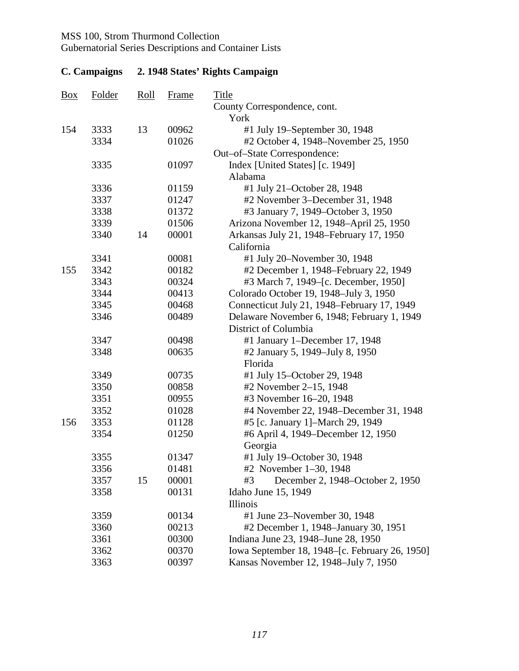Gubernatorial Series Descriptions and Container Lists

| $\frac{Box}{}$ | <b>Folder</b> | <u>Roll</u> | <b>Frame</b> | <b>Title</b><br>County Correspondence, cont.   |
|----------------|---------------|-------------|--------------|------------------------------------------------|
|                |               |             |              | York                                           |
| 154            | 3333          | 13          | 00962        | #1 July 19–September 30, 1948                  |
|                | 3334          |             | 01026        | #2 October 4, 1948–November 25, 1950           |
|                |               |             |              | Out-of-State Correspondence:                   |
|                | 3335          |             | 01097        | Index [United States] [c. 1949]                |
|                |               |             |              | Alabama                                        |
|                | 3336          |             | 01159        | #1 July 21-October 28, 1948                    |
|                | 3337          |             | 01247        | #2 November 3-December 31, 1948                |
|                | 3338          |             | 01372        | #3 January 7, 1949–October 3, 1950             |
|                | 3339          |             | 01506        | Arizona November 12, 1948-April 25, 1950       |
|                | 3340          | 14          | 00001        | Arkansas July 21, 1948–February 17, 1950       |
|                |               |             |              | California                                     |
|                | 3341          |             | 00081        | #1 July 20–November 30, 1948                   |
| 155            | 3342          |             | 00182        | #2 December 1, 1948–February 22, 1949          |
|                | 3343          |             | 00324        | #3 March 7, 1949–[c. December, 1950]           |
|                | 3344          |             | 00413        | Colorado October 19, 1948-July 3, 1950         |
|                | 3345          |             | 00468        | Connecticut July 21, 1948–February 17, 1949    |
|                | 3346          |             | 00489        | Delaware November 6, 1948; February 1, 1949    |
|                |               |             |              | District of Columbia                           |
|                | 3347          |             | 00498        | #1 January 1-December 17, 1948                 |
|                | 3348          |             | 00635        | #2 January 5, 1949–July 8, 1950                |
|                |               |             |              | Florida                                        |
|                | 3349          |             | 00735        | #1 July 15-October 29, 1948                    |
|                | 3350          |             | 00858        | #2 November 2-15, 1948                         |
|                | 3351          |             | 00955        | #3 November 16-20, 1948                        |
|                | 3352          |             | 01028        | #4 November 22, 1948–December 31, 1948         |
| 156            | 3353          |             | 01128        | #5 [c. January 1]-March 29, 1949               |
|                | 3354          |             | 01250        | #6 April 4, 1949–December 12, 1950             |
|                |               |             |              | Georgia                                        |
|                | 3355          |             | 01347        | #1 July 19-October 30, 1948                    |
|                | 3356          |             | 01481        | #2 November 1–30, 1948                         |
|                | 3357          | 15          | 00001        | #3<br>December 2, 1948–October 2, 1950         |
|                | 3358          |             | 00131        | Idaho June 15, 1949                            |
|                |               |             |              | <b>Illinois</b>                                |
|                | 3359          |             | 00134        | #1 June 23–November 30, 1948                   |
|                | 3360          |             | 00213        | #2 December 1, 1948–January 30, 1951           |
|                | 3361          |             | 00300        | Indiana June 23, 1948-June 28, 1950            |
|                | 3362          |             | 00370        | Iowa September 18, 1948–[c. February 26, 1950] |
|                | 3363          |             | 00397        | Kansas November 12, 1948–July 7, 1950          |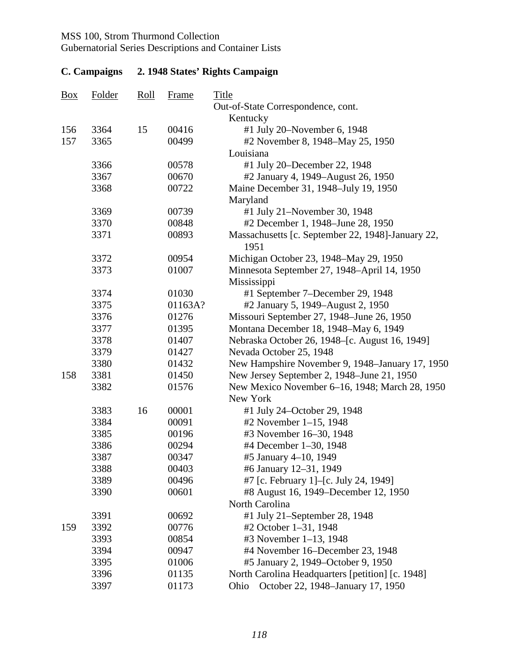Gubernatorial Series Descriptions and Container Lists

| $\underline{Box}$ | <b>Folder</b> | Roll | <b>Frame</b> | <b>Title</b>                                      |
|-------------------|---------------|------|--------------|---------------------------------------------------|
|                   |               |      |              | Out-of-State Correspondence, cont.                |
| 156               | 3364          | 15   | 00416        | Kentucky<br>#1 July 20-November 6, 1948           |
| 157               | 3365          |      | 00499        | #2 November 8, 1948–May 25, 1950                  |
|                   |               |      |              | Louisiana                                         |
|                   | 3366          |      | 00578        | #1 July 20–December 22, 1948                      |
|                   | 3367          |      | 00670        | #2 January 4, 1949–August 26, 1950                |
|                   | 3368          |      | 00722        | Maine December 31, 1948–July 19, 1950             |
|                   |               |      |              | Maryland                                          |
|                   | 3369          |      | 00739        | #1 July 21-November 30, 1948                      |
|                   | 3370          |      | 00848        | #2 December 1, 1948–June 28, 1950                 |
|                   | 3371          |      | 00893        | Massachusetts [c. September 22, 1948]-January 22, |
|                   |               |      |              | 1951                                              |
|                   | 3372          |      | 00954        | Michigan October 23, 1948–May 29, 1950            |
|                   | 3373          |      | 01007        | Minnesota September 27, 1948–April 14, 1950       |
|                   |               |      |              | Mississippi                                       |
|                   | 3374          |      | 01030        | #1 September 7–December 29, 1948                  |
|                   | 3375          |      | 01163A?      | #2 January 5, 1949–August 2, 1950                 |
|                   | 3376          |      | 01276        | Missouri September 27, 1948–June 26, 1950         |
|                   | 3377          |      | 01395        | Montana December 18, 1948–May 6, 1949             |
|                   | 3378          |      | 01407        | Nebraska October 26, 1948–[c. August 16, 1949]    |
|                   | 3379          |      | 01427        | Nevada October 25, 1948                           |
|                   | 3380          |      | 01432        | New Hampshire November 9, 1948–January 17, 1950   |
| 158               | 3381          |      | 01450        | New Jersey September 2, 1948–June 21, 1950        |
|                   | 3382          |      | 01576        | New Mexico November 6–16, 1948; March 28, 1950    |
|                   |               |      |              | New York                                          |
|                   | 3383          | 16   | 00001        | #1 July 24-October 29, 1948                       |
|                   | 3384          |      | 00091        | #2 November 1-15, 1948                            |
|                   | 3385          |      | 00196        | #3 November 16-30, 1948                           |
|                   | 3386          |      | 00294        | #4 December 1-30, 1948                            |
|                   | 3387          |      | 00347        | #5 January 4-10, 1949                             |
|                   | 3388          |      | 00403        | #6 January 12-31, 1949                            |
|                   | 3389          |      | 00496        | #7 [c. February 1]-[c. July 24, 1949]             |
|                   | 3390          |      | 00601        | #8 August 16, 1949–December 12, 1950              |
|                   |               |      |              | North Carolina                                    |
|                   | 3391          |      | 00692        | #1 July 21-September 28, 1948                     |
| 159               | 3392          |      | 00776        | #2 October 1-31, 1948                             |
|                   | 3393          |      | 00854        | #3 November 1–13, 1948                            |
|                   | 3394          |      | 00947        | #4 November 16–December 23, 1948                  |
|                   | 3395          |      | 01006        | #5 January 2, 1949–October 9, 1950                |
|                   | 3396          |      | 01135        | North Carolina Headquarters [petition] [c. 1948]  |
|                   | 3397          |      | 01173        | October 22, 1948–January 17, 1950<br>Ohio         |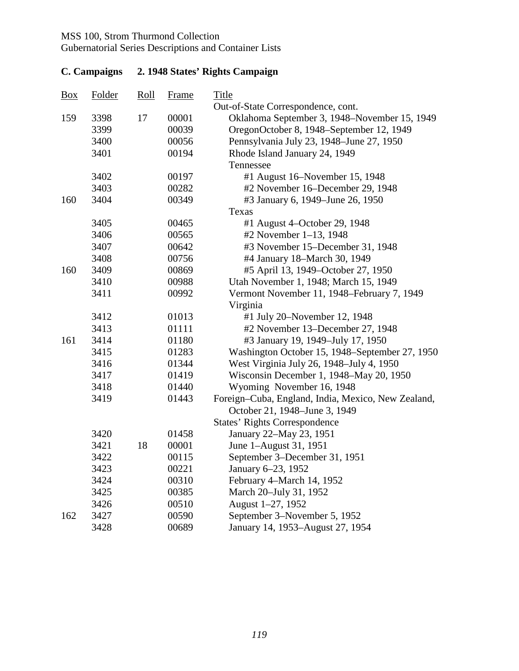Gubernatorial Series Descriptions and Container Lists

| Box | <b>Folder</b> | <u>Roll</u> | <b>Frame</b> | <b>Title</b>                                       |
|-----|---------------|-------------|--------------|----------------------------------------------------|
|     |               |             |              | Out-of-State Correspondence, cont.                 |
| 159 | 3398          | 17          | 00001        | Oklahoma September 3, 1948–November 15, 1949       |
|     | 3399          |             | 00039        | OregonOctober 8, 1948–September 12, 1949           |
|     | 3400          |             | 00056        | Pennsylvania July 23, 1948–June 27, 1950           |
|     | 3401          |             | 00194        | Rhode Island January 24, 1949                      |
|     |               |             |              | Tennessee                                          |
|     | 3402          |             | 00197        | #1 August 16–November 15, 1948                     |
|     | 3403          |             | 00282        | #2 November 16–December 29, 1948                   |
| 160 | 3404          |             | 00349        | #3 January 6, 1949–June 26, 1950                   |
|     |               |             |              | Texas                                              |
|     | 3405          |             | 00465        | #1 August 4–October 29, 1948                       |
|     | 3406          |             | 00565        | #2 November 1–13, 1948                             |
|     | 3407          |             | 00642        | #3 November 15–December 31, 1948                   |
|     | 3408          |             | 00756        | #4 January 18–March 30, 1949                       |
| 160 | 3409          |             | 00869        | #5 April 13, 1949–October 27, 1950                 |
|     | 3410          |             | 00988        | Utah November 1, 1948; March 15, 1949              |
|     | 3411          |             | 00992        | Vermont November 11, 1948–February 7, 1949         |
|     |               |             |              | Virginia                                           |
|     | 3412          |             | 01013        | #1 July 20–November 12, 1948                       |
|     | 3413          |             | 01111        | #2 November 13–December 27, 1948                   |
| 161 | 3414          |             | 01180        | #3 January 19, 1949–July 17, 1950                  |
|     | 3415          |             | 01283        | Washington October 15, 1948–September 27, 1950     |
|     | 3416          |             | 01344        | West Virginia July 26, 1948-July 4, 1950           |
|     | 3417          |             | 01419        | Wisconsin December 1, 1948–May 20, 1950            |
|     | 3418          |             | 01440        | Wyoming November 16, 1948                          |
|     | 3419          |             | 01443        | Foreign-Cuba, England, India, Mexico, New Zealand, |
|     |               |             |              | October 21, 1948–June 3, 1949                      |
|     |               |             |              | <b>States' Rights Correspondence</b>               |
|     | 3420          |             | 01458        | January 22-May 23, 1951                            |
|     | 3421          | 18          | 00001        | June 1-August 31, 1951                             |
|     | 3422          |             | 00115        | September 3–December 31, 1951                      |
|     | 3423          |             | 00221        | January 6-23, 1952                                 |
|     | 3424          |             | 00310        | February 4–March 14, 1952                          |
|     | 3425          |             | 00385        | March 20-July 31, 1952                             |
|     | 3426          |             | 00510        | August 1-27, 1952                                  |
| 162 | 3427          |             | 00590        | September 3–November 5, 1952                       |
|     | 3428          |             | 00689        | January 14, 1953–August 27, 1954                   |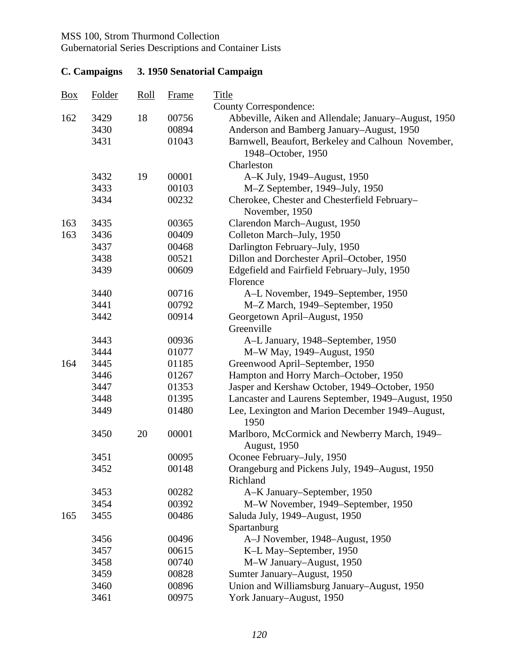Gubernatorial Series Descriptions and Container Lists

| $\underline{Box}$ | Folder | $\frac{\text{Roll}}{\text{Roll}}$ | Frame | <b>Title</b>                                                             |
|-------------------|--------|-----------------------------------|-------|--------------------------------------------------------------------------|
|                   |        |                                   |       | <b>County Correspondence:</b>                                            |
| 162               | 3429   | 18                                | 00756 | Abbeville, Aiken and Allendale; January–August, 1950                     |
|                   | 3430   |                                   | 00894 | Anderson and Bamberg January-August, 1950                                |
|                   | 3431   |                                   | 01043 | Barnwell, Beaufort, Berkeley and Calhoun November,<br>1948–October, 1950 |
|                   |        |                                   |       | Charleston                                                               |
|                   | 3432   | 19                                | 00001 | A-K July, 1949–August, 1950                                              |
|                   | 3433   |                                   | 00103 | M-Z September, 1949-July, 1950                                           |
|                   | 3434   |                                   | 00232 | Cherokee, Chester and Chesterfield February-<br>November, 1950           |
| 163               | 3435   |                                   | 00365 | Clarendon March-August, 1950                                             |
| 163               | 3436   |                                   | 00409 | Colleton March-July, 1950                                                |
|                   | 3437   |                                   | 00468 | Darlington February-July, 1950                                           |
|                   | 3438   |                                   | 00521 | Dillon and Dorchester April-October, 1950                                |
|                   | 3439   |                                   | 00609 | Edgefield and Fairfield February-July, 1950                              |
|                   |        |                                   |       | Florence                                                                 |
|                   | 3440   |                                   | 00716 | A-L November, 1949–September, 1950                                       |
|                   | 3441   |                                   | 00792 | M-Z March, 1949–September, 1950                                          |
|                   | 3442   |                                   | 00914 | Georgetown April–August, 1950                                            |
|                   |        |                                   |       | Greenville                                                               |
|                   | 3443   |                                   | 00936 | A-L January, 1948–September, 1950                                        |
|                   | 3444   |                                   | 01077 | M-W May, 1949-August, 1950                                               |
| 164               | 3445   |                                   | 01185 | Greenwood April–September, 1950                                          |
|                   | 3446   |                                   | 01267 | Hampton and Horry March-October, 1950                                    |
|                   | 3447   |                                   | 01353 | Jasper and Kershaw October, 1949-October, 1950                           |
|                   | 3448   |                                   | 01395 | Lancaster and Laurens September, 1949–August, 1950                       |
|                   | 3449   |                                   | 01480 | Lee, Lexington and Marion December 1949–August,<br>1950                  |
|                   | 3450   | 20                                | 00001 | Marlboro, McCormick and Newberry March, 1949-<br><b>August</b> , 1950    |
|                   | 3451   |                                   | 00095 | Oconee February-July, 1950                                               |
|                   | 3452   |                                   | 00148 | Orangeburg and Pickens July, 1949-August, 1950<br>Richland               |
|                   | 3453   |                                   | 00282 | A-K January-September, 1950                                              |
|                   | 3454   |                                   | 00392 | M-W November, 1949–September, 1950                                       |
| 165               | 3455   |                                   | 00486 | Saluda July, 1949–August, 1950                                           |
|                   |        |                                   |       | Spartanburg                                                              |
|                   | 3456   |                                   | 00496 | A-J November, 1948–August, 1950                                          |
|                   | 3457   |                                   | 00615 | K-L May-September, 1950                                                  |
|                   | 3458   |                                   | 00740 | M-W January-August, 1950                                                 |
|                   | 3459   |                                   | 00828 | Sumter January–August, 1950                                              |
|                   | 3460   |                                   | 00896 | Union and Williamsburg January-August, 1950                              |
|                   | 3461   |                                   | 00975 | York January-August, 1950                                                |

## **C. Campaigns 3. 1950 Senatorial Campaign**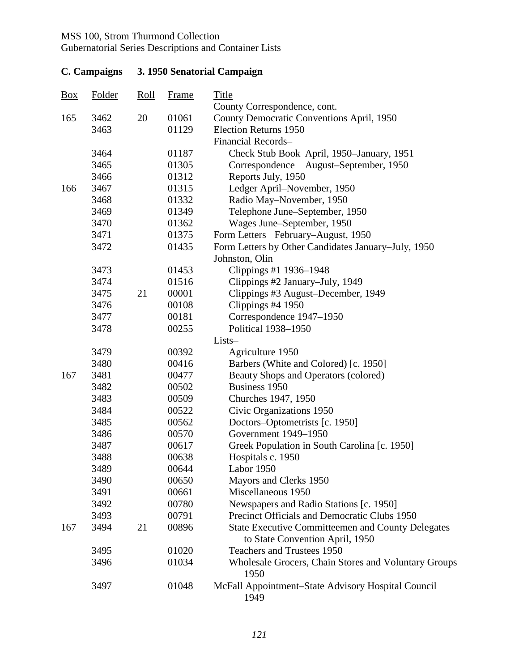Gubernatorial Series Descriptions and Container Lists

| $\frac{Box}{}$ | <b>Folder</b> | $\frac{\text{Roll}}{\text{Roll}}$ | <b>Frame</b> | <b>Title</b><br>County Correspondence, cont.                                                |
|----------------|---------------|-----------------------------------|--------------|---------------------------------------------------------------------------------------------|
| 165            | 3462          | 20                                | 01061        | County Democratic Conventions April, 1950                                                   |
|                | 3463          |                                   | 01129        | <b>Election Returns 1950</b>                                                                |
|                |               |                                   |              | Financial Records-                                                                          |
|                | 3464          |                                   | 01187        | Check Stub Book April, 1950–January, 1951                                                   |
|                | 3465          |                                   | 01305        | Correspondence August-September, 1950                                                       |
|                | 3466          |                                   | 01312        | Reports July, 1950                                                                          |
| 166            | 3467          |                                   | 01315        | Ledger April–November, 1950                                                                 |
|                | 3468          |                                   | 01332        | Radio May-November, 1950                                                                    |
|                | 3469          |                                   | 01349        | Telephone June–September, 1950                                                              |
|                | 3470          |                                   | 01362        | Wages June–September, 1950                                                                  |
|                | 3471          |                                   | 01375        | Form Letters February–August, 1950                                                          |
|                | 3472          |                                   | 01435        | Form Letters by Other Candidates January-July, 1950                                         |
|                |               |                                   |              | Johnston, Olin                                                                              |
|                | 3473          |                                   | 01453        | Clippings #1 1936-1948                                                                      |
|                | 3474          |                                   | 01516        | Clippings #2 January-July, 1949                                                             |
|                | 3475          | 21                                | 00001        | Clippings #3 August-December, 1949                                                          |
|                | 3476          |                                   | 00108        | Clippings #4 1950                                                                           |
|                | 3477          |                                   | 00181        | Correspondence 1947-1950                                                                    |
|                | 3478          |                                   | 00255        | Political 1938-1950                                                                         |
|                |               |                                   |              | Lists-                                                                                      |
|                | 3479          |                                   | 00392        | Agriculture 1950                                                                            |
|                | 3480          |                                   | 00416        | Barbers (White and Colored) [c. 1950]                                                       |
| 167            | 3481          |                                   | 00477        | Beauty Shops and Operators (colored)                                                        |
|                | 3482          |                                   | 00502        | Business 1950                                                                               |
|                | 3483          |                                   | 00509        | Churches 1947, 1950                                                                         |
|                | 3484          |                                   | 00522        | Civic Organizations 1950                                                                    |
|                | 3485          |                                   | 00562        | Doctors-Optometrists [c. 1950]                                                              |
|                | 3486          |                                   | 00570        | Government 1949-1950                                                                        |
|                | 3487          |                                   | 00617        | Greek Population in South Carolina [c. 1950]                                                |
|                | 3488          |                                   | 00638        | Hospitals c. 1950                                                                           |
|                | 3489          |                                   | 00644        | Labor 1950                                                                                  |
|                | 3490          |                                   | 00650        | Mayors and Clerks 1950                                                                      |
|                | 3491          |                                   | 00661        | Miscellaneous 1950                                                                          |
|                | 3492          |                                   | 00780        | Newspapers and Radio Stations [c. 1950]                                                     |
|                | 3493          |                                   | 00791        | Precinct Officials and Democratic Clubs 1950                                                |
| 167            | 3494          | 21                                | 00896        | <b>State Executive Committeemen and County Delegates</b><br>to State Convention April, 1950 |
|                | 3495          |                                   | 01020        | Teachers and Trustees 1950                                                                  |
|                | 3496          |                                   | 01034        | <b>Wholesale Grocers, Chain Stores and Voluntary Groups</b><br>1950                         |
|                | 3497          |                                   | 01048        | McFall Appointment–State Advisory Hospital Council<br>1949                                  |

## **C. Campaigns 3. 1950 Senatorial Campaign**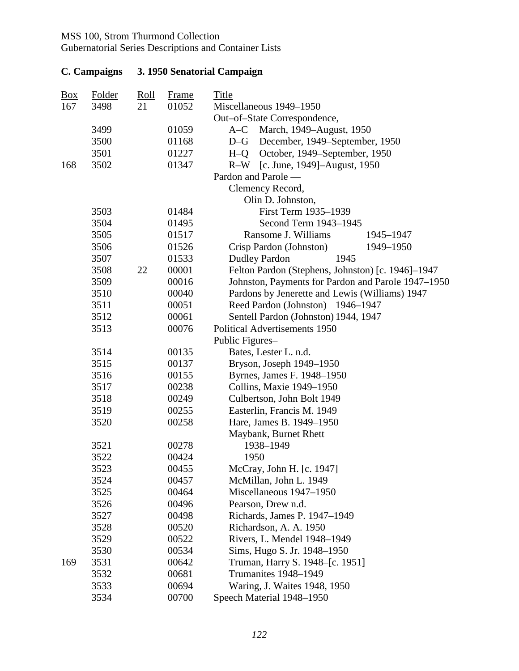| $\frac{Box}{\sqrt{partial}}$<br>167 | Folder<br>3498 | <u>Roll</u><br>21 | <b>Frame</b><br>01052 | <b>Title</b><br>Miscellaneous 1949-1950            |
|-------------------------------------|----------------|-------------------|-----------------------|----------------------------------------------------|
|                                     |                |                   |                       | Out-of-State Correspondence,                       |
|                                     | 3499           |                   | 01059                 | March, 1949–August, 1950<br>$A-C$                  |
|                                     | 3500           |                   | 01168                 | December, 1949–September, 1950<br>$D-G$            |
|                                     | 3501           |                   | 01227                 | October, 1949–September, 1950<br>$H - Q$           |
| 168                                 | 3502           |                   | 01347                 | R-W [c. June, 1949]-August, 1950                   |
|                                     |                |                   |                       | Pardon and Parole —                                |
|                                     |                |                   |                       | Clemency Record,                                   |
|                                     |                |                   |                       | Olin D. Johnston,                                  |
|                                     | 3503           |                   | 01484                 | First Term 1935-1939                               |
|                                     | 3504           |                   | 01495                 | Second Term 1943-1945                              |
|                                     | 3505           |                   | 01517                 | Ransome J. Williams<br>1945-1947                   |
|                                     | 3506           |                   | 01526                 | Crisp Pardon (Johnston)<br>1949-1950               |
|                                     | 3507           |                   | 01533                 | <b>Dudley Pardon</b><br>1945                       |
|                                     | 3508           | 22                | 00001                 | Felton Pardon (Stephens, Johnston) [c. 1946]-1947  |
|                                     | 3509           |                   | 00016                 | Johnston, Payments for Pardon and Parole 1947-1950 |
|                                     | 3510           |                   | 00040                 | Pardons by Jenerette and Lewis (Williams) 1947     |
|                                     | 3511           |                   | 00051                 | Reed Pardon (Johnston) 1946-1947                   |
|                                     | 3512           |                   | 00061                 | Sentell Pardon (Johnston) 1944, 1947               |
|                                     | 3513           |                   | 00076                 | <b>Political Advertisements 1950</b>               |
|                                     |                |                   |                       | Public Figures-                                    |
|                                     | 3514           |                   | 00135                 | Bates, Lester L. n.d.                              |
|                                     | 3515           |                   | 00137                 | Bryson, Joseph 1949-1950                           |
|                                     | 3516           |                   | 00155                 | Byrnes, James F. 1948-1950                         |
|                                     | 3517           |                   | 00238                 | Collins, Maxie 1949-1950                           |
|                                     | 3518           |                   | 00249                 | Culbertson, John Bolt 1949                         |
|                                     | 3519           |                   | 00255                 | Easterlin, Francis M. 1949                         |
|                                     | 3520           |                   | 00258                 | Hare, James B. 1949-1950                           |
|                                     |                |                   |                       | Maybank, Burnet Rhett                              |
|                                     | 3521           |                   | 00278                 | 1938-1949                                          |
|                                     | 3522           |                   | 00424                 | 1950                                               |
|                                     | 3523           |                   | 00455                 | McCray, John H. [c. 1947]                          |
|                                     | 3524           |                   | 00457                 | McMillan, John L. 1949                             |
|                                     | 3525           |                   | 00464                 | Miscellaneous 1947-1950                            |
|                                     | 3526           |                   | 00496                 | Pearson, Drew n.d.                                 |
|                                     | 3527           |                   | 00498                 | Richards, James P. 1947-1949                       |
|                                     | 3528           |                   | 00520                 | Richardson, A. A. 1950                             |
|                                     | 3529           |                   | 00522                 | Rivers, L. Mendel 1948-1949                        |
|                                     | 3530           |                   | 00534                 | Sims, Hugo S. Jr. 1948–1950                        |
| 169                                 | 3531           |                   | 00642                 | Truman, Harry S. 1948–[c. 1951]                    |
|                                     | 3532           |                   | 00681                 | Trumanites 1948-1949                               |
|                                     | 3533           |                   | 00694                 | Waring, J. Waites 1948, 1950                       |
|                                     | 3534           |                   | 00700                 | Speech Material 1948-1950                          |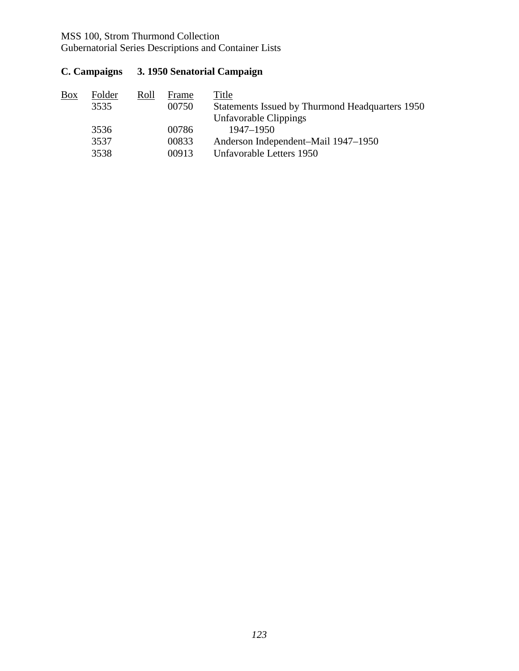Gubernatorial Series Descriptions and Container Lists

**C. Campaigns 3. 1950 Senatorial Campaign** 

| Box | Folder | Roll | Frame | Title                                           |
|-----|--------|------|-------|-------------------------------------------------|
|     | 3535   |      | 00750 | Statements Issued by Thurmond Headquarters 1950 |
|     |        |      |       | Unfavorable Clippings                           |
|     | 3536   |      | 00786 | 1947–1950                                       |
|     | 3537   |      | 00833 | Anderson Independent–Mail 1947–1950             |
|     | 3538   |      | 00913 | Unfavorable Letters 1950                        |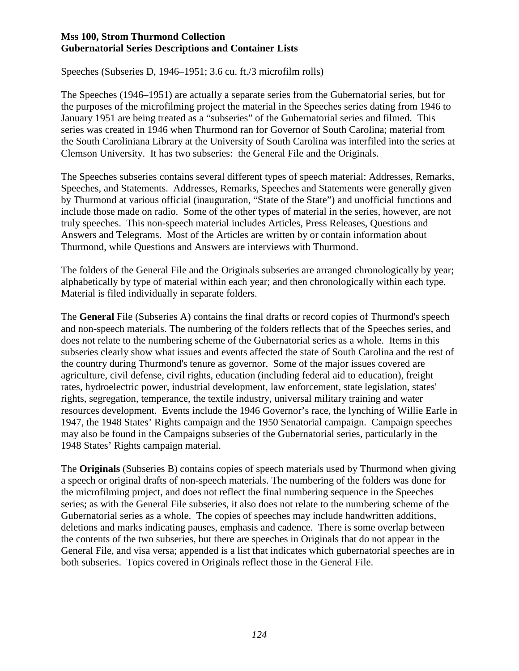Speeches (Subseries D, 1946–1951; 3.6 cu. ft./3 microfilm rolls)

The Speeches (1946–1951) are actually a separate series from the Gubernatorial series, but for the purposes of the microfilming project the material in the Speeches series dating from 1946 to January 1951 are being treated as a "subseries" of the Gubernatorial series and filmed. This series was created in 1946 when Thurmond ran for Governor of South Carolina; material from the South Caroliniana Library at the University of South Carolina was interfiled into the series at Clemson University. It has two subseries: the General File and the Originals.

The Speeches subseries contains several different types of speech material: Addresses, Remarks, Speeches, and Statements. Addresses, Remarks, Speeches and Statements were generally given by Thurmond at various official (inauguration, "State of the State") and unofficial functions and include those made on radio. Some of the other types of material in the series, however, are not truly speeches. This non-speech material includes Articles, Press Releases, Questions and Answers and Telegrams. Most of the Articles are written by or contain information about Thurmond, while Questions and Answers are interviews with Thurmond.

The folders of the General File and the Originals subseries are arranged chronologically by year; alphabetically by type of material within each year; and then chronologically within each type. Material is filed individually in separate folders.

The **General** File (Subseries A) contains the final drafts or record copies of Thurmond's speech and non-speech materials. The numbering of the folders reflects that of the Speeches series, and does not relate to the numbering scheme of the Gubernatorial series as a whole. Items in this subseries clearly show what issues and events affected the state of South Carolina and the rest of the country during Thurmond's tenure as governor. Some of the major issues covered are agriculture, civil defense, civil rights, education (including federal aid to education), freight rates, hydroelectric power, industrial development, law enforcement, state legislation, states' rights, segregation, temperance, the textile industry, universal military training and water resources development. Events include the 1946 Governor's race, the lynching of Willie Earle in 1947, the 1948 States' Rights campaign and the 1950 Senatorial campaign. Campaign speeches may also be found in the Campaigns subseries of the Gubernatorial series, particularly in the 1948 States' Rights campaign material.

The **Originals** (Subseries B) contains copies of speech materials used by Thurmond when giving a speech or original drafts of non-speech materials. The numbering of the folders was done for the microfilming project, and does not reflect the final numbering sequence in the Speeches series; as with the General File subseries, it also does not relate to the numbering scheme of the Gubernatorial series as a whole. The copies of speeches may include handwritten additions, deletions and marks indicating pauses, emphasis and cadence. There is some overlap between the contents of the two subseries, but there are speeches in Originals that do not appear in the General File, and visa versa; appended is a list that indicates which gubernatorial speeches are in both subseries. Topics covered in Originals reflect those in the General File.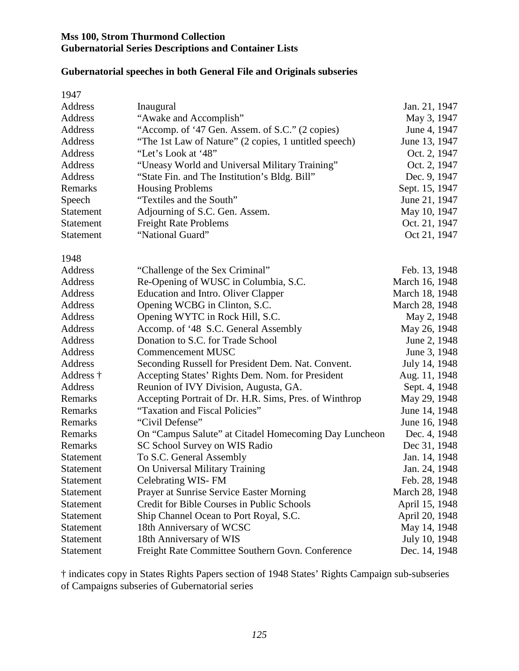#### **Gubernatorial speeches in both General File and Originals subseries**

| 1947             |                                                        |                |
|------------------|--------------------------------------------------------|----------------|
| Address          | Inaugural                                              | Jan. 21, 1947  |
| Address          | "Awake and Accomplish"                                 | May 3, 1947    |
| Address          | "Accomp. of '47 Gen. Assem. of S.C." (2 copies)        | June 4, 1947   |
| Address          | "The 1st Law of Nature" (2 copies, 1 untitled speech)  | June 13, 1947  |
| Address          | "Let's Look at '48"                                    | Oct. 2, 1947   |
| Address          | "Uneasy World and Universal Military Training"         | Oct. 2, 1947   |
| Address          | "State Fin. and The Institution's Bldg. Bill"          | Dec. 9, 1947   |
| Remarks          | <b>Housing Problems</b>                                | Sept. 15, 1947 |
| Speech           | "Textiles and the South"                               | June 21, 1947  |
| Statement        | Adjourning of S.C. Gen. Assem.                         | May 10, 1947   |
| <b>Statement</b> | <b>Freight Rate Problems</b>                           | Oct. 21, 1947  |
| <b>Statement</b> | "National Guard"                                       | Oct 21, 1947   |
|                  |                                                        |                |
| 1948             |                                                        |                |
| Address          | "Challenge of the Sex Criminal"                        | Feb. 13, 1948  |
| Address          | Re-Opening of WUSC in Columbia, S.C.                   | March 16, 1948 |
| Address          | <b>Education and Intro. Oliver Clapper</b>             | March 18, 1948 |
| Address          | Opening WCBG in Clinton, S.C.                          | March 28, 1948 |
| Address          | Opening WYTC in Rock Hill, S.C.                        | May 2, 1948    |
| Address          | Accomp. of '48 S.C. General Assembly                   | May 26, 1948   |
| Address          | Donation to S.C. for Trade School                      | June 2, 1948   |
| Address          | <b>Commencement MUSC</b>                               | June 3, 1948   |
| Address          | Seconding Russell for President Dem. Nat. Convent.     | July 14, 1948  |
| Address †        | Accepting States' Rights Dem. Nom. for President       | Aug. 11, 1948  |
| Address          | Reunion of IVY Division, Augusta, GA.                  | Sept. 4, 1948  |
| Remarks          | Accepting Portrait of Dr. H.R. Sims, Pres. of Winthrop | May 29, 1948   |
| Remarks          | "Taxation and Fiscal Policies"                         | June 14, 1948  |
| Remarks          | "Civil Defense"                                        | June 16, 1948  |
| Remarks          | On "Campus Salute" at Citadel Homecoming Day Luncheon  | Dec. 4, 1948   |
| Remarks          | SC School Survey on WIS Radio                          | Dec 31, 1948   |
| <b>Statement</b> | To S.C. General Assembly                               | Jan. 14, 1948  |
| Statement        | On Universal Military Training                         | Jan. 24, 1948  |
| <b>Statement</b> | Celebrating WIS-FM                                     | Feb. 28, 1948  |
| <b>Statement</b> | Prayer at Sunrise Service Easter Morning               | March 28, 1948 |
| <b>Statement</b> | Credit for Bible Courses in Public Schools             | April 15, 1948 |
| Statement        | Ship Channel Ocean to Port Royal, S.C.                 | April 20, 1948 |
| <b>Statement</b> | 18th Anniversary of WCSC                               | May 14, 1948   |
| <b>Statement</b> | 18th Anniversary of WIS                                | July 10, 1948  |
| Statement        | Freight Rate Committee Southern Govn. Conference       | Dec. 14, 1948  |

† indicates copy in States Rights Papers section of 1948 States' Rights Campaign sub-subseries of Campaigns subseries of Gubernatorial series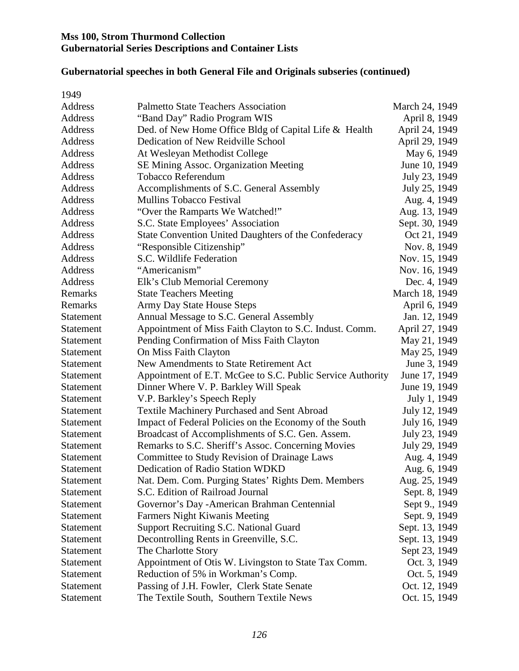#### **Gubernatorial speeches in both General File and Originals subseries (continued)**

| 1949             |                                                            |                |
|------------------|------------------------------------------------------------|----------------|
| Address          | <b>Palmetto State Teachers Association</b>                 | March 24, 1949 |
| Address          | "Band Day" Radio Program WIS                               | April 8, 1949  |
| Address          | Ded. of New Home Office Bldg of Capital Life & Health      | April 24, 1949 |
| Address          | Dedication of New Reidville School                         | April 29, 1949 |
| Address          | At Wesleyan Methodist College                              | May 6, 1949    |
| Address          | SE Mining Assoc. Organization Meeting                      | June 10, 1949  |
| Address          | <b>Tobacco Referendum</b>                                  | July 23, 1949  |
| Address          | Accomplishments of S.C. General Assembly                   | July 25, 1949  |
| Address          | <b>Mullins Tobacco Festival</b>                            | Aug. 4, 1949   |
| Address          | "Over the Ramparts We Watched!"                            | Aug. 13, 1949  |
| Address          | S.C. State Employees' Association                          | Sept. 30, 1949 |
| Address          | State Convention United Daughters of the Confederacy       | Oct 21, 1949   |
| Address          | "Responsible Citizenship"                                  | Nov. 8, 1949   |
| Address          | S.C. Wildlife Federation                                   | Nov. 15, 1949  |
| Address          | "Americanism"                                              | Nov. 16, 1949  |
| Address          | Elk's Club Memorial Ceremony                               | Dec. 4, 1949   |
| Remarks          | <b>State Teachers Meeting</b>                              | March 18, 1949 |
| Remarks          | Army Day State House Steps                                 | April 6, 1949  |
| Statement        | Annual Message to S.C. General Assembly                    | Jan. 12, 1949  |
| Statement        | Appointment of Miss Faith Clayton to S.C. Indust. Comm.    | April 27, 1949 |
| Statement        | Pending Confirmation of Miss Faith Clayton                 | May 21, 1949   |
| <b>Statement</b> | On Miss Faith Clayton                                      | May 25, 1949   |
| <b>Statement</b> | New Amendments to State Retirement Act                     | June 3, 1949   |
| <b>Statement</b> | Appointment of E.T. McGee to S.C. Public Service Authority | June 17, 1949  |
| <b>Statement</b> | Dinner Where V. P. Barkley Will Speak                      | June 19, 1949  |
| <b>Statement</b> | V.P. Barkley's Speech Reply                                | July 1, 1949   |
| <b>Statement</b> | <b>Textile Machinery Purchased and Sent Abroad</b>         | July 12, 1949  |
| <b>Statement</b> | Impact of Federal Policies on the Economy of the South     | July 16, 1949  |
| Statement        | Broadcast of Accomplishments of S.C. Gen. Assem.           | July 23, 1949  |
| Statement        | Remarks to S.C. Sheriff's Assoc. Concerning Movies         | July 29, 1949  |
| Statement        | Committee to Study Revision of Drainage Laws               | Aug. 4, 1949   |
| Statement        | Dedication of Radio Station WDKD                           | Aug. 6, 1949   |
| <b>Statement</b> | Nat. Dem. Com. Purging States' Rights Dem. Members         | Aug. 25, 1949  |
| <b>Statement</b> | S.C. Edition of Railroad Journal                           | Sept. 8, 1949  |
| <b>Statement</b> | Governor's Day - American Brahman Centennial               | Sept 9., 1949  |
| <b>Statement</b> | <b>Farmers Night Kiwanis Meeting</b>                       | Sept. 9, 1949  |
| <b>Statement</b> | Support Recruiting S.C. National Guard                     | Sept. 13, 1949 |
| <b>Statement</b> | Decontrolling Rents in Greenville, S.C.                    | Sept. 13, 1949 |
| <b>Statement</b> | The Charlotte Story                                        | Sept 23, 1949  |
| <b>Statement</b> | Appointment of Otis W. Livingston to State Tax Comm.       | Oct. 3, 1949   |
| Statement        | Reduction of 5% in Workman's Comp.                         | Oct. 5, 1949   |
| <b>Statement</b> | Passing of J.H. Fowler, Clerk State Senate                 | Oct. 12, 1949  |
| <b>Statement</b> | The Textile South, Southern Textile News                   | Oct. 15, 1949  |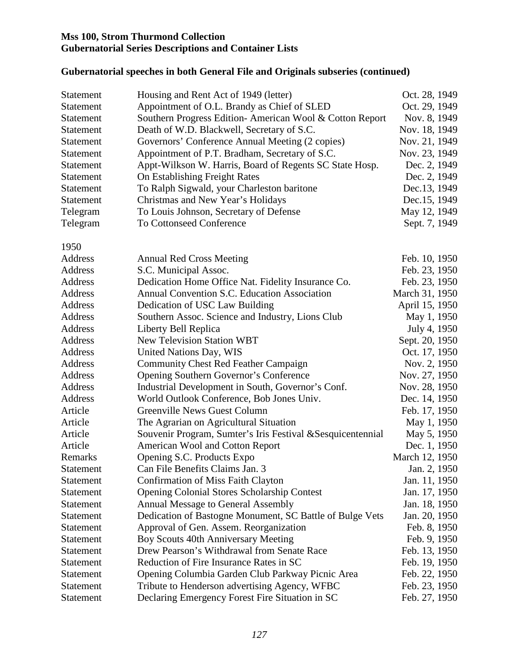#### **Gubernatorial speeches in both General File and Originals subseries (continued)**

| Statement        | Housing and Rent Act of 1949 (letter)                       | Oct. 28, 1949  |
|------------------|-------------------------------------------------------------|----------------|
| Statement        | Appointment of O.L. Brandy as Chief of SLED                 | Oct. 29, 1949  |
| Statement        | Southern Progress Edition- American Wool & Cotton Report    | Nov. 8, 1949   |
| <b>Statement</b> | Death of W.D. Blackwell, Secretary of S.C.                  | Nov. 18, 1949  |
| Statement        | Governors' Conference Annual Meeting (2 copies)             | Nov. 21, 1949  |
| Statement        | Appointment of P.T. Bradham, Secretary of S.C.              | Nov. 23, 1949  |
| Statement        | Appt-Wilkson W. Harris, Board of Regents SC State Hosp.     | Dec. 2, 1949   |
| Statement        | On Establishing Freight Rates                               | Dec. 2, 1949   |
| Statement        | To Ralph Sigwald, your Charleston baritone                  | Dec.13, 1949   |
| Statement        | Christmas and New Year's Holidays                           | Dec.15, 1949   |
| Telegram         | To Louis Johnson, Secretary of Defense                      | May 12, 1949   |
| Telegram         | To Cottonseed Conference                                    | Sept. 7, 1949  |
| 1950             |                                                             |                |
| Address          | <b>Annual Red Cross Meeting</b>                             | Feb. 10, 1950  |
| Address          | S.C. Municipal Assoc.                                       | Feb. 23, 1950  |
| Address          | Dedication Home Office Nat. Fidelity Insurance Co.          | Feb. 23, 1950  |
| Address          | Annual Convention S.C. Education Association                | March 31, 1950 |
| Address          | Dedication of USC Law Building                              | April 15, 1950 |
| Address          | Southern Assoc. Science and Industry, Lions Club            | May 1, 1950    |
| Address          | Liberty Bell Replica                                        | July 4, 1950   |
| Address          | <b>New Television Station WBT</b>                           | Sept. 20, 1950 |
| Address          | United Nations Day, WIS                                     | Oct. 17, 1950  |
| Address          | <b>Community Chest Red Feather Campaign</b>                 | Nov. 2, 1950   |
| Address          | <b>Opening Southern Governor's Conference</b>               | Nov. 27, 1950  |
| Address          | Industrial Development in South, Governor's Conf.           | Nov. 28, 1950  |
| Address          | World Outlook Conference, Bob Jones Univ.                   | Dec. 14, 1950  |
| Article          | <b>Greenville News Guest Column</b>                         | Feb. 17, 1950  |
| Article          | The Agrarian on Agricultural Situation                      | May 1, 1950    |
| Article          | Souvenir Program, Sumter's Iris Festival & Sesquicentennial | May 5, 1950    |
| Article          | American Wool and Cotton Report                             | Dec. 1, 1950   |
| Remarks          | Opening S.C. Products Expo                                  | March 12, 1950 |
| Statement        | Can File Benefits Claims Jan. 3                             | Jan. 2, 1950   |
| <b>Statement</b> | <b>Confirmation of Miss Faith Clayton</b>                   | Jan. 11, 1950  |
| <b>Statement</b> | <b>Opening Colonial Stores Scholarship Contest</b>          | Jan. 17, 1950  |
| Statement        | <b>Annual Message to General Assembly</b>                   | Jan. 18, 1950  |
| Statement        | Dedication of Bastogne Monument, SC Battle of Bulge Vets    | Jan. 20, 1950  |
| Statement        | Approval of Gen. Assem. Reorganization                      | Feb. 8, 1950   |
| <b>Statement</b> | Boy Scouts 40th Anniversary Meeting                         | Feb. 9, 1950   |
| Statement        | Drew Pearson's Withdrawal from Senate Race                  | Feb. 13, 1950  |
| <b>Statement</b> | Reduction of Fire Insurance Rates in SC                     | Feb. 19, 1950  |
| Statement        | Opening Columbia Garden Club Parkway Picnic Area            | Feb. 22, 1950  |
| <b>Statement</b> | Tribute to Henderson advertising Agency, WFBC               | Feb. 23, 1950  |
| Statement        | Declaring Emergency Forest Fire Situation in SC             | Feb. 27, 1950  |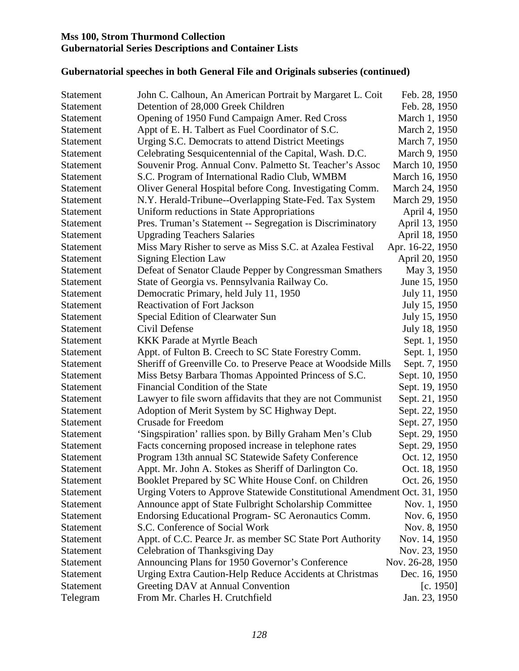#### **Gubernatorial speeches in both General File and Originals subseries (continued)**

| <b>Statement</b> | John C. Calhoun, An American Portrait by Margaret L. Coit                 | Feb. 28, 1950    |
|------------------|---------------------------------------------------------------------------|------------------|
| Statement        | Detention of 28,000 Greek Children                                        | Feb. 28, 1950    |
| <b>Statement</b> | Opening of 1950 Fund Campaign Amer. Red Cross                             | March 1, 1950    |
| <b>Statement</b> | Appt of E. H. Talbert as Fuel Coordinator of S.C.                         | March 2, 1950    |
| Statement        | Urging S.C. Democrats to attend District Meetings                         | March 7, 1950    |
| <b>Statement</b> | Celebrating Sesquicentennial of the Capital, Wash. D.C.                   | March 9, 1950    |
| <b>Statement</b> | Souvenir Prog. Annual Conv. Palmetto St. Teacher's Assoc                  | March 10, 1950   |
| <b>Statement</b> | S.C. Program of International Radio Club, WMBM                            | March 16, 1950   |
| <b>Statement</b> | Oliver General Hospital before Cong. Investigating Comm.                  | March 24, 1950   |
| <b>Statement</b> | N.Y. Herald-Tribune--Overlapping State-Fed. Tax System                    | March 29, 1950   |
| Statement        | Uniform reductions in State Appropriations                                | April 4, 1950    |
| <b>Statement</b> | Pres. Truman's Statement -- Segregation is Discriminatory                 | April 13, 1950   |
| <b>Statement</b> | <b>Upgrading Teachers Salaries</b>                                        | April 18, 1950   |
| <b>Statement</b> | Miss Mary Risher to serve as Miss S.C. at Azalea Festival                 | Apr. 16-22, 1950 |
| <b>Statement</b> | <b>Signing Election Law</b>                                               | April 20, 1950   |
| <b>Statement</b> | Defeat of Senator Claude Pepper by Congressman Smathers                   | May 3, 1950      |
| Statement        | State of Georgia vs. Pennsylvania Railway Co.                             | June 15, 1950    |
| Statement        | Democratic Primary, held July 11, 1950                                    | July 11, 1950    |
| <b>Statement</b> | <b>Reactivation of Fort Jackson</b>                                       | July 15, 1950    |
| <b>Statement</b> | Special Edition of Clearwater Sun                                         | July 15, 1950    |
| Statement        | Civil Defense                                                             | July 18, 1950    |
| Statement        | <b>KKK</b> Parade at Myrtle Beach                                         | Sept. 1, 1950    |
| <b>Statement</b> | Appt. of Fulton B. Creech to SC State Forestry Comm.                      | Sept. 1, 1950    |
| Statement        | Sheriff of Greenville Co. to Preserve Peace at Woodside Mills             | Sept. 7, 1950    |
| Statement        | Miss Betsy Barbara Thomas Appointed Princess of S.C.                      | Sept. 10, 1950   |
| Statement        | Financial Condition of the State                                          | Sept. 19, 1950   |
| Statement        | Lawyer to file sworn affidavits that they are not Communist               | Sept. 21, 1950   |
| Statement        | Adoption of Merit System by SC Highway Dept.                              | Sept. 22, 1950   |
| Statement        | <b>Crusade for Freedom</b>                                                | Sept. 27, 1950   |
| Statement        | 'Singspiration' rallies spon. by Billy Graham Men's Club                  | Sept. 29, 1950   |
| Statement        | Facts concerning proposed increase in telephone rates                     | Sept. 29, 1950   |
| Statement        | Program 13th annual SC Statewide Safety Conference                        | Oct. 12, 1950    |
| Statement        | Appt. Mr. John A. Stokes as Sheriff of Darlington Co.                     | Oct. 18, 1950    |
| <b>Statement</b> | Booklet Prepared by SC White House Conf. on Children                      | Oct. 26, 1950    |
| <b>Statement</b> | Urging Voters to Approve Statewide Constitutional Amendment Oct. 31, 1950 |                  |
| Statement        | Announce appt of State Fulbright Scholarship Committee                    | Nov. 1, 1950     |
| Statement        | Endorsing Educational Program- SC Aeronautics Comm.                       | Nov. 6, 1950     |
| Statement        | S.C. Conference of Social Work                                            | Nov. 8, 1950     |
| <b>Statement</b> | Appt. of C.C. Pearce Jr. as member SC State Port Authority                | Nov. 14, 1950    |
| Statement        | Celebration of Thanksgiving Day                                           | Nov. 23, 1950    |
| Statement        | Announcing Plans for 1950 Governor's Conference                           | Nov. 26-28, 1950 |
| Statement        | Urging Extra Caution-Help Reduce Accidents at Christmas                   | Dec. 16, 1950    |
| Statement        | Greeting DAV at Annual Convention                                         | [c. 1950]        |
| Telegram         | From Mr. Charles H. Crutchfield                                           | Jan. 23, 1950    |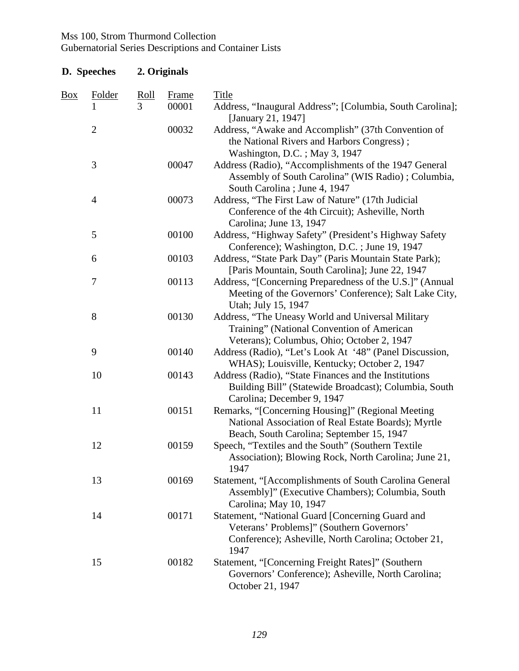## Gubernatorial Series Descriptions and Container Lists

## **D. Speeches 2. Originals**

| <b>Box</b> | Folder         | <b>Roll</b> | Frame | Title                                                                                                                                                        |
|------------|----------------|-------------|-------|--------------------------------------------------------------------------------------------------------------------------------------------------------------|
|            |                | 3           | 00001 | Address, "Inaugural Address"; [Columbia, South Carolina];<br>[January 21, 1947]                                                                              |
|            | $\mathbf{2}$   |             | 00032 | Address, "Awake and Accomplish" (37th Convention of<br>the National Rivers and Harbors Congress);<br>Washington, D.C.; May 3, 1947                           |
|            | $\mathfrak{Z}$ |             | 00047 | Address (Radio), "Accomplishments of the 1947 General<br>Assembly of South Carolina" (WIS Radio) ; Columbia,<br>South Carolina ; June 4, 1947                |
|            | $\overline{4}$ |             | 00073 | Address, "The First Law of Nature" (17th Judicial<br>Conference of the 4th Circuit); Asheville, North<br>Carolina; June 13, 1947                             |
|            | 5              |             | 00100 | Address, "Highway Safety" (President's Highway Safety<br>Conference); Washington, D.C.; June 19, 1947                                                        |
|            | 6              |             | 00103 | Address, "State Park Day" (Paris Mountain State Park);<br>[Paris Mountain, South Carolina]; June 22, 1947                                                    |
|            | 7              |             | 00113 | Address, "[Concerning Preparedness of the U.S.]" (Annual<br>Meeting of the Governors' Conference); Salt Lake City,<br>Utah; July 15, 1947                    |
|            | $8\,$          |             | 00130 | Address, "The Uneasy World and Universal Military<br>Training" (National Convention of American<br>Veterans); Columbus, Ohio; October 2, 1947                |
|            | 9              |             | 00140 | Address (Radio), "Let's Look At '48" (Panel Discussion,<br>WHAS); Louisville, Kentucky; October 2, 1947                                                      |
|            | 10             |             | 00143 | Address (Radio), "State Finances and the Institutions<br>Building Bill" (Statewide Broadcast); Columbia, South<br>Carolina; December 9, 1947                 |
|            | 11             |             | 00151 | Remarks, "[Concerning Housing]" (Regional Meeting<br>National Association of Real Estate Boards); Myrtle<br>Beach, South Carolina; September 15, 1947        |
|            | 12             |             | 00159 | Speech, "Textiles and the South" (Southern Textile<br>Association); Blowing Rock, North Carolina; June 21,<br>1947                                           |
|            | 13             |             | 00169 | Statement, "[Accomplishments of South Carolina General<br>Assembly]" (Executive Chambers); Columbia, South<br>Carolina; May 10, 1947                         |
|            | 14             |             | 00171 | Statement, "National Guard [Concerning Guard and<br>Veterans' Problems]" (Southern Governors'<br>Conference); Asheville, North Carolina; October 21,<br>1947 |
|            | 15             |             | 00182 | Statement, "[Concerning Freight Rates]" (Southern<br>Governors' Conference); Asheville, North Carolina;<br>October 21, 1947                                  |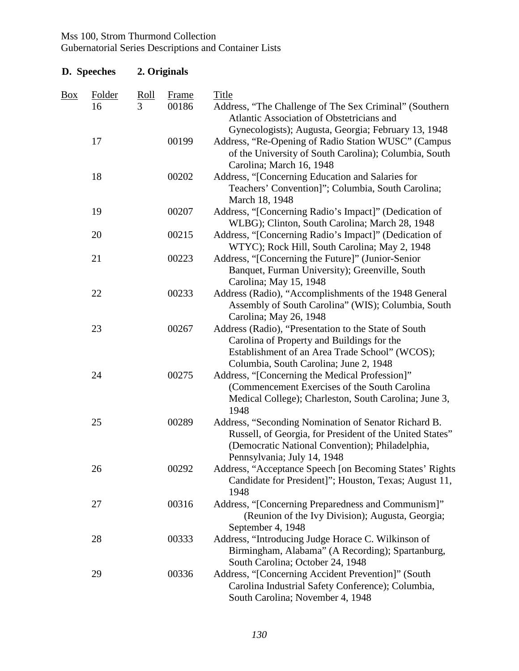| D. Speeches    |                     | 2. Originals |                       |                                                                                                                                                                                                    |  |  |
|----------------|---------------------|--------------|-----------------------|----------------------------------------------------------------------------------------------------------------------------------------------------------------------------------------------------|--|--|
| $\frac{Box}{}$ | <b>Folder</b><br>16 | Roll<br>3    | <b>Frame</b><br>00186 | <b>Title</b><br>Address, "The Challenge of The Sex Criminal" (Southern<br>Atlantic Association of Obstetricians and<br>Gynecologists); Augusta, Georgia; February 13, 1948                         |  |  |
|                | 17                  |              | 00199                 | Address, "Re-Opening of Radio Station WUSC" (Campus<br>of the University of South Carolina); Columbia, South<br>Carolina; March 16, 1948                                                           |  |  |
|                | 18                  |              | 00202                 | Address, "[Concerning Education and Salaries for<br>Teachers' Convention]"; Columbia, South Carolina;<br>March 18, 1948                                                                            |  |  |
|                | 19                  |              | 00207                 | Address, "[Concerning Radio's Impact]" (Dedication of<br>WLBG); Clinton, South Carolina; March 28, 1948                                                                                            |  |  |
|                | 20                  |              | 00215                 | Address, "[Concerning Radio's Impact]" (Dedication of<br>WTYC); Rock Hill, South Carolina; May 2, 1948                                                                                             |  |  |
|                | 21                  |              | 00223                 | Address, "[Concerning the Future]" (Junior-Senior<br>Banquet, Furman University); Greenville, South<br>Carolina; May 15, 1948                                                                      |  |  |
|                | 22                  |              | 00233                 | Address (Radio), "Accomplishments of the 1948 General<br>Assembly of South Carolina" (WIS); Columbia, South<br>Carolina; May 26, 1948                                                              |  |  |
|                | 23                  |              | 00267                 | Address (Radio), "Presentation to the State of South<br>Carolina of Property and Buildings for the<br>Establishment of an Area Trade School" (WCOS);<br>Columbia, South Carolina; June 2, 1948     |  |  |
|                | 24                  |              | 00275                 | Address, "[Concerning the Medical Profession]"<br>(Commencement Exercises of the South Carolina)<br>Medical College); Charleston, South Carolina; June 3,<br>1948                                  |  |  |
|                | 25                  |              | 00289                 | Address, "Seconding Nomination of Senator Richard B.<br>Russell, of Georgia, for President of the United States"<br>(Democratic National Convention); Philadelphia,<br>Pennsylvania; July 14, 1948 |  |  |
|                | 26                  |              | 00292                 | Address, "Acceptance Speech [on Becoming States' Rights<br>Candidate for President]"; Houston, Texas; August 11,<br>1948                                                                           |  |  |
|                | 27                  |              | 00316                 | Address, "[Concerning Preparedness and Communism]"<br>(Reunion of the Ivy Division); Augusta, Georgia;<br>September 4, 1948                                                                        |  |  |
|                | 28                  |              | 00333                 | Address, "Introducing Judge Horace C. Wilkinson of<br>Birmingham, Alabama" (A Recording); Spartanburg,<br>South Carolina; October 24, 1948                                                         |  |  |
|                | 29                  |              | 00336                 | Address, "[Concerning Accident Prevention]" (South<br>Carolina Industrial Safety Conference); Columbia,<br>South Carolina; November 4, 1948                                                        |  |  |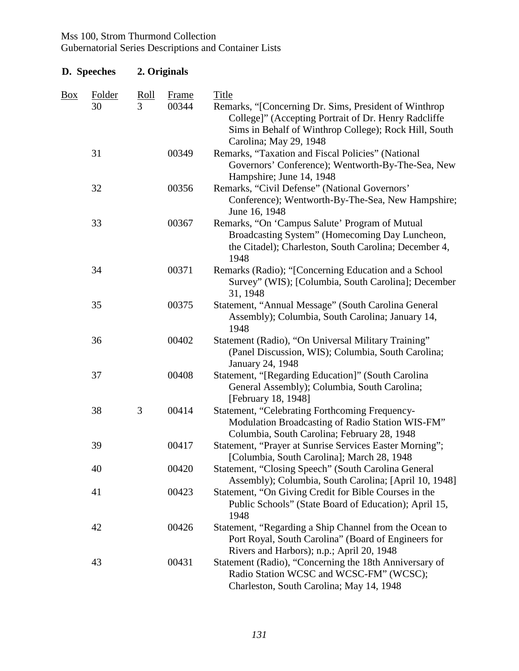## Gubernatorial Series Descriptions and Container Lists

## **D. Speeches 2. Originals**

| Box | Folder<br>30 | Roll<br>3 | Frame<br>00344 | <b>Title</b><br>Remarks, "[Concerning Dr. Sims, President of Winthrop<br>College]" (Accepting Portrait of Dr. Henry Radcliffe                                     |
|-----|--------------|-----------|----------------|-------------------------------------------------------------------------------------------------------------------------------------------------------------------|
|     |              |           |                | Sims in Behalf of Winthrop College); Rock Hill, South<br>Carolina; May 29, 1948                                                                                   |
|     | 31           |           | 00349          | Remarks, "Taxation and Fiscal Policies" (National<br>Governors' Conference); Wentworth-By-The-Sea, New<br>Hampshire; June 14, 1948                                |
|     | 32           |           | 00356          | Remarks, "Civil Defense" (National Governors'<br>Conference); Wentworth-By-The-Sea, New Hampshire;<br>June 16, 1948                                               |
|     | 33           |           | 00367          | Remarks, "On 'Campus Salute' Program of Mutual<br>Broadcasting System" (Homecoming Day Luncheon,<br>the Citadel); Charleston, South Carolina; December 4,<br>1948 |
|     | 34           |           | 00371          | Remarks (Radio); "[Concerning Education and a School<br>Survey" (WIS); [Columbia, South Carolina]; December<br>31, 1948                                           |
|     | 35           |           | 00375          | Statement, "Annual Message" (South Carolina General<br>Assembly); Columbia, South Carolina; January 14,<br>1948                                                   |
|     | 36           |           | 00402          | Statement (Radio), "On Universal Military Training"<br>(Panel Discussion, WIS); Columbia, South Carolina;<br>January 24, 1948                                     |
|     | 37           |           | 00408          | Statement, "[Regarding Education]" (South Carolina<br>General Assembly); Columbia, South Carolina;<br>[February 18, 1948]                                         |
|     | 38           | 3         | 00414          | Statement, "Celebrating Forthcoming Frequency-<br>Modulation Broadcasting of Radio Station WIS-FM"<br>Columbia, South Carolina; February 28, 1948                 |
|     | 39           |           | 00417          | Statement, "Prayer at Sunrise Services Easter Morning";<br>[Columbia, South Carolina]; March 28, 1948                                                             |
|     | 40           |           | 00420          | Statement, "Closing Speech" (South Carolina General<br>Assembly); Columbia, South Carolina; [April 10, 1948]                                                      |
|     | 41           |           | 00423          | Statement, "On Giving Credit for Bible Courses in the<br>Public Schools" (State Board of Education); April 15,<br>1948                                            |
|     | 42           |           | 00426          | Statement, "Regarding a Ship Channel from the Ocean to<br>Port Royal, South Carolina" (Board of Engineers for<br>Rivers and Harbors); n.p.; April 20, 1948        |
|     | 43           |           | 00431          | Statement (Radio), "Concerning the 18th Anniversary of<br>Radio Station WCSC and WCSC-FM" (WCSC);<br>Charleston, South Carolina; May 14, 1948                     |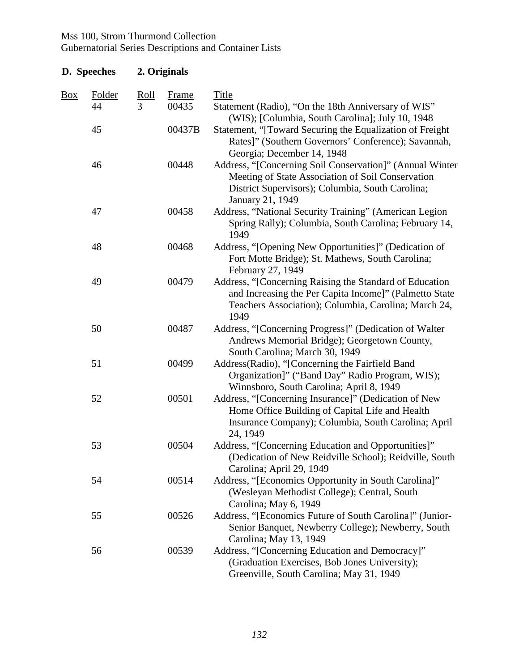| D. Speeches |              | 2. Originals |                       |                                                                                                                                                                                       |  |  |
|-------------|--------------|--------------|-----------------------|---------------------------------------------------------------------------------------------------------------------------------------------------------------------------------------|--|--|
| <b>Box</b>  | Folder<br>44 | Roll<br>3    | <b>Frame</b><br>00435 | <b>Title</b><br>Statement (Radio), "On the 18th Anniversary of WIS"<br>(WIS); [Columbia, South Carolina]; July 10, 1948                                                               |  |  |
|             | 45           |              | 00437B                | Statement, "[Toward Securing the Equalization of Freight<br>Rates]" (Southern Governors' Conference); Savannah,<br>Georgia; December 14, 1948                                         |  |  |
|             | 46           |              | 00448                 | Address, "[Concerning Soil Conservation]" (Annual Winter<br>Meeting of State Association of Soil Conservation<br>District Supervisors); Columbia, South Carolina;<br>January 21, 1949 |  |  |
|             | 47           |              | 00458                 | Address, "National Security Training" (American Legion<br>Spring Rally); Columbia, South Carolina; February 14,<br>1949                                                               |  |  |
|             | 48           |              | 00468                 | Address, "[Opening New Opportunities]" (Dedication of<br>Fort Motte Bridge); St. Mathews, South Carolina;<br>February 27, 1949                                                        |  |  |
|             | 49           |              | 00479                 | Address, "[Concerning Raising the Standard of Education<br>and Increasing the Per Capita Income]" (Palmetto State<br>Teachers Association); Columbia, Carolina; March 24,<br>1949     |  |  |
|             | 50           |              | 00487                 | Address, "[Concerning Progress]" (Dedication of Walter<br>Andrews Memorial Bridge); Georgetown County,<br>South Carolina; March 30, 1949                                              |  |  |
|             | 51           |              | 00499                 | Address(Radio), "[Concerning the Fairfield Band<br>Organization]" ("Band Day" Radio Program, WIS);<br>Winnsboro, South Carolina; April 8, 1949                                        |  |  |
|             | 52           |              | 00501                 | Address, "[Concerning Insurance]" (Dedication of New<br>Home Office Building of Capital Life and Health<br>Insurance Company); Columbia, South Carolina; April<br>24, 1949            |  |  |
|             | 53           |              | 00504                 | Address, "[Concerning Education and Opportunities]"<br>(Dedication of New Reidville School); Reidville, South<br>Carolina; April 29, 1949                                             |  |  |
|             | 54           |              | 00514                 | Address, "[Economics Opportunity in South Carolina]"<br>(Wesleyan Methodist College); Central, South<br>Carolina; May 6, 1949                                                         |  |  |
|             | 55           |              | 00526                 | Address, "[Economics Future of South Carolina]" (Junior-<br>Senior Banquet, Newberry College); Newberry, South<br>Carolina; May 13, 1949                                              |  |  |
|             | 56           |              | 00539                 | Address, "[Concerning Education and Democracy]"<br>(Graduation Exercises, Bob Jones University);<br>Greenville, South Carolina; May 31, 1949                                          |  |  |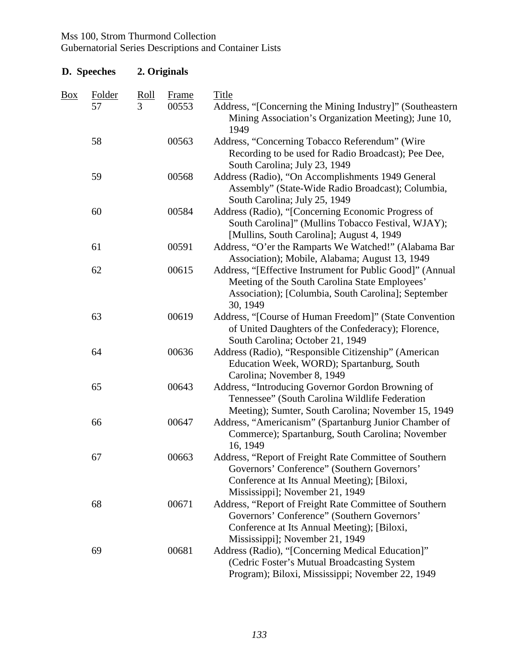| D. Speeches    |              | 2. Originals     |                       |                                                                                                                                                                                         |  |  |
|----------------|--------------|------------------|-----------------------|-----------------------------------------------------------------------------------------------------------------------------------------------------------------------------------------|--|--|
| $\frac{Box}{}$ | Folder<br>57 | <u>Roll</u><br>3 | <b>Frame</b><br>00553 | <b>Title</b><br>Address, "[Concerning the Mining Industry]" (Southeastern<br>Mining Association's Organization Meeting); June 10,<br>1949                                               |  |  |
|                | 58           |                  | 00563                 | Address, "Concerning Tobacco Referendum" (Wire<br>Recording to be used for Radio Broadcast); Pee Dee,<br>South Carolina; July 23, 1949                                                  |  |  |
|                | 59           |                  | 00568                 | Address (Radio), "On Accomplishments 1949 General<br>Assembly" (State-Wide Radio Broadcast); Columbia,<br>South Carolina; July 25, 1949                                                 |  |  |
|                | 60           |                  | 00584                 | Address (Radio), "[Concerning Economic Progress of<br>South Carolina]" (Mullins Tobacco Festival, WJAY);<br>[Mullins, South Carolina]; August 4, 1949                                   |  |  |
|                | 61           |                  | 00591                 | Address, "O'er the Ramparts We Watched!" (Alabama Bar<br>Association); Mobile, Alabama; August 13, 1949                                                                                 |  |  |
|                | 62           |                  | 00615                 | Address, "[Effective Instrument for Public Good]" (Annual<br>Meeting of the South Carolina State Employees'<br>Association); [Columbia, South Carolina]; September<br>30, 1949          |  |  |
|                | 63           |                  | 00619                 | Address, "[Course of Human Freedom]" (State Convention<br>of United Daughters of the Confederacy); Florence,<br>South Carolina; October 21, 1949                                        |  |  |
|                | 64           |                  | 00636                 | Address (Radio), "Responsible Citizenship" (American<br>Education Week, WORD); Spartanburg, South<br>Carolina; November 8, 1949                                                         |  |  |
|                | 65           |                  | 00643                 | Address, "Introducing Governor Gordon Browning of<br>Tennessee" (South Carolina Wildlife Federation<br>Meeting); Sumter, South Carolina; November 15, 1949                              |  |  |
|                | 66           |                  | 00647                 | Address, "Americanism" (Spartanburg Junior Chamber of<br>Commerce); Spartanburg, South Carolina; November<br>16, 1949                                                                   |  |  |
|                | 67           |                  | 00663                 | Address, "Report of Freight Rate Committee of Southern<br>Governors' Conference" (Southern Governors'<br>Conference at Its Annual Meeting); [Biloxi,<br>Mississippi]; November 21, 1949 |  |  |
|                | 68           |                  | 00671                 | Address, "Report of Freight Rate Committee of Southern<br>Governors' Conference" (Southern Governors'<br>Conference at Its Annual Meeting); [Biloxi,<br>Mississippi]; November 21, 1949 |  |  |
|                | 69           |                  | 00681                 | Address (Radio), "[Concerning Medical Education]"<br>(Cedric Foster's Mutual Broadcasting System)<br>Program); Biloxi, Mississippi; November 22, 1949                                   |  |  |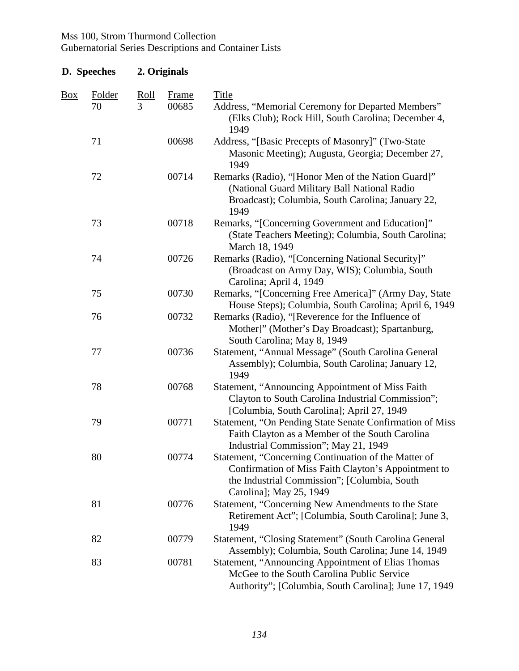| D. Speeches    |        |             | 2. Originals |                                                                                                                                                                                        |
|----------------|--------|-------------|--------------|----------------------------------------------------------------------------------------------------------------------------------------------------------------------------------------|
| $\frac{Box}{}$ | Folder | <u>Roll</u> | <b>Frame</b> | <b>Title</b>                                                                                                                                                                           |
|                | 70     | 3           | 00685        | Address, "Memorial Ceremony for Departed Members"<br>(Elks Club); Rock Hill, South Carolina; December 4,<br>1949                                                                       |
|                | 71     |             | 00698        | Address, "[Basic Precepts of Masonry]" (Two-State<br>Masonic Meeting); Augusta, Georgia; December 27,<br>1949                                                                          |
|                | 72     |             | 00714        | Remarks (Radio), "[Honor Men of the Nation Guard]"<br>(National Guard Military Ball National Radio<br>Broadcast); Columbia, South Carolina; January 22,<br>1949                        |
|                | 73     |             | 00718        | Remarks, "[Concerning Government and Education]"<br>(State Teachers Meeting); Columbia, South Carolina;<br>March 18, 1949                                                              |
|                | 74     |             | 00726        | Remarks (Radio), "[Concerning National Security]"<br>(Broadcast on Army Day, WIS); Columbia, South<br>Carolina; April 4, 1949                                                          |
|                | 75     |             | 00730        | Remarks, "[Concerning Free America]" (Army Day, State<br>House Steps); Columbia, South Carolina; April 6, 1949                                                                         |
|                | 76     |             | 00732        | Remarks (Radio), "[Reverence for the Influence of<br>Mother]" (Mother's Day Broadcast); Spartanburg,<br>South Carolina; May 8, 1949                                                    |
|                | 77     |             | 00736        | Statement, "Annual Message" (South Carolina General<br>Assembly); Columbia, South Carolina; January 12,<br>1949                                                                        |
|                | 78     |             | 00768        | Statement, "Announcing Appointment of Miss Faith<br>Clayton to South Carolina Industrial Commission";<br>[Columbia, South Carolina]; April 27, 1949                                    |
|                | 79     |             | 00771        | Statement, "On Pending State Senate Confirmation of Miss<br>Faith Clayton as a Member of the South Carolina<br>Industrial Commission"; May 21, 1949                                    |
|                | 80     |             | 00774        | Statement, "Concerning Continuation of the Matter of<br>Confirmation of Miss Faith Clayton's Appointment to<br>the Industrial Commission"; [Columbia, South<br>Carolina]; May 25, 1949 |
|                | 81     |             | 00776        | Statement, "Concerning New Amendments to the State<br>Retirement Act"; [Columbia, South Carolina]; June 3,<br>1949                                                                     |
|                | 82     |             | 00779        | Statement, "Closing Statement" (South Carolina General<br>Assembly); Columbia, South Carolina; June 14, 1949                                                                           |
|                | 83     |             | 00781        | <b>Statement, "Announcing Appointment of Elias Thomas</b><br>McGee to the South Carolina Public Service<br>Authority"; [Columbia, South Carolina]; June 17, 1949                       |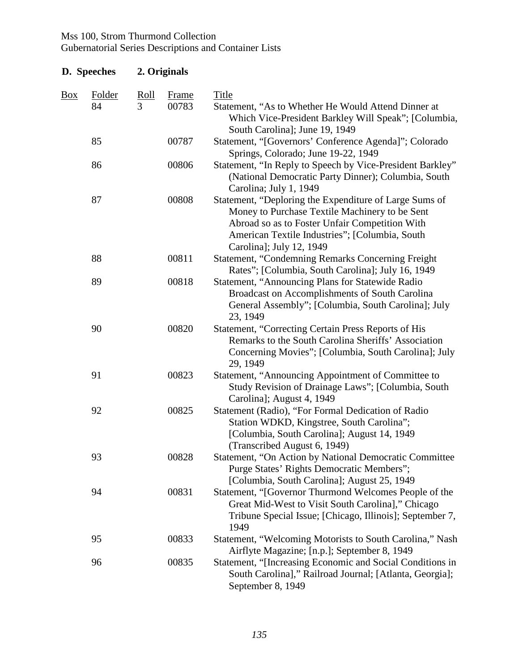| D. Speeches |                     |                  | 2. Originals   |                                                                                                                                                                                                                                          |
|-------------|---------------------|------------------|----------------|------------------------------------------------------------------------------------------------------------------------------------------------------------------------------------------------------------------------------------------|
| <u>Box</u>  | <b>Folder</b><br>84 | <u>Roll</u><br>3 | Frame<br>00783 | <b>Title</b><br>Statement, "As to Whether He Would Attend Dinner at<br>Which Vice-President Barkley Will Speak"; [Columbia,<br>South Carolina]; June 19, 1949                                                                            |
|             | 85                  |                  | 00787          | Statement, "[Governors' Conference Agenda]"; Colorado<br>Springs, Colorado; June 19-22, 1949                                                                                                                                             |
|             | 86                  |                  | 00806          | Statement, "In Reply to Speech by Vice-President Barkley"<br>(National Democratic Party Dinner); Columbia, South<br>Carolina; July 1, 1949                                                                                               |
|             | 87                  |                  | 00808          | Statement, "Deploring the Expenditure of Large Sums of<br>Money to Purchase Textile Machinery to be Sent<br>Abroad so as to Foster Unfair Competition With<br>American Textile Industries"; [Columbia, South<br>Carolina]; July 12, 1949 |
|             | 88                  |                  | 00811          | <b>Statement, "Condemning Remarks Concerning Freight</b><br>Rates"; [Columbia, South Carolina]; July 16, 1949                                                                                                                            |
|             | 89                  |                  | 00818          | Statement, "Announcing Plans for Statewide Radio<br>Broadcast on Accomplishments of South Carolina<br>General Assembly"; [Columbia, South Carolina]; July<br>23, 1949                                                                    |
|             | 90                  |                  | 00820          | Statement, "Correcting Certain Press Reports of His<br>Remarks to the South Carolina Sheriffs' Association<br>Concerning Movies"; [Columbia, South Carolina]; July<br>29, 1949                                                           |
|             | 91                  |                  | 00823          | Statement, "Announcing Appointment of Committee to<br>Study Revision of Drainage Laws"; [Columbia, South<br>Carolina]; August 4, 1949                                                                                                    |
|             | 92                  |                  | 00825          | Statement (Radio), "For Formal Dedication of Radio<br>Station WDKD, Kingstree, South Carolina";<br>[Columbia, South Carolina]; August 14, 1949<br>(Transcribed August 6, 1949)                                                           |
|             | 93                  |                  | 00828          | Statement, "On Action by National Democratic Committee<br>Purge States' Rights Democratic Members";<br>[Columbia, South Carolina]; August 25, 1949                                                                                       |
|             | 94                  |                  | 00831          | Statement, "[Governor Thurmond Welcomes People of the<br>Great Mid-West to Visit South Carolina]," Chicago<br>Tribune Special Issue; [Chicago, Illinois]; September 7,<br>1949                                                           |
|             | 95                  |                  | 00833          | Statement, "Welcoming Motorists to South Carolina," Nash<br>Airflyte Magazine; [n.p.]; September 8, 1949                                                                                                                                 |
|             | 96                  |                  | 00835          | Statement, "[Increasing Economic and Social Conditions in<br>South Carolina]," Railroad Journal; [Atlanta, Georgia];<br>September 8, 1949                                                                                                |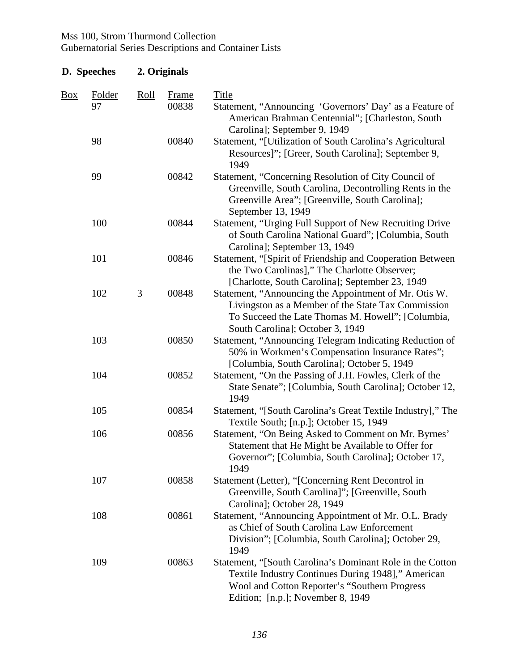| D. Speeches    |              | 2. Originals |                       |                                                                                                                                                                                                       |  |  |
|----------------|--------------|--------------|-----------------------|-------------------------------------------------------------------------------------------------------------------------------------------------------------------------------------------------------|--|--|
| $\frac{Box}{}$ | Folder<br>97 | <b>Roll</b>  | <b>Frame</b><br>00838 | <b>Title</b><br>Statement, "Announcing 'Governors' Day' as a Feature of<br>American Brahman Centennial"; [Charleston, South<br>Carolina]; September 9, 1949                                           |  |  |
|                | 98           |              | 00840                 | Statement, "[Utilization of South Carolina's Agricultural<br>Resources]"; [Greer, South Carolina]; September 9,<br>1949                                                                               |  |  |
|                | 99           |              | 00842                 | Statement, "Concerning Resolution of City Council of<br>Greenville, South Carolina, Decontrolling Rents in the<br>Greenville Area"; [Greenville, South Carolina];<br>September 13, 1949               |  |  |
|                | 100          |              | 00844                 | Statement, "Urging Full Support of New Recruiting Drive<br>of South Carolina National Guard"; [Columbia, South<br>Carolina]; September 13, 1949                                                       |  |  |
|                | 101          |              | 00846                 | Statement, "[Spirit of Friendship and Cooperation Between<br>the Two Carolinas]," The Charlotte Observer;<br>[Charlotte, South Carolina]; September 23, 1949                                          |  |  |
|                | 102          | 3            | 00848                 | Statement, "Announcing the Appointment of Mr. Otis W.<br>Livingston as a Member of the State Tax Commission<br>To Succeed the Late Thomas M. Howell"; [Columbia,<br>South Carolina]; October 3, 1949  |  |  |
|                | 103          |              | 00850                 | Statement, "Announcing Telegram Indicating Reduction of<br>50% in Workmen's Compensation Insurance Rates";<br>[Columbia, South Carolina]; October 5, 1949                                             |  |  |
|                | 104          |              | 00852                 | Statement, "On the Passing of J.H. Fowles, Clerk of the<br>State Senate"; [Columbia, South Carolina]; October 12,<br>1949                                                                             |  |  |
|                | 105          |              | 00854                 | Statement, "[South Carolina's Great Textile Industry]," The<br>Textile South; [n.p.]; October 15, 1949                                                                                                |  |  |
|                | 106          |              | 00856                 | Statement, "On Being Asked to Comment on Mr. Byrnes'<br>Statement that He Might be Available to Offer for<br>Governor"; [Columbia, South Carolina]; October 17,<br>1949                               |  |  |
|                | 107          |              | 00858                 | Statement (Letter), "[Concerning Rent Decontrol in<br>Greenville, South Carolina]"; [Greenville, South<br>Carolina]; October 28, 1949                                                                 |  |  |
|                | 108          |              | 00861                 | Statement, "Announcing Appointment of Mr. O.L. Brady<br>as Chief of South Carolina Law Enforcement<br>Division"; [Columbia, South Carolina]; October 29,<br>1949                                      |  |  |
|                | 109          |              | 00863                 | Statement, "[South Carolina's Dominant Role in the Cotton<br>Textile Industry Continues During 1948]," American<br>Wool and Cotton Reporter's "Southern Progress<br>Edition; [n.p.]; November 8, 1949 |  |  |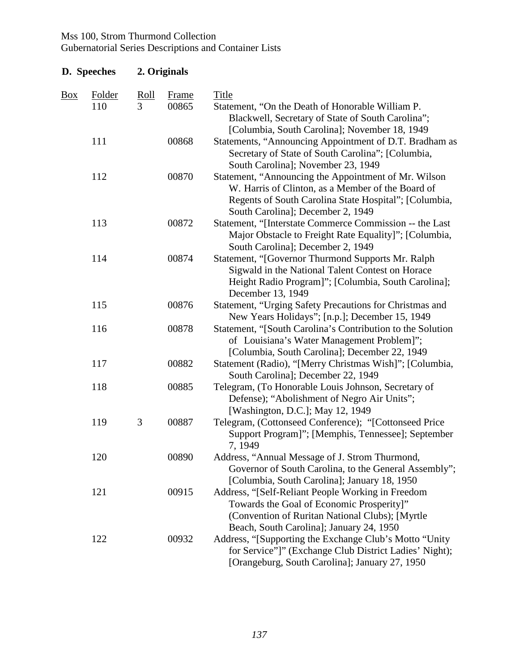#### Gubernatorial Series Descriptions and Container Lists

#### **D. Speeches 2. Originals**  Box Folder Roll Frame Title 110 3 00865 Statement, "On the Death of Honorable William P. Blackwell, Secretary of State of South Carolina"; [Columbia, South Carolina]; November 18, 1949 111 00868 Statements, "Announcing Appointment of D.T. Bradham as Secretary of State of South Carolina"; [Columbia, South Carolina]; November 23, 1949 112 00870 Statement, "Announcing the Appointment of Mr. Wilson W. Harris of Clinton, as a Member of the Board of Regents of South Carolina State Hospital"; [Columbia, South Carolina]; December 2, 1949 113 00872 Statement, "[Interstate Commerce Commission -- the Last Major Obstacle to Freight Rate Equality]"; [Columbia, South Carolina]; December 2, 1949 114 00874 Statement, "[Governor Thurmond Supports Mr. Ralph Sigwald in the National Talent Contest on Horace Height Radio Program]"; [Columbia, South Carolina]; December 13, 1949 115 00876 Statement, "Urging Safety Precautions for Christmas and New Years Holidays"; [n.p.]; December 15, 1949 116 00878 Statement, "[South Carolina's Contribution to the Solution of Louisiana's Water Management Problem]"; [Columbia, South Carolina]; December 22, 1949 117 00882 Statement (Radio), "[Merry Christmas Wish]"; [Columbia, South Carolina]; December 22, 1949 118 00885 Telegram, (To Honorable Louis Johnson, Secretary of Defense); "Abolishment of Negro Air Units"; [Washington, D.C.]; May 12, 1949 119 3 00887 Telegram, (Cottonseed Conference); "[Cottonseed Price Support Program]"; [Memphis, Tennessee]; September 7, 1949 120 00890 Address, "Annual Message of J. Strom Thurmond, Governor of South Carolina, to the General Assembly"; [Columbia, South Carolina]; January 18, 1950 121 00915 Address, "[Self-Reliant People Working in Freedom Towards the Goal of Economic Prosperity]" (Convention of Ruritan National Clubs); [Myrtle Beach, South Carolina]; January 24, 1950 122 00932 Address, "[Supporting the Exchange Club's Motto "Unity for Service"]" (Exchange Club District Ladies' Night); [Orangeburg, South Carolina]; January 27, 1950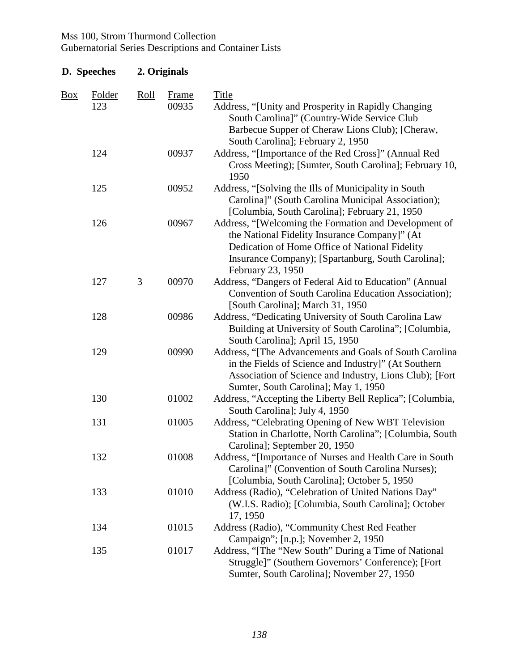| D. Speeches    |               | 2. Originals |                       |                                                                                                                                                                                                                                     |  |
|----------------|---------------|--------------|-----------------------|-------------------------------------------------------------------------------------------------------------------------------------------------------------------------------------------------------------------------------------|--|
| $\frac{Box}{}$ | Folder<br>123 | Roll         | <b>Frame</b><br>00935 | Title<br>Address, "[Unity and Prosperity in Rapidly Changing<br>South Carolina]" (Country-Wide Service Club<br>Barbecue Supper of Cheraw Lions Club); [Cheraw,<br>South Carolina]; February 2, 1950                                 |  |
|                | 124           |              | 00937                 | Address, "[Importance of the Red Cross]" (Annual Red<br>Cross Meeting); [Sumter, South Carolina]; February 10,<br>1950                                                                                                              |  |
|                | 125           |              | 00952                 | Address, "[Solving the Ills of Municipality in South<br>Carolina]" (South Carolina Municipal Association);<br>[Columbia, South Carolina]; February 21, 1950                                                                         |  |
|                | 126           |              | 00967                 | Address, "[Welcoming the Formation and Development of<br>the National Fidelity Insurance Company]" (At<br>Dedication of Home Office of National Fidelity<br>Insurance Company); [Spartanburg, South Carolina];<br>February 23, 1950 |  |
|                | 127           | 3            | 00970                 | Address, "Dangers of Federal Aid to Education" (Annual<br>Convention of South Carolina Education Association);<br>[South Carolina]; March 31, 1950                                                                                  |  |
|                | 128           |              | 00986                 | Address, "Dedicating University of South Carolina Law<br>Building at University of South Carolina"; [Columbia,<br>South Carolina]; April 15, 1950                                                                                   |  |
|                | 129           |              | 00990                 | Address, "[The Advancements and Goals of South Carolina<br>in the Fields of Science and Industry]" (At Southern<br>Association of Science and Industry, Lions Club); [Fort<br>Sumter, South Carolina]; May 1, 1950                  |  |
|                | 130           |              | 01002                 | Address, "Accepting the Liberty Bell Replica"; [Columbia,<br>South Carolina]; July 4, 1950                                                                                                                                          |  |
|                | 131           |              | 01005                 | Address, "Celebrating Opening of New WBT Television<br>Station in Charlotte, North Carolina"; [Columbia, South<br>Carolina]; September 20, 1950                                                                                     |  |
|                | 132           |              | 01008                 | Address, "[Importance of Nurses and Health Care in South<br>Carolina]" (Convention of South Carolina Nurses);<br>[Columbia, South Carolina]; October 5, 1950                                                                        |  |
|                | 133           |              | 01010                 | Address (Radio), "Celebration of United Nations Day"<br>(W.I.S. Radio); [Columbia, South Carolina]; October<br>17, 1950                                                                                                             |  |
|                | 134           |              | 01015                 | Address (Radio), "Community Chest Red Feather<br>Campaign"; [n.p.]; November 2, 1950                                                                                                                                                |  |
|                | 135           |              | 01017                 | Address, "[The "New South" During a Time of National<br>Struggle]" (Southern Governors' Conference); [Fort<br>Sumter, South Carolina]; November 27, 1950                                                                            |  |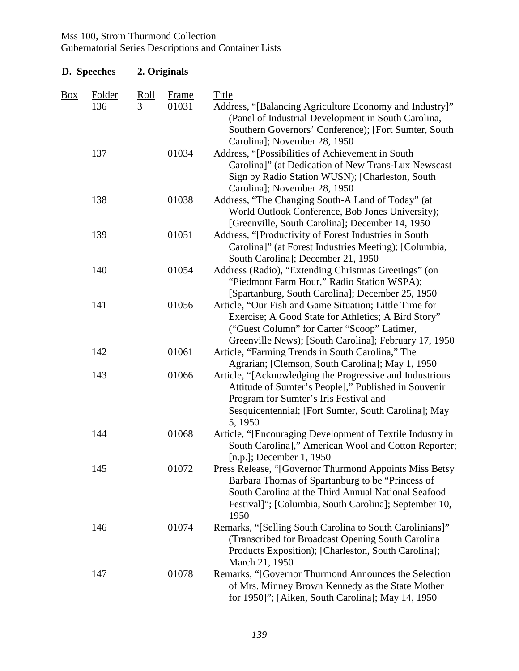| D. Speeches |                      | 2. Originals                           |                       |                                                                                                                                                                                                                                    |  |  |
|-------------|----------------------|----------------------------------------|-----------------------|------------------------------------------------------------------------------------------------------------------------------------------------------------------------------------------------------------------------------------|--|--|
| <b>Box</b>  | <b>Folder</b><br>136 | $\frac{\text{Roll}}{\text{Roll}}$<br>3 | <b>Frame</b><br>01031 | <b>Title</b><br>Address, "[Balancing Agriculture Economy and Industry]"<br>(Panel of Industrial Development in South Carolina,<br>Southern Governors' Conference); [Fort Sumter, South                                             |  |  |
|             | 137                  |                                        | 01034                 | Carolina]; November 28, 1950<br>Address, "[Possibilities of Achievement in South<br>Carolina]" (at Dedication of New Trans-Lux Newscast<br>Sign by Radio Station WUSN); [Charleston, South<br>Carolina]; November 28, 1950         |  |  |
|             | 138                  |                                        | 01038                 | Address, "The Changing South-A Land of Today" (at<br>World Outlook Conference, Bob Jones University);<br>[Greenville, South Carolina]; December 14, 1950                                                                           |  |  |
|             | 139                  |                                        | 01051                 | Address, "[Productivity of Forest Industries in South<br>Carolina]" (at Forest Industries Meeting); [Columbia,<br>South Carolina]; December 21, 1950                                                                               |  |  |
|             | 140                  |                                        | 01054                 | Address (Radio), "Extending Christmas Greetings" (on<br>"Piedmont Farm Hour," Radio Station WSPA);<br>[Spartanburg, South Carolina]; December 25, 1950                                                                             |  |  |
|             | 141                  |                                        | 01056                 | Article, "Our Fish and Game Situation; Little Time for<br>Exercise; A Good State for Athletics; A Bird Story"<br>("Guest Column" for Carter "Scoop" Latimer,<br>Greenville News); [South Carolina]; February 17, 1950              |  |  |
|             | 142                  |                                        | 01061                 | Article, "Farming Trends in South Carolina," The<br>Agrarian; [Clemson, South Carolina]; May 1, 1950                                                                                                                               |  |  |
|             | 143                  |                                        | 01066                 | Article, "[Acknowledging the Progressive and Industrious<br>Attitude of Sumter's People]," Published in Souvenir<br>Program for Sumter's Iris Festival and<br>Sesquicentennial; [Fort Sumter, South Carolina]; May<br>5, 1950      |  |  |
|             | 144                  |                                        | 01068                 | Article, "[Encouraging Development of Textile Industry in<br>South Carolina]," American Wool and Cotton Reporter;<br>$[n.p.];$ December 1, 1950                                                                                    |  |  |
|             | 145                  |                                        | 01072                 | Press Release, "[Governor Thurmond Appoints Miss Betsy<br>Barbara Thomas of Spartanburg to be "Princess of<br>South Carolina at the Third Annual National Seafood<br>Festival]"; [Columbia, South Carolina]; September 10,<br>1950 |  |  |
|             | 146                  |                                        | 01074                 | Remarks, "[Selling South Carolina to South Carolinians]"<br>(Transcribed for Broadcast Opening South Carolina)<br>Products Exposition); [Charleston, South Carolina];<br>March 21, 1950                                            |  |  |
|             | 147                  |                                        | 01078                 | Remarks, "[Governor Thurmond Announces the Selection<br>of Mrs. Minney Brown Kennedy as the State Mother<br>for 1950]"; [Aiken, South Carolina]; May 14, 1950                                                                      |  |  |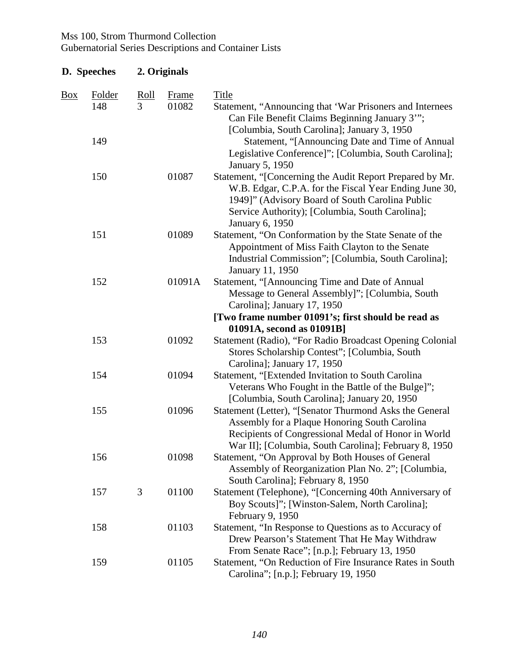| D. Speeches |                             | 2. Originals     |                       |                                                                                                                                                                                                                                                                                                          |
|-------------|-----------------------------|------------------|-----------------------|----------------------------------------------------------------------------------------------------------------------------------------------------------------------------------------------------------------------------------------------------------------------------------------------------------|
| <b>Box</b>  | <b>Folder</b><br>148<br>149 | <u>Roll</u><br>3 | <b>Frame</b><br>01082 | <b>Title</b><br>Statement, "Announcing that 'War Prisoners and Internees<br>Can File Benefit Claims Beginning January 3"";<br>[Columbia, South Carolina]; January 3, 1950<br>Statement, "[Announcing Date and Time of Annual<br>Legislative Conference]"; [Columbia, South Carolina];<br>January 5, 1950 |
|             | 150                         |                  | 01087                 | Statement, "[Concerning the Audit Report Prepared by Mr.<br>W.B. Edgar, C.P.A. for the Fiscal Year Ending June 30,<br>1949]" (Advisory Board of South Carolina Public<br>Service Authority); [Columbia, South Carolina];<br><b>January 6, 1950</b>                                                       |
|             | 151                         |                  | 01089                 | Statement, "On Conformation by the State Senate of the<br>Appointment of Miss Faith Clayton to the Senate<br>Industrial Commission"; [Columbia, South Carolina];<br>January 11, 1950                                                                                                                     |
|             | 152                         |                  | 01091A                | Statement, "[Announcing Time and Date of Annual<br>Message to General Assembly]"; [Columbia, South<br>Carolina]; January 17, 1950                                                                                                                                                                        |
|             |                             |                  |                       | [Two frame number 01091's; first should be read as<br>01091A, second as 01091B]                                                                                                                                                                                                                          |
|             | 153                         |                  | 01092                 | Statement (Radio), "For Radio Broadcast Opening Colonial<br>Stores Scholarship Contest"; [Columbia, South<br>Carolina]; January 17, 1950                                                                                                                                                                 |
|             | 154                         |                  | 01094                 | Statement, "[Extended Invitation to South Carolina<br>Veterans Who Fought in the Battle of the Bulge]";<br>[Columbia, South Carolina]; January 20, 1950                                                                                                                                                  |
|             | 155                         |                  | 01096                 | Statement (Letter), "[Senator Thurmond Asks the General<br>Assembly for a Plaque Honoring South Carolina<br>Recipients of Congressional Medal of Honor in World<br>War II]; [Columbia, South Carolina]; February 8, 1950                                                                                 |
|             | 156                         |                  | 01098                 | Statement, "On Approval by Both Houses of General<br>Assembly of Reorganization Plan No. 2"; [Columbia,<br>South Carolina]; February 8, 1950                                                                                                                                                             |
|             | 157                         | 3                | 01100                 | Statement (Telephone), "[Concerning 40th Anniversary of<br>Boy Scouts]"; [Winston-Salem, North Carolina];<br>February 9, 1950                                                                                                                                                                            |
|             | 158                         |                  | 01103                 | Statement, "In Response to Questions as to Accuracy of<br>Drew Pearson's Statement That He May Withdraw<br>From Senate Race"; [n.p.]; February 13, 1950                                                                                                                                                  |
|             | 159                         |                  | 01105                 | Statement, "On Reduction of Fire Insurance Rates in South<br>Carolina"; [n.p.]; February 19, 1950                                                                                                                                                                                                        |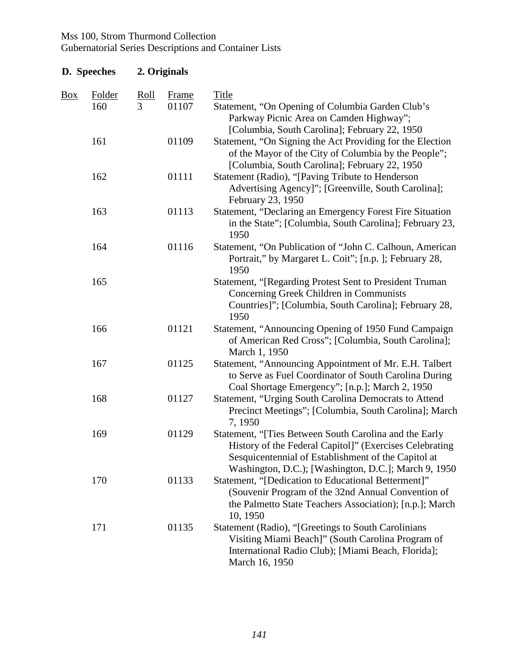| D. Speeches |               |                  | 2. Originals          |                                                                                                                                                                                                                                  |  |  |
|-------------|---------------|------------------|-----------------------|----------------------------------------------------------------------------------------------------------------------------------------------------------------------------------------------------------------------------------|--|--|
| Box         | Folder<br>160 | <u>Roll</u><br>3 | <b>Frame</b><br>01107 | <b>Title</b><br>Statement, "On Opening of Columbia Garden Club's                                                                                                                                                                 |  |  |
|             | 161           |                  | 01109                 | Parkway Picnic Area on Camden Highway";<br>[Columbia, South Carolina]; February 22, 1950<br>Statement, "On Signing the Act Providing for the Election                                                                            |  |  |
|             |               |                  |                       | of the Mayor of the City of Columbia by the People";<br>[Columbia, South Carolina]; February 22, 1950                                                                                                                            |  |  |
|             | 162           |                  | 01111                 | Statement (Radio), "[Paving Tribute to Henderson<br>Advertising Agency]"; [Greenville, South Carolina];<br>February 23, 1950                                                                                                     |  |  |
|             | 163           |                  | 01113                 | Statement, "Declaring an Emergency Forest Fire Situation<br>in the State"; [Columbia, South Carolina]; February 23,<br>1950                                                                                                      |  |  |
|             | 164           |                  | 01116                 | Statement, "On Publication of "John C. Calhoun, American<br>Portrait," by Margaret L. Coit"; [n.p.]; February 28,<br>1950                                                                                                        |  |  |
|             | 165           |                  |                       | Statement, "[Regarding Protest Sent to President Truman<br>Concerning Greek Children in Communists<br>Countries]"; [Columbia, South Carolina]; February 28,<br>1950                                                              |  |  |
|             | 166           |                  | 01121                 | Statement, "Announcing Opening of 1950 Fund Campaign<br>of American Red Cross"; [Columbia, South Carolina];<br>March 1, 1950                                                                                                     |  |  |
|             | 167           |                  | 01125                 | Statement, "Announcing Appointment of Mr. E.H. Talbert<br>to Serve as Fuel Coordinator of South Carolina During<br>Coal Shortage Emergency"; [n.p.]; March 2, 1950                                                               |  |  |
|             | 168           |                  | 01127                 | Statement, "Urging South Carolina Democrats to Attend<br>Precinct Meetings"; [Columbia, South Carolina]; March<br>7, 1950                                                                                                        |  |  |
|             | 169           |                  | 01129                 | Statement, "[Ties Between South Carolina and the Early<br>History of the Federal Capitol]" (Exercises Celebrating<br>Sesquicentennial of Establishment of the Capitol at<br>Washington, D.C.); [Washington, D.C.]; March 9, 1950 |  |  |
|             | 170           |                  | 01133                 | Statement, "[Dedication to Educational Betterment]"<br>(Souvenir Program of the 32nd Annual Convention of<br>the Palmetto State Teachers Association); [n.p.]; March<br>10, 1950                                                 |  |  |
|             | 171           |                  | 01135                 | Statement (Radio), "[Greetings to South Carolinians<br>Visiting Miami Beach]" (South Carolina Program of<br>International Radio Club); [Miami Beach, Florida];<br>March 16, 1950                                                 |  |  |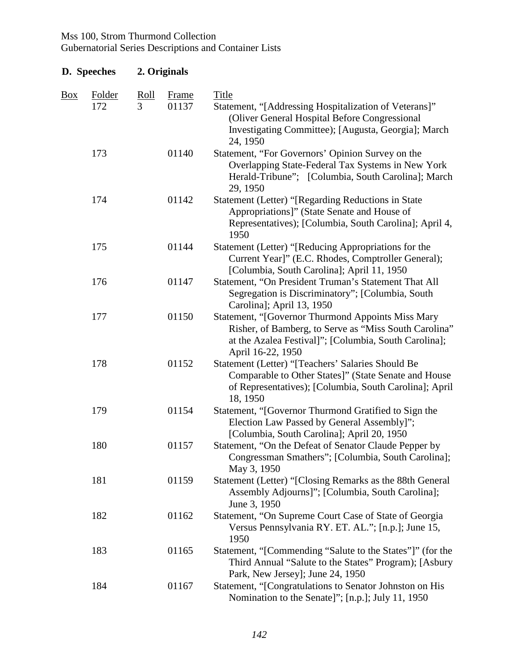| D. Speeches |                      |                  | 2. Originals          |                                                                                                                                                                                           |
|-------------|----------------------|------------------|-----------------------|-------------------------------------------------------------------------------------------------------------------------------------------------------------------------------------------|
| Box         | <b>Folder</b><br>172 | <u>Roll</u><br>3 | <b>Frame</b><br>01137 | <b>Title</b><br>Statement, "[Addressing Hospitalization of Veterans]"<br>(Oliver General Hospital Before Congressional<br>Investigating Committee); [Augusta, Georgia]; March<br>24, 1950 |
|             | 173                  |                  | 01140                 | Statement, "For Governors' Opinion Survey on the<br>Overlapping State-Federal Tax Systems in New York<br>Herald-Tribune"; [Columbia, South Carolina]; March<br>29, 1950                   |
|             | 174                  |                  | 01142                 | Statement (Letter) "[Regarding Reductions in State<br>Appropriations]" (State Senate and House of<br>Representatives); [Columbia, South Carolina]; April 4,<br>1950                       |
|             | 175                  |                  | 01144                 | Statement (Letter) "[Reducing Appropriations for the<br>Current Year]" (E.C. Rhodes, Comptroller General);<br>[Columbia, South Carolina]; April 11, 1950                                  |
|             | 176                  |                  | 01147                 | Statement, "On President Truman's Statement That All<br>Segregation is Discriminatory"; [Columbia, South]<br>Carolina]; April 13, 1950                                                    |
|             | 177                  |                  | 01150                 | Statement, "[Governor Thurmond Appoints Miss Mary<br>Risher, of Bamberg, to Serve as "Miss South Carolina"<br>at the Azalea Festival]"; [Columbia, South Carolina];<br>April 16-22, 1950  |
|             | 178                  |                  | 01152                 | Statement (Letter) "[Teachers' Salaries Should Be<br>Comparable to Other States]" (State Senate and House<br>of Representatives); [Columbia, South Carolina]; April<br>18, 1950           |
|             | 179                  |                  | 01154                 | Statement, "[Governor Thurmond Gratified to Sign the<br>Election Law Passed by General Assembly]";<br>[Columbia, South Carolina]; April 20, 1950                                          |
|             | 180                  |                  | 01157                 | Statement, "On the Defeat of Senator Claude Pepper by<br>Congressman Smathers"; [Columbia, South Carolina];<br>May 3, 1950                                                                |
|             | 181                  |                  | 01159                 | Statement (Letter) "[Closing Remarks as the 88th General<br>Assembly Adjourns]"; [Columbia, South Carolina];<br>June 3, 1950                                                              |
|             | 182                  |                  | 01162                 | Statement, "On Supreme Court Case of State of Georgia<br>Versus Pennsylvania RY. ET. AL."; [n.p.]; June 15,<br>1950                                                                       |
|             | 183                  |                  | 01165                 | Statement, "[Commending "Salute to the States"]" (for the<br>Third Annual "Salute to the States" Program); [Asbury<br>Park, New Jersey]; June 24, 1950                                    |
|             | 184                  |                  | 01167                 | Statement, "[Congratulations to Senator Johnston on His<br>Nomination to the Senate]"; [n.p.]; July 11, 1950                                                                              |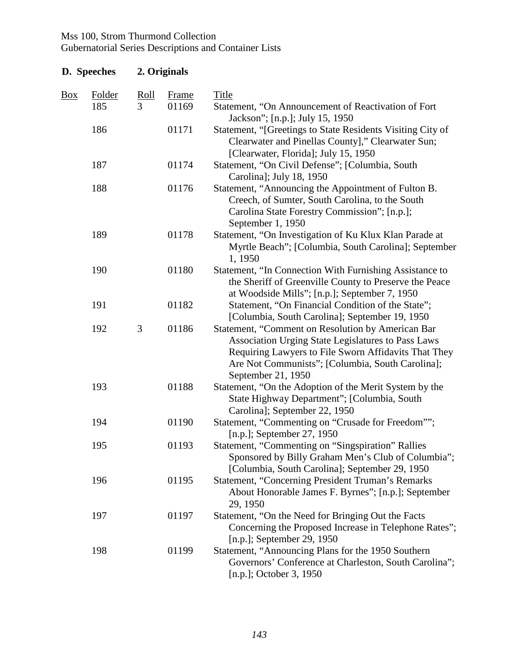| D. Speeches |               |             | 2. Originals |                                                                                                                                                                                                                                           |  |
|-------------|---------------|-------------|--------------|-------------------------------------------------------------------------------------------------------------------------------------------------------------------------------------------------------------------------------------------|--|
| <u>Box</u>  | <b>Folder</b> | <u>Roll</u> | <b>Frame</b> | <b>Title</b>                                                                                                                                                                                                                              |  |
|             | 185           | 3           | 01169        | Statement, "On Announcement of Reactivation of Fort<br>Jackson"; [n.p.]; July 15, 1950                                                                                                                                                    |  |
|             | 186           |             | 01171        | Statement, "[Greetings to State Residents Visiting City of<br>Clearwater and Pinellas County]," Clearwater Sun;<br>[Clearwater, Florida]; July 15, 1950                                                                                   |  |
|             | 187           |             | 01174        | Statement, "On Civil Defense"; [Columbia, South<br>Carolina]; July 18, 1950                                                                                                                                                               |  |
|             | 188           |             | 01176        | Statement, "Announcing the Appointment of Fulton B.<br>Creech, of Sumter, South Carolina, to the South<br>Carolina State Forestry Commission"; [n.p.];<br>September 1, 1950                                                               |  |
|             | 189           |             | 01178        | Statement, "On Investigation of Ku Klux Klan Parade at<br>Myrtle Beach"; [Columbia, South Carolina]; September<br>1, 1950                                                                                                                 |  |
|             | 190           |             | 01180        | Statement, "In Connection With Furnishing Assistance to<br>the Sheriff of Greenville County to Preserve the Peace<br>at Woodside Mills"; [n.p.]; September 7, 1950                                                                        |  |
|             | 191           |             | 01182        | Statement, "On Financial Condition of the State";<br>[Columbia, South Carolina]; September 19, 1950                                                                                                                                       |  |
|             | 192           | 3           | 01186        | Statement, "Comment on Resolution by American Bar<br>Association Urging State Legislatures to Pass Laws<br>Requiring Lawyers to File Sworn Affidavits That They<br>Are Not Communists"; [Columbia, South Carolina];<br>September 21, 1950 |  |
|             | 193           |             | 01188        | Statement, "On the Adoption of the Merit System by the<br>State Highway Department"; [Columbia, South<br>Carolina]; September 22, 1950                                                                                                    |  |
|             | 194           |             | 01190        | Statement, "Commenting on "Crusade for Freedom"";<br>[n.p.]; September 27, 1950                                                                                                                                                           |  |
|             | 195           |             | 01193        | Statement, "Commenting on "Singspiration" Rallies<br>Sponsored by Billy Graham Men's Club of Columbia";<br>[Columbia, South Carolina]; September 29, 1950                                                                                 |  |
|             | 196           |             | 01195        | <b>Statement, "Concerning President Truman's Remarks</b><br>About Honorable James F. Byrnes"; [n.p.]; September<br>29, 1950                                                                                                               |  |
|             | 197           |             | 01197        | Statement, "On the Need for Bringing Out the Facts<br>Concerning the Proposed Increase in Telephone Rates";<br>[n.p.]; September 29, 1950                                                                                                 |  |
|             | 198           |             | 01199        | Statement, "Announcing Plans for the 1950 Southern<br>Governors' Conference at Charleston, South Carolina";<br>[n.p.]; October 3, 1950                                                                                                    |  |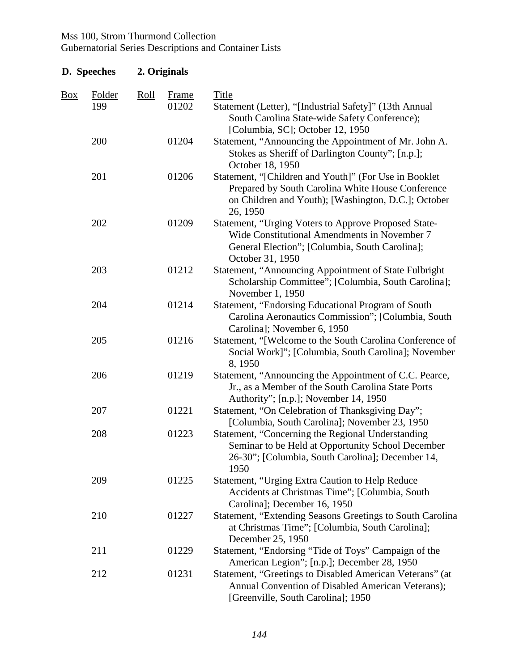|     | <b>D.</b> Speeches   |             | 2. Originals   |                                                                                                                                                                               |  |  |  |
|-----|----------------------|-------------|----------------|-------------------------------------------------------------------------------------------------------------------------------------------------------------------------------|--|--|--|
| Box | <b>Folder</b><br>199 | <u>Roll</u> | Frame<br>01202 | Title<br>Statement (Letter), "[Industrial Safety]" (13th Annual<br>South Carolina State-wide Safety Conference);<br>[Columbia, SC]; October 12, 1950                          |  |  |  |
|     | 200                  |             | 01204          | Statement, "Announcing the Appointment of Mr. John A.<br>Stokes as Sheriff of Darlington County"; [n.p.];<br>October 18, 1950                                                 |  |  |  |
|     | 201                  |             | 01206          | Statement, "[Children and Youth]" (For Use in Booklet<br>Prepared by South Carolina White House Conference<br>on Children and Youth); [Washington, D.C.]; October<br>26, 1950 |  |  |  |
|     | 202                  |             | 01209          | Statement, "Urging Voters to Approve Proposed State-<br>Wide Constitutional Amendments in November 7<br>General Election"; [Columbia, South Carolina];<br>October 31, 1950    |  |  |  |
|     | 203                  |             | 01212          | Statement, "Announcing Appointment of State Fulbright<br>Scholarship Committee"; [Columbia, South Carolina];<br>November 1, 1950                                              |  |  |  |
|     | 204                  |             | 01214          | Statement, "Endorsing Educational Program of South<br>Carolina Aeronautics Commission"; [Columbia, South<br>Carolina]; November 6, 1950                                       |  |  |  |
|     | 205                  |             | 01216          | Statement, "[Welcome to the South Carolina Conference of<br>Social Work]"; [Columbia, South Carolina]; November<br>8,1950                                                     |  |  |  |
|     | 206                  |             | 01219          | Statement, "Announcing the Appointment of C.C. Pearce,<br>Jr., as a Member of the South Carolina State Ports<br>Authority"; [n.p.]; November 14, 1950                         |  |  |  |
|     | 207                  |             | 01221          | Statement, "On Celebration of Thanksgiving Day";<br>[Columbia, South Carolina]; November 23, 1950                                                                             |  |  |  |
|     | 208                  |             | 01223          | Statement, "Concerning the Regional Understanding<br>Seminar to be Held at Opportunity School December<br>26-30"; [Columbia, South Carolina]; December 14,<br>1950            |  |  |  |
|     | 209                  |             | 01225          | Statement, "Urging Extra Caution to Help Reduce<br>Accidents at Christmas Time"; [Columbia, South<br>Carolina]; December 16, 1950                                             |  |  |  |
|     | 210                  |             | 01227          | Statement, "Extending Seasons Greetings to South Carolina<br>at Christmas Time"; [Columbia, South Carolina];<br>December 25, 1950                                             |  |  |  |
|     | 211                  |             | 01229          | Statement, "Endorsing "Tide of Toys" Campaign of the<br>American Legion"; [n.p.]; December 28, 1950                                                                           |  |  |  |
|     | 212                  |             | 01231          | Statement, "Greetings to Disabled American Veterans" (at<br>Annual Convention of Disabled American Veterans);<br>[Greenville, South Carolina]; 1950                           |  |  |  |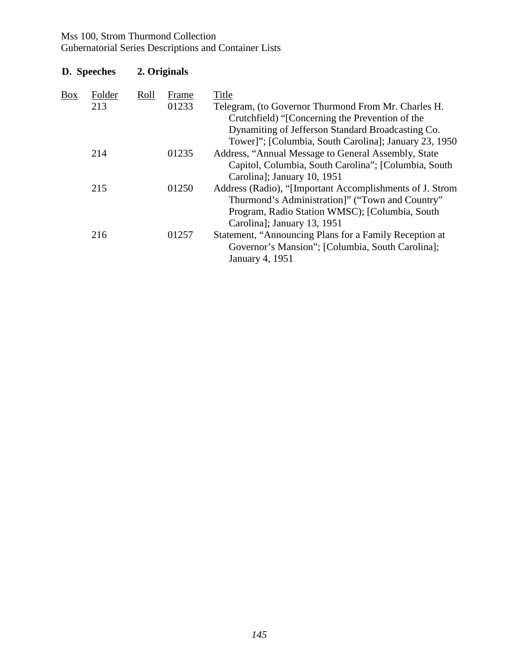# Mss 100, Strom Thurmond Collection

Gubernatorial Series Descriptions and Container Lists

| Folder | Roll        | Frame | <b>Title</b>                                             |
|--------|-------------|-------|----------------------------------------------------------|
| 213    |             | 01233 | Telegram, (to Governor Thurmond From Mr. Charles H.      |
|        |             |       | Crutchfield) "[Concerning the Prevention of the          |
|        |             |       | Dynamiting of Jefferson Standard Broadcasting Co.        |
|        |             |       | Tower]"; [Columbia, South Carolina]; January 23, 1950    |
| 214    |             | 01235 | Address, "Annual Message to General Assembly, State      |
|        |             |       | Capitol, Columbia, South Carolina"; [Columbia, South     |
|        |             |       | Carolina]; January 10, 1951                              |
| 215    |             | 01250 | Address (Radio), "[Important Accomplishments of J. Strom |
|        |             |       | Thurmond's Administration]" ("Town and Country"          |
|        |             |       | Program, Radio Station WMSC); [Columbia, South]          |
|        |             |       | Carolina]; January 13, 1951                              |
| 216    |             | 01257 | Statement, "Announcing Plans for a Family Reception at   |
|        |             |       | Governor's Mansion"; [Columbia, South Carolina];         |
|        |             |       | January 4, 1951                                          |
|        | D. Speeches |       | 2. Originals                                             |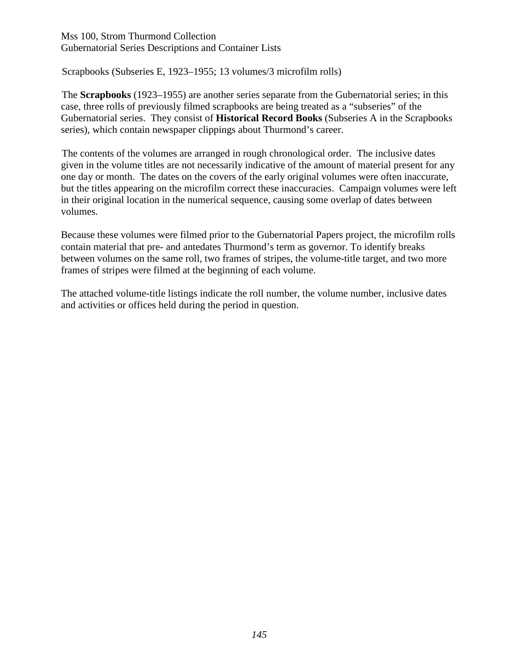Scrapbooks (Subseries E, 1923–1955; 13 volumes/3 microfilm rolls)

The **Scrapbooks** (1923–1955) are another series separate from the Gubernatorial series; in this case, three rolls of previously filmed scrapbooks are being treated as a "subseries" of the Gubernatorial series. They consist of **Historical Record Books** (Subseries A in the Scrapbooks series), which contain newspaper clippings about Thurmond's career.

The contents of the volumes are arranged in rough chronological order. The inclusive dates given in the volume titles are not necessarily indicative of the amount of material present for any one day or month. The dates on the covers of the early original volumes were often inaccurate, but the titles appearing on the microfilm correct these inaccuracies. Campaign volumes were left in their original location in the numerical sequence, causing some overlap of dates between volumes.

Because these volumes were filmed prior to the Gubernatorial Papers project, the microfilm rolls contain material that pre- and antedates Thurmond's term as governor. To identify breaks between volumes on the same roll, two frames of stripes, the volume-title target, and two more frames of stripes were filmed at the beginning of each volume.

The attached volume-title listings indicate the roll number, the volume number, inclusive dates and activities or offices held during the period in question.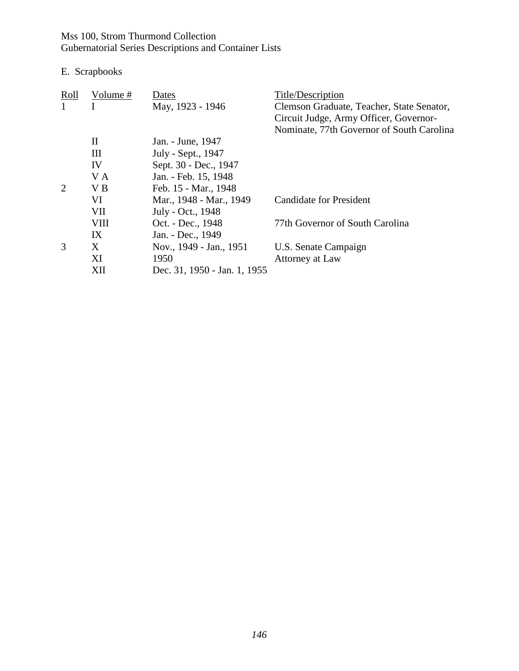E. Scrapbooks

| Roll | Volume #     | Dates                        | Title/Description                         |
|------|--------------|------------------------------|-------------------------------------------|
|      |              | May, 1923 - 1946             | Clemson Graduate, Teacher, State Senator, |
|      |              |                              | Circuit Judge, Army Officer, Governor-    |
|      |              |                              | Nominate, 77th Governor of South Carolina |
|      | $\mathbf{I}$ | Jan. - June, 1947            |                                           |
|      | Ш            | July - Sept., 1947           |                                           |
|      | IV           | Sept. 30 - Dec., 1947        |                                           |
|      | V A          | Jan. - Feb. 15, 1948         |                                           |
| 2    | V B          | Feb. 15 - Mar., 1948         |                                           |
|      | VI           | Mar., 1948 - Mar., 1949      | Candidate for President                   |
|      | VII          | July - Oct., 1948            |                                           |
|      | <b>VIII</b>  | Oct. - Dec., 1948            | 77th Governor of South Carolina           |
|      | IX           | Jan. - Dec., 1949            |                                           |
| 3    | X            | Nov., 1949 - Jan., 1951      | U.S. Senate Campaign                      |
|      | XI           | 1950                         | Attorney at Law                           |
|      | XII          | Dec. 31, 1950 - Jan. 1, 1955 |                                           |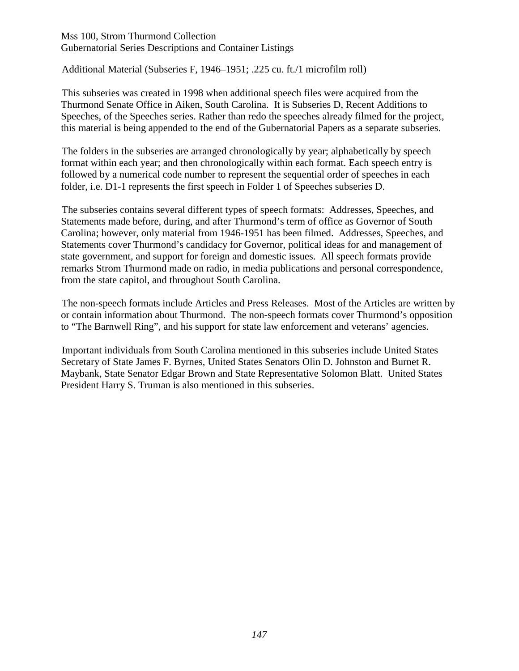#### Mss 100, Strom Thurmond Collection Gubernatorial Series Descriptions and Container Listings

Additional Material (Subseries F, 1946–1951; .225 cu. ft./1 microfilm roll)

This subseries was created in 1998 when additional speech files were acquired from the Thurmond Senate Office in Aiken, South Carolina. It is Subseries D, Recent Additions to Speeches, of the Speeches series. Rather than redo the speeches already filmed for the project, this material is being appended to the end of the Gubernatorial Papers as a separate subseries.

The folders in the subseries are arranged chronologically by year; alphabetically by speech format within each year; and then chronologically within each format. Each speech entry is followed by a numerical code number to represent the sequential order of speeches in each folder, i.e. D1-1 represents the first speech in Folder 1 of Speeches subseries D.

The subseries contains several different types of speech formats: Addresses, Speeches, and Statements made before, during, and after Thurmond's term of office as Governor of South Carolina; however, only material from 1946-1951 has been filmed. Addresses, Speeches, and Statements cover Thurmond's candidacy for Governor, political ideas for and management of state government, and support for foreign and domestic issues. All speech formats provide remarks Strom Thurmond made on radio, in media publications and personal correspondence, from the state capitol, and throughout South Carolina.

The non-speech formats include Articles and Press Releases. Most of the Articles are written by or contain information about Thurmond. The non-speech formats cover Thurmond's opposition to "The Barnwell Ring", and his support for state law enforcement and veterans' agencies.

Important individuals from South Carolina mentioned in this subseries include United States Secretary of State James F. Byrnes, United States Senators Olin D. Johnston and Burnet R. Maybank, State Senator Edgar Brown and State Representative Solomon Blatt. United States President Harry S. Truman is also mentioned in this subseries.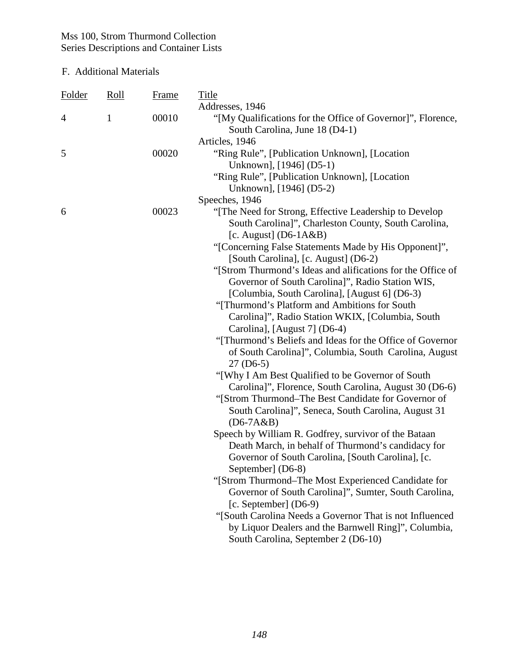| <b>Folder</b>  | <u>Roll</u> | Frame | <u>Title</u>                                                |
|----------------|-------------|-------|-------------------------------------------------------------|
|                |             |       | Addresses, 1946                                             |
| $\overline{4}$ | 1           | 00010 | "[My Qualifications for the Office of Governor]", Florence, |
|                |             |       | South Carolina, June 18 (D4-1)                              |
|                |             |       | Articles, 1946                                              |
| 5              |             | 00020 | "Ring Rule", [Publication Unknown], [Location               |
|                |             |       | Unknown], [1946] (D5-1)                                     |
|                |             |       | "Ring Rule", [Publication Unknown], [Location               |
|                |             |       | Unknown], [1946] (D5-2)                                     |
|                |             |       | Speeches, 1946                                              |
| 6              |             | 00023 | "[The Need for Strong, Effective Leadership to Develop      |
|                |             |       | South Carolina]", Charleston County, South Carolina,        |
|                |             |       | [c. August] $(D6-1A&B)$                                     |
|                |             |       | "[Concerning False Statements Made by His Opponent]",       |
|                |             |       | [South Carolina], [c. August] (D6-2)                        |
|                |             |       | "[Strom Thurmond's Ideas and alifications for the Office of |
|                |             |       | Governor of South Carolina]", Radio Station WIS,            |
|                |             |       | [Columbia, South Carolina], [August 6] (D6-3)               |
|                |             |       | "[Thurmond's Platform and Ambitions for South               |
|                |             |       | Carolina]", Radio Station WKIX, [Columbia, South            |
|                |             |       | Carolina], [August 7] (D6-4)                                |
|                |             |       | "[Thurmond's Beliefs and Ideas for the Office of Governor"  |
|                |             |       | of South Carolina]", Columbia, South Carolina, August       |
|                |             |       | $27(D6-5)$                                                  |
|                |             |       | "[Why I Am Best Qualified to be Governor of South"          |
|                |             |       | Carolina]", Florence, South Carolina, August 30 (D6-6)      |
|                |             |       | "[Strom Thurmond–The Best Candidate for Governor of         |
|                |             |       | South Carolina]", Seneca, South Carolina, August 31         |
|                |             |       | $(D6-7A&B)$                                                 |
|                |             |       | Speech by William R. Godfrey, survivor of the Bataan        |
|                |             |       | Death March, in behalf of Thurmond's candidacy for          |
|                |             |       | Governor of South Carolina, [South Carolina], [c.           |
|                |             |       | September] (D6-8)                                           |
|                |             |       | "[Strom Thurmond-The Most Experienced Candidate for         |
|                |             |       | Governor of South Carolina]", Sumter, South Carolina,       |
|                |             |       | [c. September] $(D6-9)$                                     |
|                |             |       | "[South Carolina Needs a Governor That is not Influenced    |
|                |             |       | by Liquor Dealers and the Barnwell Ring]", Columbia,        |
|                |             |       | South Carolina, September 2 (D6-10)                         |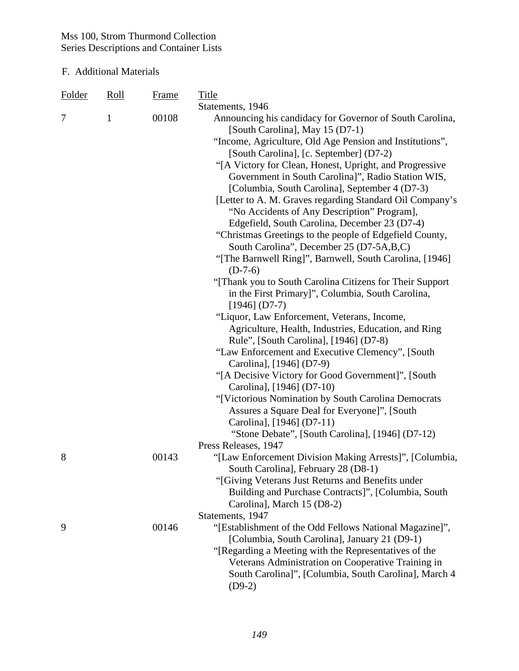| <b>Folder</b> | <u>Roll</u>  | <b>Frame</b> | <b>Title</b>                                                                                                |
|---------------|--------------|--------------|-------------------------------------------------------------------------------------------------------------|
|               |              |              | Statements, 1946                                                                                            |
| 7             | $\mathbf{1}$ | 00108        | Announcing his candidacy for Governor of South Carolina,<br>[South Carolina], May 15 (D7-1)                 |
|               |              |              | "Income, Agriculture, Old Age Pension and Institutions",                                                    |
|               |              |              | [South Carolina], [c. September] (D7-2)                                                                     |
|               |              |              | "[A Victory for Clean, Honest, Upright, and Progressive                                                     |
|               |              |              | Government in South Carolina]", Radio Station WIS,                                                          |
|               |              |              | [Columbia, South Carolina], September 4 (D7-3)                                                              |
|               |              |              | [Letter to A. M. Graves regarding Standard Oil Company's                                                    |
|               |              |              | "No Accidents of Any Description" Program],                                                                 |
|               |              |              | Edgefield, South Carolina, December 23 (D7-4)                                                               |
|               |              |              | "Christmas Greetings to the people of Edgefield County,                                                     |
|               |              |              | South Carolina", December 25 (D7-5A,B,C)                                                                    |
|               |              |              | "[The Barnwell Ring]", Barnwell, South Carolina, [1946]                                                     |
|               |              |              | $(D-7-6)$<br>"[Thank you to South Carolina Citizens for Their Support                                       |
|               |              |              | in the First Primary]", Columbia, South Carolina,                                                           |
|               |              |              | $[1946]$ (D7-7)                                                                                             |
|               |              |              | "Liquor, Law Enforcement, Veterans, Income,                                                                 |
|               |              |              | Agriculture, Health, Industries, Education, and Ring                                                        |
|               |              |              | Rule", [South Carolina], [1946] (D7-8)                                                                      |
|               |              |              | "Law Enforcement and Executive Clemency", [South                                                            |
|               |              |              | Carolina], [1946] (D7-9)                                                                                    |
|               |              |              | "[A Decisive Victory for Good Government]", [South]                                                         |
|               |              |              | Carolina], [1946] (D7-10)                                                                                   |
|               |              |              | "[Victorious Nomination by South Carolina Democrats                                                         |
|               |              |              | Assures a Square Deal for Everyone]", [South<br>Carolina], [1946] (D7-11)                                   |
|               |              |              | "Stone Debate", [South Carolina], [1946] (D7-12)                                                            |
|               |              |              | Press Releases, 1947                                                                                        |
| 8             |              | 00143        | "[Law Enforcement Division Making Arrests]", [Columbia,                                                     |
|               |              |              | South Carolina], February 28 (D8-1)                                                                         |
|               |              |              | "[Giving Veterans Just Returns and Benefits under                                                           |
|               |              |              | Building and Purchase Contracts]", [Columbia, South                                                         |
|               |              |              | Carolina], March 15 (D8-2)                                                                                  |
|               |              |              | Statements, 1947                                                                                            |
| 9             |              | 00146        | "[Establishment of the Odd Fellows National Magazine]",                                                     |
|               |              |              | [Columbia, South Carolina], January 21 (D9-1)                                                               |
|               |              |              | "[Regarding a Meeting with the Representatives of the<br>Veterans Administration on Cooperative Training in |
|               |              |              | South Carolina]", [Columbia, South Carolina], March 4                                                       |
|               |              |              | $(D9-2)$                                                                                                    |
|               |              |              |                                                                                                             |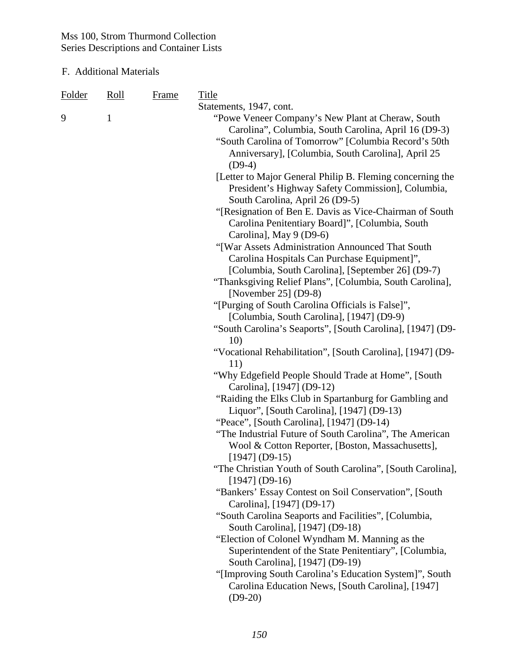| <b>Folder</b><br>9 | Roll<br>1 | <b>Frame</b> | <b>Title</b><br>Statements, 1947, cont.<br>"Powe Veneer Company's New Plant at Cheraw, South<br>Carolina", Columbia, South Carolina, April 16 (D9-3)<br>"South Carolina of Tomorrow" [Columbia Record's 50th<br>Anniversary], [Columbia, South Carolina], April 25<br>$(D9-4)$<br>[Letter to Major General Philip B. Fleming concerning the<br>President's Highway Safety Commission], Columbia,<br>South Carolina, April 26 (D9-5)<br>"[Resignation of Ben E. Davis as Vice-Chairman of South<br>Carolina Penitentiary Board]", [Columbia, South<br>Carolina], May 9 (D9-6)<br>"[War Assets Administration Announced That South<br>Carolina Hospitals Can Purchase Equipment]",<br>[Columbia, South Carolina], [September 26] (D9-7)<br>"Thanksgiving Relief Plans", [Columbia, South Carolina],<br>[November 25] $(D9-8)$<br>"[Purging of South Carolina Officials is False]",<br>[Columbia, South Carolina], [1947] (D9-9)<br>"South Carolina's Seaports", [South Carolina], [1947] (D9-<br>10)<br>"Vocational Rehabilitation", [South Carolina], [1947] (D9-<br>11)<br>"Why Edgefield People Should Trade at Home", [South<br>Carolina], [1947] (D9-12)<br>"Raiding the Elks Club in Spartanburg for Gambling and<br>Liquor", [South Carolina], [1947] (D9-13)<br>"Peace", [South Carolina], [1947] (D9-14)<br>"The Industrial Future of South Carolina", The American<br>Wool & Cotton Reporter, [Boston, Massachusetts],<br>$[1947] (D9-15)$<br>"The Christian Youth of South Carolina", [South Carolina],<br>$[1947] (D9-16)$<br>"Bankers' Essay Contest on Soil Conservation", [South<br>Carolina], [1947] (D9-17)<br>"South Carolina Seaports and Facilities", [Columbia,<br>South Carolina], [1947] (D9-18)<br>"Election of Colonel Wyndham M. Manning as the<br>Superintendent of the State Penitentiary", [Columbia,<br>South Carolina], [1947] (D9-19)<br>"[Improving South Carolina's Education System]", South |
|--------------------|-----------|--------------|-------------------------------------------------------------------------------------------------------------------------------------------------------------------------------------------------------------------------------------------------------------------------------------------------------------------------------------------------------------------------------------------------------------------------------------------------------------------------------------------------------------------------------------------------------------------------------------------------------------------------------------------------------------------------------------------------------------------------------------------------------------------------------------------------------------------------------------------------------------------------------------------------------------------------------------------------------------------------------------------------------------------------------------------------------------------------------------------------------------------------------------------------------------------------------------------------------------------------------------------------------------------------------------------------------------------------------------------------------------------------------------------------------------------------------------------------------------------------------------------------------------------------------------------------------------------------------------------------------------------------------------------------------------------------------------------------------------------------------------------------------------------------------------------------------------------------------------------------------------------------------------------------------------------------------|
|                    |           |              | Carolina Education News, [South Carolina], [1947]<br>$(D9-20)$                                                                                                                                                                                                                                                                                                                                                                                                                                                                                                                                                                                                                                                                                                                                                                                                                                                                                                                                                                                                                                                                                                                                                                                                                                                                                                                                                                                                                                                                                                                                                                                                                                                                                                                                                                                                                                                                |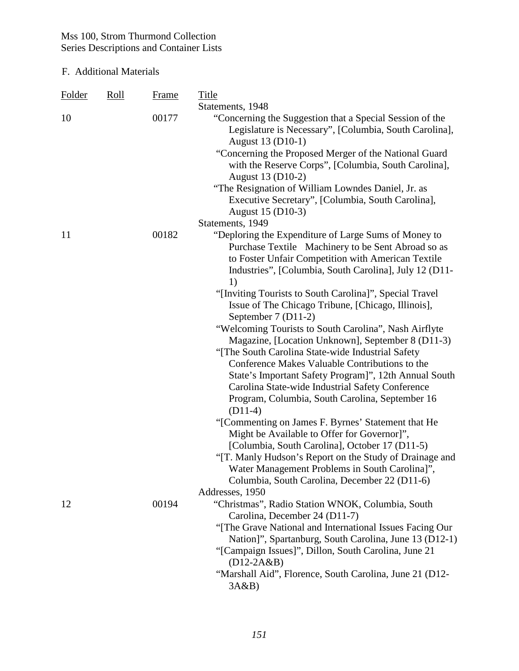| <b>Folder</b> | <u>Roll</u> | <b>Frame</b> | <b>Title</b>                                                                                                                                                     |
|---------------|-------------|--------------|------------------------------------------------------------------------------------------------------------------------------------------------------------------|
|               |             |              | Statements, 1948                                                                                                                                                 |
| 10            |             | 00177        | "Concerning the Suggestion that a Special Session of the<br>Legislature is Necessary", [Columbia, South Carolina],<br>August 13 (D10-1)                          |
|               |             |              | "Concerning the Proposed Merger of the National Guard<br>with the Reserve Corps", [Columbia, South Carolina],<br>August 13 (D10-2)                               |
|               |             |              | "The Resignation of William Lowndes Daniel, Jr. as<br>Executive Secretary", [Columbia, South Carolina],                                                          |
|               |             |              | August 15 (D10-3)                                                                                                                                                |
|               |             |              | Statements, 1949                                                                                                                                                 |
| 11            |             | 00182        | "Deploring the Expenditure of Large Sums of Money to<br>Purchase Textile Machinery to be Sent Abroad so as<br>to Foster Unfair Competition with American Textile |
|               |             |              | Industries", [Columbia, South Carolina], July 12 (D11-                                                                                                           |
|               |             |              | 1)<br>"[Inviting Tourists to South Carolina]", Special Travel                                                                                                    |
|               |             |              | Issue of The Chicago Tribune, [Chicago, Illinois],                                                                                                               |
|               |             |              | September 7 (D11-2)                                                                                                                                              |
|               |             |              | "Welcoming Tourists to South Carolina", Nash Airflyte                                                                                                            |
|               |             |              | Magazine, [Location Unknown], September 8 (D11-3)                                                                                                                |
|               |             |              | "[The South Carolina State-wide Industrial Safety                                                                                                                |
|               |             |              | Conference Makes Valuable Contributions to the                                                                                                                   |
|               |             |              | State's Important Safety Program]", 12th Annual South                                                                                                            |
|               |             |              | Carolina State-wide Industrial Safety Conference                                                                                                                 |
|               |             |              | Program, Columbia, South Carolina, September 16<br>$(D11-4)$                                                                                                     |
|               |             |              | "[Commenting on James F. Byrnes' Statement that He                                                                                                               |
|               |             |              | Might be Available to Offer for Governor]",                                                                                                                      |
|               |             |              | [Columbia, South Carolina], October 17 (D11-5)                                                                                                                   |
|               |             |              | "[T. Manly Hudson's Report on the Study of Drainage and                                                                                                          |
|               |             |              | Water Management Problems in South Carolina]",                                                                                                                   |
|               |             |              | Columbia, South Carolina, December 22 (D11-6)                                                                                                                    |
|               |             |              | Addresses, 1950                                                                                                                                                  |
| 12            |             | 00194        | "Christmas", Radio Station WNOK, Columbia, South                                                                                                                 |
|               |             |              | Carolina, December 24 (D11-7)                                                                                                                                    |
|               |             |              | "The Grave National and International Issues Facing Our<br>Nation]", Spartanburg, South Carolina, June 13 (D12-1)                                                |
|               |             |              | "[Campaign Issues]", Dillon, South Carolina, June 21                                                                                                             |
|               |             |              | $(D12-2A&B)$                                                                                                                                                     |
|               |             |              | "Marshall Aid", Florence, South Carolina, June 21 (D12-                                                                                                          |
|               |             |              | 3A&B                                                                                                                                                             |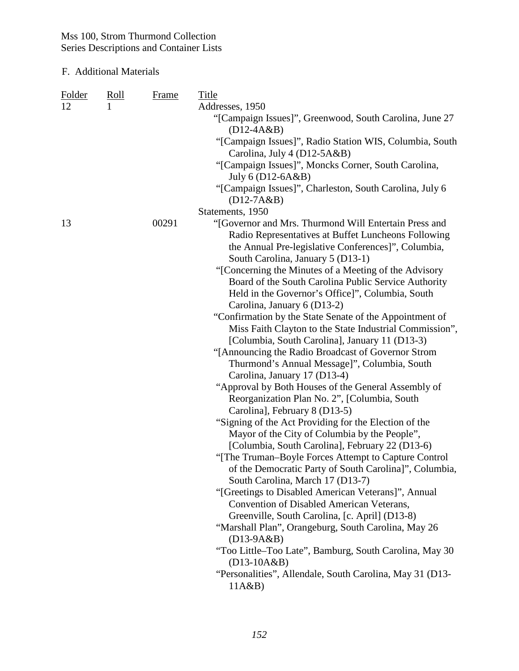| <b>Folder</b> | <u>Roll</u> | <b>Frame</b> | <b>Title</b>                                                                           |
|---------------|-------------|--------------|----------------------------------------------------------------------------------------|
| 12            |             |              | Addresses, 1950                                                                        |
|               |             |              | "[Campaign Issues]", Greenwood, South Carolina, June 27<br>$(D12-4A&B)$                |
|               |             |              | "[Campaign Issues]", Radio Station WIS, Columbia, South                                |
|               |             |              | Carolina, July 4 ( $D12-5A&B$ )                                                        |
|               |             |              | "[Campaign Issues]", Moncks Corner, South Carolina,                                    |
|               |             |              | July 6 (D12-6A&B)                                                                      |
|               |             |              | "[Campaign Issues]", Charleston, South Carolina, July 6                                |
|               |             |              | $(D12-7A&B)$                                                                           |
|               |             |              | Statements, 1950                                                                       |
| 13            |             | 00291        | "[Governor and Mrs. Thurmond Will Entertain Press and                                  |
|               |             |              | Radio Representatives at Buffet Luncheons Following                                    |
|               |             |              | the Annual Pre-legislative Conferences]", Columbia,                                    |
|               |             |              | South Carolina, January 5 (D13-1)                                                      |
|               |             |              | "[Concerning the Minutes of a Meeting of the Advisory                                  |
|               |             |              | Board of the South Carolina Public Service Authority                                   |
|               |             |              | Held in the Governor's Office]", Columbia, South                                       |
|               |             |              | Carolina, January 6 (D13-2)<br>"Confirmation by the State Senate of the Appointment of |
|               |             |              | Miss Faith Clayton to the State Industrial Commission",                                |
|               |             |              | [Columbia, South Carolina], January 11 (D13-3)                                         |
|               |             |              | "[Announcing the Radio Broadcast of Governor Strom                                     |
|               |             |              | Thurmond's Annual Message]", Columbia, South                                           |
|               |             |              | Carolina, January 17 (D13-4)                                                           |
|               |             |              | "Approval by Both Houses of the General Assembly of                                    |
|               |             |              | Reorganization Plan No. 2", [Columbia, South                                           |
|               |             |              | Carolina], February 8 (D13-5)                                                          |
|               |             |              | "Signing of the Act Providing for the Election of the                                  |
|               |             |              | Mayor of the City of Columbia by the People",                                          |
|               |             |              | [Columbia, South Carolina], February 22 (D13-6)                                        |
|               |             |              | "[The Truman-Boyle Forces Attempt to Capture Control                                   |
|               |             |              | of the Democratic Party of South Carolina]", Columbia,                                 |
|               |             |              | South Carolina, March 17 (D13-7)                                                       |
|               |             |              | "[Greetings to Disabled American Veterans]", Annual                                    |
|               |             |              | Convention of Disabled American Veterans,                                              |
|               |             |              | Greenville, South Carolina, [c. April] (D13-8)                                         |
|               |             |              | "Marshall Plan", Orangeburg, South Carolina, May 26                                    |
|               |             |              | $(D13-9A&B)$                                                                           |
|               |             |              | "Too Little–Too Late", Bamburg, South Carolina, May 30                                 |
|               |             |              | $(D13-10A&B)$                                                                          |
|               |             |              | "Personalities", Allendale, South Carolina, May 31 (D13-                               |
|               |             |              | 11A&B                                                                                  |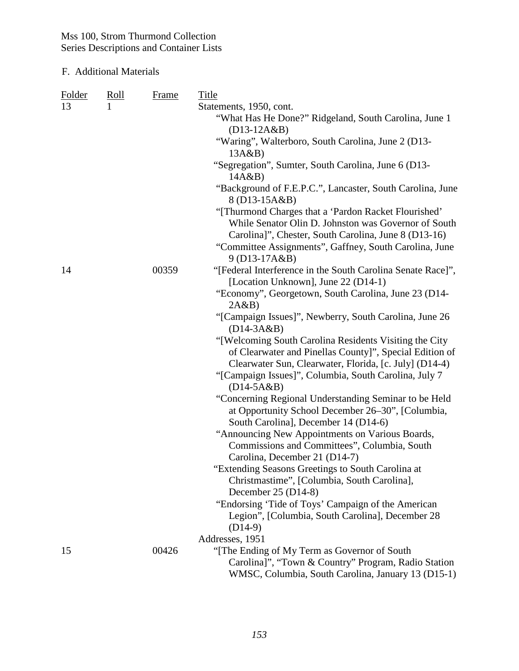| Folder | <u>Roll</u> | <b>Frame</b> | Title                                                               |
|--------|-------------|--------------|---------------------------------------------------------------------|
| 13     |             |              | Statements, 1950, cont.                                             |
|        |             |              | "What Has He Done?" Ridgeland, South Carolina, June 1               |
|        |             |              | $(D13-12A&B)$                                                       |
|        |             |              | "Waring", Walterboro, South Carolina, June 2 (D13-                  |
|        |             |              | 13A&B)                                                              |
|        |             |              | "Segregation", Sumter, South Carolina, June 6 (D13-<br>14A&B)       |
|        |             |              | "Background of F.E.P.C.", Lancaster, South Carolina, June           |
|        |             |              | 8 (D13-15A&B)                                                       |
|        |             |              | "[Thurmond Charges that a 'Pardon Racket Flourished'                |
|        |             |              | While Senator Olin D. Johnston was Governor of South                |
|        |             |              | Carolina]", Chester, South Carolina, June 8 (D13-16)                |
|        |             |              | "Committee Assignments", Gaffney, South Carolina, June              |
|        |             |              | $9(D13-17A&B)$                                                      |
| 14     |             | 00359        | "[Federal Interference in the South Carolina Senate Race]",         |
|        |             |              | [Location Unknown], June 22 (D14-1)                                 |
|        |             |              | "Economy", Georgetown, South Carolina, June 23 (D14-                |
|        |             |              | 2A&B                                                                |
|        |             |              | "[Campaign Issues]", Newberry, South Carolina, June 26              |
|        |             |              | $(D14-3A&B)$                                                        |
|        |             |              | "[Welcoming South Carolina Residents Visiting the City"             |
|        |             |              | of Clearwater and Pinellas County]", Special Edition of             |
|        |             |              | Clearwater Sun, Clearwater, Florida, [c. July] (D14-4)              |
|        |             |              | "[Campaign Issues]", Columbia, South Carolina, July 7               |
|        |             |              | $(D14-5A&B)$                                                        |
|        |             |              | "Concerning Regional Understanding Seminar to be Held               |
|        |             |              | at Opportunity School December 26–30", [Columbia,                   |
|        |             |              | South Carolina], December 14 (D14-6)                                |
|        |             |              | "Announcing New Appointments on Various Boards,                     |
|        |             |              | Commissions and Committees", Columbia, South                        |
|        |             |              | Carolina, December 21 (D14-7)                                       |
|        |             |              | "Extending Seasons Greetings to South Carolina at                   |
|        |             |              | Christmastime", [Columbia, South Carolina],<br>December $25(D14-8)$ |
|        |             |              | "Endorsing 'Tide of Toys' Campaign of the American                  |
|        |             |              | Legion", [Columbia, South Carolina], December 28                    |
|        |             |              | $(D14-9)$                                                           |
|        |             |              | Addresses, 1951                                                     |
| 15     |             | 00426        | "The Ending of My Term as Governor of South"                        |
|        |             |              | Carolina]", "Town & Country" Program, Radio Station                 |
|        |             |              | WMSC, Columbia, South Carolina, January 13 (D15-1)                  |